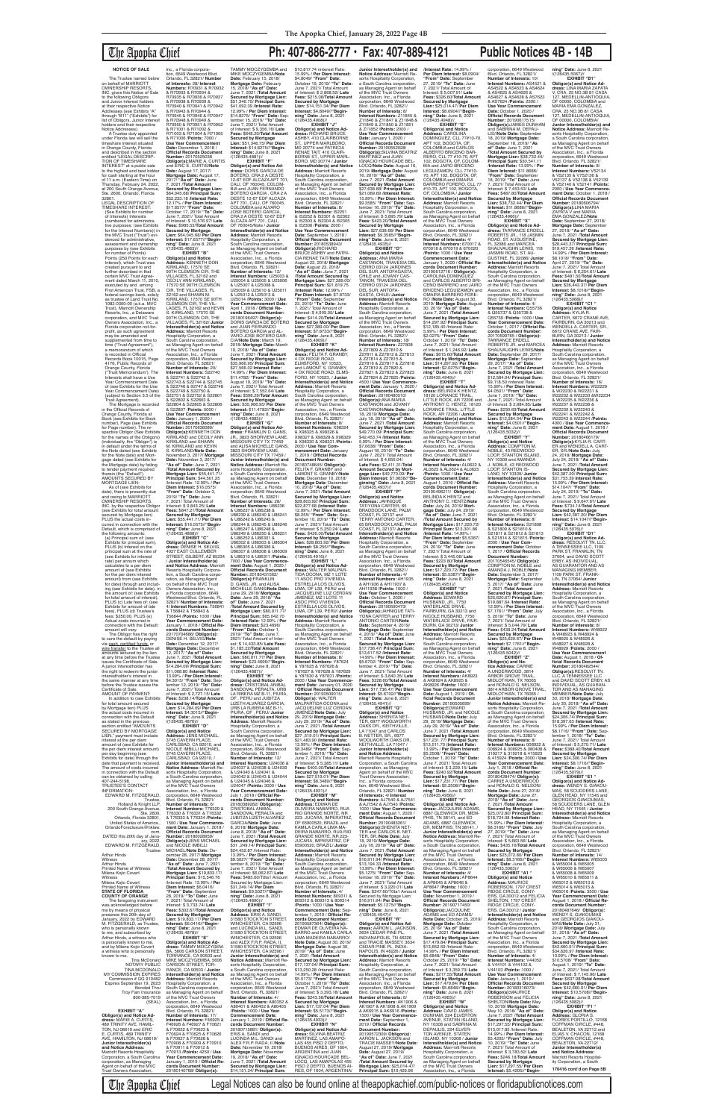# The Apopka Chief **Ph: 407-886-2777 • Fax: 407-889-4121 Public Notices 4B - 14B**

# **NOTICE OF SALE**

The Trustee named below on behalf of MARRIOTT OWNERSHIP RESORTS, INC. gives this Notice of Sale to the following Obligors and Junior Interest holders at their respective Notice Addresses (see Exhibits "A" through "B11" ("Exhibits") for list of Obligors, Junior Interest holders and their respective Notice Addresses).

in the Official Records of Orange County, Florida at Book (see Exhibits for Book number), Page (see Exhibits<br>for Page number). The re-<br>spective Obligor (See Exhibits for the names of the Obligors) (individually, the "Obligor") is in default under the terms of the Note dated (see Exhibits for the Note date) and Mort-gage dated (see Exhibits for the Mortgage date) by failing to tender payment required therein (the "Default").

date), there is presently due and owing to MARRIOTT OWNERSHIP RESORTS, INC. by the respective Obligor (see Exhibits for total amount secured by Mortgage lien) PLUS the actual costs incurred in connection with the Default, which is comprised of the following amounts: (a) Principal sum of: (see Exhibits for principal sum),

A Trustee duly appointed under Florida law will sell the timeshare interest situated in Orange County, Florida and described in the section entitled "LEGAL DESCRIP-TION OF TIMESHARE INTEREST" at a public sale to the highest and best bidder for cash starting at the hour of 11 a.m. (Eastern Time) on Thursday, February 24, 2022, at 200 South Orange Avenue Ste. 2600, Orlando, Florida<br>32801 32801. LEGAL DESCRIPTION OF TIMESHARE INTEREST: (See Exhibits for number of Interests) Interests (numbered for administrative purposes: (see Exhibits<br>for the Interest Numbers)) i for the Interest Numbers)) in the MVC Trust ("Trust") evi-denced for administrative, assessment and ownership purposes by (see Exhibits<br>for number of Points) Points (250 Points for each Interest), which Trust was created pursuant to and further described in that certain MVC Trust Agree-ment dated March 11, 2010, executed by and among First American Trust, FSB, a federal savings bank, solely as trustee of Land Trust No. 1082-0300-00 (a.k.a. MVC Trust), Marriott Ownership Resorts, Inc., a Delaware corporation, and MVC Trust Owners Association, Inc., a Florida corporation not-forprofit, as such agreement may be amended and supplemented from time to time ("Trust Agreement"), a memorandum of which is recorded in Official Records Book 10015, Page 4176, Public Records of Orange County, Florida ("Trust Memorandum'). The Interests shall have a Use Year Commencement Date of (see Exhibits for the Use Year Commencement Date) (subject to Section 3.5 of the Trust Agreement). The Mortgage is recorded /(126435.4863)//

AMOUNTS SECURED BY MORTGAGE LIEN: As of (see Exhibits for November 3, 2017/ **Mortgage Date:** November 3, 2017/ **"As of" Date:** June 7, 2021 /**Total Amount Secured by Mortgage Lien:** \$55,441.71/ **Principal Sum:** \$44,501.25 /lnterest Rate: 12.99% / **Per Diem Interest:** \$16.0575/ **"From" Date:** October 3, 2019/ **"To" Date:** June 7, 2021/ Total Amount of Interest: \$ 9,843.25/ **Late Fees:** \$847.21/**Total Amount Secured by Mortgage Lien:** \$55,441.71/ **Per Diem Interest:** \$16.0575//**"Beginning" Date:** June 8, 2021 /(126435.4868)// **EXHIBIT "C" Obligor(s) and Notice Ad-dress:** DENISE H. SELVIG,

PLUS (b) Interest on the principal sum at the rate of (see Exhibits for interest rate) per annum which calculates to a per diem amount of (see Exhibits for the per diem interest amount) from (see Exhibits for date) through and includ-ing (see Exhibits for date), in the amount of: (see Exhibits for total amount of interest), PLUS (c) Late fees of: (see Exhibits for amount of late fees), PLUS (d) Trustee's fees: \$250.00, PLUS (e) Actual costs incurred in connection with the Default: amount will vary. The Obligor has the right to cure the default by paying via <u>cash, certified funds,</u> or<br><u>wire fransfer</u> to the Trustee all<br>amounts secured by the lien at any time before the Trustee issues the Certificate of Sale. A junior interestholder has the right to redeem the junior interestholder's interest in the same manner at any time before the Trustee issues the Certificate of Sale.<br>AMOUNT OF PAYMENT: AMOUNT OF PAYMENT: In addition to (see Exhibits for total amount secured by Mortgage lien) PLUS the actual costs incurred in connection with the Default as stated in the previous<br>section entitled "AMOUNTS section entitled "AMOUNTS SECURED BY MORTGAGE LIEN," payment must include interest at the per diem amount of (see Exhibits for<br>the ner diem interest amount) the per diem interest amount) per day beginning (see Exhibits for date) through the date that payment is received. The amount of costs incurred in connection with the Default can be obtained by calling<br>407-244-5198 407-244-5198. TRUSTEE'S CONTACT INFORMATION: EDWARD M. FITZGERALD, **Trustee** Holland & Knight LLP, 200 South Orange Avenue, Ste. 2600, Orlando, Florida 32801, United States of America., OrlandoForeclosure@hklaw. com. DATED this 20th day of Janu ary, 2022. EDWARD M. FITZGERALD, **Trustee** Arthur Hinds Witness Arthur Hinds Printed Name of Witness Milena Kojic Covert **Witness** Milena Kojic Covert Printed Name of Witness **STATE OF FLORIDA COUNTY OF ORANGE** The foregoing instrun was acknowledged before me by means of physical presence this 20th day of January, 2022 by EDWARD<br>M. FITZGERALD, as Trustee, who is personally known to me, and subscribed by Arthur Hinds, a witness who is personally known to me and by Milena Kojic Covert a witness who is personally known to me. Tina McDonald NOTARY PUBLIC TINA MCDONALD MY COMMISSION EXPIRES Commission # GG 910482 Expires September 19, 2023 Bonded Thru Troy Fain Insurance 800-385-7019 (SEAL) **EXHIBIT "A" Obligor(s) and Notice Address:** MARIE A. CURTIS,<br>489 TRINITY AVE, HAMIL-TON, NJ 08619 and ERIC E. CURTIS, 489 TRINITY AVE, HAMILTON, NJ 08619/ **Junior Interestholder(s) and Notice Address:** Marriott Resorts Hospitality Corporation, a South Carolina corporation, as Managing Agent on behalf of the MVC Trust Owners Association, 4027 EAST CULLEMBER STREET, GILBERT, AZ 85234 / **Junior Interestholder(s) and Notice Address:** Marriott Resorts Hospitality Corpora-tion, a South Carolina corporation, as Managing Agent on behalf of the MVC Trust Owners Association, Inc.,<br>a Florida corporation, 6649<br>Westwood Blvd. Orlando, FL<br>32821/ **Number of Interests:** 4/ **Interest Numbers:** T56841 & T56842 & T56843 & T56844 /**Points:** 1000 / **Use Year Commencement Date:** January 1, 2018 / **Official Records Document Number:** 20170704686/ **Obligor(s):** DENISE H. SELVIG/**Note Date:** December 12, 2017/ **Mortgage Date:** December 12, 2017/ **"As of" Date:** June 7, 2021 /**Total Amount Secured by Mortgage Lien:** \$14,284.09/ **Principal Sum:** \$11,068.80 /**Interest Rate:** 13.99% / **Per Diem Interest:** \$4.3015/ **"From" Date:** Sep-tember 12, 2019/ **"To" Date:** June 7, 2021/ Total Arnount of Interest: \$ 2,727.15/ **Late Fees:** \$238.14/**Total Amount Secured by Mortgage Lien:** \$14,284.09/ **Per Diem Interest:** \$4.3015//**"Beginning" Date:** June 8, 2021<br>/(126435.4876)// **EXHIBIT "D" Obligor(s) and Notice Address:** JENS MICHAEL, 3745 CAVERN PLACE, CARLSBAD, CA 92010, and NICOLE IMBILLI MICHAEL, 3745 CAVERN PLACE,<br>CARLSBAD, CA 92010, /<br>**Junior Interestholder(s) and<br><b>Notice Address:** Marriott Resorts Hospitality Corporation, a South Carolina corporation, as Managing Agent on behalf of the MVC Trust Owners Association, Inc., a Florida corporation, 6649 Westwood Blvd. Orlando, FL 32821/<br>Number of Interests: 6/ **Number of Interests:** 6/ **Interest Numbers:** T76329 & T76330 & T76331 & T76332 & T76333 & T76334 /**Points:** 1500 / **Use Year Commencement Date:** January 1, 2018 / **Official Records Document Number:** 20180028959/<br>**Obligor(s):**JENS MICHAEL<br>and NICOLE IMBILLI<br>MICHAEL/**Note Date:** December 28, 2017/ **Mortgage Date:** December 28, 2017/ **"As of" Date:** June 7, 2021 /**Total Amount Secured by Mortgage Lien:** \$19,833.17/ **Principal Sum:** \$15,546.76 /lnterest Rate: 13.99% / **Per Diem Interest:** \$6.0416/ **"From" Date:** September 28, 2019/ **"To" Date:** June 7, 2021/ Total Amount of lnterest: \$ 3,733.74/ **Late Fees:** \$302.67/**Total Amount Secured by Mortgage Lien:** \$19,833.17/ **Per Diem Interest:** \$6.0416//**"Begin-ning" Date:** June 8, 2021 /(126435.4878)//<br>"EXHIBIT "E **EXHIBIT "E"<br>
<b>Obligor(s) and Notice Ad-<br>
dress: TAMMY MOCZYGEM-<br>BA, 5606 CARSON STREET,<br>
TORRANCE, CA 90503 and** MIKE MOCZYGEMBA, 5606 CARSON STREET, TOR-RANCE, CA 90503 / **Junior Interestholder(s) and Notice**<br>**Address:** Marriott Resorts<br>Hospitality Corporation, a South Carolina corporation, as Managing Agent on behalf of the MVC Trust Owners Association, Inc., a Florida corporation, 6649 Westwood Blvd. Orlando, FL 32821/ **Number of Interests:** 17/ **Interest Numbers:** F46925 & F46926 & F46927 & F70621 & F70622 & F70623 & F70624 & F70625 & F70626 & F70627 & F70628 & F70908 & F70909 & F70910 & F70911 & F70912 & F70913 /**Points:** 4250 / **Use Year Commencement Date:** January 1, 2019 / **Official Re-cords Document Number:** 20180140768/ **Obligor(s):**

Inc., a Florida corpora-tion, 6649 Westwood Blvd. Orlando, FL 32821/ **Number of Interests:** 28/ **Interest Numbers:** R70931 & R70932 & R70933 & R70934 & R70935 & R70936 & R70937 & R70938 & R70939 & R70940 & R70941 & R70942 & R70943 & R70944 & R70945 & R70946 & R70947 & R70948 & R70949 & R70950 & R70951 & R70952 & R71001 & R71002 & R71003 & R71004 & R71005 & R71006 /**Points:** 7000 / **Use Year Commencement Date:** December 1, 2018 / **Official Records Document Number:** 20170525038 **Obligor(s):**MARIE A. CURTIS and ERIC E. CURTIS/**Note Date:** August 17, 2017/ **Mortgage Date:** August 17,<br>2017/ "**As of" Date:** June<br>7, 2021 /**Total Amount Secured by Mortgage Lien:** \$64,045.68/ **Principal Sum:** \$52,233.18 /**Interest Rate:** 12.17% / **Per Diem Interest:** \$17.6577/ **"From" Date:** October 17, 2019/ **"To" Date:** June 7, 2021/ Total Amount of lnterest: \$ 10,576.97/ **Late Fees:** \$985.53/**Total Amount Secured by Mortgage Lien:** \$64,045.68/ **Per Diem Interest:** \$17.6577//**"Beginning" Date:** June 8, 2021 **EXHIBIT "B" Obligor(s) and Notice<br><b>Address:** KENNETH DON<br>KIRKLAND, 17570 SE<br>90TH CLEMSON CIR, THE VILLAGES, FL 32162 and CECILY ANN KIRKLAND, 17570 SE 90TH CLEMSON<br>CIR, THE VILLAGES, FL<br>32162 and SHAWN M.<br>KIRKLAND, 17570 SE 90TH CLEMSON CIR, THE VIL-LAGES, FL 32162 and KEVIN S. KIRKLAND, 17570 SE 90TH CLEMSON CIR, THE VILLAGES, FL 32162/ **Junior Interestholder(s) and Notice Address:** Marriott Resorts Hospitality Corporation, a South Carolina colporation TAMMY MOCZYGEMBA and MIKE MOCZYGEMBA/**Note Date:** February 15, 2018/ **Mortgage Date:** February 15, 2018/ **"As of" Date:** June 7, 2021 /**Total Amount Secured by Mortgage Lien:** \$51,346.75/ **Principal Sum:** \$41,092.39 /**Interest Rate:** 12.99% / **Per Diem Interest:** \$14.8275/ **"From" Date:** September 15, 2019/ **"To" Date:** June 7, 2021/ Total Amount of Interest: \$ 9,356.16/ **Late Fees:** \$648.20/**Total Amount Secured by Mortgage Lien:** \$51,346.75/ **Per Diem Interest:** \$14.8275//**"Begin-ning" Date:** June 8, 2021 /(126435.4881)// **EXHIBIT "F" Obligor(s) and Notice Ad-dress:** DORIS GARCIA DE BOTERO, CRA 2 A OESTE 12-67 EDF ALCAZA APT 701, CALI, OF 760045, COLOM-BIA and JUAN FERNANDO BOTERO GARCIA , CRA 2 A OESTE 12-67 EDF ALCAZA APT 701, CALI, OF 760045, COLOMBIA and ALVARO JOSE BOTERO GARCIA, CRA 2 A OESTE 12-67 EDF ALCAZA APT 701, CALI, OF 760045/Note / **Junior Interestholder(s) and Notice**<br>**Address:** Marriott Resorts<br>Hospitality Corporation, a South Carolina corporation, as Managing Agent on behalf of the MVC Trust Owners Association, Inc., a Florida<br>corporation, 6649 Westwood<br>Blvd. Orlando, FL 32821/<br>**Number of Interests:** 12/ **Interest Numbers:** U25003 & U25004 & U25005 & U25006 & U25007 & U25008 & U25009 & U25010 & U25011 & U25012 & U25013 & U25014 /**Points:** 3000 / **Use Year Commencement Date:** April 1, 2018 / **Official Records Document Number:<br>20180196497/ <b>Obligor(s):**<br>DORIS GARCIA DE BOTERO<br>and JUAN FERNANDO BOTERO GARCIA and AL-VARO JOSE BOTERO GAR-

> and LAMONT S. GRANBY,<br>4 OX RIDGE ROAD, ELMS-<br>FORD, NY 10523, / **Junior Interestholder(s) and Notice Address: Marriott Resorts**<br>**Hospitality Corporation** Hospitality Corporation, a South Carolina corporation, as Managing Agent on behalf of the MVC Trust Owners Association, Inc., a Florida corporation, 6649 Westwood Blvd. Orlando, FL 32821/ **Number of Interests:** 8/ **Interest Numbers:** X98324 & X98325 & X98326 & X98327 & X98328 & X98329 & X98330 & X98331 /**Points:** 2000 / **Use Year Commencement Date:** January 1, 2019 / **Official Records Document Number:** 20180748645/ **Obligor(s):** FELITA F. GRANBY and LAMONT S. GRANBY/**Note Date:** December 10, 2018/ **Mortgage Date:** December 10, 2018/ **"As of" Date:** June 7, 2021 /**Total Amount**

**Secured by Mortgage Lien:** \$28,803.92/ **Principal Sum:** \$22,877.68 (**Interest Rate:** 12.99% / **Per Diem Interest:** \$8.255/ **"From" Date:** Sep-tember 10, 2019/ **"To" Date:** June 7, 2021/ Total Amount<br>of Interest: \$ 5,250.24/ Late of Interest: \$ 5,250.24/ Late<br>Fees: \$426.00/Total Amount<br>Secured by Mortgage<br>Lien: \$28,803.92/ Per Diem<br>Interest: \$8.255//"Begin-<br>ning" Date: June 8, 2021<br>/(126435.4916)//

as Managing Agent on behalf of the MVC Trust Owners Association, Inc., a Florida corporation, 6649 Westwood Blvd. Orlando, FL 32821/ **Number of Interests:** 20/ **Interest Numbers:** S22740<br>& S22741 & S22742 &<br>S22743 & S22744 & S22745 & S22746 & 92747 & S22748 & S22749 & S22750 & S22751 & S22752 & S22801 & S22802 & S22803 & S22804 & S22805 & S22806 & S22807 /**Points:** 5000 / **Use Year Commencement Date:** January 1, 2020 / CIA/**Note Date:** March 19, 2018/ **Mortgage Date:** March 19, 2018/ **"As of" Date:** June 7, 2021 /**Total Amount Secured by Mortgage Lien:** \$35,966.95/ **Principal Sum:** \$27,566.02 **Interest Rate:**  14.99% / **Per Diem Interest:** \$11.4782/ **"From" Date:** August 19, 2019/ **"To" Date:** June 7, 2021/ Total Amount of Interest: \$ 7,552.64/ **Late Fees:** \$598.29/**Total Amount Secured by Mortgage Lien:** \$35,966.95/ **Per Diem Interest:** \$11.4782//**"Beginning" Date:** June 8, 2021<br>/(126435.4883)// **EXHIBIT "G"**

**Official Records Document<br><b>Number:** 20170636089/<br>**Obligor(s):**KENNETH DON<br>KIRKLAND and CECILY ANN KIRKLAND and SHAWN M. KIRKLAND and KEVIN S. KIRKLAND/**Note Date: Obligor(s) and Notice Ad-dress:** FRANKLIN D. GANS, JR., 3823 SHORVIEW LANE, MISSOURI CITY TX 77459 and ALISA MICHELLE GANS, 3823 SHORVIEW LANE, MISSOURI CITY TX 77459 / **Junior Interestholder(s) and Notice Address:** Marriott Resorts Hospitality Corporation,<br>a South Carolina corporation, as Managing Agent on behalf<br>of the MVC Trust Owners<br>Association, Inc., a Florida<br>corporation, 6649 Westwood Blvd. Orlando, FL 32821/ **Number of Interests:** 28/ **Interest Numbers:** U86236<br>& U86237 & U86238 &<br>U86239 & U86240 & U86241 & U86242 & U86243 & U86244 & U86245 & U86246 & U86247 & U86248 & U86249 & U86250 & U86251<br>& U86252 & U86301 &<br>U86302 & U86303 & U86304<br>& U86305 & U86306 & U86307 & U86308 & U86309 & U86310 & U86311 /**Points:** 7000 / **Use Year Commence-ment Date:** August 1, 2020 / **Official Records Document Number:** 20180431562/ **Obligor(s):**FRANKLIN<br>D. GANS, JR. and ALISA

**Number:** 20190552028/<br>**Obligor(s):**SILVINA BEATRIZ<br>MARTINEZ and JUAN<br>IGNACIO HOURCADE BEL-LOCQ/**Note Date:** August 16, 2019/ **Mortgage Date:** August 16, 2019/ **"As of" Date:** June 7, 2021 /**Total Amount Secured by Mortgage Lien:** \$27,638.68/ **Principal Sum:** \$21,069.69 /**Interest Rate:** 15.99% / **Per Diem Interest:** \$9.3585/ **"From" Date:** Sep-tember 16, 2019/ **"To" Date:** June 7, 2021/ Total Amount of Interest: \$ 5,895.79/ **Late Fees: \$423.20/Total Amoun Secured by Mortgage Lien:** \$27,638.68/ **Per Diem Interest:** \$9.3585//**"Begin-ning" Date:** June 8, 2021 /(126435.4935)// **EXHIBIT "O"**

> **Obligor(s) and Notice Address:** JAHNIQUE TATIYONA CARTER, 65 BRADDOCK LANE, PALM COAST, FL 32137 and TERRY ANTONIO CARTER, 65 BRADDOCK LANE, PALM COAST, FL 32137/ **Junior Interestholder(s) and Notice<br><b>Address:** Marriott Resorts<br>Hospitality Corporation, a<br>South Carolina corporation, as Managing Agent on behalf of the MVC Trust Owners Association, Inc., a Florida corporation, 6649 Westwood Blvd. Orlando, FL 32821/ **Number of Interests:** 4/ **Interest Numbers:** AH1935 & AH1936 & AH11937 & AH11938 /**Points:** 1000 / **Use Year Commencement Date:** October 1, 2020 / **Official Records Document**

MICHELLE GANS/**Note Date:** June 29, 2018/ **Mortgage Date:** June 29, 2018/ **"As of" Date:** June 7, 2021 /**Total Amount Secured by Mortgage Lien:** \$80,911.77/ **Principal Sum:** \$65,042.70 /**Interest Rate:** 12.99% / **Per Diem Interest:** \$23.4696/ **"From" Date:** October 1, 2019/ **"To" Date:** June 7, 2021/ Total Amount of Interest: \$ 14,433.85/ **Late Fees:** \$1,185.22/**Total Amount Secured by Mortgage Lien:** \$80,911.77/ **Per Diem Interest:** \$23.4696//**"Beginning" Date:** June 8, 2021 /(126435.4887)// **EXHIBIT "H" Obligor(s) and Notice Ad-dress:** CRISTOBAL ANIBAL SANDOVAL PERALTA, URB<br>LA RIBERA MZ B-11, PIURA, OF , PERU and JUBITZA LIZETH ALVAREZ GARCIA, URB LA RJBERA MZ B-11, PIURA, OF , PERU/ **Junior Interestholder(s) and Notice Address:** Marriott Resorts Hospitality Corporation, a South Carolina corporation, as Managing Agent on behalf of the MVC Trust Owners Association, Inc., a Florida corporation, 6649 Westwood Blvd. Orlando, FL 32821/<br>**Number of Interests:** 12/<br>**Interest Numbers:** U24036 &<br>U24037 & U24038 & U24039 & U24040 & U24041 & U24042 & U24043 & U24044 & U24045 & U24046 & U24047 /**Points:** 3000 / **Use Year Commencement Date:** July 1, 2018 / **Official Records Document Number:** 20180389262/ **Obligor(s):** CRISTOBAL ANIBAL SANDOVAL PERALTA and JUBITZA LIZETH ALVAREZ GARCIA/**Note Date:** June 8, 2018/ **Mortgage Date:** June 8, 2018/ **"As of" Date:** June 7, 2021 **/Total Amoun Secured by Mortgage Lien:** \$31 ,249.14/ **Principal Sum:** \$24,452.87 /lnterest Rate: 13.99% / **Per Diem Interest:** \$9.5027/ **"From" Date:** September 8, 2019/ **"To" Date:** June 7, 2021/ Total Amount of Interest: \$6,062.67/ **Late Fees:** \$483.60/T0ta1 Amount Secured by Mortgage Lien: \$31,249.14/ **Per Diem Interest: \$9.5027//"Begin-<br><b>ning" Date:** June 8, 2021<br>/(126435.4890)// **EXHIBIT "I" Obligor(s) and Notice Address:** ERIS A. SANDI, 31580 STOCKTON STREET, WINCHESTER, CA 92596 and LUCINDA M.L. SANDI, 31580 STOCKTON STREET, WINCHESTER, CA 92596 and ALEX F.R.P. RADA, II, 31580 STOCKTON STREET, WINCHESTER, CA 92596 / **Junior Interestholder(s) and Notice Address:** Marriott Resorts Hospitality Corporation a South Carolina corporation, as Managing Agent on behalf<br>of the MVC Trust Owners<br>Association, Inc., a Florida<br>corporation, 6649 Westwood Blvd. Orlando, FL 32821/ **Number of Interests:** 4/ **Interest Numbers:** A80352 & A80401 & A80402 & A80403 /**Points:** 1000 / **Use Year Commencement Date:** January 1, 2019 / **Official Records Document Number:** 20180715881/ **Obligor(s):** ERIS A. SANDI and LUCINDA M.L. SANDI and ALEX F.R.P. RADA, II /**Note Date:** November 19, 2018/ **Mortgage Date:** November 19, 2018/ **"As of" Date:** June 7, 2021 /**Total Amount Secured by Mortgage Lien:** \$14,151.34/ **Principal Sum:**

\$10,817.74 nnterest Rate: 15.99% / **Per Diem Interest:** \$4.8049/ **"From" Date:** October 19, 2019/ **"To" Date:** June 7, 2021/ Total Amount of Interest: \$ 2,868.52/ **Late Fees:** \$215.08/**Total Amount Secured by Mortgage Lien:** \$14,151.34/ **Per Diem Interest:** \$4.8049//**"Begin-ning" Date:** June 8, 2021 /(126435.4908)//

> **Fees: \$615.60/Total Amoun Secured by Mortgage Lien:** \$14,297.92/ **Per Diem Interest:** \$2.0275//**"Begin-ning" Date:** June 8, 2021 /(126435.4949)// **EXHIBIT "T" Obligor(s) and Notice Ad-dress:** BELINDA K HENTZ, 18120 LORANCE TRAIL,<br>LITTLE ROCK, AR 72206 and<br>ANTHONY C. HENTZ, 18120 LORANCE TRAIL, LITTLE **Mortgage Date:** September 29, 2017/ **"As of" Date:** June 7, 2021 /**Total Amount Secured by Mortgage Lien:** \$12,584.04/ **Principal Sum:** \$9,118.50 nnterest Rate: 15.99% / **Per Diem Interest:** \$4.0501/ **"From" Date:** June 1, 2019/ **"To" Date:** June 7, 2021/ Total Amount of lnterest: \$ 2,984.85/ **Late**

MD 20774 and PATRICIA RENAE TAIT, 410 CLAIR-BORNE ST., UPPER MARL-BORO, MD 20774 / **Junior Interestholder(s) and Notice Address:** Marriott Resorts Hospitality Corporation, a South Carolina corporation, as Managing Agent on behalf of the MVC Trust Owners Association, Inc., a Florida corporation, 6649 Westwood Blvd. Orlando, FL 32821/ **Number of Interests:** 8/ **Interest Numbers:** I52251 & I52252 & I52301 & I52302 & I52303 & I52304 & I52305 & I52306 /**Points:** 2000 / Use Year Commencement **Date:** September 1, 2018 / **Official Records Document Number:** 20180538943/ **Obligor(s):**RICHARD<br>BRUCE ASHBY and PATRI-CIA RENAE TAIT/**Note Date:** August 23, 2018/ **Mortgage Date:** August 23, 2018/ **"As of" Date:** June 7, 2021 /**Total Amount Secured by Mortgage Lien:** \$27,389.00/ **Principal Sum:** \$21,819.75 /**Interest Rate:** 12.99% / **Per Diem Interest:** \$7.8733/ **"From" Date:** September 23, 2019/ **"To" Date:** June 7, 2021/ Total Amount of Interest: \$ 4,905.05/ **Late Fees:** \$414.20/**Total Amount Secured by Mortgage Lien:** \$27,389.00/ **Per Diem Interest:** \$7.8733//**"Begin-ning" Date:** June 8, 2021 /(126435.4909)// **EXHIBIT "K" Obligor(s) and Notice Ad-dress:** FELITA F. GRANBY, 4 OX RIDGE ROAD, ELMSFORD, NY 10523,

> **EXHIBIT "L" Obligor(s) and Notice Ad-dress:** WALTER MALPAR-TIDA OCONA, MZ 1 LOTE 11 ASOC PRO VIVIENDA ESTRELLA LOS OLIVOS, LIMA, OF L39, PERU and JACQUELINE LUZ CERDAN JIMENEZ, MZ I LOTE 11 ASOC PRO VIVIENDA ESTRELLA LOS OLIVOS, LIMA, OF L39, PERU/ **Junior Interestholder(s) and Notice<br><b>Address:** Marriott Resorts<br>Hospitality Corporation, a South Carolina corporation,

**EXHIBIT "J" Obligor(s) and Notice Ad-dress:** RICHARD BRUCE ASHBY, 410 CLAIRBORNE ST., UPPER MARLBORO, **Junior Interestholder(s) and Notice Address:** Marriott Resorts Hospitality Corporation, a South Carolina corporation, as Managing Agent on behalf of the MVC Trust Owners Association, Inc., a Florida corporation, 6649 Westwood Blvd. Orlando, FL 32821/ **Number of Interests:** 8/ **Interest Numbers:** Z11845 & Z11846 & Z11847 & Z11848 & Z11849 & Z11850 & Z11851 & Z11852 /**Points:** 2000 / **Use Year Commencement Date:** January 1, 2020 / **Official Records Document** 

> June 7, 2021/ Total Amount of lnterest: \$ 9,647.67/ **Late Fees:** \$734.14/**Total Amount Secured by Mortgage Lien:** \$42,387.20/ **Per Diem Interest:** \$14.1047//**"Beginning" Date:** June 8, 2021<br>(126435.5076)//

as Managing Agent on behalf of the MVC Trust Owners Association, Inc., a Florida corporation, 6649 Westwood Blvd. Orlando, FL 32821/ **Number of Interests:** 8/ **Interest Numbers:** Y87624 & Y87625 & Y87626 & Y87627 & Y87628 & Y87629 & Y87630 & Y87631 /**Points:** 2000 / **Use Year Commencement Date:** January 01, 2020 / **Official Records Document Number:** 20190509015/ **Obligor(s):** WALTER<br>MALPARTIDA OCONA and<br>JACQUELINE LUZ CERDAN JIMENEZ/**Note Date:** July 29, 2019/ **Mortgage Date:** July 29, 2019/ **"As of" Date:** June 7, 2021 /**Total Amount Secured by Mortgage Lien:** \$27 ,519.01/ **Principal Sum:** \$21,483.90 (**Interest Rate:** 13.99% / **Per Diem Interest:** \$8.3489/ **"From" Date:** Sep-tember 1, 2019/ **"To" Date:** June 7, 2021/ Total Amount of Interest: \$ 5,385.11/ **Late Fees:** \$400.00/**Total Amount Secured by Mortgage Lien:** \$27,519.01/ **Per Diem Interest:** \$8.3489//**"Begin-ning" Date:** June 8, 2021 /(126435.4931)// **EXHIBIT "M" Obligor(s) and Notice Address:** EDMAR DE OLIVEIRA NABARRO, RUA RIO GRANDE NORTE, NR 223- JUCARA, IMPERATRIZ, OF 65900520, BRAZIL and KAMILA CARLA LIMA MA-DEIRA NABARRO, RUA RIO GRANDE NORTE, NR 223- JUCARA, IMPERATRIZ, OF 65900520, BRAZIL/ **Junior Interestholder(s) and Notice Address:** Marriott Resorts Hospitality Corporation, a South Carolina corporation as Managing Agent on behalf of the MVC Trust Owners Association, Inc., a Florida corporation, 6649 Westwood Blvd. Orlando, FL 32821/ **Number of Interests:** 4/ **Interest Numbers:** 809311 & 809312 & 809313 & 809314 /**Points:** 1000 / **Use Year Commencement Date:** Sep-tember 1, 2019 / **Official Records Document Number:<br>20190587364/ <b>Obligor(s):**<br>EDMAR DE OLIVEIRA NA-<br>BARRO and KAMILA CARLA LIMA MADEIRA NABARRO/ **Note Date:** August 30, 2019/ **Mortgage Date:** August 30, 2019/ **"As of" Date:** June 7, 2021 /**Total Amount Secured by Mortgage Lien:** \$17,137.04/ **Principal Sum:** \$13,250.28 / Interest Rate:<br>14 99% / Per Diem Interest 14.99% / **Per Diem Interest:** \$5.5173/ **"From" Date:** October 1, 2019/ **"To" Date:** June 7, 2021/ Total Amount of Interest: \$ 3,393.18/ **Late Fees:** \$243.58/**Total Amount Secured by Mortgage Lien:** \$17,137.04/ **Per Diem Interest:** \$5.5173//**"Beginning" Date:** June 8, 2021 /(126435.4933)// **EXHIBIT "N" Obligor(s) and Notice Ad-dress:** SILVINA BEATRIZ MARTINEZ, LAS AMAPO-LAS 455 PISO 2 DEPTO, BUENOS AIRES, OF 1604, ARGENTINA and JUAN IGNACIO HOURCADE BEL-LOCQ, LAS AMAPOLAS 455 PISO 2 DEPTO, BUENOS AI-RES, OF 1604, ARGENTINA/

**Obligor(s) and Notice Address:** ANA MARIA<br>CASTANON, TRAVESIA DEL<br>CERRO 03124 JARDINES<br>DEL SUR, ANTOFAGASTA, CHILE and JOVANY CAS-TANON, TRAVESIA DEL CERRO 03124 JARDINES DEL SUR, ANTOFA-GASTA, CHILE/ **Junior Interestholder(s) and Notice Address:** Marriott Resorts Hospitality Corporation, a South Carolina corporation, as Managing Agent on behalf of the MVC Trust Owners Association, Inc., a Florida corporation, 6649 Westwood Blvd. Orlando, FL 32821/ **Number of Interests:** 18/ **Interest Numbers:** Z27808 & Z27809 & Z27810 & & Z27809 & Z27810 &<br>Z27811 & Z27812 & Z27813 & Z27814 & Z27815 & Z27816 & Z27817 & Z27818 & Z27819 & Z27820 & Z27821 & Z27822 & Z27823 & Z27824 & Z27825 /**Points:**

4500 / **Use Year Commencement Date:** January 1, 2020 / **Official Records Document Number:** 20190480510/ **Obligor(s):**ANA MARIA CASTANON and JOVANY CASTANON/**Note Date:** July 18, 2019/ **Mortgage Date:** July 18, 2019/ **"As of" Date:** June 7, 2021 /**Total Amount Secured by Mortgage Lien:** \$49,770.09/ **Principal Sum:** \$42,453.74 /**Interest Rate:** 5.99% / **Per Diem Interest:** \$7.0638/ **"From" Date:** August 18, 2019/ **"To" Date:** June 7, 2021/ Total Amount of lnterest: \$ 4,655.04/ **Late Fees:** \$2,411.31/**Total Amount Secured by Mort-gage Lien:** \$49,770.09/ **Per Diem Interest:** \$7.0638//**"Be-ginning" Date:** June 8, 2021 /(126435.4937)// **EXHIBIT "P"**

**Mortgage Date:** September 7, 2021 /**Total Amount Secured by Mortgage Lien:** \$17,736.47/ **Principal Sum:** \$13,617.52 /**Interest Rate:** 14.99% / **Per Diem Interest:** \$5.6702/ **"From" Date:** Sep-tember 4, 2019/ **"To" Date:** June  $7, 2021$ / Total Amount of Interest: \$ 3,640.35/ **Late Fees:** \$228.60/**Total Amount Secured by Mortgage Lien:** \$17,736.47/ **Per Diem Interest:** \$5.6702//**"Beginning" Date:** June 8, 2021 /(126435.4941)// **EXHIBIT "Q" Obligor(s) and Notice Address:** SHENITA NET-TER, 6977 WOOLWORTH OAKS DR., KEITHVILLE, LA 71047 and CARLOS B. NETTER, SR., 6977 WOOLWORTH OAKS DR, KEITHVILLE, LA 71047 / **Junior Interestholder(s) and Notice Address:** Marriott Resorts Hospitality Corporation, a South Carolina corporation, as Managing Agent on behalf of the MVC Trust Owners Association,<br>Inc., a Florida corpora-<br>tion, 6649 Westwood Blvd.<br>Orlando, FL 32821/ **Number of Interests:** 4/ **Interest Numbers:** AJ7540 & AJ7541 & AJ7542 & AJ7543 /**Points:** 1000 / Use Year Comment **ment Date:** August 1, 2020 / **Official Records Document Number:** 20190483261/ **Obligor(s):**SHENITA NET-TER and CARLOS B. NET-TER, SR./**Note Date:** July 18, 2019/ **Mortgage Date:** July 18, 2019/ **"As of" Date:** June 7, 2021 /**Total Amount Secured by Mortgage Lien:** \$16,911.94/ **Principal Sum:** \$13,194.33 /**Interest Rate:** 13.99% / **Per Diem Interest:** \$5.1275/ **"From" Date:** September 18, 2019/ **"To" Date:** June 7, 2021/ Total Amount of lnterest: \$ 3,220.01/ **Late Fees:** \$247.60/T0ta1 Amount Secured by Mortgage Lien: \$16,911.94/ **Per Diem Interest:** \$5.1275//**"Beginning" Date:** June 8, 2021<br>/(126435.4947)// **EXHIBIT "R" Obligor(s) and Notice Ad-dress:** AARON L. JACKSON, 3634 CEDAR PINE PL, INDIANAPOLIS, TN 46226 and TRACIE MASSEY, 3634 CEDAR PINE PL, INDIA-NAPOLIS, IN 46226 / **Junior Interestholder(s) and Notice Address:** Marriott Resorts Hospitality Corporation, a South Carolina corporation, as Managing Agent on behalf of the MVC Trust Owners Association, Inc., a Florida corporation, 6649 Westwood Blvd. Orlando, FL 32821/ **Number of Interests:** 6/ **Interest Numbers:** AK1906 & AK1907 & AK1908 & AK1909 & AK6915 & AK6916 /**Points:** 1500 / **Use Year Commencement Date:** September 1, 2019 / **Official Records Document Number:** 20190572309/ **Obligor(s):** AARON L. JACKSON and TRACIE MASSEY/**Note Date:** August 27, 2019/ **Mortgage Date:** August 27, 2019/ **"As of" Date:** June 7, 2021 /**Total Amount Secured by Mortgage Lien:** \$25,014.47/ **Principal Sum:** \$19,429.96

**Number:** 20190590473/ **Obligor(s):**JAHNIQUE TATI-YONA CARTER and TERRY ANTONIO CARTER/**Note Date:** September 4, 2019/ 4, 2019/ **"As of" Date:** June **Interest Numbers:** AL0622 & AL0623 & AL0624 & AL0625 /**Points:** 1000 / **Use Year Commencement Date:** August 1, 2019 / **Official Re-cords Document Number:** 20190496211/ **Obligor(s):** BELINDA K HENTZ and ANTHONY C. HENTZ/**Note Date:** July 24, 2019/ **Mort-gage Date:** July 24, 2019/ **"As of" Date:** June 7, 2021 /**Total Amount Secured by Mortgage Lien:** \$17,220.72/ **Principal Sum:** \$13,301.86 /**Interest Rate:** 14.99% / **Per Diem Interest:** \$5.5387/ **"From" Date:** September 24, 2019/ **"To" Date:** June 7, 2021/ Total Amount of Interest: \$ 3,445.06/ **Late Fees: \$223.80/Total Amount Secured by Mortgage Lien:** \$17,220.72/ **Per Diem Interest:** \$5.5387//**"Beginning" Date:** June 8, 2021<br>/(126435.4951)// **EXHIBIT "U" Obligor(s) and Notice Address:** EDWARD HUSBAND, JR., 7750 WATERLACE DRIVE,<br>FAIRBURN, GA 30213 and NICOLE HUSBAND, 7750 WATERLACE DRIVE, FAIR-BURN, GA 30213/ **Junior Interestholder(s) and Notice Hospitality Corporation** a Hospitality Corporation, a South Carolina corporation, as Managing Agent on behalf of the MVC Trust Owners Association, Inc., a Florida corporation, 6649 Westwood Blvd. Orlando, FL 32821/ **Number of Interests:** 4/ **Interest Numbers:** AK8923 & AK8924 & AK8925 & AK8926 /**Points:** 1000 / **Use Year Commencement Date:** August 1, 2019 / **Official Records Docum Number:** 20190505699/ **Obligor(s):**EDWARD HUSBAND, JR. and NICOLE HUSBAND/**Note Date:** July 29, 2019/ **Mortgage Date:** July 29, 2019/ **"As of" Date:** June 7, 2021 /**Total Amount Secured by Mortgage Lien:** \$17,231.77/ **Principal Sum:** \$13,511.70 (**Interest Rate:** 13.99% / **Per Diem Interest:** \$5.2508/ "**From" Date:**<br>October 1, 2019/ "**To" Date:**<br>June 7, 2021/ Total Amount of Interest: \$ 3,229.15/ **Late Fees: \$240.92/Total Amoun Secured by Mortgage Lien:** \$17,231.77/ **Per Diem Interest:** \$5.2508//**"Begin-ning" Date:** June 8, 2021 /(126435.4956)// **EXHIBIT "V" Obligor(s) and Notice Ad-dress:** JACQULINE ADAMS, 6887 GLENWICK DR, MEM-PHIS, TN 38141, and ED ADAMS, 6887 GLENWICK DR, MEMPHIS, TN 38141, **Junior Interestholder(s) and Notice Address:** Marriott Resorts Hospitality Corporation, a South Carolina corporation, as Managing Agent on behalf of the MVC Trust Owners Association, Inc., a Florida corporation, 6649 Westwo Blvd. Orlando, FL 32821/ **Number of Interests:** 4/ **Interest Numbers:** AP8644 & AP8645 & AP8646 & AP8647 /**Points:** 1000 / Use Year Commence **Date:** November 1, 2019 / **Official Records Document Number:** 20190717450/ **Obligor(s):**JACQULINE<br>ADAMS and ED ADAMS/ **Note Date:** October 25, 2019/ **Mortgage Date:** October<br>25, 2019/ "**As of" Date:**<br>June 7, 2021 /**Total Amount Secured by Mortgage Lien:** \$17,479.84/ **Principal Sum:** \$13,652.59 /lnterest Rate: 14.99% / **Per Diem Interest:** \$5.6848/ **"From" Date:** October 25, 2019/ **"To" Date:** June 7, 2021/ Total Amount of Interest: \$ 3,359.70/ **Late Fees: \$217.55/Total Amount Secured by Mortgage Lien:** \$17,479.84/ **Per Diem Interest:** \$5.6848//**"Beginning" Date:** June 8, 2021<br>/(126435.4963)// **EXHIBIT "W" Obligor(s) and Notice Address:** DAVID JAMES DUNHAM, 224 ELVERTON AVENUE, STATEN ISLAND, NY 10308 and SABRINA M.<br>DEPAULIS 224 FLVER-DEPAULIS, 224 ELVER-TON AVENUE, STATEN ISLAND, NY 10308 / **Junior Interestholder(s) and Notice Address:** Man•iott Resorts Hospitality Corporation, a South Carolina corporation,

/**Interest Rate:** 14.99% / **Per Diem Interest:** \$8.0904/ **"From" Date:** September 27, 2019/ **"To" Date:** June 7, 2021/ Total Amount of lnterest: \$ 5,007.91/ **Late Fees:** \$326.60/**Total Amount Secured by Mortgage Lien:** \$25,014.47/ **Per Diem Interest:** \$8.0904//**"Begin-ning" Date:** June 8, 2021 (126435.4948)// **EXHIBIT "S" Obligor(s) and Notice Address:** CAROLINA DOMINGUEZ, CLL 77#10-70, APT 102, BOGOTA, OF, APT 102, BOGOTA, OF,<br>COLOMBIA and CARLOS<br>ALBERTO BRICENO BAR-<br>RERO, CLL 77 #10-70, APT<br>102, BOGOTA, OF, COLOM-<br>BIA and JAIRO BRICENO<br>BIA and JAIRO BRICENO<br>LEGUIZAMON, CLL 77#10-70, APT 102, BOGOTA, OF, COLOMBIA and OMAIRA BARRERO FORERO, CLL 77 #10-70, APT 102, BOGOTA, OF, COLOMBIA / **Junior Interestholder(s) and Notice Address:** Marriott Resorts<br>Hospitality Corporation, a<br>South Carolina corporation, as Managing Agent on behalf of the MVC Trust Owners Association, Inc., a Florida corporation, 6649 Westwood Blvd. Orlando, FL 32821/ **Number of Interests:** 4/ **Interest Numbers:** 670017 & 670018 & 670019 & 670020 /**Points:** 1000 / **Use Year Commencement Date:** January 1, 2020 / **Official Re-cords Document Number:** 20190612716 / **Obligor(s):** CAROLINA DOMINGUEZ<br>and CARLOS ALBERTO BRI-CENO BARRERO and JAIRO BRICENO LEGUIZAMON and OMAIRA BARRERO FORE-RO /**Note Date:** August 30, 2019/ **Mortgage Date:** August 30, 2019/ **"As of" Date:** June 7, 2021 /**Total Amount Secured by Mortgage Lien:** \$14,297.92/ **Principal Sum:** \$12,185.40 /lnterest Rate: 5.99% / **Per Diem Interest:** \$2.0275/ **"From" Date:** October 1, 2019/ **"To" Date:** June 7, 2021/ Total Amount of Interest: \$ 1,246.92/ **Late Interest Numbers:** AS4521 & AS4522 & AS4523 & AS4624 & AS4625 & AS4626 & FL 32086 and MARCEA

ROCK, AR 72206 / **Junior Interestholder(s) and Notice Address:** Marriott Resorts Hospitality Corporation, a South Carolina corporation, as Managing Agent on behalf of the MVC Trust Owners Association, Inc., a Florida corporation, 6649 Westwood Blvd. Orlando, FL 32821/ **Number of Interests:** 4/ **Fees:** \$230.69/**Total Amount Secured by Mortgage Lien:** \$12,584.04/ **Per Diem Interest:** \$4.0501//**"Begin-ning" Date:** June 8, 2021 /(126435.5032)// **EXHIBIT "Y" Obligor(s) and Notice Address:** COMPTON M. NOBLE, 43 REDWOOD LOOP, STANTON ISLAND, NY 10309 and AMANDA J. NOBLE, 43 REDWOOD

LOOP, STANTON IS-LAND, NY 10309/ **Junior Interestholder(s) and Notice Address:** Marriott Resorts Hospitality Corporation, a South Carolina corporation, as Managing Agent on behalf of the MVC Trust Owners Association, Inc., a Florida corporation, 6649 Westwood Blvd. Orlando, FL 32821/ **Number of Interests:** 8/ **Interest Numbers:** S21808 & S21809 & S21810 & S21811 & S21812 & S21813 & S21814 & S21815 /**Points:** 2000 / **Use Year Commencement Date:** October 1, 2017 / **Official Records Document Number:** 20170546545/ **Obligor(s):** COMPTON M. NOBLE and AMANDA J. NOBLE/**Note Date:** September 5, 2017/ **Mortgage Date:** September 5, 2017/ **"As of" Date:** June 7, 2021 /**Total Amount Secured by Mortgage Lien:** \$25,620.67/ **Principal Sum:** \$19,887.64 /**Interest Rate:** 12.99% / **Per Diem Interest:** \$7.1761/ **"From" Date:** July

as Managing Agent on behalf of the MVC Trust Owners Association, Inc., a Florida **Secured by Mortgage Lien:** \$25,620.67/ **Per Diem Interest:** \$7.1761//**"Beginning" Date:** June 8, 2021<br>/(126435.5042)// **EXHIBIT "Z" Obligor(s) and No-tice Address:** CARRIE A.UNDERWOOD, 3814 ARBOR GROVE TRAIL, MIDLOTHIAN, TX 76065 and RONALD G. NELSON 3814 ARBOR GROVE TRAIL, MIDLOTHIAN, TX 76065 / **Junior Interestholder(s) and Notice Address:** Marriott Re-sorts Hospitality Corporation, a South Carolina corporation, as Managing Agent on behalf of the MVC Trust Owners Association, Inc., a Florida corporation, 6649 Westwood Blvd. Orlando, FL 32821/ **Number of Interests:** 8/ **Interest Numbers:** 008922 & 008924 & 008925 & 080408 & 319217 & 319218 & 415923 & 415924 /**Points:** 2000 / **Use Year Commencement Date:** July 1, 2018 / **Official Records Document Number:** 20180428474/ **Obligor(s):** CARRIE A.UNDERWOOD and RONALD G. NELSON/ **Note Date:** June 27, 2018/ **Mortgage Date:** June 27, 2018/ **"As of" Date:** June 7, 2021 /**Total Amount Secured by Mortgage Lien:** \$25,072.80/ **Principal Sum:** \$18,724.08 /**Interest Rate:** 15.99% / **Per Diem Interest:** \$8.3166/ **"From" Date:** July 27, 2019/ **"To" Date:** June 7, 2021/ Total Amount of lnterest: \$ 5,663.56/ **Late Fees:** \$435.16/**Total Amount Secured by Mortgage Lien:** \$25,072.80/ **Per Diem Interest:** \$8.3166//**"Beginning" Date:** June 8, 2021 (126435.5063)// **EXHIBIT "A1 " Obligor(s) and Notice Address:** MAURICE ROBERSON, 1797 CREST RIDGE CIRCLE, CONY-ERS, GA 30012 and FELICIA SHELTON, 1797 CREST RIDGE CIRCLE, CONY-ERS, GA 30012 / **Junior Interestholder(s) and Notice Address:** Marriott Resorts Hospitality Corporation, a South Carolina corporation, as Managing Agent on behalf of the MVC Trust Owners Association, Inc., a Florida corporation, 6649 Westwood Blvd. Orlando, FL 32821/ **Number of Interests:** 4/ **Interest Numbers:** V44052 & V44101 & V44102 & V44103 /**Points:** 1000 / Use Year Commenc **Date:** January 1, 2019 / **Official Records Document Number:** 20180316073/ **Obligor(s):**MAURICE ROBERSON and FELICIA SHELTON/**Note Date:** May 10, 2018/ **Mortgage Date:** May 10, 2018/ **"As of" Date:** June 7, 2021 /**Total Amount Secured by Mortgage Lien:** \$17,297.55/ **Principal Sum:** \$13,017.85 /lnterest Rate: 14.99% / **Per Diem Interest:** \$5.4205/ **"From" Date:** July 10, 2019/ **"To" Date:** June 7, 2021/ Total Amount of Interest: \$ 3,783.52/ **Late Fees: \$246.18/Total Amount Secured by Mortgage Lien:** \$17,297.55/ **Per Diem Interest:** \$5.4205//**"Begin-**

AS4627 & AS4628 & AS7623 & AS7624 /**Points:** 2500 / **Use Year Commencement Date:** October 1, 2020 / **Official Records Document Number:** 20190617515/ **Obligor(s):**JAMES DUNHAM and SABRINA M. DEPAU-LIS//**Note Date:** September 18, 2019/ **Mortgage Date:** September 18, 2019/ **"As of" Date:** June 7, 2021<br>/**Total Amount Secured by<br><b>Mortgage Lien:** \$38,732.44/<br><mark>Principal Sum:</mark> \$30,541.11 /**Interest Rate:** 13.99% / **Per Diem Interest:** \$11.8686/ **"From" Date:** September 18, 2019/ **"To" Date:** June 7, 2021/ Total Amount of Interest: \$ 7,453.53/ **Late Fees:** \$487.80/**Total Amount Secured by Mortgage Lien:** \$38,732.44/ **Per Diem Interest:** \$11.8686//**"Begin-ning" Date:** June 8, 2021 (126435.4966)// **EXHIBIT "X"<br>
<b>Obligor(s) and Notice Ad-<br>
dress: TARRANCE ERDELL<br>
ROBERTS JR., 118 JASMIN<br>
ROAD, ST. AUGUSTINE,** SHAUVAUGHN LEWIS, 118 JASMIN ROAD, ST. AU-GUSTINE, FL 32086/ **Junior Interestholder(s) and Notice Address:** Marriott Resorts Hospitality Corporation, a South Carolina corporation, as Managing Agent on behalf of the MVC Trust Owners Association, Inc., a Florida corporation, 6649 Westwood Blvd. Orlando, FL 32821/ **Number of Interests:** 4/ **Interest Numbers: Q55736**<br>& Q55737 & Q55738 & & Q55737 & Q55738 & Q55739 /**Points:** 1000 / **Use Year Commencement Date:** October 1, 2017 / **Official Records Document Number:** 20170599765 / **Obligor(s):** TARRANCE ERDELL ROBERTS JR. and MARCEA SHAUVAUGHN LEWIS/**Note Date:** September 29, 2017/ **Number:** 20180466179/ ER, SR./**Note Date:** July

**EXHIBIT "B1" Obligor(s) and Notice Ad-dress:** LINA MARIA ZAPATA V, CRA. 25 NO.3B 81 CASA 127, MEDELLIN-ANTIOQUIA, OF 00000, COLOMBIA and MARIA EMA GONZALEZ, CRA. 25 NO.3B 81 CASA 127, MEDELLIN-ANTIOQUIA, OF 00000, COLOMBIA/ **Junior Interestholder(s) and Notice Address:** Marriott Resorts Hospitality Corporation,<br>a South Carolina corporation a South Carolina corporation, as Managing Agent on behalf of the MVC Trust Owners Association, Inc., a Florida corporation, 6649 Westwood Blvd. Orlando, FL 32821/ **Number of Interests:** 8/ **Interest Numbers:** V52134<br>& V52135 & V752136 &<br>V52137 & V52138 & V52139<br>& V52140 & V52141 /**Points:** 2000 / **Use Year Commencement Date: October 1, 2018 Official Records Document Number:** 20180606794/ **Obligor(s):**LINA MARIA ZAPATA V and MARIA EMA GONZALEZ/**Note Date:** September 27, 2018/ **Mortgage Date:** September 27, 2018/ **"As of" Date:** June 7, 2021 /**Total Amount Secured by Mortgage Lien:** \$26,443.37/ **Principal Sum:** \$19,457.26 /**lnterest Rate:** 14.99% / **Per Diem Interest:** \$8.1018/ **"From" Date:** April 27, 2019/ **"To" Date:** June 7, 2021/ Total Amount of Interest: \$ 6,254.61/ **Late Fees:** \$481.50/**Total Amount Secured by Mortgage Lien:** \$26,443.37/ **Per Diem Interest:** \$8.1018//**"Begin-ning" Date:** June 8, 2021  $(12\bar{6}435.5068)/\ell$ EXHIBIT "C1 **EXHIBIT "C1 "<br><b>Address:** KYLIA R.<br>**Address:** KYLIA R.<br>CARTER, 6672 CRANE AVE,<br>FAIRBURN, GA 30213 and<br>WENDELL A. CARTER, SR., 6672 CRANE AVE, FAIR-BURN, GA 30213 / **Junior Interestholder(s) and Notice<br><b>Address:** Marriott Resorts<br>Hospitality Corporation, a South Carolina corporation, as Managing Agent on behalf of the MVC Trust Owners Association, Inc., a Florida corporation, 6649 Westwood Blvd. Orlando, FL 32821/ **Number of Interests:** 16/ **Interest Numbers:** W22229 & W22230 & W22231 & W22232 & W22233 &W22234 & W22235 & W22236 & W22237 & W22238 & W22239 & W22240 &

5, 2019/ **"To" Date:** June 7, 2021/ Total Amount of Interest: \$ 5,044.79/ **Late Fees:** \$438.24/**Total Amount EXHIBIT "D1" Obligor(s) and Notice Ad-dress:** RESOLVIT TN, LLC, A TENNESSEE LLC, 1109 PARK ST, FRANKLIN, TN 37064, and DAVID SCOTT ERBY, AS INDIVIDUAL,<br>AS GUARANTOR AND AS<br>MANAGING MEMBER,<br>1109 PARK ST, FRANK-LIN, TN 37064/ **Junior Interestholder(s) and Notice Address:** Marriott Resorts Hospitality Corporation, a South Carolina corporation, as Managing Agent on behalf of the MVC Trust Owners Association, Inc., a Florida corporation, 6649 Westwood Blvd. Orlando, FL 32821/ **Number of Interests:** 8/ **Interest Numbers:** W48922 & W48923 & W48924 & W48925 & W48926 & W48927 & W48928 & W48929 /**Points:** 2000 / **Use Year Commencement Date:** August 1, 2018 / **Official Records Document Number:** 20180482544/ **Obligor(s):**RESOLVIT TN,<br>LLC, A TENNESSEE LLC<br>and DAVID SCOTT ERBY, AS INDIVIDUAL, AS GUARAN-TOR AND AS MANAGING MEMBER/**Note Date:** July 30, 2018/ **Mortgage Date:** July 30, 2018/ **"As of" Date:** June 7, 2021 /**Total Amount Secured by Mortgage Lien:** \$24,306.74/ **Principal Sum:** \$18,397.63 /**Interest Rate:** 15.99% / **Per Diem Interest:** \$8.1716/ **"From" Date:** Sep-tember 1, 2018/ **"To" Date:** June 7, 2021/ Total Amount of lnterest: \$ 5,270.71/ **Late Fees:** \$388.40/**Total Amount Secured by Mortgage Lien:** \$24,306.74/ **Per Diem Interest:** \$8.1716//**"Beginning" Date:** June 8, 2021 (126435.5079)// **EXHIBIT "E1 " Obligor(s) and Notice Ad-dress:** WENDY S. GIAKOU-MAS, 58 SCUDDERS LANE, GLEN HEAD, NY 11545 and GEORGIOS GIAKOUMAS, 58 SCUDDERS LANE, GLEN<br>HEAD. NY 11545 / **Junior** HEAD, NY 11545 / **Junior Interestholder(s) and Notice Address:** Marriott Resorts Hospitality Corporation, a South Carolina corporation, as Managing Agent on behalfof the MVC Trust Owners of the MVC Trust Owners Association, Inc., a Florida corporation, 6649 Westwood Blvd. Orlando, FL 32821/ **Number of Interests:** 14/ **Interest Numbers:** W65003 & W65004 & W65005 & W65006 & W65007 & W65008 & W65009 & W65010 & W65011 & W65012 & W65013 & W65014 & W65015 & W65016 /**Points:** 3500 / **Use Year Commencement Date:** August 1, 2018 / **Official Records Document Number:** 20180487646/ **Obligor(s):** WENDY S. GIAKOUMAS and GEORGIOS GIAKOU-MAS/**Note Date:** July 31, 2018/ **Mortgage Date:** July 31, 2018/ **"As of" Date:** June 7, 2021 /**Total Amount Secured by Mortgage Lien:** \$42,660.91/ **Principal Sum:** \$34,626.97 /**Interest Rate:** 10.99% / **Per Diem Interest:** \$10.5708/ **"From" Date:** August 1, 2019/ **"To" Date:** June 7, 2021/ Total Amount of Interest: \$ 7,145.96/ **Late Fees:** \$637.98/**Total Amount Secured by Mortgage Lien:** \$42,660.91/ **Per Diem Interest:** \$10.5708//**"Begin-ning" Date:** June 8, 2021 (126435.5082)// **EXHIBIT "F1 " Obligor(s) and Notice Address:** GLORIA S. FLORES PORTILLO, 12168 COFFMAN CIRCLE, #448, BEALETON, VA 22712 and ELIAS V. CHACON, 12168 COFFMAN CIRCLE, #448, BEALETON, VA 22712/ **Junior Interestholder(s) and Notice Address:** Marriott Resorts Hospital-

W22241 & W22242 & W22243 & W22244 /**Points:** 4000 / **Use Year Commence-ment Date:** August 1, 2018 / **Official Records Document Obligor(s):**KYLIA R. CART-ER and WENDELL A. CART-24, 2018/ **Mortgage Date:** July 24, 2018/ **"As of" Date:** June 7, 2021 /**Total Amount Secured by Mortgage Lien:** \$42,387.20/ **Principal Sum:** \$31,755.39 **Interest Rate:** 15.99% / **Per Diem Interest:** \$14.1047/ **"From" Date:** July 24, 2019/ **"To" Date:**

ity Corporation, a South **170416 cont'd on Page 5B**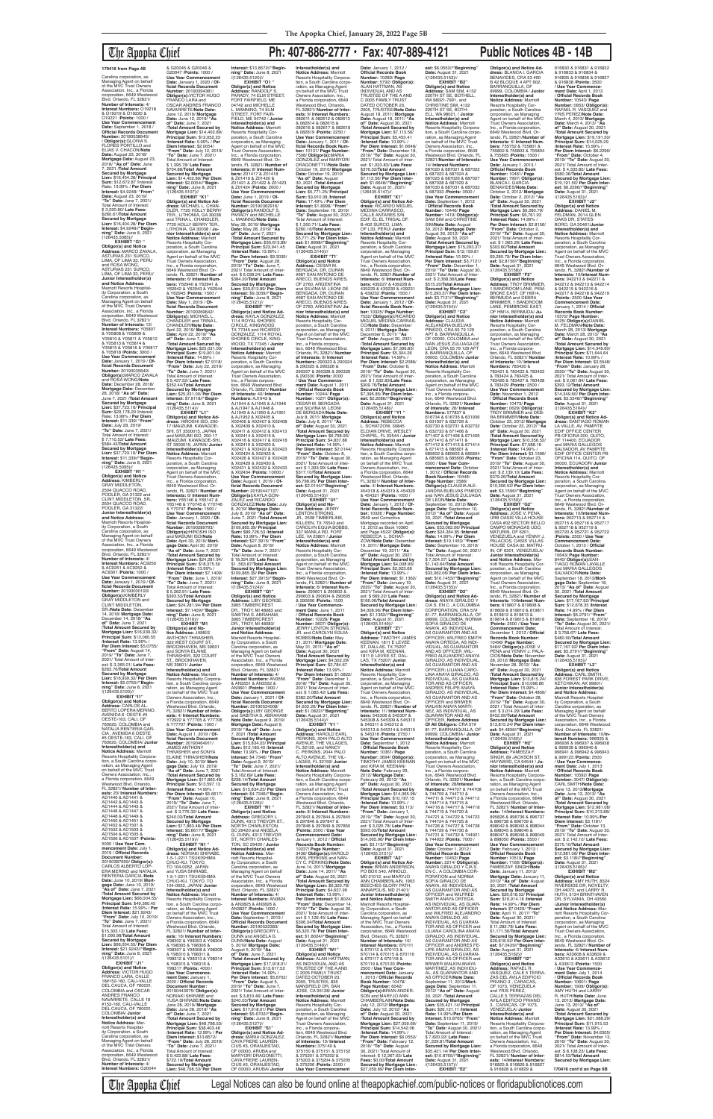# The Apopka Chief **Ph: 407-886-2777 • Fax: 407-889-4121 Public Notices 4B - 14B**

**EXHIBIT "G1 " Obligor(s) and Notice Address:** MARCO ZAVALA, ASTURIAS 231 SURCO, LIMA, OF LIMA 33, PERU and ROSA WONG, ASTURIAS 231 SURCO, LIMA, OF LIMA 33, PERU/ **Junior Interestholder(s) and Notice Address:** Marriott Resorts Hospital-ity Corporation, a South Carolina corporation, as Managing Agent on behalf<br>of the MVC Trust Owners of the MVC Trust Owners<br>Association, Inc., a Florida<br>corporation, 6649 Westwood<br>Blvd. Orlando, FL 32821/ **Number of Interests:** 12/ **Interest Numbers:** Y05807 & Y05808 & Y05809 & Y05810 & Y05811 & Y05812<br>& Y05813 & Y05814 &<br>Y05815 & Y05816 & Y05817<br>& Y05818 /**Points:** 3000 / **Use Year Commencement Date:** January 1, 2019 / **Official Records Document<br><b>Number:** 20190035849/<br>**Obligor(s):**MARCO ZAVALA<br>and ROSA WONG/**Note** Date: December 28, 2018/<br>**Mortgage Date:** December<br>28, 2018/ "**As of" Date:**<br>June 7, 2021 /**Total Amount<br>Secured by Mortgage<br>Lien: \$37,723.16/ Principal Sum:** \$29,178.20 /Interest Rate: 13.99% / **Per Diem Interest:** \$11.339/ **"From" Date:** July 28, 2019/ **"To" Date:** June 7, 2021/ Total Amount of Interest: \$ 7,710.53/ **Late Fees:** \$584.43/**Total Amount Secured by Mortgage Lien:** \$37,723.16/ **Per Diem Interest:** \$11.339//**"Beginning" Date:** June 8, 2021 EXHIBIT "H<sub>1</sub> "

Carolina corporation, as Managing Agent on behalf of the MVC Trust Owners Association, Inc., a Florida corporation, 6649 Westwood Blvd. Orlando, FL 32821/ **Number of Interests:** 4/ **Interest Numbers:** O19218 & O19219 & O19220 & O19221 /**Points:** 1000 / Use Year Commencement<br>Date: September 1, 2018 **Date:** September 1, 2018 / **Official Records Document Number:** 20180538945/ / **Obligor(s):**GLORIA S. FLORES PORTILLO and ELIAS V. CHACON/**Note Date:** August 23, 2018/ **Mortgage Date:** August 23, 2018/ **"As of" Date:** June 7, 2021 /**Total Amount Secured by Mortgage Lien:** \$16,404.28/ **Principal Sum:** \$12,672.87 /lnterest Rate: 13.99% / **Per Diem Interest:** \$4.9248/ **"From" Date:** August 23, 2019/<br>"To" Date: June 7, 2021/ **"To" Date:** June 7, 2021/ Total Amount of Interest: \$ 3,220.80/ **Late Fees:** \$260.61/**Total Amount Secured by Mortgage Lien:** \$16,404.28/ **Per Diem Interest:** \$4.9248//**"Begin-ning" Date:** June 8, 2021 (126435.5085)//

(126435.5095)// **Obligor(s) and Notice Address:** KIMBERLY GRAY MIDDLETON, 2504 QUACCO ROAD POOLER, GA 31322 and CLINT MIDDLETON, SR., 2504 QUACCO ROAD, POOLER, GA 31322/ **Junior Interestholder(s) and Notice Address:** Marriott Resorts Hospital-ity Corporation, a South Carolina corporation, as Managing Agent on behalf of the MVC Trust Owners Association, Inc., a Florida corporation, 6649 Westwood Blvd. Orlando, FL 32821/ **Number of Interests:** 4/ **Interest Numbers:** AC9250 & AC9251 & AC9252 & AC9301 /**Points:** 1000 / **Use Year Commencement Date:** January 1, 2019 / **Of-ficial Records Document Number:** 20190000193/<br>**Obligor(s):**KIMBERLY<br>GRAY MIDDLETON and CLINT MIDDLETON, SR./**Note Date:** December 14, 2018/ **Mortgage Date:** December 14, 2018/ **"As of" Date:** June 7, 2021 /**Total Amount Secured by Mortgage Lien:** \$16,939.32/ **Principal Sum:** \$13,060.55 /**Interest Rate:** 13.99% / **Per Diem Interest:** \$5.0755/ **"From" Date:** August 14, 2019/ **"To" Date:** June 7, 2021/ Total Amount of lnter-est: \$ 3,365.01/ **Late Fees:** \$263.76/**Total Amount Secured by Mortgage Lien:** \$16,939.32/ **Per Diem Interest:** \$5.0755//**"Beginning" Date:** June 8, 2021<br>/(126435.5100)// **EXHIBIT "I1" Obligor(s) and Notice Address:** CARLOS AL-BERTO LOPERA MERINO, AVENIDA 6 OESTE #5 OESTE-163, CALI, OF 760020, COLOMBIA and NATALIA RENTERIA GAR-CIA , AVENIDA 6 OESTE #5 OESTE-163, CALI, OF 760020, COLOMBIA/ **Junior Interestholder(s) and Notice Address:** Marriott<br>Resorts Hospitality Corpora-<br>tion, a South Carolina corporation, as Managing Agent on behalf of the MVC Trust Owners Association, Inc., a Florida corporation, 6649 Westwood Blvd. Orlando, FL 32821/ **Number of Interests:** 20/ **Interest Numbers:** AD1440 & AD1441 & AD1442 & AD1443 & AD1444 & AD1445 & AD1446 & AD1447 & AD1448 & AD1449 & AD1450 & AD1451 & AD1452 & AD1501 & AD1502 & AD1503 & AD1504 & AD1505 & AD1506 & AD1507 /**Points:** 5000 / **Use Year Commencement Date:** July 1, 2019 / **Official Records Document Number:** 20190387699/ **Obligor(s):** CARLOS ALBERTO LOP-ERA MERINO and NATALIA RENTERIA GARCIA /**Note Date:** June 10, 2019/ **Mort-gage Date:** June 10, 2019/ **"As of" Date:** June 7, 2021 /**Total Amount Secured by Mortgage Lien:** \$66,004.55/ **Principal Sum:** \$49,360.45 /**Interest Rate:** 15.99% / **Per Diem Interest:** \$21.9243/ **"From" Date:** July 10, 2019/ **"To" Date:** June 7, 2021/ Total Amount of Interest: \$15,303.12/ **Late Fees:** \$1,090.98/**Total Amount**  Secured by Mortgage<br>Lien: \$66,004,55/ Per Diem **Lien:** \$66,004.55/ **Per Diem Interest:** \$21.9243//**"Begin-ning" Date:** June 8, 2021 /(126435.5101)// **EXHIBIT "J1"<br><b>Obligor(s) and Notice**<br>**Address:** VICTOR HUGO<br>FRANCO LARA, CALLE<br>18#152-160, CALI-VALLE<br>DEL CAUCA, OF 760031, COLOMBIA and OSCAR ANDRES FRANCO NAVARRETE, CALLE 18 #152-160, CALI-VALLE DEL CAUCA, OF 760031, COLOMBIA/ **Junior Interestholder(s) and Notice Address:** Marriott Resorts Hospitality Corporation, a South Carolina corporation, as Managing Agent on behalf of the MVC Tnlst Owners Association, Inc., a Florida corporation, 6649 Westwood Blvd. Orlando, FL 32821/ **Number of Interests:** 4/ **Interest Numbers:** G20044

3965 TIMBERCREST DR., TROY, Ml 48083 and SABITHA S. ABRAHAM, 3965 TIMBERCREST DR., TROY, Ml 48083/ **Junior Interestholder(s) and Notice Address:** Marriott Resorts Hospital-ity Corporation, a South Carolina corporation, as Managing Agent on behalf of the MVC Trust Owners Association, Inc., a Florida<br>corporation, 6649 Westwood<br>Blvd. Orlando, FL 32821/<br>**Number of Interests:** 4/ **Interest Numbers:** AN3550 & AN3551 & AN3552 & AN3601 /**Points:** 1000 / **Use Year Commencement Date:** January 1, 2021 / **Official Records Document Number:** 20190534008/ **Obligor(s):**LIBY GEORGE and SABITHA S. ABRAHAM/ **Note Date:** August 9, 2019/ **Mortgage Date:** August 9, 2019/ **"As of" Date:** June 7, 2021 /**Total Amount Secured by Mortgage Lien:** \$15,834.23/ **Principal Sum:** \$12,183.40 /**Interest Rate:** 13.99% / **Per Diem Interest:** \$4.7346/ **"From" Date:** August 9, 2019/ **"To" Date:** June 7, 2021/ Total Amount of Interest: \$ 3,162.69/ **Late Fees:** \$238.14/**Total Amount Secured by Mortgage Lien:** \$15,834.23/ **Per Diem Interest:** \$4.7346//**"Begin-ning" Date:** June 8, 2021 /(126435.5126)// **EXHIBIT "R1 " Obligor(s) and Notice Address:** GREGORY L.<br>DUNN, 4313 TREVOR ST., NORTH CHARLESTON, SC 29420 and ANGELA<br>G. DUNN, 4313 TREVOR<br>ST., NORTH CHARLES-TON, SC 29420 / **Junior Interestholder(s) and Notice Address:** Marriott Resorts Hospital-ity Corporation, a South Carolina corporation, as Managing Agent on behalf of the MVC Trust Owners Association, Inc., a Florida<br>corporation, 6649 Westwood<br>Blvd. Orlando, FL 32821/<br>**Number of Interests:** 4/ **Interest Numbers:** AN3824 & AN3825 & AN3826 & AN3827 /**Points:** 1000 / **Use Year Commencement Date:** September 1, 2019 / **Official Records Document Number:** 20190522383/ **Obligor(s):**GREGORY L. DUNN and ANGELA G. DUNN/**Note Date:** August 5, 2019/ **Mortgage Date:** August 5, 2019/ **"As of" Date:** June 7, 2021 /**Total Amount Secured by Mortgage Lien:** \$17,918.01/ **Principal Sum:** \$13,617.52 /**Interest Rate:** 14.99% / **Per Diem Interest:** \$5.6702/ **"From" Date:** August 5, 2019/ **"To" Date:** June 7, 2021/ Total Amount of Inter-est: \$ 3,810.46/ **Late Fees:** \$240.03/**Total Amount Secured by Mortgage Lien:** \$17,918.01/ **Per Diem Interest:** \$5.6702//**"Beginning" Date:** June 8, 2021 /(126435.5127)// **EXHIBIT "S1" Obligor(s) and Notice Address:** MARIA GONZALEZ, CAYA FRERE LAUREN-CIUS #3, ORANJESTAD, OF 00000, ARUBA and MARYORI DRAGONETTI, CAYA FRERE LAUREN-CIUS #3, ORANJESTAD, OF 00000, ARUBA/ **Junior Interestholder(s) and Notice Address:** Marriott Resorts Hospitality Corporation, a South Carolina corporation, as Managing Agent<br>on behalf of the MVC Trust Owners Association, Inc., a Florida corporation, 6649 Westwood Blvd. Orlando, FL 32821/ **Number of Inter-ests:** 9/ **Interest Numbers:** 082611 & 082612 & 082613 & 082614 & 082615 & 082616 & 082617 & 082618 & 082619 /**Points:** 2250 / **Use Year Commencement Date:** January 1, 2011 / **Of-ficial Records Book Number:** 10131/ **Page Number:** 7508/ **Obligor(s):**MARIA GONZALEZ and MARYORI DRAGONETT1//**Note Date:** October 19, 2010/ **Mortgage Date:** October 19, 2010/ **"As of" Date:** August 30, 2021 /**Total Amount Secured by Mortgage Lien:** \$5,771.25/ **Principal Sum:** \$3,910.38 /**Interest Rate:** 17.49% / **Per Diem Interest:** \$1.8998/ **"From" Date:** September 19, 2019/ **"To" Date:** August 30, 2021/ Total Amount of Interest: \$ 1,350.71/ **Late Fees:** \$260.16/**Total Amount Secured by Mortgage Lien:** \$5,771.25/ **Per Diem Inter-est:** \$1.8998//**"Beginning" Date:** August 31, 2021 /(126435.5140)// **EXHIBIT "T1' Obligor(s) and Notice Address:** CESAR M. BERGADA, DR. DURAN #987 SAN ANTONIO DE ARECO, BUENOS AIRES, OF 2760, ARGENTINA and SILVINA M. LEONI DE BERGADA, DR. DURAN<br>#987 SAN ANTONIO DE ARECO, BUENOS AIRES, OF 2760, ARGENTINA/ **Ju-nior Interestholder(s) and Notice Address:** Marriott Resorts Hospitality Cor-poration, a South Carolina corporation, as Managing<br>Agent on behalf of the MVC<br>Trust Owners Association,<br>Inc., a Florida corporation, 6649 Westwood Blvd. Orlando, FL 32821/ **Number of Interests:** 8/ **Interest Numbers:** 290323 & 290324 & 290325 & 290326 & 290327 & 290328 & 290329 & 290330 /**Points:** 2000 / **Use Year Commencement Date:** August 1, 2011 / **Official Records Book Number:** 10244/ **Page Number:** 1027/ **Obligor(s):** CESAR M. BERGADA and SILVINA M. LEONI DE BERGADA/**Note Date:** July 8, 2011/ **Mortgage Date:** July 8, 2011/ **"As of" Date:** August 30, 2021 /**Total Amount Secured by Mortgage Lien:** \$6,798.95/ **Principal Sum:** \$4,837.86 (**Interest Rate:** 14.99% / **Per Diem Interest:** \$2.0144/ **"From" Date:** October 8, 2019/ **"To" Date:** August 30, 2021/ Total Amount of Interest: \$ 1,393.99/ **Late Fees:** \$317.10/**Total Amount Secured by Mortgage Lien:** \$6,798.95/ **Per Diem Interest:** \$2.0144//**"Beginning" Date:** August 31, 2021 /(126435.5143)// **EXHIBIT "U1" Obligor(s) and No-tice Address:** JERRY LENTON STRONG,<br>JR., 2508 TIMBERLINE, KILLEEN, TX 76543 and CAROLYN EGUIA BOBBS, 337 MANILA RD, FORT LEE, VA 23801 / **Junior Interestholder(s) and Notice Address:** Marriott Resorts Hospitality Cor-poration, a South Carolina corporation, as Managing Agent on behalf of the MVC Trust Owners Association, Inc., a Florida corporation, 6649 Westwood Blvd. Or-lando, FL 32821/ **Number of Interests:** 6/ **Interest Num-bers:** 290601 & 290602 & 290603 & 290604 & 290605 & 290606 /**Points:** 1500 / **Use Year Commence-ment Date:** June 1, 2011 / **Official Records Book Number:** 10228/ **Page Number:** 3607/ **Obligor(s):** JERRY LENTON STRONG, JR. and CAROLYN EGUIA BOBBS/**Note Date:** May 31, 2011/ **Mortgage Date:** May 31, 2011/ **"As of" Date:** August 30, 2021 /**Total Amount Secured by Mortgage Lien:** \$4,502.29/<br>**Principal Sum:** \$2,784.67<br>/**Interest Rate:** 13.99% / **Per Diem Interest:** \$1.0822/ **"From" Date:** December 1, 2018/ **"To" Date:** August 30, 2021/ Total Amount of Interest: \$ 1,085.42/ **Late Fees:** \$382.20/**Total Amount Secured by Mortgage Lien:** \$4,502.29/ **Per Diem Interest:** \$1.0822//**"Beginning" Date:** August 31, 2021<br>/(126435.5144)//<br>**EXHIBIT "V1 "**<br>**Obligor(s) and Notice Address:** HAROLD EARL PERKINS, 2044 PALO ALTO AVENUE, THE VILLAGES, FL 32159, and NANCY C. PERKINS, 2044 PALO ALTO AVENUE, THE VIL-LAGES, FL 32159/ **Junior Interestholder(s) and<br><b>Resorts Hospitality Corpora-**<br>**Resorts Hospitality Corpora-**<br>tion, a South Carolina corpo-<br>con behalf of the MVC Trust<br>on behalf of the MVC Trust<br>Owners Association, Inc., a Florida corporation, 6649 Westwood Blvd. Orlando, FL 32821/ **Number of Interests:** 8/ **Interest Numbers:** 297843 & 297844 & 297845 & 297846 & 297847 & 297848 & 297849 & 297850 /**Points:** 2000 / **Use Year Commencement Date:** January 1, 2012 / **Official Records Book Number:** 10237/ **Page Number:** 3436/ **Obligor(s):**HAROLD EARL PERKINS and NAN-CY C. PERKINS/**Note Date:** June 14, 2011/ **Mortgage Date:** June 14, 2011/ **"As of" Date:** August 30, 2021 /**Total Amount Secured by Mortgage Lien:** \$6,320.78/ **Principal Sum:** \$4,637.99 /**lnterest Rate:** 13.99% / **Per Diem Interest:** \$1.8024/ **"From" Date:** December 14, 2019/ **"To" Date:** August 30, 2021/ Total Amount of Inter-est: \$ 1,126.45/ **Late Fees:** \$306.34/**Total Amount Secured by Mortgage Lien:** \$6,320.78/ **Per Diem Interest:** \$1.8024//**"Beginning"<br><b>Date:** August 31, 2021<br>/(126435.5146)//<br>**EXHIBIT "W1" Obligor(s) and Notice Address:** ALAN HATTMAN, AS INDIVIDUAL AND AS TRUSTEE OF THE A AND C 2005 FAMILY TRUST DATED OCTOBER 23, 2005, TRUSTEE, 835 MANSFIELD DR, SAN JOSE, CA 95128/ **Junior Interestholder(s) and Notice Address:** Marriott Resorts Hospitality Corporation, a South Carolina<br>corporation, as Managing corporation, as Managing Agent on behalf of the MVC Trust Owners Association, Inc., a Florida corporation, 6649 Westwood Blvd. Orlando, FL 32821/ **Number of Interests:** 10/ **Interest Numbers:** 375149 &<br>375150 & 375151 & 375152<br>& 375201 & 375202 & 375203 & 375204 & 375205 & 375206 /**Points:** 2500 / **Use Year Commencement** 

& G20045 & G20046 & G20047 /**Points:** 1000 / **Use Year Commencement Date:** January 1, 2020 / **Of-ficial Records Document Number:** 20190394381/ **Obligor(s):**VICTOR HUGO FRANCO LARA and OSCAR ANDRES FRANCO NAVARRETE/**Note Date:** June 12, 2019/ **Mortgage Date:** June 12, 2019/ **"As of" Date:** June 7, 2021 /**Total Amount Secured by Mortgage Lien:** \$14,402.89/ **Principal Sum:** \$12,052.23 /**Interest Rate:** 5.99% / **Per Diem Interest:** \$2.0054/ **"From" Date:** July 12, 2019/ **"To" Date:** June 7, 2021/ Total Amount of Interest:<br>\$ 1.395.78/ Late Fees: \$ 1,395.78/ **Late Fees:** \$704.88/**Tota1 Amount Secured by Mortgage Lien:** \$14,402.89/ **Per Diem Interest:** \$2.0054//**"Begin-ning" Date:** June 8, 2021 /(126435.5107)// **EXHIBIT "K1" Obligor(s) and Notice Ad-dress:** MICHAEL L. CHAN-DLER, 7720 HOLLY BERRY TER., LITHONIA, GA 30038 and TRINA L. CHANDLER,<br>7720 HOLLY BERRY TER.,<br>LITHONIA, GA 30038 / **Junior Interestholder(s) and Notice Address:** Marriott Resorts Hospitality Corporation, a South Carolina corporation, as Managing Agent on behalf of the MVC Trust Owners Association, Inc., a Florida corporation, 6649 Westwood Blvd. Orlando, FL 32821/ **Number of Interests:** 6/ **Interest Num-bers:** Y62940 & Y62941 & Y62942 & Y62943 & Y62944 & Y62945 /**Points:** 1500 / **Use Year Commencement Date:** May 1, 2019 / **Of-ficial Records Document Number:** 20190269642/ **Obligor(s):** MICHAEL L. CHANDLER and TRINA L. CHANDLER/**Note Date:** April 22, 2019/ **Mortgage Date:** April 22, 2019/ **"As of" Date:** June 7, 2021 /**Total Amount Secured by Mortgage Lien:** \$25,031.00/ **Principal Sum:** \$19,001.04 /**Interest Rate:** 14.99% / **Per Diem Interest:** \$7.9118/ **"From" Date:** July 22, 2019/ **"To" Date:** June 7, 2021/ Total Amount of lnterest: \$ 5,427.52/ **Late Fees:** \$352.44/**Total Amount Secured by Mortgage Lien:** \$25,031.00/ **Per Diem Interest:** \$7.9118//**"Beginning" Date:** June 8, 2021<br>/(126435.5114)// **EXHIBIT "L1" Obligor(s) and Notice Ad-dress:** HIROSHI ISO, 200- 17 IMAIZUMI, KAWAGOE-SHI, ST 3500015, JAPAN and MASUMI ISO, 200-17 IMAIZUMI, KAWAGOE-SHI, ST 3500015; JAPAN/ **Junior Interestholder(s) and Notice Address:** Marriott Resorts Hospitality Cor-poration, a South Carolina corporation, as Managing Agent on behalf of the MVC Trust Owners Association, Inc., a Florida corporation, 6649 Westwood Blvd. Or-lando, FL 32821/ **Number of Interests:** 6/ **Interest Num-bers:** Y65146 & Y65147 & Y65148 & Y70745 & Y70746 & Y70747 /**Points:** 1500 / **Use Year Commencement Date:** January 1, 2020 / **Of-ficial Records Document Number:** 20190289793/ **Obligor(s):**HIROSHI ISO and MASUMI ISO/**Note Date:** April 30, 2019/ **Mortgage Date:** April 30, 2019/ **"As of" Date:** June 7, 2021 /**Total Amount Secured by Mortgage Lien:** \$24,281.94/ **Principal Sum:** \$18,375.50 (**Interest Rate:** 13.99% / **Per Diem Interest:** \$7.1409/ **"From" Date:** June 1, 2019/ **"To" Date:** June 7, 2021/ Total Amount of Interest: \$ 5,262.91/ **Late Fees:** \$393.53/**Total Amount Secured by Mortgage**<br>Lien: \$24,281,94/ Per Diem **Lien:** \$24,281.94/ **Per Diem Interest:** \$7.1409//**"Begin-ning" Date:** June 8, 2021 /(126435.5116)// **EXHIBIT "M1<br><b>Obligor(s) and No-**<br>**tice Address:** JAMES<br>ANTHONY THRASHER,<br>322 WEST COURT ST.,<br>BROOKHAVEN, MS 39601 and SONYA ELAINE<br>THRASHER, 322 COURT ST., BROOKHAVEN, MS 39601/ **Junior Interestholder(s) and Notice Address:** Marriott Resorts Hospitality Corpora-tion, a South Carolina corporation, as Managing Agent on behalf of the MVC Trust Owners Association, Inc., a Florida corporation, 6649 Westwood Blvd. Orlando, FL 32821/ **Number of Interests:** 4/ **Interest Numbers:** Y72922 & Y77705 & Y77706 & Y77707 /**Points:** 1000 / **Use Year Commencement Date:** August 1, 2019 / **Of-ficial Records Document Number:** 20190464911/<br>JAMES ANTHONY<br>THRASHER and SONYA<br>ELAINE THRASHERf**Note Date:** July 10, 2019/ **Mortgage Date:** July 10, 2019/ **"As of" Date:** June 7, 2021 /**Total Amount Secured by Mortgage Lien:** \$17,863.48/ **Principal Sum:** \$13,597.13 /**Interest Rate:** 14.99% / **Per Diem Interest:** \$5.6617/ **"From" Date:** August 10, 2019/ **"To" Date:** June 7, 2021/ Total Amount of lnter-est: \$ 3,776.32/ **Late Fees:** \$240.03/**Total Amount Secured by Mortgage Lien:** \$17,863.48/ **Per Diem Interest:** \$5.6617//**"Begin-ning" Date:** June 8, 2021 /(126435.5119)// **EXHIBIT "N1 " Obligor(s) and Notice Ad-dress:** NORIAKI SHIRABE, 1-5-1-2211 TSUKISHIMA CHUO-KU, TOKYO, TO 104-0052, JAPAN and YUSA SHIRABE,<br>1-5-1-2211 TSUKISHIMA CHUO-KU, TOKYO, TO 104-0052, JAPAN/ **Junior Interestholder(s) and Notice Address:** Marriott Resorts Hospitality Corporation, a South Carolina corporation, as Managing Agent on behalf of the MVC Trust Owners Association, Inc., a Florida corporation, 6649 Westwood Blvd. Orlando, FL 32821/ **Number of Interests:** 16/ **Interest Numbers:** Y98302 & Y98303 & Y98304 & Y98305 & Y98306 & Y98307 & Y98308 & Y98309 & Y98310 & Y98311 & Y98312 & Y98313 & Y98314 & Y98315 & Y98316 & Y98317 /**Points:** 4000 / **Use Year Commencement Date:** January 1, 2020 / **Official Records Document Number:** 20190443975/ **Obligor(s):** NORIAKI SHIRABE and YUSA SHIRABE/**Note Date:** June 28, 2019/ **Mortgage Date:** June 28, 2019/ **"As of" Date:** June 7, 2021 /**Total Amount Secured by Mortgage Lien:** \$48,798.53/ **Principal Sum:** \$38,403.46 /**Interest Rate:** 12.99% / **Per Diem Interest:** \$13.8572/ **"From" Date:** July 28, 2019/ **"To" Date:** June 7, 2021/ Total Amount of lnterest: \$ 9,422.88/ **Late Fees:** \$722.19/**Total Amount Secured by Mortgage Lien:** \$48,798.53/ **Per Diem** 

**Interest:** \$13.8572//**"Beginning" Date:** June 8, 2021<br>/(126435.5120)// **EXHIBIT "O1 " Obligor(s) and Notice Address:** RANDOLF S. PARADY, 74 ELM STREET, FORT FAIRFIELD, ME 04742 and MICHELLE L. MANNING, 74 ELM STREET, FORT FAIR-FIELD, ME 04742 / **Junior Interestholder(s) and Notice Address:** Marriott Resorts Hospitality Corporation, a South Carolina corporation, as Managing Agent on behalf of the MVC Trust Owners Association, Inc., a Florida corporation, 6649 Westwood Blvd. Orlando, FL 32821/ **Number of Interests:** 8/ **Interest Num-bers:** Z01417 & Z01418 & Z01419 & Z01420 & Z01421 & Z01422 & Z01423 & Z01424 /**Points:** 2000 / **Use Year Commencement Date:** June 1, 2019 / **Of-ficial Records Document Number:** 20190362916/ **Obligor(s):**RANDOLF S. PARADY and MICHELLE L. MANNNG/**Note Date:** May 28, 2019/ **Mortgage Date:** May 28, 2019/ **"As of" Date:** June 7, 2021 /**Total Amount Secured by Mortgage Lien:** \$30,613.89/ **Principal Sum:** \$23,941.45 /**Interest Rate:** 13.99% / **Per Diem Interest:** \$9.3039/ **"From" Date:** August 28, 2019/ **"To" Date:** June 7, 2021/ Total Amount of Interest: \$ 6,038.24/ **Late Fees:** \$384.20/**Total Amount Secured by Mortgage Lien:** \$30,613.89/ **Per Diem Interest:** \$9.3039//**"Begin-ning" Date:** June 8, 2021 /(126435.5121)// **EXHIBIT "P1" Obligor(s) and Notice Ad-dress:** KAYLA GONZALEZ, 1114 ROYAL SHORES CIRCLE, KINGWOOD, TX 77345 and RICARDO GONZALEZ, 1114 ROYAL SHORES CIRCLE, KING-WOOD, TX 77345 / **Junior Interestholder(s) and Notice Address:** Marriott Resorts Hospitality Cor-poration, a South Carolina corporation, as Managing Agent on behalf of the MVC Trust Owners Association, Inc., a Florida corpora-<br>tion, 6649 Westwood Blvd. tion, 6649 Westwood Blvd.<br>Orlando, FL 32821/ **Number<br><b>of Interests**: 40/ **Interest<br>Numbers:** AJ1945 & AJ1946<br>AJ1944 & AJ1945 & AJ1946<br>& AJ1947 & AJ1948 & AJ1949 & AJ1950 & AJ1951 & AJ1952 & X02405 & X02406 & X02407 & X02408 & X02409 & X02410 & X02411 & X02412 & X02413 & X02414 & X02415 & X02416 & X02417 & X02418 & X02419 & X02420 & X02421 & X02422 & X02423 & X02424 & X02425 & X02426 & X02427 & X02428 & X02429 & X02430 & X02431 & X02432 & X02433 & X02434 /**Points:** 10000 / **Use Year Commencement Date:** August 1, 2019 / **Official Records Document Number:** 20190447137/ **Obligor(s):**KAYLA GON-ZALEZ and RICARDO GONZALEZ/**Note Date:** July 8, 2019/ **Mortgage Date:** July 8, 2019/ **"As of" Date:** June 7, 2021 /**TotaI Amount Secured by Mortgage Lien:** \$109,865.39/ **Principal Sum:** \$89,726.53 /**Interest Rate:** 10.99% / **Per Diem Interest:** \$27.3915/ **"From" Date:** August 8, 2019/ **"To" Date:** June 7, 2021/ Total Amount of Interest: \$ 18,324.99/ **Late Fees:** \$1 ,563.87/**Total Amount Secured by Mortgage Lien:** \$109,865.39/ **Per Diem Interest:** \$27.3915//**"Begin-ning" Date:** June 8, 2021 /(126435.5124)// **EXHIBIT "Q1" Obligor(s) and Notice Address:** LIBY GEORGE,

**Mortgage Lien:** \$10,356.52/ **Principal Sum:** \$7,588.16 /**Interest Rate:** 14.99% / **Per Diem Interest:** \$3.1596/ **"From" Date:** October 23, 2019/ **"To" Date:** August 30, 2021/ Total Amount of Inter-est: \$ 2,139.10/ **Late Fees:** \$379.26/**Total Amount Secured by Mortgage Lien:** \$10,356.52/ **Per Diem Inter-est:** \$3.1596//**"Beginning" Date:** August 31, 2021 /(126435.5159)// **EXHIBIT "G2" Obligor(s) and Notice Address:** JOSE V. PENA,<br>URB OASIS VILLA HOUSE CASA #02 SECTOR BELLO CAMPO MONAGAS UDO, MATURIN, OF 6201, VENEZUELA and YENNY J. PALACIOS, OASIS VILLAS<br>HOUSE CASA 02, MATRU-IN, OF 6201, VENEZUELA/ **Junior Interestholder(s) and Notice Address:** Marriott Resorts Hospitality Corporation, a South Carolina<br>corporation, as Managing corporation, as Managing<br>Agent on behalf of the MVC<br>Trust Owners Association,<br>Inc., a Florida corporation,

**Date:** January 1, 2012 / **Official Records Book Number:** 10280/ **Page Number:** 5792/ **Obligor(s):**<br>ALAN HATTMAN, AS<br>INDIVIDUAL AND AS<br>TRUSTEE OF THE A AND C 2005 FAMILY TRUST DATED OCTOBER 23, 2005, TRUSTEE/**Note Date:** August 18, 2011/ **Mortgage Date:** August 18, 2011/ **"As of" Date:** August 30, 2021 /**Total Amount Secured by Mortgage Lien:** \$7,113.56/ **Principal Sum:** \$5,453.41 /**Interest Rate:** 10.99% / **Per Diem Interest:** \$1.6648/ **"From" Date:** December 18, 2019/ **"To" Date:** August 30, 2021/ Total Amount of Interest: \$1,033.83/ **Late Fees:** \$376.32/**Total Amount Secured by Mortgage Lien:** \$7,113.56/ **Per Diem Interest:** \$1.6648//"**Beginning"**<br>**Date:** August 31, 2021/<br>(126435.5147)// **EXHIBIT "X1" Obligor(s) and Notice Ad-dress:** RICARDO MIGUEL MEDINA CARRASCO, CALLE ANTARES S/N EDIF. EL EL TRIGAL OF. B-402 SURCO, LIMA, OF L33, PERU/ **Junior Interestholder(s) and Notice Address:** Marriott Resorts Hospitality Corporation, a South Carolina corporation, as Managing Agent on behalf of the MVC Trust Owners Association, Inc., a Florida corporation, 6649 Westwood Blvd. Orlando, FL 32821/**Number of Interests:** 6/ **Interest Num-bers:** 439227 & 439228 & 439229 & 439230 & 439231 & 439232 /**Points:** 1500 / **Use Year Commencement Date:** January 1, 2012 / **Of-ficial Records Book Num-ber:** 10325/ **Page Number:** 7532/ **ObIigor(s):**RICARDO MIGUEL MEDINA CARRAS-CO/**Note Date:** December 6, 2011/ **Mortgage Date:** December 6, 2011/ **"As of" Date:** August 30, 2021 /**Total Amount Secured by Mortgage Lien:** \$7,396.85/ **Principal Sum:** \$5,304.26 /**Interest Rate:** 14.99% / **Per Diem Interest:** \$2.2086/ **"From" Date:** October 6, 2019/ **"To" Date:** August 30, 2021/ Total Amount of Inter-est: \$ 1,532.83/**Late Fees:** \$309.76/**Total Amount Secured by Mortgage Lien:** \$7,396.85/ **Per Diem Inter-est:** \$2.2086//**"Beginning" Date:** August 31, 2021<br>/(126435.5148)// **EXHIBIT "Y1 " Obligor(s) and Notice Address:** REBECCA L. SCHATZOW, 30845 ELOIAN DRIVE, WESLEY CHAPEL, FL 33544 / **Junior Interestholder(s) and Notice Address:** Marriott Resorts Hospitality Corpora-tion, a South Carolina corporation, as Managing Agent<br>on behalf of the MVC Trust Owners Association, Inc., a Florida corporation, 6649 Westwood Blvd. Orlando, FL 32821/ **Number of Interests:** 4/ **Interest Numbers:** 454318 & 454319 & 454320 & 454321 (**Points:** 1000 / **Use Year Commencement Date:** January 1, 2012 / **Official Records Book Number:** 10326 / **Page Number:** 2649 and Corrective Mortgage recorded on April<br>12, 2012 as Book 10360<br>and Page 4522/ **Obligor(s):**<br>REBECCA L. SCHAT-ZOW/**Note Date:** December 19, 2011/ **Mortgage Date:** December 19, 2011/ **"As of" Date:** August 30, 2021 /**Total Amount Secured by Mortgage Lien:** \$4,008.96/ **Principal Sum:** \$2,923.68 /**Interest Rate:** 13.99% / **Per Diem Interest:** \$1.1362/ **"From" Date:** January 19, 2020/ **"To" Date:** August 30, 2021/ Total Amount of Interest: \$ 669.22/ **Late Fees:** \$166.06/**Total Amount Secured by Mortgage Lien:** \$4,008.96/ **Per Diem Inter-est:** \$1.1362//**"Beginning" Date:** August 31, 2021 /(126435.5149)//<br>"EXHIBIT "Z1 **EXHIBIT "Z1" Obligor(s) and Notice Address:** TIMOTHY JAMES KEENAN, 1811 E LEVEE ST, DALLAS, TX 75207 and KIRA M. KEENAN, 1811 E LEVEE ST, DAL-LAS, TX 75207/ **Junior Interestholder(s) and Notice Address:** Marriott Resorts Hospitality Corporation, a South Carolina corporation, as Managing Agent on behalf of the MVC Trust Owners Association, Inc., a Florida corporation, 6649 Westwood Blvd. Orlando, FL 32821/ **Number of Interests: 11/ Interest Num**<br>**bers:** 545306 & 545307 & **bers:** 545306 & 545307 &<br>545308 & 545309 & 545310<br>& 545311 & 545312 &<br>545313 & 545314 & 545315 & 545316 /**Points:** 2750 / **Use Year Commencement Date:** September 1, 2012 / **Official Records Book Number:** 10361/ **Page Number:** 3694/ **Obligor(s):** TIMOTHY JAMES KEENAN and KIRA M. KEENAN/ **Note Date:** February 29, 2012/ **Mortgage Date:** February 29, 2012/ **"As of" Date:** August 30, 2021 /**Total Amount Secured by Mortgage Lien:** \$14,065.96/ **Principal Sum:** \$10,197.15 /**Interest Rate:** 10.99% / **Per Diem Interest:** \$3.113/ **"From" Date:** January 1, 2019/ **"To" Date:** August 30, 2021/ Total Amount of Interest: \$ 3,025.78/ **Late Fees:** \$593.03/**Total Amount Secured by Mortgage Lien:** \$14,065.96/ **Per Diem Interest:** \$3.113//**"Beginning" Date:** August 31, 2021 /(126435.5151)// **EXHIBIT "A2" Obligor(s) and Notice Ad-dress:** BRIAN ANDERSON, PO BOX 540, ARNOLD, MD 21012, and MARYJO ANN CHAMBERLAIN, 1903 BEECHES GLORY PATH, ANNAPOLIS, MD 21401/ **Junior Interestholder(s) and Notice Address:** Marriott Resorts Hospitality Corporation, a South Carolina corporation, as Managing Agent on behalf of the MVC Trust Owners Association, Inc., a Florida corporation, 6649 Westwood Blvd. Orlando, FL 32821/ **Number of Interests:** 10/ **Interest Numbers:** 670111 & 670112 & 670113 & 670114 & 670115 & 670116 & 670117 & 670118 &<br>670119 & 670120 / Points: 670119 & 670120 /**Points:** 2500 / **Use Year Com-mencement Date:** January 1, 2013 / **Official Records Book Number:** 10478/ **Page Number:** 6042/ **Obligor(s):**BRIAN ANDER-SON and MARYJO ANN CHAMBERLAIN/**Note Date:** July 12, 2012/ **Mortgage Date:** July 12, 2012/ **"As of" Date:** August 30, 2021 /**Total Amount Secured by Mortgage Lien:** \$27,059.69/ **Principal Sum:** \$14,542.06 /**Interest Rate:** 14.99% / **Per Diem Interest:** \$6.0552/ **"From" Date:** February 12, 2016/ **"To" Date:** August 30, 2021/ Total Amount of Interest: \$ 12,267.63/ **Late Fees:** \$0.00/**Total Amount Secured by Mortgage Lien:** \$27,059.69/ **Per Diem Inter-**

**est:** \$6.0552//**"Beginning" Date:** August 31, 2021<br>/(126435.5153)// **EXHIBIT "B2" Obligor(s) and Notice Address:** SAM SIM, 4132 220TH ST SE, BOTHELL, WA 98021-7991, and CHRISTINE SIM, 4132 220TH ST SE, BOTH-ELL, WA 98021, / **Junior Interestholder(s) and Notice Address:** Marriott Resorts Hospitality Corpora-tion, a South Carolina corporation, as Managing Agent on behalf of the MVC Trust Owners Association, Inc., a Florida corporation, 6649 Westwood Blvd. Orlando, FL 32821/**Number of Interests:** 14/ **Interest Numbers:** 687020 & 687021 & 687022 & 687023 & 687024 & 687025 & 687026 & 687027 & 687028 & 687029 & 687030 & 687031 & 687032 & 687033 /**Points:** 3500 / **Use Year Commencement Date:** September 1, 2012 / **Official Records Book Number:** 10446/ **Page Number:** 1419/ **Obligor(s):** SAM SIM and CHRISTINE SIM/**Note Date:** August 30, 2012/ **Mortgage Date:** August 30, 2012/ **"As of"**  Date: August 30, 2021<br>**Total Amount Secured by** /**Total Amount Secured by Mortgage Lien:** \$15,293.37/ **Principal Sum:** \$12,159.81 /**Interest Rate:** 10.99% / **Per Diem Interest:** \$3.7121/ **"From" Date:** December 1, 2019/ **"To" Date:** August 30, 2021/ Total Amount of Inter-est: \$ 2,368.36/**Late Fees:** \$515.20/**Total Amount Secured by Mortgage Lien:** \$15,293.37/ **Per Diem Inter-est:** \$3.7121//**"Beginning" Date:** August 31, 2021 /(126435.5154)// **EXHIBIT "C2" Obligor(s) and Notice Address:** CLAUDIA ALEJANDRA BUELVAS PINEDO, CRA 55 79 129 APT 8, BARRANQUILLA, OF 00000, COLOMBIA and IVAN JESUS ZULUAGA DE LEON, CRA 55 79 129 APT 8, BARRANQUILLA, OF 00000, COLOMBIA/ **Junior Interestholder(s) and Notice Address:** Marriott Resorts Hospitality Corporation, a South Carolina corporation, as Managing Agent on behalf of the MVC Trust Owners Association, Inc., a Florida corpora-tion, 6649 Westwood Blvd. Orlando, FL 32821/ **Number of Interests:** 26/ **Interest Numbers:** 577837 &<br>616734 & 616735 & 631936<br>& 631937 & 632729 & 632730 & 632731 & 632732 & 632733 & 671406 & 671407 & 671408 & 671409 & 671410 & 671411 &<br>671412 & 671413 & 671414<br>& 671415 & 685601 &<br>685602 & 685603 & 685604 & 685605 & 685606 /**Points:** 6500 / **Use Year Commencement Date:** October 1, 2012 / **Official Records Book Number:** 10448/ **Page Number:** 3586/ **Obligor(s):**CLAUDIA ALE-JANDRA BUELVAS PINEDO and IVAN JESUS ZULUAGA DE LEON/**Note Date:** September 10, 2012/ **Mort-gage Date:** September 10, 2012/ **"As of" Date:** August 30, 2021 /**Total Amount Secured by Mortgage Lien:** \$33,062.06/ **Principal Sum:** \$24,364.85 /**Interest** 

**Rate:** 14.99% / **Per Diem Interest:** \$10.1453/ **"From" Date:** September 10, 2019/ **"To" Date:** August 30, 2021/ Total Amount of Interest: \$ 7,304.57/ **Late Fees:** \$1,142.64/**Total Amount Secured by Mortgage Lien:** \$33,062.06/ **Per Diem Interest:** \$10.1453//**"Beginning" Date:** August 31, 2021<br>/(126435.5155)// **EXHIBIT "D2" Obligor(s) and Notice Ad-dress:** ANAYA GIRALDO Y CIA S. EN C., A COLOMBIA CORPORATION, CRA 57# 81-77, BARRANQUILLA, OF 99999, COLOMBIA; NORMA SOFIA GIRALDO DE ANAYA, AS INDIVIDUAL, AS GUARANTOR AND AS OFFICER; WILFRED SMITH ANAYA ORTEGA, AS INDI-VIDUAL, AS GUARANTOR AND AS OFFICER ;WIL-FRED ALEJANDRO ANAYA GIRALDO, AS INDIVIDUAL,<br>AS GUARANTOR AND AS<br>OFFICER; LILIANA CARO-<br>LINA ANAYA GIRALDO, AS INDIVIDUAL, AS GUARAN-TOR AND AS OFFICER; ANDRES FELIPE ANAYA GIRALDO, AS INDIVIDUAL, AS GUARANTOR AND AS OFFICER and BRIWER WALKIN ANAYA MARTI-NEZ, AS INDIVIDUAL, AS GUARANTOR AND AS OFFICER, **Notice Address Of All Obligors:** CRA 57# 81-77, BARRANQUILLA, OF 99999, COLOMBIA / **Junior Interestholder(s) and Notice Address:** Marriott Resorts Hospitality Cor-poration, a South Carolina corporation, as Managing Agent on behalf of the MVC Trust Owners Association, Inc., a Florida corpora-tion, 6649 Westwood Blvd. Orlando, FL 32821/ **Number of Interests:** 28/**Interest Numbers:** 744707 & 744708 & 744709 & 744710 & 744711 & 744712 & 744713 & 744714 & 744715 & 744716 & 744717 & 744718 & 744719 & 744720 & 744721 & 744722 & 744723 & 744724 & 744725 & 744726 & 744727 & 744728 & 744729 & 744730 & 744731 & 744732 & 744921 & 744922 /**Points:** 7000 / **Use Year Commencement Date:** October 1, 2012 / **Official Records Book Number:** 10452/ **Page Number:** 2214/ **Obligor(s):** ANAYA GIRALDO Y CIA S. EN C., A COLOMBIA COR-PORATION and NORMA SOFIA GIRALDO DE<br>ANAYA, AS INDIVIDUAL,<br>AS GUARANTOR AND AS OFFICER and WILFRED SMITH ANAYA ORTEGA, AS INDIVIDUAL, AS GUAR-<br>ANTOR AND AS OFFICER ANTOR AND AS OFFICER and WILFRED ALEJANDRO ANAYA GIRALDO, AS INDIVIDUAL, AS GUARAN-TOR AND AS OFFICER and LILIANA CAROLINA ANAYA GIRALDO, AS INDIVIDUAL,<br>AS GUARANTOR AND AS<br>OFFICER and ANDRES FE-<br>LIPE ANAYA GIRALDO, AS INDIVIDUAL, AS GUARAN-TOR AND AS OFFICER and BRIWER WALKIN ANAYA MARTINEZ, AS INDIVIDU-AL, AS GUARANTOR AND AS OFFICER/**Note Date:** September 11, 2012/**Mort-gage Date:** September 11, 2012/ **"As of" Date:** August 30, 2021 /**Total Amount Secured by Mortgage Lien:** \$35,421.14/ **Principal Sum:** \$26,121.11 /**Interest Rate:** 14.99%/**Per Diem Interest:** \$10.8765/ **"From" Date:** September 11, 2019/ **"To" Date:** August 30, 2021/ Total Amount of Interest: \$ 7,820.22/ **Late Fees:** \$1,229.81/**Total Amount Secured by Mortgage Lien:** \$35,421.14/ **Per Diem Inter-est:** \$10.8765//**"Beginning" Date:** August 31, 2021 /(126435.5157)// **EXHIBIT "E2"**

**Obligor(s) and Notice Address:** BLANCA I. GARCIA BENAVIDES, CRA 53 #90 BEHOM HILLEY, CHINA HILLEY BARRANQUILLA, OF 99999, COLOMBIA / **Junior Interestholder(s) and Notice Address:** Marriott Resorts Hospitality Corporation, a South Carolina corporation, as Managing Agent on behalf of the MVC Trust Owners Association, Inc., a Florida corporation, 6649 Westwood Blvd. Orlando, FL 32821/**Number of Interests:** 6/ **Interest Num-bers:** 755752 & 755801 & 755802 & 755803 & 755804 & 755805 /**Points:** 1500 / **Use Year Commencement Date:** January 1, 2013 / **Official Records Book Number:** 10461/ **Page Number:** 7997/ **Obligor(s):** BLANCA I. GARCIA BENAVIDES/**Note Date:** October 2, 2012/ **Mortgage Date:** October 2, 2012/ **"As of" Date:** August 30, 2021 /**Total Amount Secured by Mortgage Lien:** \$9,280.79/ **Principal Sum:** \$6,761.93 /**Interest Rate:** 14.99% / **Per Diem Interest:** \$2.8156/ **"From" Date:** October 2, 2019/ **"To" Date:** August 30, 2021/ Total Amount of Inter-est: \$ 1,965.26/ **Late Fees:** \$303.60/**Total Amount Secured by Mortgage Lien:** \$9,280.79/ **Per Diem Inter-est:** \$2.8156//**"Beginning" Date:** August 31, 2021<br>/(126435.5158)// **EXHIBIT "F2" Obligor(s) and Notice Address:** TROY BRIMMER, 1 BANDROOM LANE, PEM-BROKE EAST, OF HM14, BERMUDA and DEBRA BEHMODRANG DEBHA LANE, PEMBROKE EAST, OF HM14, BERMUDA/ **Junior Interestholder(s) and Notice Address:** Marriott Resorts Hospitality Corporation, a South Carolina corporation, as Managing Agent on behalf of the MVC Trust Owners Association, Inc., a Florida corpora-tion, 6649 Westwood Blvd. Orlando, FL 32821/ **Number of Interests:** 10/ **Interest Numbers:** 783420 & 783421 & 783422 & 783423 & 783424 & 783425 & 783426 & 783427 & 783428 & 783429 /**Points:** 2500 / **Use Year Commencement Date:** November 1, 2012 / **Official Records Book Number:** 10473/ **Page Number:** 0629/ **Obligor(s):** TROY BRIMMER and DEB-RA BRIMMER/**Note Date:** October 23, 2012/ **Mortgage Date:** October 23, 2012/ **"As of" Date:** August 30, 2021 /**Total Amount Secured by** 

6649 Westwood Blvd. Orlando, FL 32821/ **Number of Interests:** 10/**Interest Numbers:** 819807 & 819808 &<br>819809 & 819810 & 819811<br>& 819812 & 819813 & 819814 & 819815 & 819816 /**Points:** 2500 / **Use Year Commencement Date:** December 1, 2012 / **Official Records Book Number:** 10496/ **Page Number:** 5464/ **Obligor(s):**JOSE V. PENA and YENNY J. PALA-CIOS/**Note Date:** November 28, 2012/ **Mortgage Date:** November 28, 2012/ **"As of" Date:** August 30, 2021 /**Total Amount Secured by Mortgage Lien:** \$13,815.24/ **Principal Sum:** \$10,098.86 /**Interest Rate:** 15.99% / **Per Diem Interest:** \$4.4856/ **"From" Date:** October 28, 2019/ **"To" Date:** August 30, 2021 / Total Amount of Inter-est: \$ 3,014.29/ **Late Fees:** \$452.09/**Total Amount Secured by Mortgage Lien:** \$13,815.24/ **Per Diem Inter-est:** \$4.4856//**"Beginning" Date:** August 31, 2021<br>/(126435.5160)// **EXHIBIT "H2" Obligor(s) and Notice Address:** FAMEEZA F. SINGH, 89 JACKSON ST, HAYWARD, CA 94544 / **Junior Interestholder(s) and Notice Address:** Marriott Resorts Hospitality Corpora-tion, a South Carolina corporation, as Managing Agent<br>on behalf of the MVC Trust<br>Owners Association, Inc., a Florida corporation, 6649 Westwood Blvd. Orlando, FL 32821/ **Number of Interests:** 14/**Interest Numbers:** 895826 & 896736 & 896737 & 896738 & 896739 & 898042 & 898043 & 898044 & 898045 & 898046 & 898047 & 898048 & 898049 & 898050 /**Points:** 3500 / **Use Year Commencement Date:** February 1, 2013 / **Official Records Book Number:** 10519/ **Page Number:** 7166/ **Obligor(s):** FAMEEZAF. SINGH/**Note Date:** January 11, 2013/<br>**Mortgage Date:** January 11,<br>2013/ "**As of" Date:** August 30, 2021 /**Total Amount Secured by Mortgage Lien:** \$29,618.52/ **Principal Sum:** \$16,914.18 /**Interest Rate:** 14.99% / **Per Diem Interest:** \$7.0429/ **"From" Date:** April 11, 2017/ **"To" Date:** August 30, 2021/ Total Amount of Interest: \$ 11,282.78/ **Late Fees:** \$1,171.56/**Total Amount Secured by Mortgage Lien:** \$29,618.52/ **Per Diem Inter-est:** \$7.0429//**"Beginning" Date:** August 31, 2021 /(126435.5162)// **EXHIBIT "I2" Obligor(s) and Notice<br><b>Address:** RAFAEL R.<br>VASQUEZ, CALE 5 TERRA-<br>ZAS DEL AVILA EDIFICIO PRIANO 3 , CARACAS, OF 1073, VENEZUELA and YRIS PEREZ,<br>CALLE 5 TERRAZAS DEL<br>AVILA EDIFICIO PRIANO<br>3 , CARACAS, OF 1073, VENEZUELA/ **Junior Interestholder(s) and Notice Address:** Marriott Resorts Hospitality Corpora-tion, a South Carolina corporation, as Managing Agent<br>on behalf of the MVC Trust Owners Association, Inc., a Florida corporation, 6649 Westwood Blvd. Orlando, FL 32821/ **Number of Interests:** 14/**Interest Numbers:** 916825 & 916826 & 916827 & 916828 & 916829 &

916830 & 916831 & 916832 & 916833 & 916834 & 916835 & 916836 & 916837 & 916838 /**Points:** 3500 / **Use Year Commence-ment Date:** April 1, 2013 / **Official Records Book Number:** 10543/ **Page Number:** 0953/ **Obligor(s):** RAFAEL R. VASQUEZ and YRIS PEREZ/**Note Date:** March 4, 2013/ **Mortgage Date:** March 4, 2013/ **"As of" Date:** August 30, 2021 /**Total Amount Secured by Mortgage Lien:** \$19,191.50/ **Principal Sum:** \$14,025.29 /**Interest Rate:** 15.99% / **Per Diem Interest:** \$6.2296/ **"From" Date:** October 4, 2019/ **"To" Date:** August 30, 2021/ Total Amount of Inter-est: \$ 4,335.85/ **Late Fees:** \$580.36/**Total Amount Secured by Mortgage Lien:** \$19,191.50/ **Per Diem Inter-est:** \$6.2296//**"Beginning" Date:** August 31, 2021 /(126435.5163)// **EXHIBIT "J2"**

**Obligor(s) and Notice Address:** DANIEL M. FELDMAN, 2014 GLEN OAKS DR, STATES-BORO, GA 30461/**Junior Interestholder(s) and Notice Address:** Marriott Resorts Hospitality Cor-poration, a South Carolina corporation, as Managing Agent on behalf of the MVC Trust Owners Association, Inc., a Florida corporation, 6649 Westwood Blvd. Or-lando, FL 32821/**Number of Interests:** 10/**Interest Num-bers:** 942210 & 942211 & 942212 & 942213 & 942214 & 942215 & 942216 & 942217 & 942218 & 942219 /**Points:** 2500 /**Use Year Commencement Date:** January 1, 2014 / **Official Records Book Number:** 10572/ **Page Number:** 4125/ **ObIigor(s):**DANIEL M. FELDMAN/**Note Date:** March 28, 2013/ **Mortgage Date:** March 28, 2013/ **"As of" Date:** August 30, 2021 /**Total Amount Secured by Mortgage Lien:** \$14,349.60/ **Principal Sum:** \$11,644.64 /**Interest Rate:** 10.99% / **Per Diem Interest:** \$3.5548/ **"From" Date:** January 28, 2020/ **"To" Date:** August 30, 2021/ Total Amount of Inter-est: \$ 2,061.84/ **Late Fees:** \$393.12/**Total Amount Secured by Mortgage Lien:** \$14,349.60/ **Per Diem Inter-est:** \$3.5548//**"Beginning" Date:** August 31, 2021<br>/(126435.5164)// **EXHIBIT "K2" Obligor(s) and Notice Ad-dress:** SANTIAGO ROMAN LA VALLE, AV. PAMPITE EDIF OFFICE CENTER PB OFICINA 300, QUITO, OF 114400, ECUADOR

and MARIA GALLEGOS SALVADOR, AV PAMPITE EDIF OFFICE CENTER PB OFICINA 114, QUITO, OF 00000, ECUADOR/ **Junior Interestholder(s) and Notice Address:** Marriott Resorts Hospitality Cor poration, a South Carolina corporation, as Managing Agent on behalf of the MVC Trust Owners Association,<br>Inc., a Florida corporation,<br>6649 Westwood Blvd. Or-<br>lando, FL 32821/**Number of Interests:** 10/**Interest Num-bers:** 952713 & 952714 & 952715 & 952716 & 952717 & 952718 & 952719 & 952720 & 952721 & 952722 /**Points:** 2500 / **Use Year Commencement Date:** October 1, 2013 / **Official Records Book Number:** 10643/ **Page Number:** 8440/ **Obligor(s):**SAN-TIAGO ROMAN LAVALLE and MARIA GALLEGOS SALVADOR/**Note Date:** September 18, 2013/**Mortgage Date:** September 18, 2013/ **"As of" Date:** August 30, 2021 /**Total Amount Secured by Mortgage Lien:** \$17,167.92/ **Principal Sum:** \$12,678.35 /**Interest Rate:** 14.99% / **Per Diem Interest:** \$5.2791/ **"From" Date:** September 18, 2019/ **"To" Date:** August 30, 2021/ Total Amount of Interest:<br>\$ 3,758.67/ **Late Fees:<br>\$480.90/Total Amount<br><b>Secured by Mortgage Lien:**<br>\$17,167.92/ **Per Diem Interest:** \$5.2791//**"Beginning" Date:** August 31, 2021 /(126435.5165)// **EXHIBIT "L2" Obligor(s) and Notice Address:** CARL SMITH, 836 FOREST PARK DRIVE, KETCHIKAN, AK 99901/ **Junior Interestholder(s) and Notice Address:** Irriott Resorts Hospital ity Corporation, a South Carolina corporation, as Managing Agent on behalf<br>of the MVC Trust Owners of the MVC Trust Owners Association, Inc., a Florida corporation, 6649 Westwood Blvd. Orlando, FL 32821/ **Number of Interests:** 10/**Interest Numbers:** 996935 & 996936 & 996937 & 996938 & 996939 & 996940 & 996941 & 996942 & 996943 & 999123 /**Points:** 2500 / **Use Year Commencement Date:** July 1, 2013 / **Official Records Book Number:** 10592/ **Page Number:** 3047/ **Obligor(s):** CARL SMITH/**Note Date:** June 13, 2013/**Mortgage Date:** June 13, 2013/ **"As of" Date:** August 30, 2021 /**Total Amount Secured by Mortgage Lien:** \$12,981.08/ **Principal Sum:** \$10,213.88/ **Interest Rate:** 10.99%/**Per Diem Interest:** \$3.1181/ **"From" Date:** October 13, 2019/ **"To" Date:** August 30, 2021/ Total Amount of Inter-est: \$ 2,142.10/ **Late Fees:** \$375.10/**Total Amount Secured by Mortgage Lien:** \$12,981.08/ **Per Diem Inter-est:** \$3.118l//**"Beginning" Date:** August 31, 2021 /(126435.5166)// **EXHIBIT "M2" Obligor(s) and Notice Address:** AMY HUTH, 8324 RIVERSIDE DR, NOVELTY, OH 44072, and LARRY R. HUTH, 5134 BRINTHAVEN DR, SYLVANIA, OH 43560 /**Junior Interestholder(s) and Notice Address:** Mar-riott Resorts Hospitality Cor-poration, a South Carolina corporation, as Managing Agent on behalf of the MVC Trust Owners Association, Inc., a Florida corporation,<br>6649 Westwood Blvd. Or-<br>lando, FL 32821/ **Number of Interests:** 6/ **Interest Numbers:** A33608 & A33609 & A33610 & A33611 & A33612 & A33613 /**Points:** 1500 / **Use Year Commence-ment Date:** July 1, 2014 / **Official Records Book Number:** 10601/ **Page Number:** 1909/ **Obligor(s):** AMY HUTH and LARRY R. HUTH/**Note Date:** June 13, 2013/ **Mortgage Date:** June 13, 2013/ **"As of" Date:** August 30, 2021 /**Total Amount Secured by Mortgage Lien:** \$21,088.29/ **Principal Sum:** \$11,915.53 /**Interest Rate:** 13.99% / **Per Diem Interest:** \$4.6305/ **"From" Date:** November 13, 2016/ **"To" Date:** August 30, 2021/ Total Amount of Inter-est: \$ 8,108.23/ **Late Fees:** \$814.53/**Total Amount** 

**Secured by Mortgage Lien:**

### **170416 from Page 4B**

**170416 cont'd on Page 6B**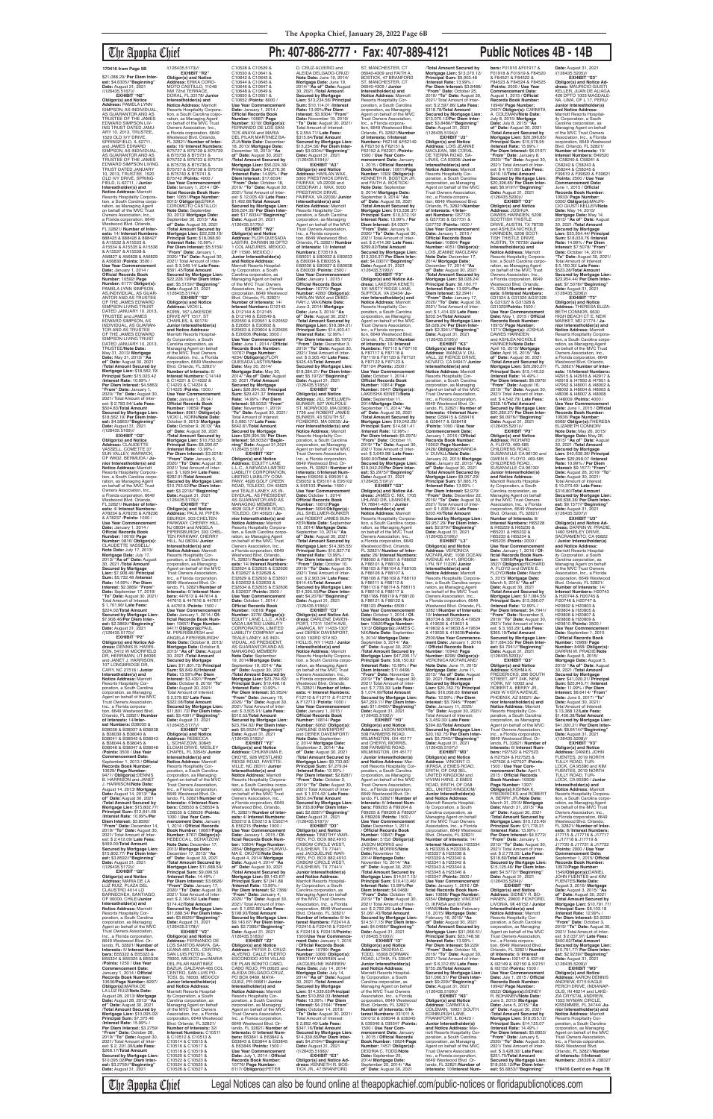\$21,088.29/ **Per Diem Interest:** \$4.6305//**"Beginning"<br><b>Date:** August 31, 2021<br>/(126435.5167)//

# The Apopka Chief **Ph: 407-886-2777 • Fax: 407-889-4121 Public Notices 4B - 14B**

**EXHIBIT "N2" Obligor(s) and Notice Address:** PAMELA LYNN SIMPSON, AS INDIVIDUAL AS GUARANTOR AND AS TRUSTEE OF THE JAMES EDWARD SIMPSON LIV-ING TRUST DATED JANU-ARY 10, 2013, TRUSTEE, 1520 OLD IVY DRIVE, SPRINGFIELD, IL 62711,<br>and JAMES EDWARD<br>SIMPSON, AS INDIVIDUAL, AS GUARANTOR AND AS TRUSTEE OF THE JAMES EDWARD SIMPSON LIVING<br>TRUST DATED JANUARY<br>10, 2013, TRUSTEE, 1520 OLD IVY DRIVE, SPRING-FIELD, IL 62711, / **Junior Interestholder(s) and Notice Address:** Marriott Resorts Hospitality Corpora-tion, a South Carolina corporation, as Managing Agent on behalf of the MVC Trust Owners Association, Inc. a Florida corporation, 6649 Westwood Blvd. Orlando, FL 32821/ **Number of Interests:** 14/ **Interest Numbers:** 888425 & 888426 & 888427 & A15532 & A15533 & A15534 & A15535 & A15536 & A15537 & A15538 & A56827 & A56828 & A56829 & A56830 /**Points:** 3500 / **Use Year Commencement Date:** January 1, 2014 / **Official Records Book Number:** 10592/ **Page Number:** 6177/ **Obligor(s):** PAMELA LYNN SIMPSON, AS,INDIVIDUAL, AS GUAR-ANTOR AND AS TRUSTEE OF THE JAMES EDWARD<br>SIMPSON LIVING TRUST<br>DATED JANUARY 10, 2013, TRUSTEE and JAMES EDWARD SIMPSON, AS INDIVIDUAL, AS GUARAN-TOR AND AS TRUSTEE OF THE JAMES EDWARD<br>SIMPSON LIVING TRUST<br>DATED JANUARY 10, 2013, TRUSTEE/**Note Date:** May 31, 2013/ **Mortgage Date:** May 31, 2013/ **"As of" Date:** August 30, 2021 /**Total Amount Secured by Mortgage Lien:** \$18,562.19/ **Principal Sum:** \$15,023.42 /**Interest Rate:** 10.99% / Per Diem Interest: \$4.5863 **"From" Date:** January 1, 2020/ **"To" Date:** August 30, 2021/ Total Amount of Interest: \$ 2,783.94/ **Late Fees:** \$504.83/**Total Amount Secured by Mortgage Lien:** \$18,562.19/ **Per Diem Inter-est:** \$4.5863//**"Beginning" Date:** August 31, 2021 /(126435.5169)// **EXHIBIT "O2"**

**Obligor(s) and Notice Address:** CLAUDETTE VASSELL, COMETTE 37 SUN VALLEY, WARWICK OF WK02, BERMUDA / **Junior Interestholder(s) and Notice Address:** Marriott Resorts Hospitality Corpora-tion, a South Carolina corporation, as Managing Agent on behalf of the MVC Trust Owners Association, Inc. a Florida corporation, 6649 Westwood Blvd. Orlando, FL 32821/ **Number of Interests:** 4/ **Interest Numbers:** A78234 & A78235 & A78236 & A78237 /**Points:** 1000 / **Use Year Commencement Date:** January 1, 2014 / **Official Records Book Number:** 10618/ **Page Number:** 0816/ **Obligor(s):** CLAUDETTE VASSELL/ **Note Date:** July 17, 2013/ **Mortgage Date:** July 17, 2013/ **"As of" Date:** August 30, 2021 /**Total Amount Secured by Mortgage Lien:** \$7,908.46/ **Principal Sum:** \$5,732.48 /**Interest Rate:** 14.99% / **Per Diem Interest:** \$2.3869/ **"From" Date:** September 17, 2019/ **"To" Date:** August 30, 2021/ Total Amount of Interest: \$ 1,701.96/ **Late Fees:** \$224.02/**Total Amount Secured by Mortgage Lien:** \$7,908.46/**Per Diem Interest:** \$2.3869//**"Beginning" Date:** August 31, 2021 /(126435.5170)// **EXHIBIT "P2" Obligor(s) and Notice Ad-dress:** DENNIS B. HARRI-SON, 5412 W MOORFIELD DR, HERRIMAN, UT 84096 and JANET J. HARRISON, 107 LONGBRIDGE DR, CARY, NC 27518 / **Junior Interestholder(s) and Notice Address:** Marriott Resorts Hospitality Cor-poration, a South Carolina corporation, as Managing Agent on behalf of the MVC Trust Owners Association, Inc., a Florida corpora-tion, 6649 Westwood Blvd. Orlando, FL 32821/ **Number of Interests:** 14/**Inter-est Numbers:** B38035 & B38036 & B38037 & B38038 & B38039 & B38040 & B38041 & B38042 & B38043 & B38044 & B38045 & B38046 & B38047 & B38048 /**Points:** 3500 / **Use Year Commencement Date:** September 1, 2013 / Officia **Records Book Number:** 10629/ **Page Number:** 9471/ **Obligor(s):**DENNIS B. HARRISON and JANET J. HARRISON/**Note Date:** August 14, 2013/ **Mortgage Date:** August 14, 2013/ **"As of" Date:** August 30, 2021 /**Total Amount Secured by Mortgage Lien:** \$15,802.77/ **Principal Sum:** \$12,641.68 /**Interest Rate:** 10.99%/**Per Diem Interest:** \$3.8592/ **"From" Date:** December 14, 2019/ **"To" Date:** August 30, 2021/ Total Amount of Inter-est: \$ 2,412.09/ **Late Fees:** \$499.00/**Total Amount Secured by Mortgage Lien:** \$15,802.77/ **Per Diem Inter-est:** \$3.8592//**"Beginning" Date:** August 31, 2021 /(126435.5172)// **EXHIBIT "Q2" Obligor(s) and Notice<br>Address: MARIA DE LA Address:** MARIA DE LA<br>LUZ RUIZ, PLAZA DEL<br>CLAUSTRO 4014 LO<br>BARNECHEA, SANTIAGO, OF 00000, CHILE/**Junior Interestholder(s) and Notice Address:** Marriott Resorts Hospitality Cor-poration, a South Carolina corporation, as Managing Agent on behalf of the MVC Trust Owners Association, Inc., a Florida corporation 6649 Westwood Blvd. Or-lando, FL 32821/ **Number of Interests:** 5/ **Interest Numbers:** B55322 & B55323 & B55324 & B55325 & B55326 /**Points:** 1250 / **Use Year Commencement Date:** January 1, 2014 / **Official Records Book Number:** 10636/**Page Number:** 8297/ **Obligor(s):**MARIA DE LA LUZ RUIZ/**Note Date:** August 28, 2013/ **Mortgage Date:** August 28, 2013/ **"As of" Date:** August 30, 2021 /**Total Amount Secured by Mortgage Lien:** \$10,095.02/ **Principal Sum:** \$7,375.46 /**Interest Rate:** 15.99% / **Per Diem Interest:** \$3.2759/ **"From" Date:** October 28, 2019/ **"To" Date:** August 30, 2021/ Total Amount of Interest: \$ 2, 201.39/**Late Fees:** \$268.17/**TotaI Amount Secured by Mortgage Lien:** \$10,095.02/**Per Diem Interest:** \$3.2759//**"Beginning" Date:** August 31, 2021

/(126435.5173)// **EXHIBIT "R2" Obligor(s) and Notice Address:** ERIKA CORO-MOTO CASTILLO, 11048 NW 72nd TERRACE, DORAL, FL 33178/ **Junior Interestholder(s) and Notice Address:** Marriott Resorts Hospitality Corpora-tion, a South Carolina coipo-ration, as Managing Agent on behalf of the MVC Trust Owners Association, Inc., a Florida corporation, 6649 Westwood Blvd. Orlando, FL 32821/ **Number of Inter-ests:** 16/ **Interest Numbers:** B75727 & B75728 & B75729 & B75730 & B75731 & B75732 & B75733 & B75734 & B75735 & B75736 & B75737 & B75738 & B75739 & B75740 & B75741 & B75742 /**Points:** 4000 / **Use Year Commencement Date:** lanuary 1, 2014 / **Official Records Book Num-<br><b>ber:** 10651/**Page Number:**<br>9015/ **Obligor(s):**ERIKA<br>COROMOTO CASTILLO/ **Note Date: September** 30, 2013/ **Mortgage Date:** September 30, 2013/ **"As of" Date:** August 30, 2021 /**Total Amount Secured by Mortgage Lien:** \$22,228.19/ **Principal Sum:** \$18,068.60 /**Interest Rate:** 10.99% / **Per Diem Interest:** \$5.5159/ **"From" Date:** January 1, 2020/ **"To" Date:** August 30, 2021/ Total Amount of Interest: \$ 3,348.14/ **Late Fees:** \$561.45/**Total Amount Secured by Mortgage Lien:** \$22,228.19/**Per Diem Inter-est:** \$5.5159//**"Beginning" Date:** August 31, 2021 /(126435.5174)//<br>**FXHIBIT** "S2" **EXHIBIT "S2" Obligor(s) and Notice Address:** VICKI L. KORN, 167 LAKESIDE DRIVE APT 1517, ST CHARLES, IL 60174/ **Junior Interestholder(s) and Notice Address:** Marriott Resorts Hospital-ity Corporation, a South Carolina coiporation, as Managing Agent on behalf of the MVC Trust Owners Association, Inc., a Florida corporation, 6649 Westwood Blvd. Orlando, FL 32821/ **Number of Interests:** 6/ **Interest Numbers:** C14149 & C14221 & C14222 & C14223 & C14224 & C14225 /**Points:** 1500 / **Use Year Commencement Date:** January 1, 2014 / **Official Records Book Number:** 10659/ **Page Number:** 8961/ **Obligor(s):** VICKI L. KORN/**Note Date:** October 9, 2013/ **Mortgage Date:** October 9, 2013/ **"As of" Date:** August 30, 2021 /**Total Amount Secured by Mortgage Lien:** \$10,753.52/ **Principal Sum:** \$8,290.67 /**Interest Rate:** 13.99% / **Per Diem Interest:** \$3.2218/ **"From" Date:** January 9, 2020/ **"To" Date:** August 30, 2021/ Total Amount of Inter-est: \$ 1,929.94/ **Late Fees:** \$282.91/**Total Amount Secured by Mortgage Lien:** \$10,753.52/**Per Diem Inter-est:** \$3.2218//**"Beginning" Date:** August 31, 2021 /(126435.5176)// **EXHIBIT "T2" Obligor(s) and Notice Address:** PAUL M. PIPER-SBURGH, 303 CHELTEN PARKWAY, CHERRY HILL, NJ 08034 and ANGELA PIPERSBURGH, 303 CHEL-TEN PARKWAY, CHERRY HILL, NJ 08034/ **Junior Interestholder(s) and<br>
Notice Address:** Marriot **Notice Address:** Marriott<br>Resorts Hospitality Cor-<br>poration, a South Carolina corporation, as Managing Agent on behalf of the MVC Trust Owners Association, Inc., a Florida corporation, 6649 Westwood Blvd. Or-lando, FL 32821/**Number of Interests:** 6/ **Interest Numbers:** 447613 & 447614 & 447615 & 447616 & 447617 & 447618 /**Points:** 1500 / **Use Year Commencement Date:** January 1, 2014 / **Of-ficial Records Book Number: 10657/ Page Number:<br>9417/ <b>Obligor(s):**PAUL<br>M. PIPERSBURGH and<br>ANGELA PIPERSBURGH/<br>**Note Date:** October 8, 2013/ **Mortgage Date:** October 8, 2013/ **"As of" Date:** August 30, 2021 /**Total Amount Secured by Mortgage Lien:** \$11,801.72/ **Principal Sum:** \$8,849.82/**Interest Rate:** 13.99%/**Per Diem Interest:** \$3.4391/**"From" Date:** October 8, 2019/ **"To" Date:** August 30, 2021/ Total Amount of Interest: \$ 2,379.82/ **Late Fees:** \$322.08/**Total Amoun Secured by Mortgage Lien:** \$11,801.72/ **Per Diem Interest:** \$3.4391//**"Beginning"<br><b>Date:** August 31, 2021<br>/(126435.5177)//<br>**EXHIBIT "U2" Obligor(s) and Notice Address:** REBECCA L. SCHATZOW, 30845 ELOIAN DRIVE, WESLEY CHAPEL, FL 33545/ **Junior Interestholder(s) and Notice Address:** Marriott Resorts Hospitality Corporation, a South Carolina corporation, as Managing Agent on behalf of the MVC Trust Owners Association, Inc., a Florida corporation, 6649 Westwood Blvd. Orlando, FL 32821/**Number of Interests:** 4/**Interest Num-bers:** C58533 & C58534 & C58535 & C58536 /**Points:** 1000 / **Use Year Commencement Date:** January 1, 2014 / **Official Records Book Number:** 10687/**Page Number:** 8767/ **Obligor(s):** REBECCA L. SCHATZOW/ **Note Date:** December 17, 2013/ **Mortgage Date:** December 17, 2013/ **"As of" Date:** August 30, 2021 /**Total Amount Secured by Mortgage Lien:** \$11,688.54/ **Principal Sum:** \$9,099.53 /**Interest Rate:** 14.49% / **Per Diem Interest:** \$3.6626/ **"From" Date:** January 17, 2020/ **"To" Date:** August 30, 2021/ Total Amount of Interest: \$ 2,164.59/ **Late Fees:** \$174.42/**Total Amount Secured by Mortgage Lien:** \$11,688.54/ **Per Diem Inter-est:** \$3.6626//**"Beginning" Date:** August 31, 2021 /(126435.5178)// **EXHIBIT "V2" Obligor(s) and Notice<br><b>Address:** FERNANDO DE<br>LOS SANTOS ANAYA, GA-<br>LEANA 465 COL. CENTRO, SAN LUIS POTOSI, SL 78000, MEXICO and MARIA DEL PILAR MARTINEZ<br>BAZUA, GALEANA 465 COL<br>CENTRO, SAN LUIS PO-<br>TOSI, SL 78000, MEXICO/ **Junior Interestholder(s) and Notice Address:**<br>Marriott Resorts Hospital-<br>ity Corporation, a South trolina corporation, as Managing Agent on behalf of the MVC Trust Owners Association, Inc., a Florida corporation, 6649 Westwood Blvd. Orlando, FL 32821/ **Number of Interests:** 32/ **Interest Numbers:** C10511 & C10512 & C10513 & C10514 & C10515 & C10516 & C10517 & C10518 & C10519 & C10520 & C10521 & C10522 & C10523 & C10524 & C10525 & C10526 & C10527 &

C10528 & C10529 & C10530 & C10641 & C10642 & C10643 & C10644 & C10645 & C10646 & C10647 & C10648 & C10649 & C10650 & C10651 & C10652 /**Points:** 8000 / Use Year Commencement<br>
Date: January 1, 2014 /<br> **Official Records Book<br>
Number: 10687/ Page<br>
Number: 9218/ Obligor(s):<br>
FERNANDO DE LOS SAN-<br>
FERNANDO DE LOS SAN-<br>
TOS ANAYA and MARIA** DEL PILAR MARTINEZ BA-ZUA/**Note Date:** December 18, 2013/ **Mortgage Date:** December 18, 2013/ **"As of" Date:** August 30, 2021 /**Total Amount Secured by Mortgage Lien:** \$56,024.39/ **Principal Sum:** \$42,276.30 /**Interest Rate:** 14.99% / **Per Diem Interest:** \$17.6034/ **"From" Date:** October 18, 2019/ **"To" Date:** August 30, 2021/ Total Amount of Inter-est: \$ 12,005.43/ **Late Fees:** \$1,492.66/**Total Amount Secured by Mortgage Lien:** \$56,024.39/ **Per Diem Interest:** \$17.6034//**"Beginning" Date:** August 31, 2021 /(126435.5179)// **EXHIBIT "W2" Obligor(s) and Notice Address:** FLOR QUESADA LASTIRI, DARWIN 99 DPTO 1 COL ANZURES, MEXICO, DF 11590, MEXICO / **Junior Interestholder(s) and Notice Address:** Marriott Resorts Hospitality Corporation, a South Carolina corporation, as Managing Agent on behalf of the MVC Trust Owners Association, Inc., a Florida corporation, 6649 Westwood Blvd. Orlando, FL 32821/ **Number of Interests:** 14/ **Interest Numbers:** D12143 & D12144 & D12145 & D12146 & E20549 & E20550 & E20551 & E20552 & E20601 & E20602 & E20603 & E20604 & E20605 & E20606 /**Points:** 3500 / **Use Year Commencement Date:** June 1, 2014 / **Official Records Book Number:** 10767/ **Page Number:** 4234/ **Obligor(s):**FLOR QUESADA LASTIRI/**Note Date:** May 30, 2014/ **Mortgage Date:** May 30, 2014/ **"As of" Date:** August 30, 2021 /**Total Amount Secured by Mortgage Lien:** \$26,994.35/ **Principal Sum:** \$20,421.37 /**Interest Rate:** 14.99% / **Per Diem Interest:** \$8.5032/ **"From" Date:** November 1, 2019/ **"To" Date:** August 30, 2021/ Total Amount of Interest: \$ 5,680.17/ **Late Fees:** \$642.81/**Total Amount Secured by Mortgage Lien:** \$26,994.35/ **Per Diem Interest:** \$8.5032//**"Begin-ning" Date:** August 31,2021 /(126435.5181)// **EXHIBIT "X2" Obligor(s) and Notice Obligor(s) and Notice<br>Address: EQUITY LANE** L.L.C., A NEVADA LIMITED LIABILITY CORPORATION, LIMITED LIABILITY COM-PANY, 4628 GOLF CREEK ROAD, TOLEDO, OH 43623 and TEALE LANEY, AS IN-DIVIDUAL, AS PRESIDENT,<br>AS GUARANTOR AND AS<br>MANAGING MEMBER,<br>4628 GOLF CREEK ROAD, TOLEDO, OH 43623 / **Junior Interestholder(s) and Notice Address:** Marriott<br>Resorts Hospitality Corpora-<br>tion, a South Carolina corporation, as Managing Agent on behalf of the MVC Trust Owners Association, Inc., a Florida corporation, 6649 Westwood Blvd. Orlando, FL 32821/ **Number of Interests:** 14/ **Interest Numbers:** E32624 & E32625 & E32626 & E32627 & E32628 & E32629 & E32630 & E32631 & E32632 & E32633 & E32634 & E32635 & E32636 & E32637 /**Points:** 3500 / **Use Year Commencement Date:** October 1, 2014 / **Official Records Book Number:** 10818/ **Page Number:** 3278/ **ObIigor(s):** EQUITY LANE L.L.C., A NE-VADA LIMITED LIABILITY CORPORATION, LIMITED LIABILITY COMPANY and TEALE LANEY, AS INDI-VIDUAL, AS PRESIDENT, AS GUARANTOR AND AS MANAGING MEMBER/<br>Note Date: Sentember **Note Date:** September 19, 2014/**Mortgage Date:** September 19, 2014/ **"As of" Date:** August 30, 2021 /**Total Amount Secured by Mortgage Lien:** \$23,764.62/ **Principal Sum:** \$19,498.18 /**Interest Rate:** 10.99% / **Per Diem Interest:** \$5.9524/ **"From" Date:** January 19, 2020/ **"To" Date:** August 30, 2021/ Total Amount of Inter-est: \$ 3,505.91/ **Late Fees:** \$510.53/**Total Amount Secured by Mortgage Lien:** \$23,764.62/ **Per Diem Interest:** \$5.9524//**"Beginning" Date:** August 31, 2021<br>/(126435.5182)// **EXHIBIT "Y2" Obligor(s) and Notice Address:** CHUKWUMA E. OKOYE, 928 WESTLAND RIDGE ROAD, FAYETTE-VILLE, NC 28311/ **Junior Interestholder(s) and Notice Address:** Marriott Resorts Hospitality Corporation, a South Carolina corporation, as Managing Agent on behalf of the MVC Trust Owners Association, Inc., a Florida corporation, 6649 Westwood Blvd. Orlando, FL 32821/ **Number of Interests:** 4/ **Interest Numbers:** E50212 & E50213 & E50214 & E50215 /**Points:** 1000 / **Use Year Commencement Date:** January 1, 2015 / **Of-ficial Records Book Number:** 10804/ **Page Number:** 2854/ **Obligor(s):**CHUKWU-MA E. OKOYE/**Note Date:** August 4, 2014/ **Mortgage Date:** August 4, 2014/ **"As of" Date:** August 30, 2021 /**Total Amount Secured by Mortgage Lien:** \$9,143.67/ **Principal Sum:** \$7,041.88 /**Interest Rate:** 13.99% / **Per Diem Interest:** \$2.7366/ **"From" Date:** January 4, 2020/ **"To" Date:** August 30, 2021/ Total Amount of Inter-est: \$ 1,652.86/ **Late Fees:** \$198.93/**Total Amount Secured by Mortgage Lien:** \$9,143.67/ **Per Diem Interest:** \$2.7366//**"Beginning" Date:** August 31, 2021 /(126435.5183)// **EXHIBIT "Z2" Obligor(s) and Notice Address:** PETER D. CRUZ-ALVERIO, CALLE PUERTO ESCONDIDO #316 VILLAS DE PLAN BONITO CABO, CABO ROJO, PR 00623 and ALEIDA DELGADO-CRUZ, PO BOX 6469, MAYA-GUEZ, PR 00681/ **Junior Interestholder(s) and Notice Address:** Marriott<br>Resorts Hospitality Cor-<br>poration, a South Carolina corporation, as Managing Agent on behalf of the MVC Trust Owners Association, Inc., a Florida corporation, 6649 Westwood Blvd. Or-lando, FL 32821/ **Number of Interests:** 6/ **Interest Numbers:** E63841 & E63842 & E63843 & E63844 & E63845 & E63846 /**Points:** 1500 / **Use Year Commencement Date:** July 1, 2014 / **Official Records Book Number:** 10776/ **Page Number:** 6117/ **ObIigor(s):**PETER D. CRUZ-ALVERIO and ALEIDA DELGADO-CRUZ/ **Note Date:** June 19, 2014/ **Mortgage Date:** June 19, 2014/ **"As of" Date:** August 30, 2021 /**Total Amount Secured by Mortgage Lien:** \$13,234.56/ **Principal Sum:** \$10,114.01 /**Interest Rate:** 13.99%/**Per Diem Interest:** \$3.9304/ **"From" Date:** November 19, 2019/ **"To" Date:** August 30, 2021/ Total Amount of Interest: \$ 2,554.71/ **Late Fees:** \$315.84/**Total Amount Secured by Mortgage Lien:** \$13,234.56/ **Per Diem Interest:** \$3.9304//**"Beginning" Date:** August 31, 2021<br>/(126435.5184)// **EXHIBIT "A3" Obligor(s) and Notice Address:** HARLAN WAX, 5000 PRESTWICK DRIVE, FAIRFAX, VA 22030 and DEBORAH J. WAX, 5000 PRESTWICK DRIVE, FAIRFAX, VA 22030/ **Junior Interestholder(s) and Notice Address:** Marriott Resorts Hospitality Cor-poration, a South Carolina corporation, as Managing Agent on behalf of the MVC Trust Owners Association, Inc., a Florida corporation, 6649 Westwood Blvd. Orlando, FL 32821/ **Number of Interests:** 10/ **Interest Numbers:** E73519 & E80031 & E80032 & E80033 & E80034 & E80035 & E80036 & E80037 & E80038 & E80039 /**Points:** 2500 / **Use Year Commencement Date:** January 1, 2015 / **Official Records Book Number:** 10770/ **Page Number:** 4260/ **Obligor(s):** HARLAN WAX and DEBO-RAH J. WAX/**Note Date:** June 3, 2014/ **Mortgage Date:** June 3, 2014/ **"As of" Date:** August 30, 2021 /**Total Amount Secured by Mortgage Lien:** \$18,384.21/ **Principal Sum:** \$14,403.41 /**Interest Rate:** 12.99% / **Per Diem Interest:** \$5.1972/ **"From" Date:** December 3, 2019/ **"To" Date:** August 30, 2021/ Total Amount of Interest: \$ 3,305.40/ **Late Fees:** \$425.40/**Total Amount Secured by Mortgage Lien:** \$18,384.21/ **Per Diem Interest:** \$5.1972//**"Beginning" Date:** August 31, 2021 /(126435.5185)// **EXHIBIT "B3" Obligor(s) and Notice Address:** JILL SHELLMER-BUNKER, 527 WALPOLE ST, NORWOOD, MA 02062- 1736 and ROBERT JAMES BUNKER, 43 SOUTH ST, FOXBORO, MA 02035/ **Ju-nior Interestholder(s) and Notice Address:** Marriott Resorts Hospitality Corporation, a South Carolina corporation, as Managing Agent on behalf of the MVC Trust Owners Association, Inc., a Florida corporation, 6649 Westwood Blvd. Orlando, FL 32821/ **Number of Interests:** 6/**Interest Num-bers:** E95050 & E95051 & E95052 & E95101 & E95102 & E95103 /**Points:** 1500 / **Use Year Commencement Date:** October 1, 2014/ **Official Records Book Number:** 10812/**Page Number:** 3094/**Obligor(s):** JILL SHELLMER-BUNKER and ROBERT JAMES BUN-KER/**Note Date:** September 10, 2014/ **Mortgage Date:** September 10, 2014/ **"As of" Date:** August 30, 2021 /**Total Amount Secured by Mortgage Lien:** \$14,395.55/ **Principal Sum:** \$10,827.76 /**Interest Rate:** 13.99% / **Per Diem Interest:** \$4.2078/ **"From" Date:** October 10, 2019/ **"To" Date:** August 30, 2021/ Total Amount of Inter-<br>est: \$ 2,903.34/ Late Fees:<br>\$414.45/Total Amount<br>Secured by Mortgage Lien:<br>\$14,395.55/Per Diem Inter-<br>est: \$4.2078/"Beginning"<br>Date: August 31, 2021 /(126435.5186)// **EXHIBIT "C3" Obligor(s) and Notice Ad-dress:** DARLENE DAVEN-PORT, 17311 104TH AVE, JAMAICA, NY 11433-1307 and DEREK DAVENPORT, 9160 193RD ST# 6D, HOLLIS, NY 11423 / **Junior Interestholder(s) and Notice Address:** Marriott Resorts Hospitality Corporation, a South Carolina corpo ration, as Managing Agent on behalf of the MVC Trust Owners Association, Inc., a Florida corporation, 6649 Westwood Blvd. Orlando, FL 32821/ **Number of Interests:** 4/ **Interest Numbers:** F12710 & F12711 & F12712 & F12713 /**Points:** 1000 / **Use Year Commencement Date:** January 1, 2015 / **Official Records Book Number:** 10814/ **Page Number:** 6062/ **Obligor(s):** DARLENE DAVENPORT and DEREK DAVENPORT/ **Note Date:** September 2, 2014/ **Mortgage Date:** September 2, 2014/ **"As of" Date:** August 30, 2021 /**Total Amount Secured by Mortgage Lien:** \$9,733.80/ **Principal Sum:** \$7,279.04 /**Interest Rate:** 13.99% / **Per Diem Interest:** \$2.8287/ **"From" Date:** October 2, 2019/ **"To" Date:** August 30, 2021/ Total Amount of Inter-est: \$ 1,974.42/ **Late Fees:** \$230.34/**TotaI Amount Secured by Mortgage Lien:** \$9,733.80/**Per Diem Interest:** \$2.8287//**"Beginning" Date:** August 31, 2021<br>/(126435.5187)// **EXHIBIT "D3" Obligor(s) and Notice Address:** TIMOTHY WAR-REN, P.O. BOX 882,4910 OXBOW CIRCLE WEST, FULSHEAR, TX 77441 and JACQUELINE WAR-REN, P.O. BOX 882,4910 OXBOW CIRCLE WEST, FULSHEAR, TX 77441/ **Junior Interestholder(s) and Notice Address:** Marriott Resorts Hospital ity Corporation, a South Carolina corporation, as Managing Agent on behalf of the MVC Trust Owners Association, Inc., a Florida corporation, 6649 Westwood Blvd. Orlando, FL 32821/ **Number of Interests:** 6/ **Interest Numbers:** F22414 & F22415 & F22416 & F22417 & F22418 & F22419/**Points:** 1500/**Use Year Commence-ment Date:** January 1, 2015 / **Official Records Book Number:** 10789/ **Page Number:** 3366/ **Obligor(s):** TIMOTHY WARREN and JACQUELINE WARREN/ **Note Date:** July 14, 2014/ **Mortgage Date:** July 14, 2014/ **"As of" Date:** August 30, 2021 /**Total Amount Secured by Mortgage Lien:** \$14,339.65/**Principal Sum:** \$10,850.03 /**Interest Rate:** 13.99% / **Per Diem Interest:** \$4.2164/ **"From" Date:** October 14, 2019/ **"To" Date:** August 30, 2021/ Total Amount of Interest: \$ 2,892.46/ **Late Fees:** \$347.16/**Total Amount Secured by Mortgage Lien:** \$14,339.65/**Per Diem Inter-est:** \$4.2164//**"Beginning" Date:** August 31, 2021 /(126435.5188)// **EXHIBIT "E3" Obligor(s) and Notice Address:** KENNETH R. BOS-TICK JR., 47 BRANFORD

ST, MANCHESTER, CT 06040-4309 and FAITH A. BOSTICK, 47 BRANFORD ST, MANCHESTER, CT 06040-4309 / **Junior Interestholder(s) and Notice Address:** Marriott Resorts Hospitality Cor-poration, a South Carolina corporation, as Managing Agent on behalf of the MVC Trust Owners Association, Inc., a Florida corporation, 6649 Westwood Blvd. Orlando, FL 32821/**Number of Interests:** 6/**Interest Numbers:** F62148 &F62149 & F62150 & F62151 & F62152 & F62201 /**Points:** 1500 / **Use Year Commencement Date: January<br>1 2015 / Official Records** 1, 2015 / **Official Records Book Number:** 10811/**Page Number:** 1093/ **Obligor(s):** KENNETH R. BOSTICK JR. and FAITH A. BOSTICK/ **Note Date:** September 9, 2014/ **Mortgage Date:** September 9, 2014/ **"As of" Date:** August 30, 2021 /**Total Amount Secured by Mortgage Lien:** \$13,336.37/ **Principal Sum:** \$10,372.19/ **Interest Rate:** 13.99% / **Per Diem Interest:** \$4.0307/ **"From" Date:** January 9, 2020/ **"To" Date:** August 30, 2021/ Total Amount of Inter-est: \$ 2,414.36/ **Late Fees:** \$299.82/**Total Amount Secured by Mortgage Lien:** \$13,336.37/ **Per Diem Inter-est:** \$4.0307//**"Beginning" Date:** August 31, 2021<br>/(126435.5190)// **EXHIBIT "F3" Obligor(s) and Notice Ad-dress:** LAKEISHA KENETI, 101 MISTY RIDGE LANE, SUFFOLK, VA 23434/ **Junior Interestholder(s) and Notice Address:** Marriott Resorts Hospitality Cor-poration, a South Carolina corporation, as Managing Agent on behalf of the MVC<br>Trust Owners Association, Trust Owners Association,<br>Inc., a Florida corpora-<br>tion, 6649 Westwood Blvd.<br>Orlando, FL 32821/**Number of Interests:** 10/ **Interest Numbers:** F87115 & F87116 & F87117 & F87118 & F87119 & F87120 & F87121 & F87122 & F87123 & F87124 /**Points:** 2500 / **Use Year Commencement Date:** October 1, 2014 / **Official Records Book Number:** 10814/ **Page Number:** 5647/ **Obligor(s):** LAKEISHA KENETI/**Note Date:** September 11, 2014/**Mortgage Date:** September 11, 2014/ **"As of" Date:** August 30, 2021 /**Total Amount Secured by Mortgage Lien:** \$19,042.29/ **Principal Sum:** \$14,681.41 /**Interest Rate:** 12.99% / **Per Diem Interest:** \$5.2975/ **"From" Date:** October 11, 2019/ **"To" Date:** August 30, 2021/ Total Amount of Inter-est: \$ 3,649.98/ **Late Fees:** \$460.90/**TotaI Amount Secured by Mortgage Lien:** \$19,042.29/**Per Diem Inter-est:** \$5.2975//**"Beginning" Date:** August 31, 2021 /(126435.5191)// **EXHIBIT "G3" Obligor(s) and Notice Address:** JAMES C. NIX, 1705 UHLAND DR, LEANDER,<br>TX 78641-4201 / **Junior**<br>**Interestholder(s) and Notice Address:** Marriott Resorts Hospitality Corporation, a South Carolina corporation, as Managing Agent on behalf of the MVC Trust Owners Association, Inc., a Florida corporation, 6649 Westwood Blvd. Orlando, FL 32821/ **Number of Inter-ests:** 26/ **Interest Numbers:** F88050 & F88051 & F88052 & F88101 & F88102 & F88103 & F88104 & F88105 & F88106 & F88107 & F88108 & F88109 & F88110 & F88111 & F88112 & F88113 & F88114 & F88115 & F88116 & F88117 & F88118& F88119 & F88120 & F88121 & F88122 &<br>F88123 / Points: 6500 / F88123 /**Points:** 6500 / **Use Year Commencement Date:** October 1, 2014 / **Of-ficial Records Book Number:** 10820/**Page Number:** 1313/ **Obligor(s):**JAMES C. NIX/**Note Date:** September 5, 2014/ **Mortgage Date:** September 5, 2014/ **"As of" Date:** August 30, 2021 /**Total Amount Secured by Mortgage Lien:** \$47,209.11/ **Principal Sum:** \$38,150.82 /**Interest Rate:** 10.99% / **Per Diem Interest:** \$11.6466/ **"From" Date:** November 5, 2019/ **"To" Date:** August 30, 2021/ Total Amount of Interest: \$ 7,733.30/ **Late Fees:** \$ 1,074.99/**Total Amount Secured by Mortgage Lien:** \$47,209.11/ **Per Diem Interest:** \$11.6466//**"Beginning" Date:** August 31, 2021 /(126435.5192)// **EXHIBIT "H3" Obligor(s) and Notice Address:** JASON MORRIS, 508 FARMERS ROAD, WILMINGTON, OH 45177 and CHERYL MORRIS,<br>508 FARMERS ROAD,<br>WILMINGTON, OH 45177 / **Junior Interestholder(s) and Notice Address:** Marriott Resorts Hospitality Corporation, a South Carolina corporation, as Managing Agent on behalf of the MVC Trust Owners Association, Inc., a Florida corporation, 6649 Westwood Blvd. Orlando, FL 32821/ **Number of Interests:** 6/ **Interest Num-bers:** F89203 & F89204 & F89205 & F89206 & F89207 & F89208 /**Points:** 1500 / **Use Year Commencement**<br> **Date:** December 1 2014 **Date:** December 1, 2014 / **Official Records Book Number:** 10847/ **Page Number:** 5152/ **Obligor(s):** JASON MORRIS and CHERYL MORRIS/**Note Date:** November 10, 2014/ **Mortgage Date:** November 10, 2014/ **"As of" Date:** August 30, 2021 /**Total Amount Secured by Mortgage Lien:** \$14,517.15/ **Principal Sum:** \$10,413.46/ **Interest Rate:** 13.99%/**Per Diem Interest:** \$4.0468/ **"From" Date:** October 10, 2019/ **"To" Date:** August 30, 2021/ Total Amount of Inter-<br>est: \$ 2.792.26/ Late Fees est: \$ 2,792.26/ **Late Fees:** \$1,061.43/**Total Amount Secured by Mortgage Lien:** \$14,517.15/ **Per Diem Interest:** \$4.0468//**"Beginning" Date:** August 31, 2021 /(126435.5193)//. **EXHIBIT "I3" Obligor(s) and Notice Address:** DEIDRIA C. TODD, 16308 DORMAN ROAD, LITHIA, FL 33547/ **Junior Interestholder(s) and Notice Address:** Marriott Resorts Hospitality Corporation, a South Carolina corporation, as<br>Managing Agent on behal Managing Agent on behalf<br>of the MVC Trust Owners<br>Association, Inc., a Florida<br>corporation, 6649 Westwood Blvd. Orlando, FL 32821/ **Number of Interests:** 6/**Interest Numbers:** 031011 & 031012 & 039344 & 039345 & 039346 & 039347 /**Points:** 1500 / **Use Year Commencement Date:** January 1, 2015 / **Official Records Book Number:** 10824/**Page Number:** 7457/ **Obligor(s):** DEIDRIA C. TODD/**Note Date:** September 25, 2014/ **Mortgage Date:** September 25, 2014/ **"As of" Date:** August 30, 2021

/**Total Amount Secured by Mortgage Lien:** \$13,070.12/ **Principal Sum:** \$9,903.48 /**Interest Rate:** 13.99% / **Per Diem Interest:** \$3.8486/ **"From" Date:** October 25, 2019/ **"To" Date:** August 30, 2021/ Total Amount of Inter-est: \$ 2,597.86/ **Late Fees:** \$318.78/**Total Amount Secured by Mortgage Lien:** \$13,070.12/**Per Diem Inter-est:** \$3.8486//**"Beginning" Date:** August 31, 2021<br>/(126435.5194)// **EXHIBIT "J3" Obligor(s) and Notice Address:** LOIS JEANNE MACLEAN, 386 CORAL DE TIERRA ROAD, SA-LINAS, CA 93908/ **Junior Interestholder(s) and Notice Address:** Marriott Resorts Hospitality Cor-poration, a South Carolina corporation, as Managing Agent on behalf of the MVC Trust Owners Association,<br>Inc., a Florida corpora-<br>tion, 6649 Westwood Blvd.<br>Orlando, FL 32821/**Number of Interests:** 4/**Inter-est Numbers:** G57729 & G57730 & G57731 & G57732 /**Points:** 1000 / **Use Year Commencement Date:** January 1, 2015 / **Official Records Book Number:** 10864/ **Page Number:** 4051/ **Obligor(s):** LOIS JEANNE MACLEAN/ **Note Date:** December 17, 2014/ **Mortgage Date:** December 17, 2014/ **"As of" Date:** August 30, 2021 /**Total Amount Secured by Mortgage Lien:** \$8,028.24/ **Principal Sum:** \$6,160.77 /**Interest Rate:** 13.99%/**Per Diem Interest:** \$2.3941/ **"From" Date:** January 17, 2020/ **"To" Date:** August 30, 2021/ Total Amount of Inter-est: \$ 1,414.93/ **Late Fees:** \$202.54/**Total Amount Secured by Mortgage Lien:** \$8,028.24/ **Per Diem Interest:** \$2.3941//**"Beginning"<br><b>Date:** August 31, 2021<br>/(126435.5195)//<br>**EXHIBIT "K3" Obligor(s) and Notice Address:** WANDA V. DU-VALL, 22 PIERCE DRIVE, NOVATO, CA 94947/ **Junior Interestholder(s) and Notice Address:** Marriott Resorts Hospitality Cor-poration, a South Carolina corporation, as Managing Agent on behalf of the MVC Trust Owners Association, Inc., a Florida corporation, 6649 Westwood Blvd. Or-lando, FL 32821/ **Number of Interests:** 4/**Interest Num-bers:** G58415 & G58416 & G58417 & G58418 /**Points:** 1000 / **Use Year Commencement Date:** January 1, 2016 / **Official Records Book Number:** 10902/ **Page Number:** 2428/ **Obligor(s):**WANDA V. DUVALL/**Note Date:** January 22, 2015/ **Mortgage Date:** January 22, 2015/ **"As of" Date:** August 30, 2021 /**Total Amount Secured by Mortgage Lien:** \$9,957.29/ **Principal Sum:** \$7,665.75 /**Interest Rate:** 13.99% / **Per Diem Interest:** \$2,979/ **"From" Date:** December 22, 2019/ **"To" Date:** August 30, 2021/ Total Amount of Inter-est: \$ 1,838.05/ **Late Fees:** \$203.49/**Total Amount Secured by Mortgage Lien:** \$9,957.29/ **Per Diem Inter-est:** \$2.979//**"Beginning" Date:** August 31, 2021 /(126435.5196)// **EXHIBIT "L3" Obligor(s) and Notice Address:** VERONICA MCFARLANE, 1038 OCEAN AVENUE #A 41, BROOK-LYN, NY 11226/ **Junior Interestholder(s) and Notice Address:** Marriott Resorts Hospitality Corpora-tion, a South Carolina corpo-ration, as Managing Agent on behalf of the MVC Trust Owners Association, Inc., a Florida corporation, 6649 Westwood Blvd. Orlando, FL<br>32821/**Number of Interests:**<br>10/ **Interest Numbers:**<br>383734 & 383735 & 419629 & 419630 & 419631 & 419632 & 419633 & 419634 & 419635 & 419636/**Points:** 2500/**Use Year Commence-ment Date:** January 1, 2016 / **Official Records Book Number:** 10942/ **Page Number:** 8296/ **Obligor(s):** VERONICA MCFARLANE/ **Note Date:** June 11, 2015/ **Mortgage Date:** June 11, 2015/ **"As of" Date:** August 30, 2021 /**Total Amount Secured by Mortgage Lien:** \$20,162.75/ **Principal Sum:** \$16,058.63 /**Interest Rate:** 12.99% / **Per Diem Interest:** \$5.7945/ **"From" Date:** January 11, 2020/ **"To" Date:** August 30, 2021/ Total Amount of Interest: \$ 3,459.30/ **Late Fees:** \$394.82/**Total Amount Secured by Mortgage Lien:** \$20,162.75/ **Per Diem Inter-est:** \$5.7945//**"Beginning" Date:** August 31, 2021 /(126435.5197)// **EXHIBIT "M3" Obligor(s) and Notice Address:** VINCENT O. IKPASA, 2 EMES ROAD, ERITH, OF DA8 3EL,<br>UNITED KINGDOM and<br>VIVIAN HANS, 2 EMES ROAD, ERITH, OF DA8 3EL, UNITED KINGDOM/ **Junior Interestholder(s) and Notice Address:**<br>Marriott Resorts Hospital-<br>ity Corporation, a South Carolina corporation, as Managing Agent on behalf of the MVC Trust Owners Association, Inc., a Florida corporation, 6649 Westwood Blvd. Orlando, FL 32821/ **Number of Interests:** 14/ **Interest Numbers:** H23334 & H23335 & H23336 & H23337 & H23338 & H23339 & H23340 & H23341 & H23342 & H23343 & H23344 & H23345 & H23346 & H23347 /**Points:** 3500 / **Use Year Commencement Date:** January 1, 2016 / **Of-ficial Records Book Number:** 10888/ **Page Number:** 6354/ **Obligor(s):** VINCENT O. IKPASA and VIVIAN HANS/**Note Date:** February 16, 2015/ **Mortgage Date:** February 16, 2015/ **"As of"** Date: August 30, 2021 /**Total Amount Secured by Mortgage Lien:** \$31,066.51/ **Principal Sum:** \$23,748.58 /**Interest Rate:** 13.99% / **Per Diem Interest:** \$9.229/ **"From" Date:** October 16, 2019/ **"To" Date:** August 30, 2021/ Total Amount of Inter<br>est: \$ 6,312.65/ Late Fees est: \$ 6,312.65/ **Late Fees:** \$755.28/**TotaI Amount Secured by Mortgage Lien:** \$31,066.51/ **Per Diem Interest:** \$9.229//**"Beginning" Date:** August 31, 2021 /(126435.5199)// **EXHIBIT "N3" Obligor(s) and Notice Address:** CARMITA A. COLEMAN, 19921 SOUTH EDINBURGH LANE, FRANKFORT IL 60423 **Junior Interestholder(s) and Notice Address:** Marriott Resorts Hospitality Corporation, a South Carolina<br>corporation, as Managing corporation, as Managing<br>Agent on behalf of the MVC<br>Trust Owners Association,<br>Inc., a Florida corporation, 6649 Westwood Blvd. Orlando, FL 32821/**Number of Interests:** 10/**Interest Num-**

**bers:** F01916 &F01917 & F01918 & F01919 & F84520 & F84521 & F84522 & F84523 & F84524 & F84525 /**Points:** 2500 / **Use Year Commencement Date:** August 1, 2015 / **Official Records Book Number:** 10949/ **Page Number:** 2457/ **Obligor(s):** CARMITA A. COLEMAN/**Note Date:** July 8, 2015/ **Mortgage Date:** July 8, 2015/ **"As of" Date:** August 30, 2021 /**Total Amount Secured by Mortgage Lien:** \$20,396.85/ **Principal Sum:** \$15,578.95 /**Interest Rate:** 15.99% / **Per Diem Interest:** \$6.9197/ **"From" Date:** January 8, 2020/ **"To" Date:** August 30, 2021/ Total Amount of Inter-est: \$ 4,151.80/ **Late Fees:** \$416.10/**Total Amount Secured by Mortgage Lien:** \$20,396.85/ **Per Diem Inter-est:** \$6.9197//**"Beginning" Date:** August 31, 2021 /(126435.5200)// **EXHIBIT "O3" Obligor(s) and Notice Address:** JOSHUA DAWES HARNDEN, 5208 SCOTTISH THISTLE<br>DRIVE, AUSTIN, TX 78739<br>and ASHLEA NICHOLE<br>HARNDEN, 5208 SCOT-TISH THISTLE DRIVE, AUSTIN, TX 78739/ **Junior Interestholder(s) and Notice Address:** Marriott Resorts Hospitality Corpora-tion, a South Carolina corporation, as Managing Agent on behalf of the MVC Trust Owners Association, Inc. a Florida corporation, 6649 Westwood Blvd. Orlando, FL 32821/**Number of Interests:** 6/**Interest Numbers:** G31324 & G31325 &G31326 & G31327 & G31328 & G31329/**Points:** 1500 / **Use Year Commencement Date:** May 1, 2015 / **Official Records Book Number:** 10915/ **Page Number:** 1371/ **Obligor(s):** JOSHUA DAWES HARNDEN and ASHLEA NICHOLE HARNDEN/**Note Date:** April 16, 2015/ **Mortgage Date:** April 16, 2015/ **"As of" Date:** August 30, 2021 /**Total Amount Secured by Mortgage Lien:** \$20,280.27/ **Principal Sum:** \$15,149.32 /**Interest Rate:** 14.49% / **Per Diem Interest:** \$6.0976/ **"From" Date:** August 16, 2019/ **"To" Date:** August 30, 2021/ Total Amount of Inter-est: \$ 4,542.79/ **Late Fees:** \$338.16/**Total Amount Secured by Mortgage Lien:** \$20,280.27/ **Per Diem Inter-est:** \$6.0976//**"Beginning" Date:** August 31, 2021 /(126435.5201)// **EXHIBIT "P3" Obligor(s) and Notice Address:** RICHARD A. FLOYD, 469-585 CHILDRENS ROAD, SUSANVILLE CA 96130 and GWEN E. FLOYD, 469-585 CHILDRENS ROAD, . SUSANVILLE CA 96130/ **Junior Interestholder(s) and Notice Address:** Marriott Resorts Hospitality Corporation, a South Carolina corporation, as Managing Agent on behalf of the MVC Trust Owners Association, Inc., a Florida corporation, 6649 Westwood Blvd. Orlando, FL 32821/ **Number of Interests:** 8/ **Interest Numbers:** H65228<br>& H65229 & H65230 &<br>H65231 & H65232 & H65233 & H65234 & H65235 /**Points:** 2000 / **Use Year Commencement Date:** January 1, 2016 / **Of-ficial Records Book Num-ber:** 10898/**Page Number:** 3527/ **Obligor(s):**RICHARD A. FLOYD and GWEN E. FLOYD/**Note Date:** March 5, 2015/ **Mortgage Date:** March 5, 2015/ **"As of" Date:** August 30, 2021 /**Total Amount Secured by Mortgage Lien:** \$17,084.55/ **Principal Sum:** \$13,286.07

> /**Interest Rate:** 12.99% / **Per Diem Interest:** \$4.7941/ **"From" Date:** November 5, 2019/ **"To" Date:** August 30, 2021/ Total Amount of Interest: \$ 3,183.29/ **Late Fees:**

\$365.19/**Total Amount Secured by Mortgage Lien:** \$17,084.55/ **Per Diem Inter-est:** \$4.7941//**"Beginning" Date:** August 31, 2021<br>/(126435.5203)// **EXHIBIT "Q3" Obligor(s) and Notice Address:** KISHMA K. FREDERICKS, 286 SOUTH STREET, APT 24K, NEW YORK, NY 10002 and ROBERT A. BERRY JR., 2429 W VISTA AVENUE, PHOENIX, AZ 85021/ **Junior Interestholder(s) and Notice Address:** Marriott Resorts Hospitality Corporation, a South Carolina corporation, as Managing Agent on behalf of the MVC Trust Owners Association, Inc., a Florida corporation, 6649 Westwood Blvd. Orlando, FL 32821/ **Number of Interests:** 6/ **Interest Num-bers:** H27522 & H27523 & H27524 & H27525 & H27526 & H27527 /**Points:** 1500 / **Use Year Commencement Date:** April 1, 2015 / **Official Records Book Number:** 10908/ **Page Number:** 1397/ **ObIigor(s):**KISHMA K. FREDERICKS and ROBERT A. BERRY JR./**Note Date:** March 31, 2015/ **Mortgage Date:** March 31, 2015/ **"As of" Date:** August 30, 2021 /**Total Amount Secured by Mortgage Lien:** \$15,125.46/ **Principal Sum:** \$11,778.31 /**Interest Rate:** 13.99% / **Per Diem Interest:** \$4.5772/ **"From" Date:** January 1, 2010/ **"To" Date:** August 30, 2021/ Total Amount of Interest: \$ 2,778.35/ **Late Fees:** \$318.80/**Total Amount Secured by Mortgage Lien:** \$15,125.46/ **Per Diem Interest:** \$4.5772//**"Beginning" Date:** August 31, 2021 /(126435.5204)// **EXHIBIT "R3" Obligor(s) and Notice Address:** SIDNEY R. BO-HANEN, 29600 PICKFORD, LIVONIA, MI 48152 / **Junior Interestholder(s) and Notice Address:** Marriott Resorts Hospitality Cor poration, a South Carolina corporation, as Managing Agent on behalf of the MVC Trust Owners Associatioh,<br>Inc., a Florida corpora-<br>tion, 6649 Westwood Blvd.<br>Orlando, FL 32821/ **Number of Interests:** 6/ **Interest Numbers:** 102147 & 102148<br>& 102149 & 102150 & 102151 & I02149 & I02150 & I02151 & I02152 /**Points:** 1500 / **Use Year Commencement Date:** July 1, 2015 / **Official Records Book Number:** 10942/ **Page Number:** 6522/ **Obligor(s):**SIDNEY R. BOHANEN/**Note Date:** June 5, 2015/ **Mortgage Date:** June 5, 2015/ **"As of" Date:** August 30, 2021 /**Total Amount Secured by Mortgage Lien:** \$18,055.12/ **Principal Sum:** \$14,125.07 /**Interest Rate:** 14.49% / **Per Diem Interest:** \$5.6853/ **"From" Date:** January 5, 2020/ **"To" Date:** August 30, 2021/ Total Amount of Inter-est: \$ 3,428.30/ **Late Fees:** \$251.75/**Total Amount Secured by Mortgage Lien:** \$18,055.12/**Per Diem Inter-est:** \$5.6853//**"Beginning"** 

**Obligor(s) and Notice Ad-dress:** MAURICIO GIUSTI KELLER, JUAN DE ALIAGA 426 DPTO 1003 MAGDALEcorporation, 6649 Westwood Blvd. Orlando, FL 32821/ C58242 & C58243 & C58244 & C58245 & F39619 & F39620 & F39621 **Mortgage Date:** May 14, 2015/ **"As of" Date:** August **Interest:** \$7.5078/ **"From" Date:** October 14, 2019/ **"To" Date:** August 30, 2021/ **Secured by Mortgage Lien:** \$23,954.44/ **Per Diem Inter-est:** \$7.5078//**"Beginning" Obligor(s) and Notice Address:** THERESA ELIZA-BETH CONNOR, 6630 Resorts Hospitality Corpora-tion, a South Carolina corpoa Florida corporation, 6649 Westwood Blvd. Orlando, FL 32821/ **Number of Inter-**I42915 & I42916 & I42917 & I42918 & I47950 & I47951 & I48003 & I48004 & I48005 & I48006 & I48007 & I48008 **Use Year Commencement Date:** June 1, 2015 / **Official Records Book Number:** 10936/ **Page Number:** 6568/ **Obligor(s):**THERESA ELIZABETH CONNOR/ **Mortgage Date:** May 26, 2015/ **"As of" Date:** August 30, 2021 /**Total Amount Secured by Mortgage** 

**Date:** August 31, 2021 /(126435.5205)// **EXHIBIT "S3"** NA, LIMA, OF L 17, PERU/ **Junior Interestholder(s) and Notice Address:** Marriott Resorts Hospital-ity Corporation, a South Carolina corporation, as Managing Agent on behalf of the MVC Trust Owners Association, Inc., a Florida **Number of Interests:** 10/ **Interest Numbers:** B49520 & C58240 & C58241 & /**Points:** 2500 / **Use Year Commencement Date:** June 1, 2015 / **Official Records Book Number:** 10933/ **Page Number:** 0356/ **Obligor(s):**MAURI-CIO GIUSTI KELLER/**Note Date:** May 14, 2015/ 30, 2021 /**Total Amount Secured by Mortgage Lien:** \$23,954.44/ **Principal Sum:** \$18,030.76 /**Interest Rate:** 14.99% / **Per Diem**  Total Amount of Interest: \$ 5,150.30/ **Late Fees:** \$523.28/**Total Amount Date:** August 31, 2021<br>/(126435.5206)// **EXHIBIT "T3"** HIGH BEACH CT E, NEW MARKET, MD 21774 / **Junior Interestholder(s) and Notice Address:** Marriott ration, as Managing Agent on behalf of the MVC Trust Owners Association, Inc., **ests:** 16/**Interest Numbers:** I47952 & I48001 & I48002 & & I48009 /**Points:** 4000 / **Note Date:** May 26, 2015/ **Lien:** \$40,638.36/ **Principal Sum:** \$29,998.07 /**Interest Rate:** 10.99% / **Per Diem Interest:** \$9.1577/ **"From" Date:** August 26, 2018/ **"To" Date:** August 30, 2021/ Total Amount of Interest: \$ 10,073.49/ **Late Fees:** \$316.80/**Total Amount Secured by Mortgage Lien:** \$40,638.36/ **Per Diem Inter-est:** \$9.1577//**"Beginning" Date:** August 31, 2021 /(126435.5207)// **EXHIBIT "U3"**

**Obligor(s) and Notice Ad-dress:** DARRIN W. PRADIE, 1460 SHIRLEY DRIVE, SACRAMENTO, CA 95822 / **Junior Interestholder(s) and Notice Address:** Marriott Resorts Hospitality Corporation, a South Carolina corporation, as Managing Agent on behalf of the MVC Trust Owners Association, Inc., a Florida coiporation, 6649 Westwood Blvd. Orlando, FL 32821/ **Number of Interests:** 14/ **Interest Numbers:** H20743 & H20744 & H20745 & FI20746 & H20747 & H20802 & H20803 & H20804 & H20805 & H20806 & H20807 & H20808 & H20809 & H20810 /**Points:** 3500 /

**Use Year Commencement Date:** September 1, 2015 / **Official Records Book Number:** 10969/ **Page Number:** 8468/ **Obligor(s):** DARRIN W. PRADIE/**Note Date:** August 5, 2015/ **Mortgage Date:** August 5, 2015/ **"As of" Date:** August 30, 2021 /**Total Amount Secured by Mortgage Lien:** \$41,020.21/ **Principal Sum:** \$25,945.71 /**Interest Rate:** 11.99% / **Per Diem Interest:** \$8.6414/ **"From" Date:** June 5, 2017/ **"To" Date:** August 30, 2021/ Total Amount of Interest: \$ 13,368.12/**Late Fees:** \$1,456.38/**Total Amount Secured by Mortgage Lien:** \$41,020.21/ **Per Diem Inter-est:** \$8.6414//**"Beginning" Date:** August 31, 2021<br>/(126435.5208)// **EXHIBIT "V3" Obligor(s) and Notice Address:** DANIEL JOHN FUENTES, 2019 NORTH TULLY ROAD, TUR-LOCK, CA 95380 and KIM FUENTES, 2019 NORTH TULLY ROAD, TUR-LOCK, CA 95380 / **Junior Interestholder(s) and Notice Address:** Marriott Resorts Hospitality Corporation, a South Carolina corp ration, as Managing Agent on behalf of the MVC Trust Owners Association, Inc., a Florida corporation, 6649 Westwood Blvd. Orlando, FL 32821/ **Number of Inter-ests:** 8/ **Interest Numbers:** J17715 & J17716 & J17717 & J17718 & J17719 & J17720 & J17721 & J17722 /**Points:** 2000 / **Use Year Commencement Date:** September 1, 2015/ **Official Records Book Number:** 10970/**Page Number:** 1549/**Obligor(s):**DANlEL JOHN FUENTES and KIM FUENTES/**Note Date:** August 3, 2015/ **Mortgage Date:** August 3, 2015/ **"As of" Date:** August 30, 2021 /**Total Amount Secured by Mortgage Lien:** \$10,791.77/ **Principal Sum:** \$8,103.18 /**Interest Rate:** 12.99% / **Per Diem Interest:** \$2.9239/ **"From" Date:** October 3, 2019/ **"To" Date:** August 30, 2021/ Total Amount of Interest: \$ 2,037.97/ **Late Fees:** \$400.62/**Total Amount Secured by Mortgage Lien:** \$10,791.77/ **Per Diem Interest:** \$2.9239//**"Beginning" Date:** August 31, 2021 /(126435.5209)// **EXHIBIT "W3" Obligor(s) and Notice Address:** AARON DENNIS ANDREW, 6715 EAGLE PERCH DRIVE, INDIANAP-OLIS, IN 46214 and LAKE-ZIA CRYSTAL ANDREW, 1553 WYMAN CIRCLE, KISSIMMEE, FL 34744/ **Junior Interestholder(s) and Notice Address:** Marriott Resorts Hospitality Corporation, a South Corporation, as Mai corporation, as Managing Agent on behalf of the MVC Trust Owners Association, Inc., a Florida coiporation, 6649 Westwood Blvd. Orlando, FL 32821/**Number of Interests:** 6/**Interest Numbers:** J38326 & J38327

#### **170416 from Page 5B**

**170416 Cont'd on Page 7B**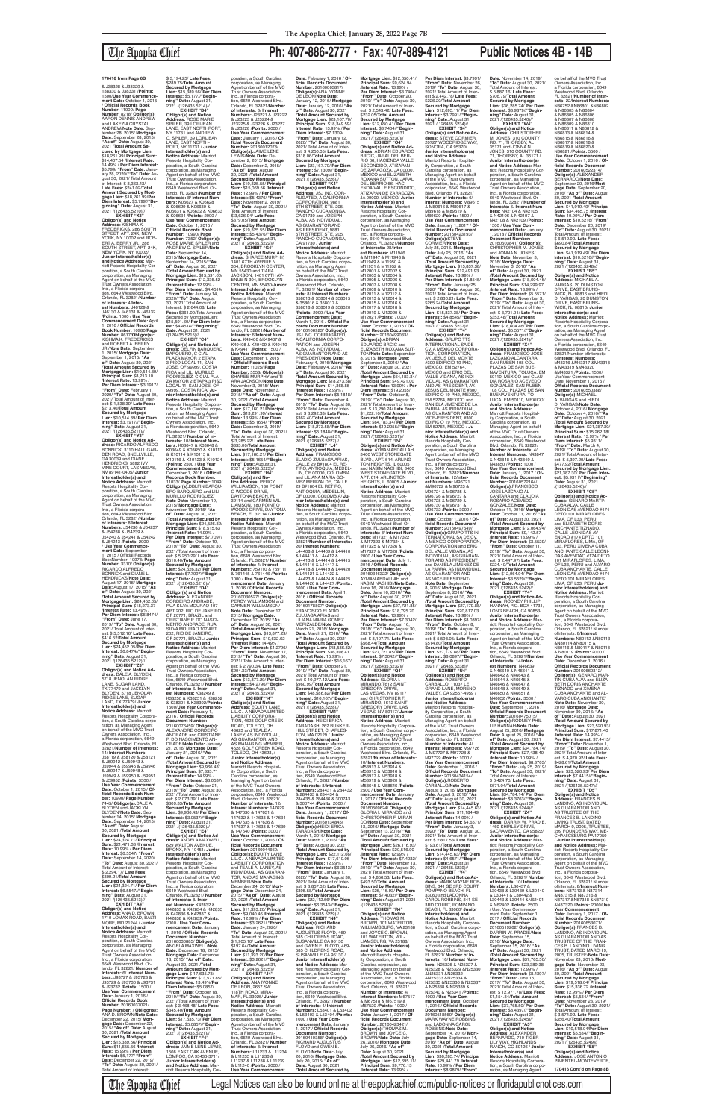& J38328 & J38329 & 138330 & J38331 /**Points:** 1500/**Use Year Commence-ment Date:** October 1, 2015 / **Official Records Book Number:** 11009/ **Page Number:** 8218/ **Obligor(s):** AARON DENNIS ANDREW and LAKEZIA CRYSTAL ANDREW/**Note Date:** September 28, 2015/ **Mortgage Date:** September 28, 2015/ **"As of" Date:** August 30, 2021 /**Total Amount Secured by Mortgage Lien:** \$18,261.99/ **Principal Sum:** \$14,407.54 /**Interest Rate:** 14.49% / **Per Diem Interest:** \$5.799/ **"From" Date:** Janu-ary 28, 2020/ **"To" Date:** August 30, 2021/ Total Amount of Interest: \$ 3,363.43/ **Late Fees:** \$241.02/**Total Amount Secured by Mort-gage Lien:** \$18,261.99/**Per Diem Interest:** \$5.799//**"Beginning" Date:** August 31,<br>2021 /(126435.5210)//

# The Apopka Chief **Ph: 407-886-2777 • Fax: 407-889-4121 Public Notices 4B - 14B**

**EXHIBIT "X3" Obligor(s) and Notice<br><b>Address:** KISHMA K.<br>FREDERICKS, 286 SOUTH STREET, APT. 24K, NEW YORK, NY 10002 and ROB-ERT A. BERRY JR., 286 SOUTH STREET, APT. 24K, NEW YORK, NY 10002/ **Junior Interestholder(s) and Notice Address:** Mar-riott Resorts Hospitality Corporation, a South Carolina corporation, as Managing Agent on behalf of the MVC Trust Owners Association, Inc., a Florida corpora-tion, 6649 Westwood Blvd. Orlando, FL 32821/**Number of Interests:** 4/**Inter-est Numbers:** J46129 & J46130 & J46131 & J46132 /**Points:** 1000 / **Use Year Commencement Date:** April 1, 2016 / **Official Records Book Number:** 10980/**Page Number:** 8617/**Obligor(s):** KISHMA K. FREDERICKS and ROBERT A. BERRY JR./**Note Date:** September 1, 2015/ **Mortgage Date:** September 1, 2015/ **"As of" Date:** August 30, 2021 /**Total Amount Secured by Mortgage Lien:** \$10,514.89/ **Principal Sum:** \$8,213.10 /**Interest Rate:** 13.99% / **Per Diem Interest:** \$3.1917/ **"From" Date:** February 1, 2020/ **"To" Date:** August 30, 2021/ Total Amount of Inter-est: \$ 1,838.39/ **Late Fees:** \$213.40/**Total Amount Secured by Mortgage Lien:** \$10,514.89/ **Per Diem Interest:** \$3.1917//**"Beginning" Date:** August 31, 2021 /(126435.5211)// **EXHIBIT "Y3" Obligor(s) and Notice Ad-dress:** RICARDO ALFREDO BONNICK, 3110 HALL GAR-DEN ROAD, SNELLVILLE, GA 30039 and DIANE L. HENDRICKS, 5892 IVY VINE COURT, LAS VEGAS, NV 89141-0405/ **Junior** 

**Interest:** \$5.177//**"Begin-ning" Date:** August 31, 2021 /(126435.5214)// **EXHIBIT "B4" Obligor(s) and Notice Address:** ROSE MARIE SPILER, 39 LORIJEAN<br>LANE, EAST NORTHPORT, NY 11731 and ANDREW C. SPILER, 39 LORIJEAN<br>LANE, EAST NORTH-PORT, NY 11731 / **Junior Interestholder(s) and Notice Address:** Marriott Resorts Hospitality Corporation, a South Carolina corporation, as Managing Agent on behalf of the MVC Trust Owners Association,<br>Inc., a Florida corporation,<br>6649 Westwood Blvd. Or-<br>lando, FL 32821/**Number of Interests:** 8/ **Interest Numbers:** K06627 & K06628 & K06629 & K06630 & K06631 & K06632 & K06633 & K06634 /**Points:** 2000 / **Use Year Commencement Date:** October 1, 2015 / **Official Records Book Number:** 10990/ **Page Number:** 7352/ **Obligor(s):** ROSE MARIE SPILER and ANDREW C. SPILER/**Note Date:** September 14, 2015/ **Mortgage Date:** September 14, 2015/ **"As of" Date:** August 30, 2021 /**Total Amount Secured by Mortgage Lien:** \$15,591.60/ **Principal Sum:** \$12,336.52 /**Interest Rate:** 12.99% / **Per Diem Interest:** \$4.4514/ **"From" Date:** January 14, 2020/ **"To" Date:** August 30, 2021/ Total Amount of Interest: \$ 2,644.08/ **Late Fees:** \$361.00/Total Amount Secured by MortgageLien: \$15,591.60/ **Per Diem Interest:** \$4.4514//"**Beginning"**<br>**Date:** August 31, 2021<br>/(126435.5215)// **EXHIBIT "C4" Obligor(s) and Notice Ad-dress:** DELFIN BARQUERO BARQUERO, C CIAL PLAZA MAYOR 2 ETAPA 3 PISO LOCAL 11, SAN JOSE, OF 99999, COSTA RICA and LILI MURILLO RODRIGUEZ, C CIAL PLA-ZA MAYOR 2 ETAPA 3 PISO LOCAL 11, SAN JOSE, OF 99999, COSTA RICA/ **Junior Interestholder(s) and Notice Address:** Marriott<br>Resorts Hospitality Corpora-<br>tion, a South Carolina corporation, as Managing Agent on behalf of the MVC Trust Owners Association, Inc., a Florida corporation, 6649 Westwood Blvd. Orlando, FL 32821/ **Number of Interests:** 10/ **Interest Num-bers:** K03647 & K03648 & K03649 & K03650 & K10113 & K10114 & K10115 & K10116 & K10123 & K10124 /**Points:** 2500 / **Use Year Commencement Date:** December 1, 2016 / **Official Records Book Number:**<br>11033/ **Page Number:** 1049/<br>**Obligor(s):**DBLFIN BARQU-<br>ERO BARQUERO and LILI<br>MURILLO RODRIGUEZ/<br>**Note Date:** November 19, 2015/ **Mortgage Date:** November 19, 2015/ **"As of" Date:** August 30, 2021 /**Total Amount Secured by Mortgage Lien:** \$24,526.32/ **Principal Sum:** \$18,515.63 /**Interest Rate:** 14.99% / **Per Diem Interest:** \$7.7097/ **"From" Date:** October 19, 2019/ **"To" Date:** August 30, 2021/ Total Amount of Inter-est: \$ 5,250.29/ **Late Fees:** \$510.40/**TotaI Amount Secured by Mortgage Lien:** \$24,526.32/ **Per Diem Interest:** \$7.7097//**"Beginning" Date:** August 31, 2021 /(126435.5216)// **EXHIBIT "D4"<br><b>Obligor(s) and Notice<br><b>Addres**: ALEXANDRE<br>CORDEIRO ANDRADE,<br>RUA SILVA MOURAO 107<br>APT 202, RIO DE JANEIRO, OF 20771, BRAZIL and CRISTIANE P. DO NASCI-MENTO ANDRADE, RUA SILVA MOURAO 107 APT 202, RIO DE JANEIRO, OF 20771, BRAZIL/ **Junior Interestholder(s) and Notice Address:** Marriott<br>Resorts Hospitality Cor-<br>poration, a South Carolina corporation, as Managing Agent on behalf of the MVC Trust Owners Association, Inc., a Florida corpora-tion, 6649 Westwood Blvd. Orlando, FL 32821/ **Number of Interests:** 6/ **Inter-est Numbers:** K38249 & K38250 & K38251 & K38252 & K38301 & K38302/**Points:** 1500/**Use Year Commencement Date:** February 1, 2016 / **Official Records Document Number:** 20160076459/ **Obligor(s):** ALEXANDRE CORDEIRO ANDRADE and CRISTIANE P. DO NASCIMENTO AN-DRADE/**Note Date:** January 21, 2016/ **Mortgage Date:** January 21, 2016/ **"As of" Date:** August 30, 2021 /**Total Amount Secured by**  Mortgage Lien: \$9,966.<br>**Principal Sum: \$7,333. Principal Sum:** \$7,333.71 /**Interest Rate:** 14.99% / **Per Diem Interest:** \$3.0537/ **"From" Date:** October 21, 2019/ **"To" Date:** August 30, 2021/ Total Amount of Inter-est: \$ 2,073.39/ **Late Fees:** \$309.33/**Total Amount Secured by Mortgage Lien:** \$9,966.43/ **Per Diem Interest:** \$3.0537//**"Begin-ning" Date:** August 31, 2021 /(126435.5220)// **EXHIBIT "E4" Obligor(s) and Notice Address:** ANGELA MAXWELL, 629 WALTON AVENUE, BRONX, NY 10451/ **Junior Interestholder(s) and Notice Address:** Marriott Resorts Hospitality Corporation, a South Carolina corporation, as Managing Agent on behalf of the MVC Trust Owners Association, Inc., a Florida coloration, 6649 Westwood Blvd. Orlando, FL 32821/ **Number of Interests:** 8/ **Interest Numbers:** K42832 & K42833 & K42834 & K42835 & K42836 & K42837 & K42838 & K42839 /**Points:** 2000 / **Use Year Com-mencement Date:** January 1, 2016 / **Official Records Document Number:** 20160030885/ **Obligor(s):** ANGELA MAXWELL/**Note Date:** December 18, 2015/ **Mortgage Date:** December 18, 2015/ **"As of" Date:** August 30, 2021 /**Total Amount Secured by Mortgage Lien:** \$ 17,635.73/ **Principal Sum:** \$13,571.85/ **Interest Rate:** 13.49%/**Per Diem Interest:** \$5.0857/ **"From" Date:** October 18, 2019/ **"To" Date:** August 30, 2021/ Total Amount of Interest: \$ 3,468.48/ **Late Fees:** \$345.40/**Total Amount Secured by Mortgage Lien:** \$17,635.73/ **Per Diem Interest:** \$5.0857//**"Beginning" Date:** August 31, 2021 /(126435.5221)//<br>**FXHIBIT** "F4" **EXHIBIT "F4" Obligor(s) and Notice Ad-dress:** JAIME LENE LEWIS, 1508 EAST OAK AVENUE, LOMPOC, CA 93436-3711/ **Junior Interestholder(s)**<br>**and Notice Address:** Mar-<br>riott Resorts Hospitality Cor-

**Interestholder(s) and Notice Address:** Marriott Resorts Hospitality Corporation, a South Carolina corporation, as Managing Agent on behalf of the MVC Trust Owners Association, Inc., a Florida corpora-tion, 6649 Westwood Blvd. Orlando, FL 32821/**Number of Interests:** 8/**Interest**<br>**Numbers:** J54236 & J54237<br>& J54238 & J54239 & J54240 & J54241 & J54242 & J54243 /**Points:** 2000 / **Use Year Commence-ment Date:** September 1, 2015 / Official Records BookNumber: 10978/ **Page Number:** 3310/ **Obligor(s):** RICARDO ALFREDO BONNICK and DIANE L. HENDRICKS/**Note Date:** August 17, 2015/ **Mortgage Date:** August 17, 2015/ **"As of" Date:** August 30, 2021 /**Total Amount Secured by Mortgage Lien:** \$24,452.05/ **Principal Sum:** \$18,273.37 /**Interest Rate:** 13.49% / **Per Diem Interest:** \$6.8474/ **"From" Date:** June 17, 2019/ **"To" Date:** August 30, 2021/ Total Amount of Inter-est: \$ 5,512.16/ **Late Fees:** \$416.52/**Total Amount Secured by Mortgage Lien:** \$24,452.05/**Per Diem Interest:** \$6.8474//**"Beginning" Date:** August 31, 2021 /(126435.5212)// **EXHIBIT "Z3" Obligor(s) and Notice Address:** DALE A. BLYDEN,<br>5718 JENOLAN RIDGE LANE, SUGAR LAND TX 77479 and JACKLYN BLYDEN, 5718 JENOLAN RIDGE LANE, SUGAR LAND, TX 77479/ **Junior Interestholder(s) and Notice Address:** Marriott Resorts Hospitality Corpora-tion, a South Carolina corporation, as Managing Agent on behalf of the MVC Trust Owners Association, Inc., a Florida corporation, 6649 Westwood Blvd. Orlando, FL 32821/**Number of Interests:** 14/ **Interest Numbers:** J58119 & J58120 & J58121 & J59942 & J59943 &<br>J59944 & J59945 & J59946 J59944 & J59945 & J59946 & J59947 & J59948 & J59949 & J59950 & J59951 & J59952 /**Points:** 3500 / **Use Year Commencement**<br>Date: October 1, 2015 / Of **Date:** October 1, 2015 / **Of-ficial Records Book Num-ber:** 10990/ **Page Number:** 7445/ **Obligor(s):**DALE A. BLYDEN and JACKLYN BLYDEN/**Note Date:** September 14, 2015/ **Mortgage Date:** September 14, 2015/ **"As of" Date:** August 30, 2021 /**Total Amount Secured by Mortgage Lien:** \$24,324.71/ **Principal Sum:** \$21,471.33 /**Interest Rate:** 10.99% / **Per Diem Interest:** \$6.5547/ **"From" Date:** September 14, 2020/ **"To" Date:** August 30, 2021/ Total Amount of Interest: \$ 2,294.17/ **Late Fees:** \$309.21/**Total Amount Secured by Mortgage Lien:** \$24,324.71/ **Per Diem Interest:** \$6.5547//**"Beginning" Date:** August 31, 2021 /(126435.5213)// **EXHIBIT "A4" Obligor(s) and Notice Address:** ANA D. BROWN, 1710 LOMAX ROAD, BALTI-MORE, MD 21244 / **Junior Interestholder(s) and Notice Address:** Marriott Resorts Hospitality Cor-poration, a South Carolina corporation, as Managing Agent on behalf of the MVC Trust Owners Association, Inc., a Florida corporation,<br>6649 Westwood Blvd. Or-<br>lando, FL 32821/ **Number of Interests:** 6/ **Interest Numbers:** J93727 & J93728 & J93729 & J93730 & J93731 & J93732 /**Points:** 1500 / **Use Year Commencement Date:** January 1, 2016 / **Official Records Book Number:** 20160037021/ **Page Number:** / **Obligor(s):** ANA D. BROWN/**Note Date:** December 22, 2015/ **Mort-gage Date:** December 22, 2015/ **"As of" Date:** August 30, 2021 /**Total Amount Secured by Mortgage Lien:** \$15,389.56/ **Principal Sum:** \$11,655.56 /**Interest Rate:** 15.99% / **Per Diem Interest:** \$5,177/ **"From" Date:** December 22, 2019/ **"To" Date:** August 30, 2021/

Total Amount of Interest:

\$ 3,194.25/ **Late Fees:** \$289.75/**Total Amount Secured by Mortgage Lien:** \$15,389.56/ **Per Diem**  **Date:** November 14, 2019/ **"To" Date:** August 30, 2021/ Total Amount of Interest: \$ 5,887.16/ **Late Fees:** \$706.79/**Total Amount Secured by Mortgage Lien:** \$36,285.74/ **Per Diem Interest:** \$8.9879//**"Beginning" Date:** August 31,<br>2021 /(126435.5240)// **EXHIBIT "W4" Obligor(s) and Notice<br><b>Address:** CHRISTOPHER<br>M. JONES, 310 COUNTY<br>RD. 71, THORSBY, AL 35171 and JONNA N. JONES, 310 COUNTY RD. 71, THORSBY, AL 35171 / **Junior Interestholder(s) and Notice Address:** Marriott Resorts Hospitality Corporation, a South Carolina corporation, as Managing Agent on behalf of the MVC Trust Owners Association, Inc., a Florida corporation, 6649 Westwood Blvd. Orlando, FL 32821/ **Number of Interests:** 6/ **Interest Num-bers:** N42104 & N42105 & N42106 & N42107 & N42108 & N42109 /**Points:** 1500 / **Use Year Commencement Date:** January 1, 2018 / **Official Records Document Number:** 20160603841/ **Obligor(s):** CHRISTOPHER M. JONES and JONNA N. JONES/ **Note Date:** November 3, 2016/ **Mortgage Date:** November 3, 2016/ **"As of" Date:** August 30, 2021 /**Total Amount Secured by Mortgage Lien:** \$18,604.46/ **Principal Sum:** \$14,299.97 /**Interest Rate:** 13.99% / **Per Diem Interest:** \$5.5571/ **"From" Date:** November 3, 2019/ **"To" Date:** August 30, 2021/ Total Amount of Inter-est: \$ 3,701.01/ **Late Fees:** \$353.48/**Total Amount Secured by Mortgage Lien:** \$18,604.46/ **Per Diem Interest:** \$5.5571//**"Begin-ning" Date:** August 31, 2021 /(126435.5241)// **EXHIBIT "X4" Obligor(s) and Notice Ad-dress:** FRANCISCO JOSE LAZCANO ALCANTARA, SAN RUBEN 108 COL. PLAZAS DE SAN BUE-<br>NAVENTURA, TOLUCA, EM<br>50110, MEXICO and CLAU-<br>DIA ROSARIO ACEVEDO<br>GONZALEZ, SAN RUBEN<br>108 COL. PLAZAS DE SAN BUENAVENTURA, TO-LUCA, EM 50110, MEXICO/ **Junior Interestholder(s) and Notice Address:** Marriott Resorts Hospitality Corporation, a South Carolina corporation, as Managing Agent on behalf of the MVC Trust Owners Association, Inc., a Florida corporation, 6649 Westwood Blvd. Orlando, FL 32821/ **Number of Interests:** 4/ **Interest Numbers:** N43847 & N43848 & N43849 & N43850 /**Points:** 1000 / **Use Year Commencement Date:** January 1, 2017 / **Official Records Document<br><b>Number:** 20160572164/<br>**Obligor(s):**FRANCISCO<br>JOSE LAZCANO AL-<br>CANTARA and CLAUDIA<br>ROSARIO ACEVEDO GONZALEZ/**Note Date:** October 11, 2016/ **Mortgage Date:** October 11, 2016/ **"As of" Date:** August 30, 2021 /**Total Amount Secured by Mortgage Lien:** \$12,064.94/ **Principal Sum:** \$9,142.57 /**Interest Rate:** 13.99% / **Per Diem Interest:** \$3.5529/ **"From" Date:** October 11, 2019/ **"To" Date:** August 30, 2021/ Total Amount of Inter-est: \$ 2,447.97/ **Late Fees:** \$224.40/**Total Amount Secured by Mortgage Lien:** \$12,064.94/ **Per Diem Interest:** \$3.5529//**"Beginning" Date: August 31<br>2021 /(126435.5242)//** 2021 /(126435.5242)//<br> **EXHIBIT "Y4"**<br>**Obligor(s) and Notice Ad-<br>dress: RODNEY PHILLIP<br>HANNAH, P.O. BOX 41731,<br>LONG BEACH, CA 90853/** 

poration, a South Carolina corporation, as Managing Agent on behalf of the MVC Trust Owners Association, Inc., a Florida corpora-tion, 6649 Westwood Blvd. Orlando, FL 32821/**Number of Interests:** 8/ **Interest Numbers:** J23221 & J23222 & J23223 & J23224 & J23225 & J23226 & J23227 & J23228 /**Points:** 2000 / **Use Year Commencement Date:** January 1, 2016 / **Of-ficial Records Document Number:** 20160012078/ **Obligor(s):**JAIME LENE LEWIS/**Note Date:** December 2, 2015/ **Mortgage Date:** December 2, 2015/ **"As of" Date:** August 30, 2021 /**Total Amount Secured by Mortgage Lien:** \$19,325.55/ **Principal Sum:** \$15,069.56 /**Interest Rate:** 12.99% / **Per Diem Interest:** \$5.4376/ **"From" Date:** November 2, 2019/ **"To" Date:** August 30, 2021/ Total Amount of Interest: \$ 3,626.94/ **Late Fees:** \$379.05/**Total Amount Secured by Mortgage Lien:** \$19,325.55/ **Per Diem Interest:** \$5.4376//**"Begin-ning" Date:** August 31, 2021 /(126435.5222)// **EXHIBIT "G4" Obligor(s) and Notice Ad-dress:** SHAREE MURPHY, 1401 67TH AVENUE N<br>304, BROOKLYN CENTER,<br>MN 55430 and TIARA<br>JACKSON, 1401 67TH AV-<br>ENUE N 304, BROOKLYN CENTER, MN 55430/**Junior Interestholder(s) and Notice Address:** Marriott Resorts Hospitality Corporation, a South Carolina corporation, as Managing Agent on behalf of the MVC<br>Trust Owners Association,<br>Inc., a Florida corporation,<br>6649 Westwood Blvd. Or-<br>lando, FL 32821/**Number of<br>Interests:** 6/I**nterest Numbers:** K49406 &K49407 & K49408 & K49409 & K49410 & K49411 /**Points:** 1500 / **Use Year Commencement Date:** December 1, 2015 / **Official Records Book Number:** 11025/ **Page Number:** 5558/ **Obligor(s):** SHAREE MURPHY and TI-ARA JACKSON/**Note Date:** November 3, 2015/ **Mort-gage Date:** November 3, 2015/ **"As of" Date:** August 30, 2021 /**Total Amount Secured by Mortgage Lien:** \$17,160.21/**Principal Sum:** \$13,291.99/**Interest Rate:** 13.99% / **Per Diem Interest:** \$5.1654/ **"From" Date:** December 3, 2019/<br>"**To" Date:** August 30, 2021/<br>Total Amount of Interest: \$ 3,285.22/ **Late Fees:** \$333.00/**Total Amount Secured by Mortgage Lien:** \$17,160.21/ **Per Diem Interest:** \$5.1654//**"Beginning" Date:** August 31, 2021 /(126435.5223)// **EXHIBIT "H4" Obligor(s) and No-<br><b>tice Address:** PERCY<br>WILLIAMSON, 180 POINT<br>O WOODS DRIVE,<br>DAYTONA BEACH, FL<br>32114 and CARMEN WIL-LIAMSON, 180 POINT O WOODS DRIVE, DAYTONA BEACH, FL 32114 / **Junior Interestholder(s) and Notice Address:** Marriott Resorts Hospitality Cor-poration, a South Carolina corporation, as Managing Agent on behalf of the MVC Trust Owners Association, Inc., a Florida corpora-tion, 6649 Westwood Blvd. Orlando, FL 32821/ **Number of Interests:** 4/ **Interest Numbers:** 759110 & 759111 & 761445 & 761446 /**Points:** 1000 / **Use Year Com-mencement Date:** January 1, 2016 / **Official Records Document Number:<br>20160030527/ <b>Obligor(s):**<br>PERCY WILLIAMSON and<br>CARMEN WILLIAMSON/ **Note Date:** December 17, 2015/ **Mortgage Date:** December 17, 2015/ **"As of" Date:** August 30, 2021 /**Total Amount Secured by Mortgage Lien: \$13,877. Principal Sum:** \$10,632.62 /**Interest Rate:** 14.49% / **Per Diem Interest:** \$4.2796/ **"From" Date:** November 17, 2019/ **"To" Date:** August 30, 2021/ Total Amount of Inter-est: \$ 2,790.34/ **Late Fees:** \$204.33/**Total Amount Secured by Mortgage Lien:** \$13,877.29/ **Per Diem Interest:** \$4.2796//**"Beginning" Date:** August 31, 2021 /(126435.5224)// **EXHIBIT "I4" Obligor(s) and Notice Address:** EQUITY LANE<br>L.L.C., A NEVADA LIMITED<br>LIABILITY CORPORA-TION, 4628 GOLF CREEK ROAD, TOLEDO, OH 43623 and TEALE A. LANEY, AS INDIVIDUAL, ANCH, AU INDIVIDUAL AS MANAGING MEMBER, 4628 GOLF CREEK ROAD, TOLEDO, OH 43623, / **Junior Interestholder(s) and Notice Address:** Marriott Resorts Hospitality Corporation, a South Carolina corporation, as Managing Agent on behalf of the MVC Trust Owners Association, Inc., a Florida corporation, 6649 Westwood Blvd. Orlando, FL 32821/ **Number of Interests:** 12/ **Interest Numbers:** 147629<br>& 147630 & 147631 &<br>147632 & 147633 & 147634 & 147635 & 147636 & 147637 & 147638 & 147639 & 147640 /**Points:** 3000 / **Use Year Commencement Date:** October 1, 2016 / **Of-ficial Records Document Number:** 20160044660/ **Obligor(s):**EQUITY LANE<br>L.L.C., A NEVADA LIMITED LIABILITY CORPORATION and TEALE A. LANEY, AS INDIVIDUAL, AS GUARAN-TOR, AND AS MANAGING MEMBER/**Note Date:** December 24, 2015/ **Mortgage Date:** December 24, 2015/ **"As of" Date:** August 30, 2021 /**Total Amount Secured by Mortgage Lien:** \$11,393.20/ **Principal Sum:** \$9,040.46 /**Interest Rate:** 12.99% / **Per Diem Interest:** \$3.2621/ **"From" Date:** January 24,2020/ **"To" Date:** August 30, 2021/ Total Amount of Interest: \$ 1,905.10/ **Late Fees:** \$197.64/**Total Amount Secured by Mortgage Lien:** \$11,393.20/**Per Diem Interest:** \$3.2621//**"Beginning" Date:** August 31, 2021 /(126435.5225)// **EXHIBIT "J4" Obligor(s) and Notice Address:** ANA IVONNE DE LEON, 2657 SW 118TH ROAD, MIRA-MAR, FL 33025/ **Junior Interestholder(s) and Notice Address:** Marriott Resorts Hospitality Cor-poration, a South Carolina corporation, as Managing Agent on behalf of the MVC Trust Owners Association, Inc., a Florida corpora-tion, 6649 Westwood Blvd. Orlando, FL 32821/ **Number of Interests:** 8/ **Interest Numbers:** L11233 & L11234 & L11235 & L11236 & L11237 & L11238 & L11239 & L11240 /**Points:** 2000 / **Use Year Commencement Date:** February 1, 2016 / **Official Records Document Number:** 20160063817/ **Obligor(s):**ANA IVONNE DE LEON/**Note Date:** January 12, 2016/ **Mortgage Date:** January 12, 2016/ **"As of" Date:** August 30, 2021 /**Total Amount Secured by Mortgage Lien:** \$23,167.70/ **Principal Sum:** \$18,349.59/ **Interest Rate:** 13.99% / **Per Diem Interest:** \$7.1309/ **"From" Date:** January 12, 2020/ **"To" Date:** August 30, 2021/ Total Amount of Interest: \$ 4,250.05/ **Late Fees:** \$318.06/**Total Amount Secured by Mortgage Lien:** \$23,167.70/ **Per Diem Interest:** \$7.1309//**"Beginning" Date:** August 31, 2021 /(126435.5226)// **EXHIBIT "K4" Obligor(s) and Notice Address:** JSJ INC. COR-RUGATED, A CALIFORNIA CORPORATION, 9881<br>6TH STREET, STE. 205,<br>RANCHO CUCAMONGA,<br>CA 91730 and JOSEPH<br>ALBA, AS INDIVIDUAL,<br>AS GUARANTOR AND AS PRESIDENT, 9881 6TH STREET, STE. 205, RANCHO CUCAMONGA, CA 91730 / **Junior Interestholder(s) and Notice Address:** Marriott Resorts Hospitality Corpora-tion, a South Carolina corpo-ration, as Managing Agent on behalf of the MVC Trust Owners Association, Inc., a Florida corporation, 6649 Westwood Blyd. Orlando FL 32821/ **Number of Inter-ests:** 8/ **Interest Numbers:** 358013 & 358014 & 358015 & 358016 & 358017 & 358018 & 358019 & 358020 /**Points:** 2000 / **Use Year Commencement Date:** March 1, 2016 / **Official Re-cords Document Number:** 20160106923/ **Obligor(s):** JSJ INC. CORRUGATED, A CALIFORNIA CORPO-RATION and JOSEPH<br>ALBA, AS INDIVIDUAL,<br>AS GUARANTOR AND AS PRESIDENT/**Note Date:** February 4, 2016/ **Mortgage Date:** February 4, 2016/ **"As of" Date:** August 30, 2021 /**Total Amount Secured by Mortgage Lien:** \$18,273.58/ **Principal Sum:** \$14,368.85 /**Interest Rate:** 12.99% / **Per Diem Interest:** \$5.1848/<br>"**From" Date:** December 4,<br>2019/ "**To" Dat**e: August 30,<br>2021/ Total Amount of Inter-<br>est: \$ 3,292.33/ **Late Fees:**<br>\$362.40/**Total Amount Secured by Mortgage Lien:** \$18,273.58/ **Per Diem Interest:** \$5.1848//**"Begin-ning" Date:** August 31, 2021 /(126435.5227)// **EXHIBIT "L4" Obligor(s) and Notice Address:** FRANCISCO ELADIO ZULUAGA ARIAS, CALLE 29 B#1804 EL RE-TIRO, ANTIOQUIA, MEDEL-LIN, OF 00000, COLOMBIA and LILIANA MARIA GO-MEZ MERIZALDE, CALLE<br>29 B#1804 EL RETIRO. 29 B#1804 EL RETIRO,<br>ANTIOQUIA, MEDELLIN,<br>OF 00000, COLOMBIA/ **Ju-**<br>**nior Interestholder(s) and Notice Address:** Marriott Resorts Hospitality Corpora-tion, a South Carolina corpo-ration, as Managing Agent on behalf of the MVC Trust Owners Association, Inc., a Florida corporation, 6649<br>Westwood Blvd. Orlando, FL<br>32821/**Number of Interests:**<br>20/ **Interest Numbers:**<br>L44408 & L44409 & L44410<br>& L44411 & L44412 & L44413 & L44414 & L44415 & L44416 & L44417 & L44418 & L44419 & L44420 & L44421 & L44422 & L44423 & L44424 & L44425 & L44426 & L44427 /**Points:** 5000 / **Use Year Commencement Date:** April 1, 2016 / **Official Records Document Number:** 20160178807/ **Obligor(s):** FRANCISCO ELADIO ZULUAGA ARIAS and LILIANA MARIA GOMEZ MERIZALDE/**Note Date:** March 21, 2016/ **Mortgage Date:** March 21, 2016/ **"As of" Date:** August 30, 2021 /**Total Amount Secured by Mortgage Lien:** \$48,586.82/ **Principal Sum:** \$36,398.41 /**Interest Rate:** 15.99% / **Per Diem Interest:** \$16,167/ **"From" Date:** October 21, 2019/ **"To" Date:** August 30, 2021/ Total Amount of Inter-est: \$ 10,977.42/**Late Fees:** \$960.99/**Total Amount Secured by Mortgage Lien:** \$48,586.82/ **Per Diem Interest:** \$16.167//**"Begin-ning" Date:** August 31, 2021 /(126435.5228)// **EXHIBIT "M4" Obligor(s) and Notice Address:** HEIDI ERICA TARADASH, 262 BUNKER-HILL STREET, CHARLES-TON, MA 02129 / **Junior Interestholder(s) and Notice Address:** Marriott Resorts Hospitality Corporation, a South Carolina corporation, as Managing Agent on behalf of the MVC Trust Owners Association, Inc., a Florida corpora-tion, 6649 Westwood Blvd. Orlando, FL 32821/**Numbe of Interests:** 8/**Interest Numbers:** 284431 & 284432 & 284433 & 284434 & 284435 & 284436 & 300743 & 300744 /**Points:** 2000 / **Use Year Commencement Date:** January 1, 2017 / **Of-ficial Records Document Number:** 20160134845/ **Obligor(s):**HEIDI ERICA TARADASH/**Note Date:** March 1, 2016/ **Mortgage Date:** March 1, 2016/ **"As of" Date:** August 30, 2021 /**Total Amount Secured by Mortgage Lien:** \$22,112.66/ **Principal Sum:** \$17,610.06 /**Interest Rate:** 12.99% / **Per Diem Interest:** \$6.3543/ **"From" Date:** January 1, 2020/ **"To" Date:** August 30, 2021/ Total Amount of Inter-est: \$ 3,857.02/ **Late Fees:** \$395.58/**TotaI Amount Secured by Mortgage Lien:** \$22,112.66/ **Per Diem Interest:** \$6.3543//**"Beginning" Date:** August 31, 2021 /(126435.5229)// **EXHIBIT "N4" Obligor(s) and Notice Address:** RICHARD AUGUSTUS FLOYD, 469- 585 CHILDRENS ROAD, SUSANVILLE CA 96130 and GWEN E. FLOYD, 469- 585 CHILDRENS ROAD, SUSANVILLE CA 96130 / **Junior Interestho and Notice Address: Mar**riott Resorts Hospitality Corporation, a South Carolina corporation, as Managing Agent on behalf of the MVC Trust Owners Association, Inc., a Florida corpora-tion, 6649 Westwood Blvd. Orlando, FL 32821/ Number **of Interests:** 4/ **Interest Numbers:** L53401 & L53402 & L53403 & L53404 /**Points:** 1000 / **Use Year Commencement Date:** January 1, 2017 / **Official Records Document Number:** 20160410358/ **ObIigor(s):** RICHARD AUGUSTUS FLOYD and GWEN E. FLOYD/**Note Date:** July 20, 2016/ **Mortgage Date:** July 20, 2016/ **"As of" Date:** August 30, 2021 /**Total Amount Secured by** 

**Mortgage Lien:** \$12,650.41/ **Principal Sum:** \$9,624.94 /**Interest Rate:** 13.99% / **Per Diem Interest:** \$3.7404/ **"From" Date:** October 20, 2019/ **"To" Date:** August 30, 2021/ Total Amount of Interest: \$ 2,543.42/ **Late Fees:** \$232.05/**Total Amount Secured by Mortgage Lien:** \$12,650.41/ **Per Diem Interest:** \$3.7404//**"Beginning" Date:** August 31, 2021 /(126435.5230)// **EXHIBIT "O4" Obligor(s) and Notice Ad-dress:** ADRIAN EDUARDO BRCIC, JARAL DEL BER-RIO 66, HACIENDA VALLE ESCONDIDO, ATIZAPAN DE ZARAGOZA, JA 00000, MEXICO and ELIZABETH ROXANA SUTTON, JARAL<br>DEL BERRIO 66, HACI-<br>ENDA VALLE ESCONDIDO, ATIZAPAN DE ZARAGOZA, JA 00000, MEXICO/ **Junior Interestholder(s) and Notice Address:** Marriott<br>Resorts Hospitality Cor-<br>poration, a South Carolina corporation, as Managing Agent on behalf of the MVC Trust Owners Association, Inc., a Florida corpora-<br>tion. 6649 Westwood Blvd. tion, 6649 Westwood Blvd. Orlando, FL 32821/**Number of Interests:** 28/**Inter-est Numbers:** M11946 & M11947 & M11948 & M11949 & M11950 & M11951 & M11952 & M12001 & M12002 & M12003 & M12004 & M12005 & M12006 & M12007 & M12008 & M12009 & M12010 & M12011 & M12012 & M12013 & M12014 & M12015 & M12016 & M12017 & M12018 & M12019 & M12020 & M12021 /**Points:** 7000 / **Use Year Commencement Date:** October 1, 2016 / **Official Records Document Number:** 20160499033/ **ObIigor(s):**ADRlAN EDUARDO BRCIC and ELIZABETH ROXANA SUT-TON/**Note Date:** September 8, 2016/ **Mortgage Date:** September 8, 2016/ **"As**  of" Date: August 30, 2021<br>Total Amount Secured by<br>Mortgage Lien: \$64,183.34/<br>Principal Sum: \$49,421.00<br>/Interest Rate: 13.99% / Per<br>Diem Interest: \$19.2055/<br>"From" Date: October 8, 2019/ **"To" Date:** August 30, 2021/ Total Amount of Inter-est: \$ 13,290.24/ **Late Fees:** \$1,222.10/**Total Amount Secured by Mortgage Lien:** \$64,183.34/ **Per Diem Interest:** \$19.2055//**"Beginning" Date:** August 31, 2021 /(126435.5231)// **EXHIBIT "P4" Obligor(s) and Notice Ad-dress:** AYMAN ABDALLAH, 3400 WEST STONEGATE<br>BLVD., APT, 614, ARLING-BLVD., APT. 614, ARLING-TON HEIGHTS, IL 60005 and NASIM NAGHIBI, 3400 WEST STONEGATE BLVD., APT. 614, ARLINGTON HEIGHTS, IL 60005 / **Junior Interestholder(s) and Notice Address:** Marriott Resorts Hospitality Cor-poration, a South Carolina corporation, as Managing<br>Agent on behalf of the MVC<br>Trust Owners Association,<br>Inc., a Florida corporation, 6649 Westwood Blvd. Or-lando, FL 32821/**Number of Interests:** 8/ **Interest Numbers:** M17321 & M17322 & M17323 & Ml7324 & M17325 & M17326 & M17327 & M17328 /**Points:** 2000 / **Use Year Commencement Date:** July 1, 2016 / **Official Records Document Number:** 20160346322/ **Obligor(s):** AYMAN ABDALLAH and NASIM NAGHIBI/**Note Date:** June 16, 2016/ **Mortgage Date:** June 16, 2016/ **"As of" Date:** August 30, 2021 /**Total Amount Secured by Mortgage Lien:** \$27,721.85/ **Principal Sum:** \$18,795.70 /**Interest Rate:** 13.99% / **Per Diem Interest:** \$7.3042/ **"From" Date:** August 16, 2018/ **"To" Date:** August 30, 2021/ Total Amount of Inter-est: \$ 8,107.71/ **Late Fees:** \$568.44/**Total Amount Secured by Mortgage Lien:** \$27,721.85/ **Per Diem Interest:** \$7.3042//**"Beginning" Date:** August 31, 2021 /(126435.5232)// **EXHIBIT "Q4" Obligor(s) and Notice Address:** GLORIA I. MIRANDO,T612 SAINT GREGORY DRIVE,<br>LAS VEGAS, NV 89117 and CHRISTOPHER F. MIRANDO, 1612 SAINT<br>GREGORY DRIVE, LAS VEGAS, NV 89117/ **Junior Interestholder(s) and Notice Address:** Marriott Resorts Hospitality Corporation, a South Carolina corpo-ration, as Managing Agent on behalf of the MVC Trust Owners Association, Inc., a Florida corporation, 6649 Westwood Blvd. Orlando, FL 32821/**Number of Interests:** 10/ **Interest Numbers:** M53913 & M53914 & M53915 & M53916 & M53917 & M53918 & M53919 & M53920 & M58645 & M58646 /**Points:** 2500 / **Use Year Commencement Date:** January 1, 2017 / **Official Records Document Number:** 20160509624/ **Obligor(s):** GLORIA I. MIRANDO and CHRISTOPHER F. MIRAN-DO/**Note Date:** Septe 13, 2016/ **Mortgage Date:** September 13, 2016/ **"As of" Date:** August 30, 2021 /**Total Amount Secured by Mortgage Lien:** \$26,116.93/ **Principal Sum:** \$20,516.90 /**Interest Rate:** 12.99% / **Per Diem Interest:** \$7.4032/ **"From" Date:** November 13, 2019/ **"To" Date:** August 30, 2021/ Total Amount of Inter-est: \$ 4,856.53/ **Late Fees:** \$493.50/**Total Amount Secured by Mortgage Lien:** \$26,116.93/ **Per Diem Interest:** \$7.4032//**"Begin-ning" Date:** August 31,2021 /(126435.5233)// **EXHIBIT "R4" Obligor(s) and Notice Address:** THOMAS M. BROWN, 101 WATERTON, WILLIAMSBURG, VA 23188 and JOYCE C. BROWN, 101 WATERTON, WIL-LIAMSBURG, VA 23188/ **Junior Interestholder(s) and Notice Address:**<br>Marriott Resorts Hospital-<br>ity Corporation, a South Carolina corporation, as Managing Agent on behalf of the MVC Trust Owners Association, Inc., a Florida corporation, 6649 Westwood vd. Orlando, FL 32821/ **Number of Interests:** 4/ **Interest Numbers:** M67517 & M67518 & M67519 & M67520 /**Points:** 1000 / **Use Year Commencement Date:** January 1, 2017 / **Official Records Document Number:** 20160423421/ **Obligor(s):**THOMAS M. BROWN and JOYCE C. BROWN/**Note Date:** July 26, 2016/ **Mortgage Date:** July 26, 2016/ **"As of" Date:** August 30, 2021 /**Total Amount Secured by Mortgage Lien:** \$12,695.11/ **Principal Sum:** \$9,776.13 /**Interest Rate:** 13.99% /

**Per Diem Interest:** \$3.7991/ **"From" Date:** November 26, 2019/ **"To" Date:** August 30, 2021/ Total Amount of Interest \$ 2,442.78/ **Late Fees:** \$226.20/**Total Amount Secured by Mortgage Lien:** \$12,695.11/ **Per Diem Interest:** \$3.7991//**"Beginning" Date:** August 31, 2021 /(126435.5234)// **EXHIBIT "S4" Obligor(s) and Notice Ad-dress:** STEVE CORMIER, 20727 WOODRIDGE WAY, SONORA, CA 95370/ **Junior Interestholder(s)<br><b>and Notice Address:**<br>Marriott Resorts Hospitality Corporation, a South Carolina corporation, as Managing Agent on behalf<br>of the MVC Trust Owners<br>Association, Inc., a Florida<br>coiporation, 6649 Westwood<br>Blvd. Orlando, FL 32821/ **Number of Interests:** 6/ **Interest Numbers:** M89615 & M89616 & M89617 & M89618 & M89619 & M89620 /**Points:** 1500 / **Use Year Commencement Date:** January 1, 2017 / **Official Records Document Number:** 20160423193/ **Obligor(s):**STEVE CORMIER/**Note Date:** July 25, 2016/ **Mortgage Date:** July 25, 2016/ **"As of" Date:** August 30, 2021 /**Total Amount Secured by Mortgage Lien:** \$15,837.38/ **Principal Sum:** \$12,491.93 /**Interest Rate:** 13.99% / **Per Diem Interest:** \$4.8545/ **"From" Date:** January 25, 2020/ **"To" Date:** August 30, 2021/ Total Amount of Interest: \$ 2,830.21/ **Late Fees:** \$265.24/**Total Amount Secured by Mortgage Lien:** \$15,837.38/ **Per Diem Interest:** \$4.8545//**"Begin-ning" Date:** August 31, 2021 /(126435.5237)// **EXHIBIT "T4" Obligor(s) and Notice Address:** GRUPO TTS INTERNATIONAL SA DE<br>CV. A MEXICO CORPORA CV, A MEXICO CORPORA-TION, CORPORATION, AV. JESUS DEL MONTE #300 EDIFICIO 19 PH2, MEXICO, EM 52764,<br>MEXICO and ERIC DEL<br>VALLE VIDANA, AS INDI-<br>VIDUAL, AS GUARANTOR<br>AND AS PRESIDENT, AV.<br>JESUS DEL MONTE #300 EDIFICIO 19 PH2, MEXICO, EM 52764, MEXICO and DANIELA JIMENEZ DE LA PARRA, AS INDIVIDUAL, AS GUARANTOR AND AS VICE-PRESIDENT, #300 EDIFICIO 19 PH2, MEXICO, EM 52764, MEXICO / **Ju-nior Interestholder(s) and Notice Address:** Marriott Resorts Hospitality Cor-poration, a South Carolina corporation, as Managing Agent on behalf of the MVC Trust Owners Association, Inc., a Florida corporation, 6649 Westwood Blvd. Orlando, FL 32821/**Number of Interests:** 12/**Interest Numbers:** M96721 &M96722 & M96723 & M96724 & M96725 & M96726 & M96727 & M96728 & M96729 & M96730 & M96731 & M96732 /**Points:** 3000 / **Use Year Commencement Date:** October 1, 2016 / **Official Records Document Number:** 20160497649/<br>**Obligor(s)**:GRUPO TTS IN-<br>TERNATIONAL SA DE CV,<br>A MEXICO CORPORATION,<br>CORPORATION and ERIC<br>DEL VALLE VIDANA, AS<br>INDIVIDUAL, AS GUARAN-<br>ITOR AND AS PRESIDENT and DANIELA JIMENEZ DE<br>LA PARRA, AS INDIVIDUAL, AS GUARANTOR AND AS VICE-PRESIDENT/ **Note Date: Septembe** 8, 2016/ **Mortgage Date:** September 8, 2016/ **"As of" Date:** August 30, 2021 /**Total Amount Secured by Mortgage Lien:** \$27,179.88/ **Principal Sum:** \$20,817.03 /**Interest Rate:** 13.99% / **Per Diem Interest:** \$8.0897/ **"From" Date:** October 8, 2019/ **"To" Date:** August 30, 2021/ Total Amount of Inter-est: \$ 5,598.05/ **Late Fees:** \$514.80/**Total Amount Secured by Mortgage Lien:** \$27,179.88/ **Per Diem Interest:** \$8.0897//**"Beginning" Date:** August 31, 2021 /(126435.5238)// **EXHIBIT "U4" Obligor(s) and Notice Address:** ROBERTO CARBALLO, 11037 LE GRAND LANE, MORENO VALLEY, CA 92557-4959 / **Junior Interestholder(s) and Notice Address:** Marriott Resorts Hospital-ity Corporation, a South Carolina corporation, as Managing Agent on behalf of the MVC Trust Owners Association, Inc., a Florida corporation, 6649 Westwood Blvd. Orlando, FL 32821/ **Number of Interests:** 4/ **Interest Numbers:** M97726 & M97727 & M97728 & M97729 /**Points:** 1000 / **Use Year Commencement Date:** September 1, 2016 / **Official Records Document Number:** 20160434154/ **Obligor(s):**ROBERTO CARBALLO/**Note Date:** August 3, 2016/ **Mortgage Date:** August 3, 2016/ **"As of" Date:** August 30, 2021 /**Total Amount Secured by Mortgage Lien:** \$14,445.63/ **Principal Sum:** \$11,184.49 /**Interest Rate:** 14,99% / **Per Diem Interest:** \$4.6571/ **"From" Date:** January 3, 2020/ **"To" Date:** August 30, 2021/ Total Amount of Interest: \$ 2,817.53/ **Late Fees:** \$193.61/**TotaI Amount Secured by Mortgage Lien:** \$14,445.63/ **Per Diem Interest:** \$4.6571//**"Beginning" Date:** August 31, 2021 /(126435.5239)// **EXHIBIT "V4" Obligor(s) and Notice Ad-dress:** MARK WAYNE ROB-BINS, 341 SE 3RD COURT, POMPANO BEACH, FL 33060 and LADONNA CAROL ROBBINS, 341 SE 3RD COURT, POMPANO BEACH, FL 33060/ **Junior Interestholder(s) and Notice Address:** Marriott<br>Resorts Hospitality Corpora-<br>tion, a South Carolina corpo-<br>ration, as Managing Agent<br>on behalf of the MVC Trust<br>Owners Association, Inc., a Florida corporation, 6649 Westwood Blvd. Orlando, FL 32821/ **Number of Interests:** 16/ **Interest Numbers:** N25326 & N25327 & N25328 & N25329 &N25330 &N25331 &N25332 &N25333 &N25334 & N25335 &N25336 & N25337 & N25338 & N25339 & N25340 & N25341 /**Points:** 4000 / **Use Year Commencement Date: October** 1, 2016 / **Official Records Document Number:** 20160518560/ **Obligor(s):** MARK WAYNE ROBBINS and LADONNA CAROL ROBBINS/**Note Date:** September 14, 2016/ **Mort-gage Date:** September 14, 2016/ **"As of" Date:** August 30, 2021 /**Total Amount Secured by Mortgage Lien:** \$36,285.74/ **Principal Sum:** \$29,441.79 /**Interest Rate:** 10.99% / **Per Diem Interest:** \$8.9879/ **"From"** 

**Junior Interestholder(s)** 

**and Notice Address:** Mar-riott Resorts Hospitality Cor-poration, a South Carolina corporation, as Managing Agent on behalf of the MVC Trust Owners Association, Inc., a Florida corpora-tion, 6649 Westwood Blvd. Orlando, FL 32821/**Number of Interests:** 14/**Interest Numbers:** N46639 & N46640 & N46641 & N46642 & N46643 & N46644 & N46645 & N46646 & N46647 & N46648 & N46649 & N46650 & N46651 & N46652 /**Points:** 3500 / Use Year Commencement<br>Date: September 1, 2016 **Date:** September 1, 2016 / **Official Records Document Number:** 20160475015/ **Obligor(s):**RODNEY PHIL-LIP HANNAH/**Note Date:** August 25, 2016/ **Mortgage Date:** August 25, 2016/ **"As of" Date:** August 30, 2021 /**Total Amount Secured by Mortgage Lien:** \$34,784.14/ **Principal Sum:** \$27,438.40 /**Interest Rate:** 10.99% / **Per Diem Interest:** \$8.3763/ **"From" Date:** July 25, 2019/ **"To" Date:** August 30, 2021/ Total Amount of Interest: \$ 6,424.70/ **Late Fees:**  $$671.04$ /Total Amoun **Secured by Mortgage Lien:** \$34,784.14/ **Per Diem Interest:** \$8.3763//**"Beginning" Date:** August 31, 2021 /(126435.5244)// **EXHIBIT "Z4" Obligor(s) and Notice Ad-dress:** DARRIN W. PRADIE, 1460 SHIRLEY DRIVE, SACRAMENTO, CA 95822/ **Junior Interestholder(s) and Notice Address:** Mar-riott Resorts Hospitality Cor-poration, a South Carolina corporation, as Managing Agent on behalf of the MVC Trust Owners Association, Inc., a Florida corpora-tion, 6649 Westwood Blvd. Orlando, FL 32821/ **Number of Interests:** 10/ **Interest Numbers:** L30437 & L30438 & L30439 & L30440 & L30441 & L30442 & L30443 & L30444 &N62401 & N62402 /**Points:** 2500 / Use. Year Commence-ment Date: September 1, 2017 / **Official Records Document Number:** 20160519262/ **Obligor(s):** DARRIN W. PRADIE/**Note Date:** September 15, 2016/ **Mortgage Date:** September 15, 2016/ **"As of" Date:** August 30, 2021 /**Total Amount Secured by Mortgage Lien: \$37,765.**<br>**Principal Sum: \$23,389 Principal Sum:** \$23,389.38 /**Interest Rate:** 12.99% / **Per Diem Interest:** \$8.4397/ **"From" Date:** June 15, 2017/ **"To" Date:** August 30, 2021/ Total Amount of Inter-est: \$ 12,971.78/ **Late Fees:** \$1,154.34/**Total Amount Secured by Mortgage Lien:** \$37,765.50/ **Per Diem Interest:** \$8.4397//**"Beginning" Date:** August 31, 2021 /(126435.5245)// **EXHIBIT "A5" Obligor(s) and Notice Address:** ALEXANDER BERNARDO, 710 TIGER LILY WAY, HIGHLANDS RANCH, CO 80126 / **Junior Interestholder(s) and Notice Address:** Marriott Resorts Hospitality Corpora-tion, a South Carolina corpo-ration, as Managing Agent

on behalf of the MVC Trust Owners Association, Inc., a Florida corporation, 6649 Westwood Blvd. Orlando, FL 32821/Number of Inter<br>ests: 22/Interest Number **ests:** 22/**Interest Numbers:** N86752 &N86801 &N86802 & N86803 & N86804 & N86805 & N86806 & N86807 & N86808 & N86809 & N86810 & N86811 & N86812 & N86813 & N86814 & N86815 & N86816 & N86817 & N86818 & N86819 & N86820 & N86821 /**Points:** 5500 / **Use Year Commencement Date:** October 1, 2016 / **Official Records Document Number:** 20160522314/ **Obligor(s):**ALEXANDER BERNARDO/**Note Date:** September 20, 2016/**Mort-gage Date:** September 20, 2016/ **"As of" Date:** August 30, 2021 /**Total Amount Secured by Mortgage Lien:** \$41,919.49/ **Principal Sum:** \$34,465.75 /**Interest Rate:** 10.99% / **Per Diem Interest:** \$10.5216/ **"From" Date:** December 20, 2019/ **"To" Date:** August 30, 2021/ Total Amount of Interest: \$ 6,512.90/ **Late Fees:** \$690.84/**Total Amount Secured by Mortgage Lien:** \$41,919.49/ **Per Diem Interest:** \$10.5216//**"Beginning" Date:** August 31, 2021 /(126435.5248)// **EXHIBIT "B5" Obligor(s) and Notice Address:** MICHAEL A. VARGAS, 20 DUNSTON DRIVE, EAST BRUNS-WICK, NJ 08816 and HIEDI VARGAS, 20 DUNSTON DRIVE, EAST BRUNS-WICK, NJ 08816/ **Junior Interestholder(s) and Notice Address:** Marriott<br>Resorts Hospitality Corpora-<br>tion, a South Carolina corporation, as Managing Agent on behalf of the MVC Trust Owners Association, Inc. a Florida corporation, 6649 Westwood Blvd. Orlando, FL 32821/Number oflnterests: 6/**Interest Numbers:** M43316 &M43317 &M43318 & M43319 &M43320 &M43321 /**Points:** 1500/ UseYear Commencement Date: November 1, 2016 / **Official Records Document Number:** 20160550388/ **Obligor(s):**MICHAEL A. VARGAS and HIEDI D. VARGAS/**Note Date:** October 4, 2016/ **Mortgage Date:** October 4, 2016/ **"As of" Date:** August 30, 2021 /**Total Amount Secured by Mortgage Lien:** \$21,387.30/ **Principal Sum:** \$15,262.18/ **Interest Rate:** 13.99% / **Per Diem Interest:** \$5.9311/ **"From" Date:** March 4, 2019/ **"To" Date:** August 30, 2021/ Total Amount of Inter-est: \$ 5,397.20/ **Late Fees:** \$477.92/**Total Amount Secured by Mortgage Lien:** \$21,387.30/ **Per Diem Interest:** \$5.931 l//**"Beginning" Date:** August 31, 2021<br>/(126435.5246)// EXHIBIT "C5" **Obligor(s) and Notice Ad-dress:** GENARO MARTIN CUBA ALVA, CALLE LEONIDAS AVENDAO #174 DPTO 101 MIRAFLORES, LIMA, OF L33, PERU and ELIZABETH DORIS ANCHANTE TIZNADO, CALLE LEONIDAS AV-ENDAO #174 DPTO 101 MIRAFLORES, LIMA, OF L33, PERU XIMENA CUBA ANCHANTE,CALLE LEONI-DAS AVENDAO #174 DPTO 101 MIRAFLORES, LIMA, OF L33, PERU and ALVARO CUBA ANCHANTE, CALLE LEONIDAS AVENDAO #174 DPTO 101 MIRAFLORES, LIMA, OF L33, PERU **Ju-**

**nior Interestholder(s) and Notice Address:** Marriott<br>Resorts Hospitality Cor-<br>poration, a South Carolina corporation, as Managing Agent on behalf of the MVC Trust Owners Association, Inc., a Florida corpora-tion, 6649 Westwood Blvd. Orlando, FL 32821/Number oflnterests: 8/**Interest Numbers:** N80112 &N80113 &N80114 &N80115 & N80116 & N80117 & N80118 & N80119 /**Points:** 2000 / **Use Year Commencement Date:** December 1, 2016 / **Official Records Document Number:** 20160660312/ **Obligor(s):** GENARO MAR-TIN CUBA ALVA and ELIZA-BETH DORIS ANCHANTE TIZNADO and XIMENA CUBA ANCHANTE and AL-VARO CUBA ANCHANTE/ **Note Date:** November 30, 2016/ **Mortgage Date:** November 30, 2016/ **"As of" Date:** August 30, 2021 /**Total Amount Secured by Mortgage Lien:** \$23,520.93/ **Principal Sum:** \$17,871.40 /**Interest Rate:** 14.99% / **Per Diem Interest:** \$7.4415/ **"From" Date:** November 1, 2019/ **"To" Date:** August 30, 2021/ Total Amount of Interest: \$ 4,970.92/ **Late Fees:** \$428.61/**Total Amount Secured by Mortgage Lien:** \$23,520.93/ **Per Diem Interest:** \$7.4415//**"Beginning" Date:** August 31, 2021 /(126435.5247)// **EXHIBIT "D5" Obligor(s) and Notice Address:** FRANCES B. LANDINO, AS INDIVIDUAL, AS GUARANTOR AND AS TRUSTEE OF THE FRANCES B. LANDINO LIVING TRUST, DATED MARCH 9, 2005, TRUSTEE, 299 FOUNDERS WAY, ME-CHANICSBURG PA 17050 / **Junior Interestholder(s) and Notice Address:** Marriott Resorts Hospitality Corporation, a South Carolina corporation, as Managing Agent on behalf of the MVC Trust Owners Association, Inc., a Florida corpora-tion, 6649 Westwood Blvd. Orlando, FL 32821/ Number oflnterests: 8/**Interest Numbers:** N87313 & N87314 &N87315 & N87316 & N87317 &N87318 &N87319 &N87320 /**Points:** 2000/**Use Year Commencement Date:** January 1, 2017 / **Official Records Document<br><b>Number:** 20160653071/<br>**Obligor(s):FRANCES B.<br>LANDINO, AS INDIVIDUAL,<br>AS GUARANTOR AND AS<br>TRUSTEE OF THE FRAN-**CES B. LANDINO LIVING TRUST, DATED MARCH 9, 2005, TRUSTEE/**Note Date:** November 23, 2016/ **Mortgage Date:** November 23, 2016/ **"As of" Date:** August 30, 2021 /**Total Amount Secured by Mortgage Lien:** \$19,518.04/ **Principal Sum:** \$15,336.72 /**Interest Rate:** 12.99% / **Per Diem Interest:** \$5,534/ **"From" Date:** November 23, 2019/ **"To" Date:** August 30, 2021/ Total Amount of Interest: \$ 3,574.92/ **Late Fees:** \$356.40/**Total Amount Secured by Mortgage Lien:** \$19,518.04/**Per Diem Interest:** \$5.534//**"Begin-ning" Date:** August 31, 2021 /(126435.5249)// **EXHIBIT "E5" Obligor(s) and Notice Address:** JOSE ANTONIO PIMENTEL-MONTEVERDE,

**170416 from Page 6B**

**170416 Cont'd on Page 8B**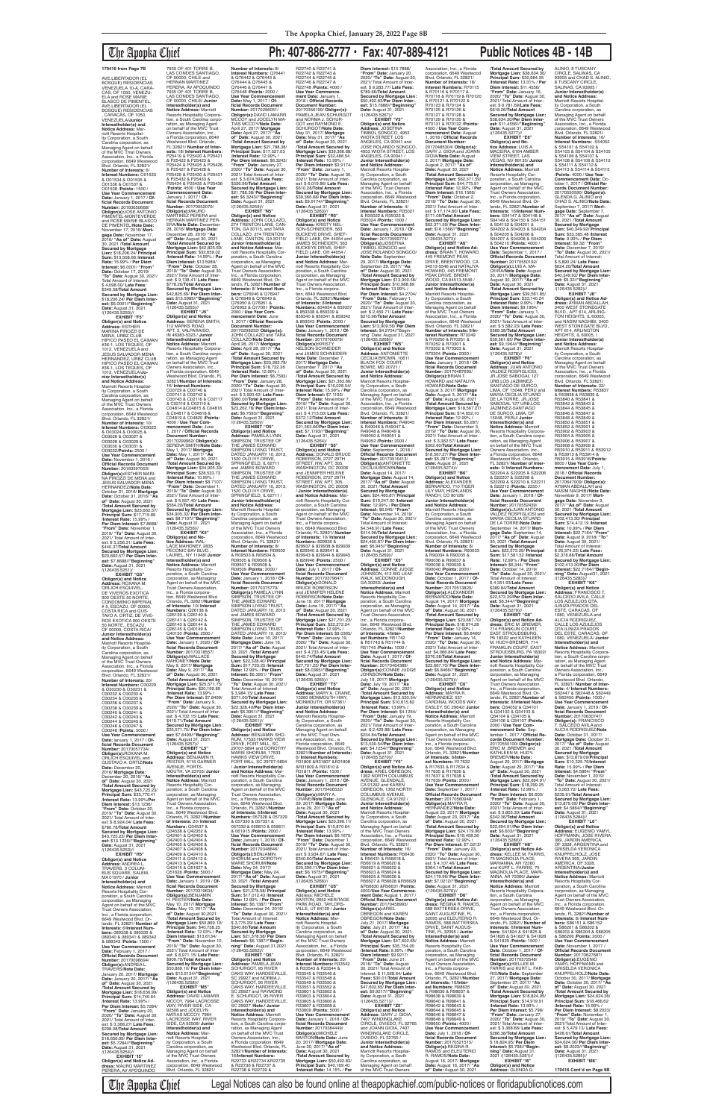AVE.LIBERTADOR (EL<br>BOSQUE) RESIDENCIAS VENEZUELA 10-A, CARA-CAS, OF 1050, VENEZU-<br>ELA and ROSE MARIE ELA and ROSE MARIE<br>BLASCO DE PIMENTEL,<br>AVE.LIBERTADOR (EL<br>BOSQUE) RESIDENCIAS , CARACAS, OF 1050, VENEZUELA/**Junior Interestholder(s) and Notice Address:** Marriott Resorts Hospitality Corporation, a South Carolina corporation, as Managing Agent on behalf of the MVC Tmst Owners Association, Inc., a Florida corporation, 6649 Westwood Blvd. Orlando, FL 32821/ **Number of Interests:** 6/ **Interest Numbers:** O01533 & O01534 & O01535 & O01536 & O01537 & O01538 /**Points:** 1500 / **Use Year Commencement Date:** January 1, 2017 / **Official Records Docume**<br>**Number:** 20160650668 **Number:** 20160650668/<br>**Obligor(s):**JOSE ANTONIO<br>PIMENTEL-MONTEVERDE<br>and ROSE MARIE BLASCO DE PIMENTEL/**Note Date:** November 17, 2016/ **Mort-gage Date:** November 17, 2016/ **"As of" Date:** August 30, 2021 /**Total Amount Secured by Mortgage Lien:** \$18,206.24/ **Principal Sum:** \$13,508.66 /**Interest Rate:** 15.99% / **Per Diem Interest:** \$6.0001/ **"From" Date:** October 17, 2019/ **"To" Date:** August 30, 2021/ Total Amount of Interest: \$ 4,098.00/ **Late Fees:** \$349.58/**Total Amount Secured by Mortgage Lien:** \$18,206.24/ **Per Diem Interest:** \$6.0001//**"Beginning" Date:** August 31, 2021 /(126435.5250)// **EXHIBIT "F5" Obligor(s) and Notice Address:** ESTHER MARINA PIROZZI DE MENA, URBZ CLUB HIPICO PASEO EL CAIMAN<br>#36-1, LOS TEQUES, OF 1012, VENEZUELA and JESUS SALVADOR MENA HERNANDEZ, URBZ CLUB HIPICO PASEO EL CAIMAN #36-1, LOS TEQUES, OF<br>1012. VENEZUELA/Ju-1012, VENEZUELA/**Ju-nior Interestholder(s) and Notice Address:** Marriott Resorts Hospitality Corporation, a South Carolina corporation, as Managing Agent on behalf of the MVC Trust Owners Association, Inc., a Florida corporation, 6649 Westwood Blvd. Orlando, FL 32821/ **Number of Interests:** 10/ **Interest Numbers:** O03023 & O03024 & O03025 &

O03026 & O03027 & O03028 & O03029 & O03030 & O03031 & O03032/**Points:** 2500 / **Use Year Commencement Date:** November 1, 2016 / **Official Records Documen Number: 201605970 Obligor(s):**ESTHER MARI-NA PIROZZI DE MENA and JESUS SALVADOR MENA HERNANDEZ/**Note Date:** October 31, 2016/ **Mortgage Date:** October 31, 2016/ **"As of" Date:** August 30, 2021 /**Total Amount Secured by Mortgage Lien:** \$23,662.57/ **Principal Sum:** \$17,715.89 /**Interest Rate:** 15.99% / **Per Diem Interest:** \$7.8688/ **"From" Date:** November 1, 2019/ **"To" Date:** August 30, 2021/ Total Amount of Inter-est: \$ 5,256.31/ **Late Fees:** \$440.37/**Total Amount Secured by Mortgage Lien:** \$23,662.57/ **Per Diem Interest:** \$7.8688//"**Beginning"**<br>**Date:** August 31, 2021<br>/(126435.5251)/

**EXHIBIT "N5" Obligor(s) and Notice<br><b>Address:** JOHN COLLAZO,<br>274 TRENTON LANE, CAN-<br>TON, GA 30115, and TARA COLLAZO, 274 TRENTON LANE, CANTON, GA 30115/ **Junior Interestholder(s) and Notice Address:** Marriott Resorts Hospitality Cor-poration, a South Carolina corporation, as Managing Agent on behalf of the MVC Trust Owners Association, Inc., a Florida corporation, 6649 Westwood Blvd. Or-lando, FL 32821/**Number of Interests:** 8/ **Interest Numbers:** Q76946 & Q76947 & Q76948 & Q76949 & Q76950 & Q76951 & Q76952 & Q77001 /**Points:** 2000 / **Use Year Commencement Date:** June 1, 2017 / **Official Records Document Number:** 20170298232/ **Obligor(s):** JOHN COLLAZO and TARA COLLAZO/**Note Date:** April 28, 2017/ **Mortgage Date:** April 28, 2017/ **"As of" Date:** August 30, 2021 /**Total Amount Secured by Mortgage Lien:** \$23,262.78/ **Principal Sum:** \$18,732.36 /**Interest Rate:** 12.99% / **Per Diem Interest:** \$6.7593/ **"From" Date:** January 28, 2020/ **"To" Date:** August 30, 2021/ Total Amount of Inter-est: \$ 3,920.42/ **Late Fees:** \$360.00/**Total Amount Secured by Mortgage Lien:**<br>\$23,262,78/ Per Diem Inter \$23,262.78/ **Per Diem Inter-est:** \$6.7593//**"Beginning" Date:** August 31, 2021 /(126435.5260)// **EXHIBIT "O5" Obligor(s) and Notice Address:** PAMELA LYNN SIMPSON, TRUSTEE OF THE JAMES EDWARD SIMPSON LIVING TRUST, DATED JANUARY 10, 2013, 1520 OLD IVY DRIVE, SPRINGFIELD, IL 62711 and JAMES EDWARD 2017/ **Mortgage Date:** December 7, 2017/ **"As of" Date:** August 30, 2021 /**Total Amount Secured by Mortgage Lien:** \$21,363.66/ **Principal Sum:** \$16,028.54/ **Interest Rate:** 15.99% / **Per Diem Interest:** \$7.1193/ **"From" Date:** November 7, 2019/ **"To" Date:** August 30, 2021/ Total Amount of Interest: \$ 4,713.00/ **Late Fees:** \$372.12/**Total Amount Secured by Mortgage Lien:** \$21,363.66/**Per Diem Interest:** \$7.1193//"**Beginning"**<br>**Date:** August 31, 2021<br>/(126435.5264)/ **EXHIBIT "S5" Obligor(s) and Notice Address:** DONALD BRUCE ROBERSON, 2727 29TH<br>STREET, NW. APT, 305

**EXHIBIT "G5" Obligor(s) and Notice Address:** ROXANA M. ORLICH ESQUIVEL,<br>DE VIVEROS EXOTICA 900 OESTE 50 NORTE, CONDOMINIO IMPERIAL # 5, ESCAZU, OF 00000, COSTA RICA and GUS-TAVO A. ORTIZ, DE VIVE-ROS EXOTICA 900 OESTE 50 NORTE,, ESCAZU, OF 00000, COSTA RICA/ **Junior Interestholder(s) and Notice Address:** Marriott Resorts Hospitality Corporation, a South Carolina corporation, as Managing Agent on behalf of the MVC Trust Owners Association, Inc., a Florida corporation, 6649 Westwood Blvd. Orlando, FL 32821/ **Number of Interests:** 20/ **Interest Numbers:** O30229 & O30230 & O30231 & O30232 & O30233 & O30234 & O30235 & O30236 & O30237 & O30238 & O30239 & O30240 & O30241 & O30242 & O30243 & O30244 & O30245 & O30246 & O30247 & O30248 /**Points:** 5000 / Use Year Commencement **Date:** lanuary 1, 2017 / **Of-ficial Records Document Number:** 20170057734/ **Obligor(s):**ROXANA M. ORLICH ESQUIVEL and GUSTAVO A. ORTIZ/**Note Date:** December 20, 2016/ **Mortgage Date:** December 20, 2016/ **"As of" Date:** August 30, 2021 /**Total Amount Secured by Mortgage Lien:** \$43,725.23/ **Principal Sum:** \$33,770.41 /**Interest Rate:** 13.99%/**Per Diem Interest:** \$13.1236/ **"From" Date:** October 20, 2019/ **"To" Date:** August 30, 2021/ Total Amount of Interest: \$ 8,924.04/ **Late Fees:** \$780.78/**Total Amount Secured by Mortgage Lien:** \$43,725.23/ **Per Diem Inter-est:** \$13.1236//**"Beginning" Date:** August 31, 2021 /(126435.5253)// **EXHIBIT "H5" Obligor(s) and Notice Address:** ANDREA L. TRAVERS, 3 COLUM-BUS SQUARE, SALEM, MA 01970 / **Junior Interestholder(s) and Notice Address:** Marriott Resorts Hospitality Cor-poration, a South Carolina corporation, as Managing Agent on behalf of the MVC Trust Owners Association, Inc., a Florida corporation, 6649 Westwood Blvd. Orlando, FL 32821/ **Number of Interests:** 6/**Interest Numbers:** 089338 & 089339 & 089340 & 089341 & 089342 & 089343 /**Points:** 1500 / **Use Year Commencement Date:** February 1, 2017 / **Official Records Document Number:** 20170096694/ **Obligor(s):**ANDREA L. TRAVERS/**Note Date:** January 20, 2017/ **Mortgage Date:** January 20, 2017/ **"As of" Date:** August 30, 2021 /**Total Amount Secured by Mortgage Lien:** \$18,656.99/ **Principal Sum:** \$14,740.64 /**Interest Rate:** 13.99% / **Per Diem Interest:** \$5.7284/ **"From" Date:** January 20, 2020/ **"To" Date:** August 30, 2021/ Total Amount of Interest: \$ 3,368.27/ **Late Fees:** \$298.08/**Total Amount Secured by Mortgage Lien:** \$18,656.99/ **Per Diem Interest:** \$5.7284//**"Beginning" Date:** August 31, 2021 /(126435.5254)// **EXHIBIT "I5" Obligor(s) and Notice Ad-dress:** MAURO MARTINEZ PERERA, AV APOQUINDO tion, 6649 Westwood Blvd. Orlando, FL 32821/**Number of Interests:** 10/ **Interest Numbers:** Q26138 & Q26139 & Q26140 & Q26141 & Q26142 & Q26143 & Q26144 & Q26145 & Q40149 & Q40150 /**Points:** 2500 / **Number:** 20170318557/ **Obligor(s):**WALLACE MAHONEY/**Note Date:** May 9, 2017/ **Mortgage Date:** May 9, 2017/ **"As "From" Date:** January 9, \$419.71/**Total Amount Obligor(s) and Notice Address:** BENJAMIN H. PESTER, 5116 GARNER AVENUE, PORTS-Resorts Hospitality Cor-Inc., a Florida corpora-**Numbers:** Q34537 & Q34538 & Q42352 & Q42401 & Q42402 & Q42403 & Q42404 & Q42405 & Q42406 & Q42407 & Q42408 & Q42409 & Q42410 & Q42411 & Q42412 & Q42413 & Q42414 & Q42415 & Q51627 & **Number:** 20170319634/ **Obligor(s):**BENJAMIN **Diem Interest:** \$13.6134/ **Date:** August 31, 2021 /(126435.5258)// WAY, RIVER SIDE, CA 92508 and JOCELYN<br>MATIAS MCCOY, 7964 **Interestholder(s) and Notice Address:** Marriott Resorts Hospitality Corporation, a South Carolina corporation, as

7935 OF 401 TORRE B, LAS CONDES SANTIAGO, OF 00000, CHILE and HERNAN MARTINEZ PERERA, AV APOQUINDO<br>7935 OF 401 TORRE B, LAS CONDES SANTIAGO, OF 00000, CHILE/ **Junior Interestholder(s) and Notice Address:** Marriott Resorts Hospitality Corpora-tion, a South Carolina corporation, as Managing Agent<br>on behalf of the MVC Trust<br>Owners Association, Inc.,<br>a Florida corporation, 6649 Westwood Blvd. Orlando, FL 32821/ **Number of Interests:** 18/ **Interest Numbers:** P25419 & P25420 & P25421<br>8 P25422 & P25423 & & P25422 & P25423 & P25424 & P25425 & P25426 & P25427 & P25428 & P25429 & P25430 & P25431 & P25432 & P25433 & P25434 & P25435 & P25436 /**Points:** 4500 / **Use Year Commencement Date:** January 1, 2017 / **Of-ficial Records Document Number:** 20170052070/ **Obligor(s):**MAURO<br>MARTINEZ PERERA and HERNAN MARTINEZ PER-ERA/**Note Date:** December 28, 2016/ **Mortgage Date:** December 28, 2016/ **"As of" Date:** August 30, 2021 /**Total Amount Secured by Mortgage Lien:** \$42,825.69/ **Principal Sum:** \$32,659.02 /**Interest Rate:** 14.99% / **Per**  Diem Interest: \$13.5989/<br>"**From" Date:** October 28,<br>2019/ "**To" Dat**e: August 30,<br>2021/ Total Amount of Inter-<br>est: \$ 9,138.41/ **Late Fees:**<br>\$778.26/**Total Amount Secured by Mortgage Lien:** \$42,825.69/ **Per Diem Inter-est:** \$13.5989//**"Beginning" Date:** August 31, 2021 /(126435.5 **EXHIBIT "J5" Obligor(s) and Notice Address:** SERENA SMITH, 112 MARKS ROAD, APT. 3, VALPARAISO, IN 46383-5323 / **Junior Interestholder(s) and Notice Address:** Marriott Resorts Hospitality Corpora-tion, a South Carolina corpo-ration, as Managing Agent on behalf of the MVC Trust Owners Association, Inc., a Florida corporation, 6649 Westwood Blvd. Orlando, FL 32821/**Number of Interests:** 16/ **Interest Numbers:** C00729 & C00740 & C00741 & C00742 & C00743 & C02116 & C02117 & C02118 & C02119 & C04814 &C04815 & C04816 & C04817 & C04818 & C04819 & C04820 /**Points:** 4000 / **Use Year Commencement Date:** June 1, 2017 / **Official Records Document Number:** 20170299962/ **Obligor(s):** SERENA SMITH/**Note Date:** May 1, 2017/ **Mortgage Date:** May 1, 2017/ **"As of" Date:** August 30, 2021 /**Total Amount Secured by Mortgage Lien:** \$34,905.33/ **Principal Sum:** \$28,533.73 /**Interest Rate:** 10.99% / **Per Diem Interest:** \$8.7107/ **"From" Date:** December 1, 2019/ **"To" Date:** August 30, 2021/ Total Amount of Inter-est: \$ 5,557.40/ **Late Fees:** \$564.20/**Total Amount Secured by Mortgage Lien:** \$34,905.33/ **Per Diem Inter-est:** \$8.7107//**"Beginning" Date:** August 31, 2021 /(126435.5256)// **EXHIBIT "K5" Obligor(s) and Notice Address:** WAL-LACE MAHONEY, 2835 PECONIC BAY BLVD. LAUREL, NY 11948/ **Junior Interestholder(s) and Notice Address:** Marriott Resorts Hospitality Cor-poration, a South Carolina corporation, as Managing Agent on behalf of the MVC Trust Owners Association, Inc., a Florida corpora-

### The Apopka Chief **Ph: 407-886-2777 • Fax: 407-889-4121 Public Notices 4B - 14B Number of Interests:** 8/ **Interest Numbers:** Q76441 & Q76442 & Q76443 & Q76444 & Q76445 & Q76446 & Q76447 & Q76448 /**Points:** 2000 / **Use Year Commencement Date:** May 1, 2017 / **Of-ficial Records Document Number:** 20170296051/ **Obligor(s):**DAVID LAMARR MCCOY and JOCELYN MA-TIAS MCCOY/**Note Date:** April 27, 2017/ **Mortgage Date:** April 27, 2017/ **"As of" Date:** August 30, 2021 /**Total Amount Secured by Mortgage Lien:** \$21,788.38/ Principal Sum: \$17,527.03<br>/Interest Rate: 12.99%/<br>Per Diem Interest: \$6.3243/<br>"From" Date: January 27,<br>2020/ "Total Amout of Inter-<br>2021/ Total Amout of Inter-<br>est: \$ 3,674.39/Late Fees: \$336.96/**Total Amount Secured by Mortgage Lien:** \$21,788.38/ **Per Diem Interest:** \$6.3243//"**Beginning"**<br>**Date:** August 31, 2021<br>/(126435.5259)// R22740 & R22741 & R22742 & R22743 & R22744 & R22745 & R22746 & R22747 R22748 /**Points:** 4000 / **Use Year Commencement Date:** January 1, 2018 / **Official Records**  GOT and RAYMOND E. SCHURGOT/**Note Date:** May 31, 2017/ **Mortgage Date:** May 31, 2017/ **"As of" Date:** August 30, 2021 /**Total Amount Secured by**  2021/ Total Amount of Interest: \$ 6,019.86/ **Late Fees:** \$610.28/**Total Amount Date:** August 31, 2021

**Document Number:<br>20170356199/ <b>Obligor(s):**<br>PAMELA JEAN SCHURGOT<br>and NORMA J. SCHUR-**Mortgage Lien:** \$39,366.68/ **Principal Sum:** \$32,486.54 /**Interest Rate:** 10.99% / **Per Diem Interest:** \$9.9174/ **"From" Date:** January 1, 2020/ **"To" Date:** August 30, **Secured by Mortgage Lien:** \$39,366.68/ **Per Diem Inter-est:** \$9.9174//**"Beginning"**  /(126435.5263)// **EXHIBIT "R5" Obligor(s) and Notice Address:** KRISTY NEL-SON-SCHNEIDER, 563 BUCKEYE DRIVE, SHEF-FIELD LAKE, OH 44054 and JAMES SCHNEIDER, 563 BUCKEYE DRIVE, SHEF FIELD LAKE, OH 44054 / **Junior Interestholder(s) and Notice Address:** Mar-<br>poration, a South Carolina<br>poration, as Managing<br>Agent on behalf of the MVC<br>Trust Owners Association, Inc., a Florida corpora-tion, 6649 Westwood Blvd. Orlando, FL 32821/**Number of Interests:** 8/**Interest Numbers:** 834934 & 859337 & 859338 & 859339 &<br>859340 & 859341 & 859342 859340 & 859341 & 859342 & 859343 /**Points:** 2000 / **Use Year Commencement Date:** January 1, 2018 / **Of-ficial Records Document Number:** 20170700079/ **Obligor(s):**KRISTY<br>NELSON-SCHNEIDER<br>and JAMES SCHNEIDER/<br>**Note Date:** December 7, \$50,492.83/Per Die /(126435.5267)// **EXHIBIT "V5" Obligor(s) and Notice Address:** JOSEFINA<br>TIMBOL SONGCO, 4953 WIOTA STREET, LOS **and Notice Address:** Marriott Resorts Hospitality Corporation, a South Carolina corporation, as Managing Agent on behalf of the MVC Trust Owners

**Use Year Commencement Date:** January 1, 2020 / **Official Records Document of" Date:** August 30, 2021 /**Total Amount Secured by Mortgage Lien:** \$25,571.75/ **Principal Sum:** \$20,199.89 /**Interest Rate:** 13.99% / **Per Diem Interest:** \$7.8499/ 2020/ **"To" Date:** August 30, 2021/ Total Amount of Interest: \$ 4,702.15/ **Late Fees: Secured by Mortgage Lien:** \$25,571.75/ **Per Diem Interest:** \$7.8499//"**Beginning"**<br>**Date:** August 31, 2021<br>/(126435.5257)// **EXHIBIT "L5"** MOUTH, VA 23703/ **Junior Interestholder(s) and Notice Address:** Marriott poration, a South Carolina corporation, as Managing Agent on behalf of the MVC Trust Owners Association, tion, 6649 Westwood Blvd. Orlando, FL 32821/**Number of Interests:** 20/ **Interest**  Q51628 /**Points:** 5000 / **Use Year Commencement Date:** January 1, 2019 / **Of-ficial Records Document**  H. PESTER/**Note Date:** May 10, 2017/ **Mortgage Date:** May 10, 2017/ **"As of" Date:** August 30,2021 /**Total Amount Secured by Mortgage Lien:** \$50,869.10/ **Principal Sum:** \$40,738.25 /**Interest Rate:** 12.03% / **Per "From" Date:** November 10, 2019/ **"To" Date:** August 30, 2021/ Total Amount of Interest: \$ 8,971.15/ **Late Fees:** \$909.70/**Total Amount Secured by Mortgage Lien:** \$50,869.10/ **Per Diem Interest:** \$13.6134//**"Beginning" EXHIBIT "M5" Obligor(s) and Notice Address:** DAVID LAMARR MCCOY, 7964 LACROSSE MATIAS MCCOY, 7964 LACROSSE WAY, RIVER SIDE, CA 92508/ **Junior**  Managing Agent on behalf of the MVC Trust Owners Association, Inc., a Florida corporation, 6649 Westwood Blvd. Orlando, FL 32821/ DATED JANUARY 10, 2013 **Note Date:** June 16, 2017/ **Mortgage Date: June 16,<br>2017/ "As of" Date: August** 2017/ **"As of" Date:** August 30, 2021 /**Total Amount Secured by Mortgage Lien:** \$22,328.40/ **Principal Sum:** \$17,723.25 /**Interest Rate:** 12.99% / **Per Diem Interest:** \$6.3951/ **"From" Date:** December 16, 2019/ **"To" Date:** August 30, 2021/ Total Amount of Interest: \$ 3,984.15/ **Late Fees:** \$371.00/**Total Amount Secured by Mortgage Lien:** \$22,328.40/**Per Diem Inter-est:** \$6.3951//**"Beginning" Date:** August 31, 2021 /(126435.5261)// **EXHIBIT "P5" Obligor(s) and Notice Address:** BENJAMIN SHO-RUM, 17533 HAWKS VIEW DRIVE, FORT MILL, SO 29707-5894 and DOROTHY MARIE SHORUM, 17533 HAWKS VIEW DRIVE,<br>FORT MILL, SC 29707-5894 FORT MILL, SC 29707-5894 / **Junior Interestholder(s) and Notice Address:** Marriott Resorts Hospitality Cor-poration, a South Carolina corporation, as Managing Agent on behalf of the MVC Trust Owners Association, Inc., a Florida corporation, 6649 Westwood Blvd. Orlando, FL 32821/**Number of Interests:** 8/**Interest Numbers:** 057328 & 057329 & 057330 & 057331 & 057332 & 059810 & 059811 & 061915 /**Points:** 2000 / **Use Year Commencem Date:** January 1, 2018 / **Official Records Docume**<br>**Number: 20170348646/ Number:** 20170348646/<br>**Obligor(s):**BENJAMIN<br>SHORUM and DOROTHY<br>MARIE SHORUM/**Note Date:** May 24, 2017/ **Mortgage Date:** May 24, 2017/ **"As of" Date:** August 30, 2021 /**Total Amount Secured by Mortgage Lien:** \$21,378.58/ **Principal Sum:** \$17,012.43 /**Interest Rate:** 12.99% / **Per Diem Interest:** \$6.1387/ **"From" Date:** December 24, 2019/ **"To" Date:** August 30, 2021/ Total Amount of Interest: \$ 3,775.29/ **Late Fees:** \$340.86/**Total Amount Secured by Mortgage Lien:** \$21,378.58/ **Per Diem Interest:** \$6.1387//**"Begin-ning" Date:** August 31,2021 /(126435.5262)// **EXHIBIT "Q5" Obligor(s) and Notice Address:** PAMELA JEAN SCHURGOT, 95 RIVER<br>OAKS WAY, HARDEEVILLE, SC 29927 and NORMA J. SCHURGOT, 95 RIVER<br>OAKS WAY, HARDEEVILLE. OAKS WAY, HARDEEVILLE, SC 29927 and RAYMOND E. SCHURGOT, 95 RIVER OAKS WAY, HARDEEVILLE, SC 29927 /**Note / Junior Interestholder(s) and Notice Address:** Marriott Resorts Hospitality Corporation, a South Carolina corporation, as Managing Agent<br>on behalf of the MVC Trust Owners Association, Inc., a Florida corporation, 6649 Westwood Blvd. Orlando, FL 32821/**Number of Interests:** 16/**Interest Numbers:** R22733 &R22734 &R22735 & R22736 & R22737 & R22738 & R22739 &

SIMPSON, TRUSTEE OF THE JAMES EDWARD SIMPSON LIVING TRUST DATED JANUARY 10, 2013, 1520 OLD IVY DRIVE, SPRINGFIELD, IL 62711 / **Junior Interestholder(s) and Notice Address:** Marriott Resorts Hospital-ity Corporation, a South Carolina corporation, as Managing Agent on behalf of the MVC Trust Owners Association, Inc., a Florida corporation, 6649 Westwood Blvd. Orlando, FL 32821/ **Number of Interests:** 8/ **Interest Numbers:** R09502 & R09503 & R09504 & R09505 & R09506 & R09507 & R09508 & R09509 /**Points:** 2000 / **Use Year Commencement Date:** January 1, 2018 / **Official Records Document Number:** 20170375779/ **Obligor(s):**PAMELA LYNN SIMPSON, TRUSTEE OF<br>THE JAMES EDWARD THE JAMES EDWARD<br>SIMPSON LIVING TRUST,<br>DATED JANUARY 10, 2013<br>and JAMES EDWARD SIMPSON, TRUSTEE OF THE JAMES EDWARD<br>SIMPSON LIVING TRUST, STREET, NW, APT. 305,<br>WASHINGTON, DC 20008<br>and JENNIFER HELENE<br>ROBERSON, 2727 29TH STREET, NW, APT. 305, WASHINGTON, DC 20008 / **Junior Interestholder(s) and Notice Address:** Ma riott Resorts Hospitality Corporation, a South Carolina corporation, as Managing Agent on behalf of the MVC Trust Owners Association, Inc., a Florida corporation, 6649 Westwood Blvd. Orlando, FL 32821/ **Number of Interests:** 10/ **Interest Numbers:** 829936 & 829937 & 829938 & 829939 & 829940 & 829941 & 829943 & 829944 & 829945 & 829946 /**Points:** 2500 / **Use Year Commencement Date:** July 1, 2017 / **Official Records Document<br><b>Number:** 20170379647/<br>**Obligor(s):**DONALD<br>BRUCE ROBERSON and JENNIFER HELENE ROBERSON/**Note Date:** June 19, 2017/ **Mortgage Date:** June 19, 2017/ **"As of" Date:** August 30, 2021 /**Total Amount Secured by Mortgage Lien:** \$27,701.23/ **Principal Sum:** \$22,272.04 /**Interest Rate:** 12.99% /

**Per Diem Interest:** \$8.0365/ **"From" Date:** January 19, 2020/ **"To" Date:** August 30, 2021/ Total Amount of Interest: \$ 4,733.45/ **Late Fees:** \$445.74/**Total Amount Secured by Mortgage Lien:** \$27,701.23/ **Per Diem Inter-est:** \$8.0365//**"Beginning" Date:** August 31, 2021 /(126435.5265)// **EXHIBIT "T5" Obligor(s) and Notice Address:** MARY A. CRANE, 13260 MONMOUTH HWY, MONMOUTH, OR 97361/ **Junior Interestholder(s) and Notice Address:** Marriott Resorts Hospitality Corporation, a South Carolina corporation, as Managing Agent on behalf of the MVC Trust Owners Association, Inc., a Florida corporation, 6649 Westwood Blvd. Orlando, FL 32821/**Number of Interests:** 6/ **Interest Numbers:** R31806 &R31807 &R31808 &R31809 & R31810 & R31811 /**Points:** 1500 / **Use Year Commencement Date:** January 1, 2018 / **Of**ficial Records Documen **Number:** 20170406532/ **Obligor(s):**MARY A. CRANE/**Note Date:** June 29, 2017/ **Mortgage Date:** June 29, 2017/ **"As of" Date:** August 30, 2021 /**Total Amount Secured by Mortgage Lien:** \$20,396.11/ **Principal Sum:** \$15,870.64 /**Interest Rate:** 13.99% / **Per Diem Interest:** \$6.1675/ **"From" Date:** December 1, 2019/ **"To" Date:** August 30, 2021/ Total Amount of Interest: \$ 3,934.87/ **Late Fees:** \$340.60/**Total Amount Secured by Mortgage Lien:** \$20,396.11/**Per Diem Interest:** \$6.1675//**"Beginning"<br><b>Date:** August 31, 2021<br>/(126435.5266)//<br>**EXHIBIT "U5" Obligor(s) and Notice**  Address: MICHELE BARTON, 2652 HERITAGE PARK ROAD, TAYLORS-VILLE, UT 84129 / **Junior Interestholder(s) and Notice Address:** Marriott Resorts Hospitality Corporation, a South Carolina corporation, as Managing Agent on behalf of the MVC Trust Owners Association, Inc., a Florida corporation, 6649 Westwood Blvd. Orlando, FL 32821/ **Number of Interests:** 20/ **Interest Numbers:** R33542 & R33543 & R33544 & R33545 & R33546 & R33547 & R33548 & R33549 & R33550 & R33551 & R33552 & R33601 & R33602 & R33603 & R33604 & R33605 & R33606 & R33607 & R33608 & R33609 /**Points:** 5000 / **Use Year Commencement Date:** January 1, 2018 / **Of**ficial Records Documen **Number:** 20170384449/ **Obligor(s):**MICHELE BARTON/**Note Date:** June 20, 2017/ **Mortgage Date:** June 20, 2017/ **"As of" Date:** August 30, 2021 /**Total Amount Secured by Mortgage Lien:** \$50,492.83/ **Principal Sum:** \$40,169.40 /**Interest Rate:** 14.15% / **Per** 

Association, Inc., a Florida corporation, 6649 Westwood Blvd. Orlando, FL 32821/ **Number of Interests:** 4/ **Interest Numbers:** R35021 & R35022 & R35023 & R35024 /**Points:** 1000 / **Use Year Commencement Date:** January 1, 2018 / **Official Records Document Number:** 20170599774/ **Obligor(s):**JOSEFINA TIMBOL SONGCO and JOSE ROLANDO SONGCO/ **Note Date:** September 29, 2017/ **Mortgage Date:** September 29, 2017/ **"As of" Date:** August 30, 2021 /**Total Amount Secured by Mortgage Lien:** \$13,909.56/ **Principal Sum:** \$10,988.89 /**Interest Rate:** 13.99% / **Per Diem Interest:** \$4.2704/ **"From" Date:** February 1, 2020/ **"To" Date:** August 30, 2021/ Total Amount of Inter-est: \$ 2,459.71/ **Late Fees:** \$210.96/**Total Amount Secured by Mortgage Lien:** \$13,909.56/ **Per Diem Interest:** \$4.2704//"Begin-<br>nmg" Date: August 31, 2021<br>/(126435.5268)// **EXHIBIT "W5" Obligor(s) and Notice Address:** ANTONIETTE CECILIA BROWN, 10611 BLACK FOX COURT,<br>BOWIE, MD 20721 / **Junior Interestholder(s) and Notice Address:**<br>Marriott Resorts Hospital-<br>ity Corporation, a South Carolina corporation, as Managing Agent on behalf of the MVC Trust Owners Association, Inc., a Florida corporation, 6649 Westwood Blvd. Orlando, FL 32821/ **Number of Interests:** 8/ **Interest Numbers:** R49045 & R49046 & R49047 & R49048 & R49049 & R49050 & R49051 & R49052 /**Points:** 2000 / **Use Year Commencement Date:** September 1, 2018 / **Official Records Document Number:** 20170516413/ **Obligor(s):**ANTONIETTE CECILIA BROWN/**Note Date:** August 14, 2017/ **Mortgage Date:** August 14, 2017/ **"As of" Date:** August 30, 2021 /**Total Amount Secured by Mortgage Lien:** \$24,460.87/ **Principal Sum:** \$19,247.00 /**Interest Rate:** 12.99% / **Per Diem Interest:** \$6,945/ **"From" Date:** November 14, 2019/ **"To" Date:** August 30, 2021/ Total Amount of Interest: \$4,548.91/ **Late Fees:** \$414.96/**TotaI Amount Secured by Mortgage Lien:** \$24,460.87/ **Per Diem Interest:** \$6.945//**"Beginning" Date:** August 31, 2021 /(126435.5269)// **EXHIBIT "X5" Obligor(s) and Notice Address:** CONNIE JUDGE<br>JOHNSON, 412 BIG LEAF<br>WALK, MCDONOUGH, GA 30253/ **Junior Interestholder(s) and Notice Address:** Marriott<br>Resorts Hospitality Cor-<br>poration, a South Carolina<br>corporation, as Managing<br>Agent on behalf of the MVC<br>Trust Owners Association, Inc., a Florida corporation, 6649 Westwood Blvd. Orlando, FL 32821/**Number of Interests:** 4/**Interest Numbers:** R51742 & R51743 & R51744 & R51745 /**Points:** 1000 / **Use Year Commencement Date:** August 1, 2017 / **Of-ficial Records Document Number:** 20170464389/ **Obligor(s):**CONNIE JUDGE JOHNSON/**Note Date:** July 19, 2017/ **Mortgage Date:** July 19, 2017/ **"As of" Date:** August 30, 2021 /**Total Amount Secured by Mortgage Lien:** \$13,530.54/ **Principal Sum: \$10,615.82**<br>**/Interest Rate: 13.99% /** /**Interest Rate:** 13.99% / **Per Diem Interest:** \$4.1254/ **"From" Date:** January 19, 2020/ **"To" Date:** August 30, 2021/ Total Amount of Interest: \$ 2,429.88/ **Late Fees:** \$234.84/**Total Amount Secured by Mortgage Lien:** \$13,530.54/**Per Diem Interest:** \$4.1254//**"Beginning" Date:** August 31, 2021 /(126435.5270)//<br>**EXHIBIT "Y5" EXHIBIT "Y5" Obligor(s) and Notice Ad-dress:** ARIEL OBREGON, 1362 NORTH COLUMBUS AVENUE, GLENDALE, CA 91202 and KAREN OBREGON, 1362 NORTH COLUMBUS AVENUE, GLENDALE, CA 91202 / **Junior Interestholder(s) and Notice Address:** Marriott Resorts Hospitality Corporation, a South Carolina corporation, as Managing Agent on behalf of the MVC Trast Owners Association, Inc., a Florida corporation, 6649 Westwood Blvd. Orlando, FL 32821/ **Number of Interests:** 16/ **Interest Numbers:** R56430 & R56431 & R56618 & R56619 & R56620 & R56621 & R56622 & R56623 & R56624 & R56625 & R56626 & R56627 & R56628 &R56629 &R56630 &R56631 /**Points:** 4000/**Use Year Commencement Date:** August 1, 2017 / **Official Records Document Number:** 20170458993/ **Obligor(s):**ARIEL OBREGON and KAREN OBREGON/**Note Date:** July 21, 2017/ **Mortgage Date:** July 21, 2017/ **"As of" Date:** August 30, 2021 /**Total Amount Secured by Mortgage Lien:** \$47,602.65/ **Principal Sum:** \$35,754.00 /**Interest Rate:** 9.99% / **Per Diem Interest:** \$9.9217/ **"From" Date:** June 21, 2018/ **"To" Date:** August 30, 2021/ Total Amount of Interest: \$ 11,568.64/ **Late Fees:** \$30.01/**Total Amount Secured by Mortgage Lien:** \$47,602.65/ **Per Diem Interest:** \$9.9217//**"Beginning" Date:** August 31, 2021<br>/(126435.5271)// **EXHIBIT "Z5" Obligor(s) and Notice<br><b>Address:** GARY J. GIOIA,<br>7407 WINDINGLAKE CIRCLE, OVIEDO, FL 32765 and JOANN GIOIA, 7407 WINDINGLAKE CIRCLE, OVIEDO, FL 32765 / **Junior Interestholder(s) and Notice Address:** Marriott Resorts Hospitality Corporation, a South Carolina corporation, as Managing Agent on behalf of the MVC Trust Owners

**Diem Interest:** \$15.7888/ **"From" Date:** January 20, 2020/ **"To" Date:** August 30, 2021/ Total Amount of Interest: \$ 9,283.77/ **Late Fees:** \$789.66/**Total Amount Secured by Mortgage Lien: est:** \$15.7888//**"Beginning" Date:** August 31, 2021 ANGELES, CA 90041 and<br>JOSE ROLANDO SONGCO, 4953 WIOTA STREET, LOS ANGELES, CA 90041 / **Junior Interestholder(s)**  Association, Inc., a Florida<br>corporation, 6649 Westwood<br>Blvd. Orlando, FL 32821/<br>**Number of Interests:** 18/ **Interest Numbers:** R70115 & R70116 & R70117 & R70118 & R70119 & R70120 & R70121 & R70122 & R70123 & R70124 & R70125 & R70126 & R70127 & R70128 & R70129 & R70130 & R70131 & R70132 /**Points:** 4500 / **Use Year Commencement Date:** August 1, 2018 / **Official Records Document Number:** 20170485304/ **Obligor(s):** GARY J. GIOIA and JOANN GIOIA/**Note Date:** August 2, 2017/ **Mortgage Date:** August 2, 2017/ **"As of" Date:** August 30, 2021 /**Total Amount Secured by Mortgage Lien:** \$62,371.59/ **Principal Sum:** \$44,775.91 /**Interest Rate:** 12.99% / **Per Diem Interest:** \$16.1566/ **"From" Date:** October 2, 2018/ **"To" Date:** August 30, 2021/ Total Amount of Interest: \$ 17,174.60/ **Late Fees:** \$171.08/**Total Amount Secured by Mortgage Lien:** \$62,371.59/ **Per Diem Inter-est:** \$16.1566//**"Beginning" Date:** August 31, 2021 /(126435.5273)/<br>**FXHIBIT "А6" EXHIBIT "A6" Obligor(s) and Notice Ad-dress:** BRIAN T. HOWARD, 445 FREMONT PEAK DRIVE, BRENTWOOD, CA 94513-5546 and NATALIYA HOWARD, 445 FREMONT PEAK DRIVE, BRENT-WOOD, CA 94513-5546 / **Junior Interestholder(s)** 

**and Notice Address:** Marriott Resorts Hospital-ity Corporation, a South Carolina corporation, as Managing Agent on behalf of the MVC Trust Owners Association, Inc., a Florida corporation, 6649 Westwood Blvd. Orlando, FL 32821/ **Number of Interests:** 8/**Interest Numbers:** R70249 & R70250 & R70251 & R70252 & R70301 & R70302 & R70303 &<br>R70304 /Points: 2000 / R70304 /**Points:** 2000 / **Use Year Commencement Date:** January 1, 2018 / **Of-ficial Records Document Number:** 20170487695/ **Obligor(s):**BRIAN T.<br>HOWARD and NATALIYA HOWARD/**Note Date:** August 3, 2017/ **Mortgage Date:** August 3, 2017/ **"As of" Date:** August 30, 2021 /**Total Amount Secured by Mortgage Lien:** \$18,567.27/ **Principal Sum:** \$14,652.10 /**Interest Rate:** 12.99% / **Per Diem Interest:** \$5.287/ **"From" Date:** December 3, 2019/ **"To" Date:** August 30, 2021/ Total Amount of Inter-est: \$ 3,362.57/ **Late Fees:** \$302.60/**Total Amount** 

**Secured by Mortgage Lien:** \$18,567.27/ **Per Diem Interest:** \$5.287//"**Beginning"**<br>**Date:** August 31, 2021<br>/(126435.5274)// **EXHIBIT "B6" Obligor(s) and Notice Address:** ALEXANDER<br>BERNARDO, 710 TIGER<br>LILY WAY, HIGHLANDS RANCH, CO 80126/ **Junior Interestholder(s) and Notice Address:** Marriott Resorts Hospitality Corporation, a South Carolina corporation, as Managing Agent on behalf of the MVC Trust Owners Association, Inc., a Florida corporation, 6649 Westwood Blvd. Orlando, FL 32821/ **Number of Interests:** 8/ **Interest Numbers:** R90033

& R90034 & R90035 & R90036 & R90037 & R90038 & R90039 & R90040 /**Points:** 2000 / **Use Year Commencement Date:** October 1, 2017 / **Official Records Document Number:** 20170513820/ **Obligor(s):**ALEXANDER BERNARDO/**Note Date:** August 14, 2017/ **Mortgage Date:** August 14, 2017/ **"As of" Date:** August 30, 2021 /**Total Amount Secured by Mortgage Lien:** \$23,667.70/ **Principal Sum:** \$18,974.28 /**Interest Rate:** 12.99% / **Per Diem Interest:** \$6.8466/ **"From" Date:** January 14, 2020/ **"To" Date:** August 30, 2021/ Total Amount of Interest: \$4,066.84/ **Late Fees:** \$376.58/**TotaI Amount Secured by Mortgage Lien:** \$23,667.70/ **Per Diem Interest:** \$6.8466//**"Beginning" Date:** August 31, 2021 /(126435.5275)// **EXHIBIT "C6" Obligor(s) and Notice Address:** MAYRA R. HERNANDEZ, 537 CARDINAL WOODS WAY, **EASLEY, SC 29642/ Junio Interestholder(s) and Notice Address:** Marriott Resorts Hospitality Cor-poration, a South Carolina corporation, as Managing Agent on behalf of the MVC Trust Owners Association, Inc., a Florida corporation, 6649 Westwood Blvd. Orlando, FL 32821/**Number of Interests:** 8/**Interest Numbers:** R17632 & R17633 & R17634 & R17635 & R17636 & R17637 & R17638 & R17639 /**Points:** 2000 / **Use Year Commencement Date:** September 1, 2017 / **Official Records Document Number:** 20170560948/ **Obligor(s):**MAYRA R. HERNANDEZ/**Note Date:** August 23, 2017/ **Mortgage Date:** August 23, 2017/ **"As of" Date:** August 30, 2021 /**Total Amount Secured by Mortgage Lien:** \$24,179.96/ **Principal Sum:** \$19,458.36 /**Interest Rate:** 12.99% / **Per Diem Interest:** \$7.0212/ **"From" Date:** January 23, 2020/ **"To" Date:** August 30, 2021/ Total Amount of Inter-est: \$ 4,107.46/ **Late Fees:** \$364.14/**Total Amount Secured by Mortgage Lien:** \$24,179.96/ **Per Diem Inter-est:** \$7.0212//**"Beginning" Date:** August 31, 2021<br>/(126435.5276)// **EXHIBIT "D6" Obligor(s) and Notice Ad-dress:** REGINA R. RAMOS, 588 BATTERSEA DRIVE, SAINT AUGUSTINE, FL 32095 and ELEUTERIO R. RAMOS, 588 BATTERSEA DRIVE, SAINT AUGUS-<br>TINE, FL 32095 / Junior TINE, FL 32095 / **Junior Interestholder(s) and Notice Address:** Marriott Resorts Hospitality Corporation, a South Carolina corporation, as Managing<br>Agent on behalf of the MVC Agent on behalf of the MVC Trust Owners Association, Inc., a Florida corpora-tion, 6649 Westwood Blvd. Orlando, FL 32821/**Numbe of Interests:** 16/**Inter-est Numbers:** R98635 & R98636 & R98637 & R98638 & R98639 & R98640 & R98641 & R98642 & R98643 & R98644 & R98645 & R98646 & R98647 & R98648 & R98649 & R98650 /**Points:** 4000 / **Use Year Commence Date:** July 1, 2018 / **Official Records Document Number:** 20170521515/ **Obligor(s):**REGINA R. RAMOS and ELEUTERIO R. RAMOS/**Note Date:** August 16, 2017/ **Mortgage Date:** August 16, 2017/ **"As of" Date:** August 30, 2021

/**Total Amount Secured by Mortgage Lien:** \$38,634.30/ **Principal Sum:** \$30,984.35 /**Interest Rate:** 13.31% / **Per Diem Interest:** \$11.4556/ **"From" Date:** January 16, 2020/ **"To" Date:** August 30, 2021/ Total Amount of Interest: \$ 6,781.69/**Late Fees:** \$618.26/**Total Amount Secured by Mortgage Lien:** \$38,634.30/**Per Diem Interest:** \$11.4556//**"Beginning" Date:** August 31, 2021<br>/(126435.5277)// **EXHIBIT "E6" Obligor(s) and No-tice Address:** LUIS A. MACEIRA, 6164 AMBER VIEW STREET, LAS<br>VEGAS, NV 89135/ Junior VEGAS, NV 89135/ **Junior Interestholder(s) and Notice Address:** Marriott Resorts Hospitality Cor-poration, a South Carolina corporation, as Managing Agent on behalf of the MVC Trust Owners Association, Inc., a Florida corporation, 6649 Westwood Blvd. Orlando, FL 32821/**Number of Interests:** 16/**Interest Num-bers:** S04147 & S04148 & S04149 & S04150 & S04151 & S04152 & S04201 & S04202 & S04203 & S04204 & S04205 & S04206 & S04207 & S04208 & S04209 & S04210 /**Points:** 4000 / **Use Year Commencement Date:** September 1, 2017 / **Official Records Document Number:** 20170550192/ **Obligor(s):**LUIS A. MA-CEIRA/**Note Date:** August 30, 2017/ **Mortgage Date:** August 30, 2017/ **"As of" Date:** August 30, 2021 /**Total Amount Secured by Mortgage Lien:** \$39,561.85/ **Principal Sum:** \$33,140.24 /**Interest Rate:** 9.99% / **Per Diem Interest:** \$9.1964/ **"From" Date:** January 1, 2020/ **"To" Date:** August 30, 2021/ Total Amount of Inter-est: \$ 5,582.23/ **Late Fees:** \$589.38/**TotaI Amount Secured by Mortgage Lien:** \$39,561.85/ **Per Diem Interest:** \$9.1964//**"Beginning" Date:** August 31, 2021<br>/(126435.5278)// **EXHIBIT "F6" Obligor(s) and Notice Address:** JUAN ANTONIO VALDEZ ROSPIGLIOSI, JR.JOSE SABOGAL 127 URB.LOS JAZMINEZ-SANTIAGO DE SURCO LIMA, OF 15048, PERU and MARIA CECILIA STUARD DE LA TORRE, JR.JOSE SABOGAL 127 URB.LOS JAZMINEZ-SANTIAGO DE SURCO, LIMA, OF 15048, PERU/ **Junior Interestholder(s) and Notice Address:** Marriott Owners Association, Inc. a Florida corporation, 6649

Resorts Hospitality Corpora-tion, a South Carolina corpo-ration, as Managing Agent on behalf of the MVC Trust Westwood Blvd. Orlando, FL 32821/ **Number of Interests:** 9/ **Interest Numbers:** S22204 & S22205 & S22206 & S22207 & S22208 & S22209 & S22210 & S22211 & S22212 /**Points:** 2250 / **Use Year Commencement Date:** January 1, 2018 / **Official Records Document Number:** 20170552439/ **Obligor(s):**JUAN ANTONIO VALDEZ ROSPIGLIOSI and MARIA CECILIA STUARD DE LA TORRE/**Note Date:** September 14, 2017/ **Mort-gage Date:** September 14, 2017/ **"As of" Date:** August 30, 2021 /**Total Amount Secured by Mortgage Lien:** \$22,573.29/ **Principal Sum:** \$17,581.52 /**Interest Rate:** 12.99% / **Per Diem Interest:** \$6,344/ **"From"**<br>**Date:** October 14, 2019/<br>"**To" Date:** August 30, 2021/<br>Total Amount of Interest:<br>\$ 4,351.93/**Late Fees:**<br>\$389.84/**Total Amount Secured by Mortgage Lien:** \$22,573.29/**Per Diem Inter-est:** \$6.344//**"Beginning" Date:** August 31, 2021

/(126435.5279)// **EXHIBIT "G6" Obligor(s) and Notice Address:** ERIC M .BREMER, 714 FRANKLIN COURT, EAST STROUDSBURG, PA 18302 and KATHLEEN M. HUDY-BREMER, 714 FRANKLIN COURT, FAST STROUDSBURG, PA 18302/<br>Junior Interestholder(s) **Junior Interestholder(s) and Notice Address:** Marriott Resorts Hospitality Corporation, a South Carolina corporation, as Managing Agent on behalf of the MVC Trust Owners Association, Inc., a Florida corporation, 6649 Westwood Blvd. Or-lando, FL 32821/**Number of Interests:** 8/**Interest Num-bers:** Q34052 & Q34101 & Q34102 & Q34103 & Q34104 & Q34105 & Q34106 & Q34107 /**Points:** 2000 / **Use Year Commencement Date:** September 1, 2017 / **Official Re-**<br>cords Document Number **cords Document Number:** 20170550100/ **Obligor(s):** ERIC M .BREMER and KATHLEEN M. HUDY-BREMER/**Note Date:** August 29, 2017/ **Mortgage Date:** August 29, 2017/ **"As of" Date:** August 30, 2021 /**Total Amount Secured by Mortgage Lien:** \$22,694.91/ **Principal Sum:** \$18,299.25 /**Interest Rate:** 12.99% / **Per Diem Interest:** \$6,603/ **"From" Date:** February 1, 2020/ **"To" Date:** August 30, 2021/ Total Amount of Inter-est: \$ 3,803.30/ **Late Fees:** \$342.36/**Total Amount Secured by Mortgage Lien:** \$22,694.91/**Per Diem Interest:** \$6.603//**"Beginning" Date:** August 31, 2021<br>/(126435.5280)// **EXHIBIT "H6" Obligor(s) and Notice Ad-dress:** KELLEE M. FARRIS, 75 MAGNOLIA PLACE, MARIANNA, AR 72360 and KURT L. FARRIS, 75 MAGNOLIA PLACE, MARI-ANNA, AR 72360/ **Junior Interestholder(s) and Notice Address:** Marriott Resorts Hospitality Cotporation, a South Carolina corporation, as Managing Agent on behalf of the MVC Trust Owners Association, Inc., a Florida corporation, 6649 Westwood Blvd. Orlando, FL 32821/ **Number of Interests:** 6/**Interest Num-bers:** S41824 & S41825 & S41826 & S41827 & S41828 & S41829 /**Points:** 1500 / **Use Year Commencement Date:** October 1, 2017 / **Official Records Docum**<br> **Number:** 2017057254 **Number:** 20170572548/<br>**Obligor(s):**KELLEE M.<br>FARRIS and KURT L. FAR-RIS/**Note Date:** September 27, 2017/ **Mortgage Date:** September 27, 2017/ **"As of" Date:** August 30, 2021 /**Total Amount Secured by Mortgage Lien:** \$18,824.95/ **Principal Sum:** \$14,919.91 /**Interest Rate:** 13.99% / **Per Diem Interest:** \$5,798/ **"From" Date:** January 27, 2020/ **"To" Date:** August 30, 2021/ Total Amount of Inter-est: \$ 3,368.66/ **Late Fees:** \$286.38/**Total Amount Secured by Mortgage Lien:** \$ 18,824.95/ **Per Diem Interest:** \$5.798//**"Beginning" Date:** August 31, 2021 /(126435.5281)// **EXHIBIT "I6" Obligor(s) and Notice Address:** GLENDA G.

ALINIO, 8 TUSCANY

CIRCLE, SALINAS, CA 93905 and CHAD S. ALINIO, 8 TUSCANY CIRCLE, SALINAS, CA 93905 / **Junior Interestholder(s) and Notice Address:** Marriott Resorts Hospital-ity Corporation, a South Carolina corporation, as Managing Agent on behalf of the MVC Trust Owners Association, Inc., a Florida corporation, 6649 Westwood Blvd. Orlando, FL 32821/ **Number of Interests:** 16/ **Interest Numbers:** .S54052 & S54101 & S54102 & S54103 & S54104 & S54105 & S54106 & S54107 & S54108 & S54109 & S54110 & S54111 & S54112 & S54113 & S54114 & S54115 /**Points:** 4000 / **Use Year Commencement Date:** October 1, 2017 / **Official Re-cords Document Number:** 20170550590/ **Obligor(s):** GLENDA G. ALINIO and CHAD S. ALINIO/**Note Date:** September 7, 2017/ **Mortgage Date:** September 7, 2017/ **"As of" Date:** August 30, 2021 /**Total Amount Secured by Mortgage Lien:** \$40,349.92/ **Principal Sum:** \$33,585.48 /**Interest Rate:** 9.99% / **Per Diem Interest:** \$9.32/ **"From" Date:** December 7, 2019/ **"To" Date:** August 30, 2021/ Total Amount of Interest: \$ 5,890.24/ **Late Fees:** \$624.20/**Total Amount Secured by Mortgage Lien:** \$40,349.92/ **Per Diem Interest:** \$9.32//"**Beginning"**<br>**Date:** August 31, 2021<br>/(126435.5282)// **EXHIBIT "J6" Obligor(s) and Notice Ad-dress:** AYMAN ABDALLAH,

3400 WEST STONEGATE BLVD., APT 614, ARLING-TON HEIGHTS, IL 60005,<br>and NASIM NAGHIBI, 3400<br>WEST STONEGATE BLVD.,<br>APT 614, ARLINGTON HEIGHTS, IL 60005, / **Junior Interestholder(s) and Notice Address:** Marriott Resorts Hospital-ity Corporation, a South Carolina corporation, as Managing Agent on behalf of the MVC Trust Owners Association, Inc., a Florida corporation, 6649 Westwood Blvd. Orlando, FL 32821/ **Number of Interests:** 32/ **Interest Numbers:** R53837 & R53838 & R53839 & R53840 & R53841 & R53842 & R53843 & R53844 & R53845 & R53846 & R53847 & R53848 & R53849 & R53850 & R53851 & R53852 & R53901 & R53902 & R53903 & R53904 & R53905 & R53906 & R53907 & R53908 & R53909 & R53910 & R53911 & R53912 & R53913 & R53914 & R53915 & R53916/**Points:** 8000 / **Use Year Commencement Date:** July 1, 2018 / **Official Records Document Number:** 20170647009/ **Obligor(s):** AYMAN ABDALLAH and NASIM NAGHIBI/**Note Date:** November 9, 2017/ **Mortgage Date:** November 9, 2017/ **"As of" Date:** August 30, 2021 /**Total Amount Secured by Mortgage Lien:** \$102,413.30/ **Principal Sum:** \$74,412.19 /**Interest Rate:** 10.99% / **Per Diem Interest:** \$22.7164/ **"From" Date:** August 9, 2018/ **"To" Date:** August 30, 2021/ Total Amount of Interest: \$ 25,374.23/ **Late Fees:** \$2,376.88/**Total Amount Secured by Mortgage Lien:** \$102,413.30/**Per Diem Interest:** \$22.7164//**"Begin-ning" Date:** August31, 2021 /(126435.5283)// **EXHIBIT "K6" Obligor(s) and Notice Address:** FRANCISCO T.

SALCEDO AVILA, CALLE<br>LOS AZULEJOS QTA.<br>ILINIZA PRADOS DEL<br>ESTE, CARACAS, OF<br>1080, VENEZUELA and ALICIA RODRIGUEZ, CALLE LOS AZULEJOS QTA.ILINIZA PRADOS<br>DEL ESTE, CARACAS, OF<br>1080, VENEZUELA/ **Junior Interestholder(s) and Notice Address:** Marriott Resorts Hospitality Corpora-tion, a South Carolina corpo-ration, as Managing Agent on behalf of the MVC Trust **Owners Association, Inc.** a Florida corporation, 6649 Westwood Blvd. Orlando, FL 32821/ **Number of Interests:** 4/ **Interest Numbers:** S62447 & S62448 & S62449 & S62450 /**Points:** 1000 / **Use Year Commencement Date:** January 1, 2019 / **Official Records Document<br><b>Number:** 20170630747/<br>**Obligor(s):** FRANCISCO<br>T. SALCEDO AVILA and ALICIA RODRIGUEZ/**Note Date:** October 31, 2017/ **Mortgage Date:** October 31, 2017/ **"As of" Date:** August 30, 2021 /**Total Amount Secured by Mortgage Lien:** \$13,879.09/**Principal Sum:** \$10,325.76/**Interest Rate:** 15.99% / **Per Diem Interest:** \$4.5864/ **"From" Date:** November 1, 2019/ **"To" Date:** August 30, 2021/ Total Amount of Interest: \$ 3,063.72/ **Late Fees:** \$239.61/**Total Amount Secured by Mortgage Lien:** \$13,879.09/ **Per Diem Inter-est:** \$4.5864//**"Beginning" Date:** August 31, 2021 /(126435.5284)// **EXHIBIT "L6" Obligor(s) and Notice Address:** EUGENIO YAMYL HOFFMANN, JOSE RIVERA 399, JARDIN AMERICA, OF 3328, ARGENTINA and<br>GRISELDA VERONICA BISELDA VERONICA KNUPPELHOLZ, JOSE RIVERA 399, JARDIN AMERICA, OF 3328, ARGENTINA/**Junior Interestholder(s) and Notice Address:** Marriott Resorts Hospitality Corporation, a South Carolina corporation, as Managing Agent on behalf of the MVC Trust Owners Association, Inc., a Florida corporation, 6649 Westwood Blvd. Orlando, FL 32821/**Number o Interests:** 8/ **Interest Numbers:** S86151 & S86152 & S86201 & S86202 & S86203 & S86204 & S86205 & S86206 /**Points:** 2000 / Use Year Commencement **Date:** November 1, 2017 / **Official Records Document Number:** 20170627687/<br>**Obligor(s):**EUGENIO<br>YAMYL HOFFMANN and<br>GRISELDA VERONICA KNUPPELHOLZ/**Note Date:** October 30, 2017/ **Mortgage Date:** October 30, 2017/ **"As of" Date:** August 30, 2021 /**Total Amount Secured by Mortgage Lien:** \$24,624.36/ **Principal Sum:** \$18,466.62 /**Interest Rate:** 15.99% / **Per Diem Interest:** \$8.2023/ **"From" Date:** November 1, 2019/ **"To" Date:** August 30, 2021/Total Amount of Inter-est: \$ 5,479.13/ **Late Fees:** \$428.61/**Total Amount Secured by Mortgage Lien:** \$24,624.36/ **Per Diem Interest:** \$8.2023//**"Beginning" Date:** August 31, 2021<br>/(126435.5285)// EXHIBIT<sup>"</sup>M<sub>6</sub>"

#### **170416 from Page 7B**

**170416 Cont'd on Page 9B**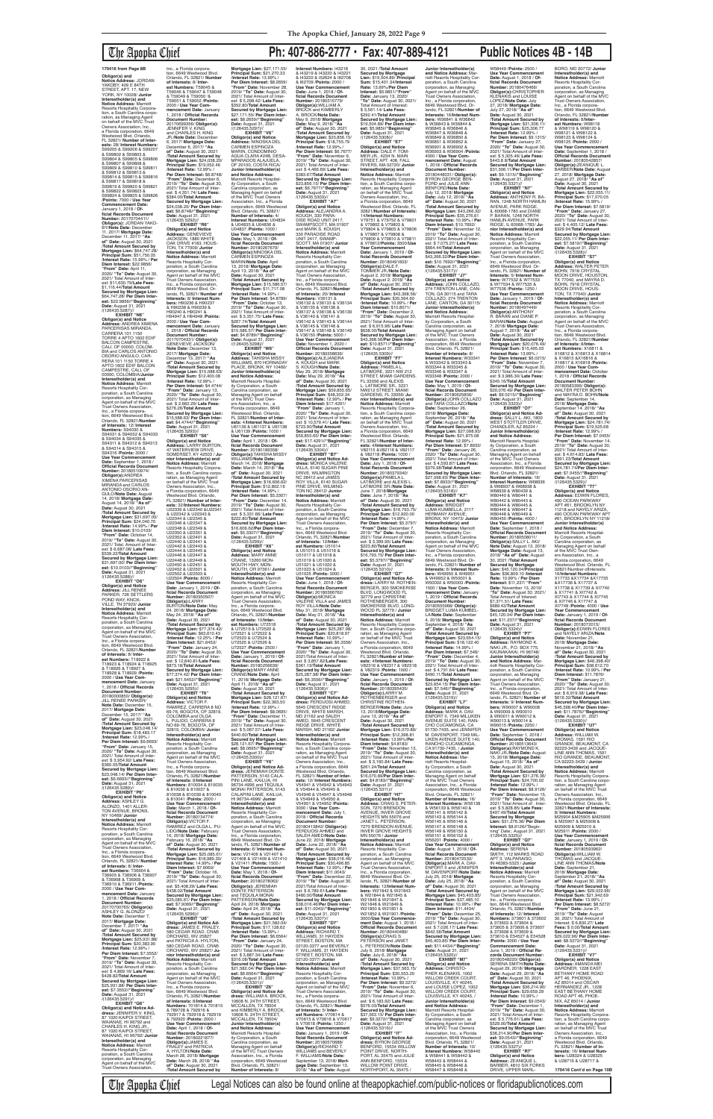Orlando, FL 32821/**Numbe of Interests:** 12/ **Interest**<br>**Numbers:** S94030 &<br>S94031 & S94032 & S94033 & S94034 & S94035 & S94311 & S94312 & S94313 & S94314 & S94315 & S94316 /**Points:** 3000 / **Use Year Commencement Date:** September 1, 2018 / **Official Records Document Number:** 20180510974/ **Obligor(s):**ANDREA XIMENA PARCERISAS MIRANDA and CARLOS ANTONIO OSORIO AN-GULO/**Note Date:** August 14, 2018/ **Mortgage Date:** August 14, 2018/ **"As of"**  Date: August 30, 2021<br>Total Amount Secured by /**Total Amount Secured by Mortgage Lien:** \$31,697.00/ **Principal Sum:** \$24,040.70 /**Interest Rate:** 14.99% / **Per**  Diem Interest: \$10.0103/<br>"**From" Date:** October 14,<br>2019/ "**To" Dat**e: August 30,<br>2021/ Total. Amount of Inter-<br>est: \$ 6,687.08/ **Late Fees:**<br>\$539.22/**Total Amount Secured by Mortgage Lien:** \$31,697.00/ **Per Diem Inter-est:** \$10.0103//**"Beginning" Date:** August 31, 2021

**Obligor(s) and Notice Address:** JORDAN<br>YAKOBY, 409 E 84TH STREET, APT. 17, NEW YORK, NY 10028/ **Junior Interestholder(s) and Notice Address:** Marriott Resorts Hospitality Corpora-tion, a South Carolina corporation, as Managing Agent<br>on behalf of the MVC Trust<br>Owners Association, Inc.,<br>a Florida corporation, 6649 Westwood Blvd. Orlando, FL 32821/ **Number of Interests:** 28/ **Interest Numbers:** S99205 & S99206 & S99207 & S99802 & S99803 & S99804 & S99805 & S99806 & S99807 & S99808 & S99809 & S99810 & S99811 & S99812 & S99813 & S99814 & S99815 & S99816 & S99817 & S99818 & S99819 & S99820 & S99821 & S99822 & S99823 & S99824 & S99825 & S99826 /**Points:** 7000 / **Use Year Commencement Date:** January 1, 2018 / **Of-ficial Records Document Number:** 20170704411/<br>**Obligor(s):** JORDAN YAKO-BY/**Note Date:** December 11, 2017/ **Mortgage Date:** December 11, 2017/ **"As of" Date:** August 30, 2021 /**Total Amount Secured by Mortgage Lien:** \$64,747.28/ **Principal Sum:** \$51,750.05 /**Interest Rate:** 15.99% / **Per Diem Interest:** \$22.9856/<br>"**From" Date:** April 11,<br>2020/ "**To" Date:** August 30,<br>2021/ Total Amount of Interest: \$11,630.79/**Late Fees:** \$1,116.44/**Total Amount Secured by Mortgage Lien:** \$64,747.28/ **Per Diem Interest:** \$22.9856//"**Beginning"**<br>**Date:** August 31, 2021<br>/(126435.5287)// **EXHIBIT "N6" Obligor(s) and Notice Address:** ANDREA XIMENA PARCERISAS MIRANDA, CARRERA 101 1150 TORRE 4 APTO 1602 EDIF BALCON CAMPESTRE,<br>CALI, OF 00000, COLOM-<br>BIA and CARLOS ANTONIO<br>OSORIO ANGULO, CAR-<br>RERA 101 1150 TORRE 4 APTO 1602 EDIF BALCON CAMPESTRE, CALI, OF 00000, COLOMBIA/**Junior Interestholder(s) and Notice Address:** Marriott Resorts Hospitality Cor-<br>poration, a South Carolina poration, a South Carolina corporation, as Managing Agent on behalf of the MVC Trust Owners Association, Inc., a Florida corpora-tion, 6649 Westwood Blvd. H94947 & H94948 /**Points:** GENEVIEVE JACKSON/

/(126435.5288)// **EXHIBIT "O6" Obligor(s) and Notice Address:** JILL RENEE PARKER, 726 SETTLERS POND WAY, KNOX-VILLE, TN 37923/ **Junior Interestholder(s) and Notice Address:** Marriott Resorts Hospitality Cor-poration, a South Carolina corporation, as Managing Agent on behalf of the MVC Trust Owners Association, Inc., a Florida corporation, 6649 Westwood Blvd. Orlando, FL 32821/**Number of Interests:** 8/ **Interest Numbers:** T18922 & T18923 & T18924 & T18925 & T18926 & T18927 & T18928 & T18929 /**Points:** 2000 / **Use Year Commencement Date:** January 1, 2018 / **Official Records Document Number:** 20180000850/ **Obligor(s):** JILL RENEE PARKER/<br>Note Date: December 15. **Note Date:** Decemb 2017/ **Mortgage Date:** December 15, 2017/ **"As of" Date:** August 30, 2021 /**Total Amount Secured by Mortgage Lien:** \$23,048.14/ **Principal Sum:** \$18,483.17 /**Interest Rate:** 12.99% / Per Diem Interest: \$6.6693 **"From" Date:** January 15, 2020/ **"To" Date:** August 30, 2021/ Total Amount of Inter-est: \$ 3,954.92/ **Late Fees:** \$360.05/**Total Amount Secured by Mortgage Lien:** \$23,048.14/ **Per Diem Interest:** \$6.6693//**"Beginning" Date:** August 31, 2021<br>/(126435.5289)// **EXHIBIT "P6" Obligor(s) and Notice Address:** ASHLEY G. ALONZO, 1401 ALLER-TON AVENUE, BRONX, NY 10469/ **Junior Interestholder(s) and Notice Address:** Marriott Resorts Hospitality Corporation, a South Carolina corporation, as Managing<br>Agent on behalf of the MVC Agent on behalf of the MVC Trust Owners Association, Inc., a Florida corpora-tion, 6649 Westwood Blvd. Orlando, FL 32821/ **Number of Interests:** 8/ **Inter-est Numbers:** T36904 & T36905 & T36906 & T36907 & T36908 & T36909 & T36910 & T36911 /**Points:** 2000 / **Use Year Commencement Date:** January 1, 2018 / **Official Records Document Number:** 20170700765/ **Obligor(s):** ASHLEY G. ALONZO/ **Note Date:** December 7, 2017/ **Mortgage Date:** December 7, 2017/ **"As of" Date:** August 30, 2021 /**Total Amount Secured by Mortgage Lien:** \$25,931.88/ **Principal Sum:** \$20,383.90 /**Interest Rate:** 12.99% / **Per Diem Interest:** \$7.3552/ **"From" Date:** November 7, 2019/ **"To" Date:** August 30, 2021/ Total Amount of Interest: \$ 4,869.16/ **Late Fees:** \$428.82/**Total Amount Secured by Mortgage Lien:** \$25,931.88/ **Per Diem Interest:** \$7.3552//**"Beginning" Date:** August 31, 2021 /(126435.5291)// **EXHIBIT "Q6" Obligor(s) and Notice Ad-dress:** JENNIFER V. KING, 87 1020 KAIPOI STREET, WAIANAE, HI 96792 and CHARLES H. KING JR., 87 1020 KAIPOI STREET, WAIANAE, HI 96792/ **Junior Interestholder(s) and Notice Address:** Marriott Resorts Hospitality Corporation, a South Carolina corporation, as Managing<br>Agent on behalf of the MVC Agent on behalf of the MVC Trust Owners Association,

Inc., a Florida corporation, 6649 Westwood Blvd. Orlando, FL 32821/ **Number of Interests:** 8/ **Interest Numbers:** T59045 & T59046 & T59047 & T59048 & T59049 & T59050 '& T59051 & T59052 /**Points:** 2000 / **Use Year Commencement Date:** January 1, 2018 / **Official Records Document Number:** 20170699356/ **Obligor(s):** JENNIFER V. KING<br>and CHARLES H. KING R./**Note Date:** Decem 6, 2017/ **Mortgage Date:** December 6, 2017/ **"As of" Date:** August 30, 2021 /**Total Amount Secured by Mortgage Lien:** \$24,038.20/ **Principal Sum:** \$19,052.46 /**Interest Rate:** 12.99% / **Per Diem Interest:** \$6.8748/ **"From" Date:** December 6, 2019/ **"To" Date:** August 30, 2021/ Total Amount of Interest: \$ 4,351.74/ **Late Fees:** \$384.00/**Total Amount Secured by Mortgage Lien:** \$24,038.20/ **Per Diem Interest:** \$6.8748//"**Beginning"<br>Date:** August 31, 2021<br>/(126435.5292)//<br>**EXHIBIT "R6" Obligor(s) and Notice Address:** GENEVIEVE JACKSON, 1880 WHITE OAK DRIVE #183, HOUS-TON, TX 77009/ **Junior Interestholder(s) and Notice Address:** Marriott Resorts Hospitality Corporation, a South Carolina corporation, as Managing Agent on behalf of the MVC Trust Owners Association, Inc., a Florida corporation, 6649 Westwood Blvd. Orlando, FL 32821/ **Number of Interests:** 8/ **Interest Numbers:** H90236 & H90237 & H90238 & H90239 &

H90240 & H90241 &

2000 / **Use Year Commencement Date:** January 1, 2018 / **Official Records Document Number:** 20170704331/ **Obligor(s):**

/(126435.5293)//

U22346 & U22347 & U22348 & U22349 & U22350 & U22351 & U22352 & U22401 & U22440 & U22441 & U22442 & U22443 &

/**Interest Rate:** 12.25% / **Per Diem Interest:** \$21.6452/ **"From" Date:** January 24, 2020/ **"To" Date:** August 30, 2021/ Total Amount of Interest: \$ 12,640.81/**Late Fees:** \$873.18/**Total Amount Secured by Mortgage Lien:** \$77,374.42/ **Per Diem Interest:** \$21.6452//"**Beginning"**<br>**Date:** August 31, 2021<br>/(126435.5295)// **EXHIBIT "T6" Obligor(s) and Notice Address:** VICTOR F. RAMIREZ, CARRERA 8 NO<br>69-76, BOGOTA, OF 32819,<br>COLOMBIA and OLGA<br>L. PULIDO, CARRERA 8<br>NO 69-76, BOGOTA, OF 32819, COLOMBIA/ **Junior Interestholder(s) and Notice Address:** Marriott Resorts Hospitality Corporation, a South Carolina corporation, as Managing Agent on behalf of the MVC Trust Owners Association,<br>Inc., a Florida corpora-<br>tion, 6649 Westwood Blvd.<br>Orlando, FL 32821/**Number of Interests:** 8/**Interest Numbers:** 810034 & 810035 & 810036 & 810037 & 810038 & 810039 & 810040 & 810041 /**Points:** 2000 / **Use Year Commencement Date:** March 1, 2018 / **Official Records Document Number:** 20180134774/<br>**Obligor(s):**VICTOR F.<br>RAMIREZ and OLGA L. PU-LIDO/**Note Date:** February 16, 2018/ **Mortgage Date:** February 16, 2018/ **"As of" Date:** August 30, 2021 /**Total Amount Secured by Mortgage Lien:** \$25,085.61/ **Principal Sum:** \$18,989.30/ **Interest Rate:** 14.99% / **Per Diem Interest:** \$7.9069/ **"From" Date:** October 16, 2019/ **"To" Date:** August 30, 2021/ Total Amount of Interest: \$5,408.29/ **Late Fees:** \$438.02/**Total Amount Secured by Mortgage Lien:** \$25,085.61/ **Per Diem Interest:** \$7.9069//**"Beginning" Date:** August 31, 2021 /(126435.5296)// **EXHIBIT "U6" Obligor(s) and Notice Ad-dress:** JAMES E. FRALEY, 580 CEDAR ROAD, CRAB ORCHARD, WV 25827 and PATRICIA A. HYLTON, 580 CEDAR ROAD, CRAB ORCHARD, WV 25827/ **Junior Interestholder(s) and Notice Address:** Marriott Resorts Hospitality Corporation, a South Carolina corporation, as Managing Agent on behalf of the MVC Trust Owners Association,<br>Inc., a Florida corpora-<br>tion, 6649 Westwood Blvd.<br>Orlando, FL 32821/**Number of Interests:** 8/**Interest Numbers:** 701814 & 701815 & 789728 & 792916 & 792917 & 792918 & 792919 & 792920 /**Points:** 2000 / **Use Year Commencement Date:** April 1, 2018 / **Official Records Document Number:** 20180221877/ **Obligor(s):**JAMES E. FRALEY and PATRICIA A. HYLTON/**Note Date:** March 28, 2018/ **Mortgage Date:** March 28, 2018/ **"As of" Date:** August 30, 2021 /**Total Amount Secured by** 

**Note Date:** December 13, 2017/ **Mortgage Date:** December 13, 2017/ **"As of" Date:** August 30, 2021 /**Total Amount Secured by Mortgage Lien:** \$15,588.63/ **Principal Sum:** \$12,400.08 /**Interest Rate:** 12.99% / **Per Diem Interest:** \$4.4744/ **"From" Date:** January 13, 2020/ **"To" Date:** August 30, 2021/ Total Amount of Interest: \$ 2,662.29/ **Late Fees:** \$276.26/**Total Amount Secured by Mortgage Lien:** \$15,588.63/ **Per Diem Inter-est:** \$4.4744//**"Beginning" Date:** August 31, 2021 **EXHIBIT "S6" Obligor(s) and Notice Address:** LARRY BURTON, 47 WATERVIEW DRIVE, SOMERSET, KY 42503 / **Junior Interestholder(s) and<br><b>Notice Address:** Marriott<br>Resorts Hospitality Corpora-<br>tion, a South Carolina corporation, as Managing Agent<br>on behalf of the MVC Trust Owners Association, Inc., a Florida corporation, 6649 Westwood Blvd. Orlando, FL 32821/ **Number of Inter-ests:** 32/**Interest Numbers:** U22339 & U22340 &U22341 & U22342 & U22343 & U22344 & U22345 & WILLIAMS, 870 HORNADAY PLACE, BRONX, NY 10460/ **Junior Interestholder(s) and Notice Address:** Marriott Resorts Hospital-ity Corporation, a South Carolina corporation, as Managing Agent on behalf of the MVC Trust Owners Association, Inc., a Florida corporation, 6649 Westwood Blvd. Orlando, FL 32821/**Number of Interests:** 4/**Interest Numbers:** U61136 & U61137 & U61138 & U61139 /**Points:** 1000 / **Use Year Commencement Date:** April 1, 2018 / **Official Records Document Number:** 20180189358/ **Obligor(s):**TAHISHA MISSY WILLIAMS/**Note Date:** March 14, 2018/ **Mortgage Date:** March 14, 2018/ **"As of" Date:** August 30, 2021 /**Total Amount Secured by Mortgage Lien:** \$16,606.62/ **Principal Sum:** \$12,802.16 /**Interest Rate:** 14.99% / **Per Diem Interest:** \$5.3307/ **"From" Date:** December 14, 2019/ **"To" Date:** August 30, 2021/ Total Amount of Interest: \$ 3,331.66/ **Late Fees:** \$222.80/**Total Amount Secured by Mortgage Lien:** \$16,606.62/**Per Diem Inter-est:** \$5.3307//**"Beginning" Date:** August 31, 2021 /(126435.5299)//

**Per Diem Interest:** \$8.2659/ **"From" Date:** November 28, 2019/ **"To" Date:** August 30, 2021/ Total Amount of Interest: \$ 5,298.42/ **Late Fees:** \$352.80/**Total Amount Secured by Mortgage Lien:** \$27,171.55/ **Per Diem Inter-est:** \$8.2659//**"Beginning" Date:** August 31, 2021 /(126435.5297)// **EXHIBIT "V6" Obligor(s) and Notice Address:** NINOSKA DEL CARMEN ESPINOZA MARIN, CONDOMINIO AGUA CLARA #24B, DESA-MPARADOS ALAJUELA OF 20100, COSTA RICA **Junior Interestholder(s) and Notice Address:** Marriott Resorts Hospital-ity Corporation, a South Carolina corporation, as Managing Agent on behalf of the MVC Trust Owners Association, Inc., a Florida corporation, 6649 Westwood Blvd. Orlando, FL 32821/ **Number of Interests:** 4/ **Interest Numbers:** U04834 & U04835 & U04836 & U04837 /**Points:** 1000 / **Use Year Commencement Date:** May 1, 2018 / **Of-ficial Records Document Number:** 20180267679/ **Obligor(s):**NINOSKA DEL<br>CARMEN ESPINOZA MARIN/**Note Date:** April 13, 2018/ **Mortgage Date:** April 13, 2018/ **"As of" Date:** August 30, 2021

U22444 & U22445 & U22446 & U22447 & U22448 & U22449 & U22450 & U22451 & U22452 & U22501 & U22502 & U22503 & U22504 /**Points:** 8000 / **Use Year Commencement Date:** January 1, 2019 / **Of-ficial Records Document Number:** 20180350507/<br>**Obligor(s):**LARRY<br>BURTON/**Note Dat**e: May<br>24, 2018/ M**ortgage Date:**<br>May 24, 2018/ **"As of" Date:** August 30, 2021 /**Total Amount Secured by Mortgage Lien:** \$77,374.42/ **Principal Sum:** \$63,610.43 MOUTH HWY, MON-MOUTH, OR 97361/ **Junior Interestholder(s) and Notice Address:** Marriott Resorts Hospitality Cor-poration, a South Carolina corporation, as Managing Agent on behalf of the MVC Trust Owners Association, Inc., a Florida corporation, 6649 Westwood Blvd. Orlando, FL 32821/**Number of Interests:** 10/**Interest Numbers:** U72518 & U72519 & U72520 & U72521 & U72522 & U72523 & U72524 & U72525 & U72526 & U72527 /**Points:** 2500 / **Use Year Commencement**<br>**Date:** January 1, 2019 / Of-**Date:** January 1, 2019 / **Of-ficial Records Document Number:** 20180256639/ **Obligor(s):**MARY ANNE CRANE/**Note Date:** April 11, 2018/ **Mortgage Date:** April 11, 2018/ **"As of" Date:** August 30, 2021 /**Total Amount Secured by Mortgage Lien:** \$28,121.67/ **Principal Sum:** \$22,363,50 /**Interest Rate:** 12.99% / **Per Diem Interest:** \$8.0695/ **"From" Date:** December 11, 2019/ **"To" Date:** August 30, 2021/ Total Amount of Inter-est: \$ 5,067.57/ **Late Fees:** \$440.60/**Total Amount Secured by Mortgage Lien:** \$28,121.67/ **Per Diem Interest:** \$8.0695//**"Beginning" Date:** August 31, 2021 /(126435.5300)// **EXHIBIT "Y6" Obligor(s) and Notice Ad-dress:** JEREMIAH DONTE PATTERSON, 5143 CALA-PINI LANE, KAILUA, HI 96734-4996 and TEQUILA MONAI PATTERSON, 5143 CALAPINI LANE, KAILUA, HI 96734-4996/ **Junior Interestholder(s) and Notice Address:** Marriott Resorts Hospitality Corporation, a South Carolina corporation, as Managing Agent on behalf of the MVC Trust Owners Association, Inc., a Florida corporation, 6649 Westwood Blvd. Orlando, FL 32821/**Number of Interests:** 6/ **Interest Numbers:** V21406 & V21407 & V21408 & V21409 & V21410 & V21411 /**Points:** 1500 / **Use Year Commencement Date:** May 1, 2018 / **Of-ficial Records Document Number:** 20180278063/ **Obligor(s):** JEREMIAH<br>DONTE PATTERSON and TEQUILA MONAI<br>PATTERSON/Note Date PATTERSON/**Note Date:** April 24, 2018/ **Mortgage Date:** April 24, 2018/ **"As of" Date:** August 30, 2021 /**Total Amount Secured by Mortgage Lien:** \$21,582.04/ **Principal Sum:** \$17,128.62 /**Interest Rate:** 13.99% / **Per Diem Interest:** \$6.6564/ **"From" Date:** January 24, 2020/ **"To" Date:** August 30, 2021/ Total Amount of Interest: \$ 3,887.34/ **Late Fees:** \$316.08/**Total Amount Secured by Mortgage Lien:** \$21,582.04/ **Per Diem Interest:** \$6.6564//**"Beginning" Date:** August 31, 2021 /(126435.5301)/<br>**"FXHIBIT "76**" **EXHIBIT "Z6" Obligor(s) and Notice Ad-dress:** WILLIAM A. BROCK, 10608 N. 24TH STREET, MCCALLEN, TX 78504 and KIMBERLY A. BROCK, 10608 N. 24TH STREET, MCCALLEN, TX 78504/ **Junior Interestholder(s) and Notice Address:** Marriott Resorts Hospital-ity Corporation, a South Carolina corporation, as Managing Agent on behalf of the MTVC Trust Owners Association, Inc., a Florida corporation, 6649 Westwood Blvd. Orlando, FL 32821/ **Number of Interests:** 8/

/**Total Amount Secured by Mortgage Lien:** \$15,586.57/ **Principal Sum:** \$11,717.08 /**Interest Rate:** 14.99% / **Per Diem Interest:** \$4.8789/ **"From" Date:** October 13, 2019/ **"To" Date:** August 30, 2021/ Total Amount of Inter-est: \$ 3,351.75/ **Late Fees:** \$267.74/**Total Amount Secured by Mortgage Lien:** \$15,586.57/ **Per Diem Interest:** \$4.8789//"**Beginning"**<br>**Date:** August 31, 2021<br>/(126435.5298)// **EXHIBIT "W6" Obligor(s) and Notice Address:** TAHISHA MISSY

**Mortgage Lien:** \$27,171.55/ **Principal Sum:** \$21,270.33 /**Interest Rate:** 13.99% / **Interest Numbers:** I43218 & I43219 & I43220 & I43221 & I43222 & I52624 & I62708 & I62709 /**Points:** 2000 / **Use Year Commencement Date:** June 1, 2018 / **Official Records Document Number:** 20180315779/ **Obligor(s):**WILLIAM A. BROCK and KIMBERLY A. BROCK/**Note Date:** May 9, 2018/ **Mortgage Date:** May 9, 2018/ **"As of" Date:** August 30, 2021 /**Total Amount Secured by Mortgage Lien:** \$23,856.15/ **Principal Sum:** \$18,755.79 /**Interest Rate:** 12.99% / **Per Diem Interest:** \$6.7677/ **"From" Date:** November 9, 2019/ **"To" Date:** August 30, 2021/ Total Amount of Interest: \$ 4,466.69/ **Late Fees:** \$383.67/**Total Amount Secured by Mortgage Lien:** \$23,856.15/ **Per Diem Inter-est:** \$6.7677//**"Beginning" Date:** August 31, 2021

**EXHIBIT "X6" Obligor(s) and Notice Address:** MARY ANNE CRANE, 13260 MON-Orlando, FL 32821/**Number of Interests:** 12/**Inter-est Numbers:** U51014 & U51015 & U51016 & U51017 & U51018 & U51019 & U51020 & U51021 & U51022 & U51023 & U51024 & U51025 /**Points:** 3000 / **Use Year Commencement Date:** June 1, 2018 / **Of-ficial Records Document Number:** 20180366762/ **Obligor(s):**MONICA<br>VALERIE VILLA and JAMES ROY VILLA/**Note Date:** May 31, 2018/ **Mortgage Date:** May 31, 2018/ **"As of" Date:** August 30, 2021

Carolina corporation, as Managing Agent on behalf of the MVC Trust Owners Association, Inc., a Florida corporation, 6649 Westwood Blvd. Orlando, FL 32821/ **Number of Interests:** 16/ **Interest Numbers:** W68936 & W68937 & W68938 & W68939 & W80439 & W80440 & W80441 & W80442 & W80443 & W80444 & W80445 & W80446 & W80447 & W80448 & W80449 & W80450 /**Points:** 4000 / **Use Year Commencen Date:** September 1, 2018 / **Official Records Document Number:** 20180508011/ **Obligor(s):**SALLY L. AKI/ **Note Date:** August 13, 2018/ **Mortgage Date:** August 13, 2018/ **"As of" Date:** August 30, 2021 /**Total Amount Secured by Mortgage Lien:** \$45,120.04/**Principal Sum:** \$36,809.10 /**Interest Rate:** 10.99% / **Per Diem Interest:** \$11,237/ **"From" Date:** November 13, 2019/ **"To" Date:** August 30, 2021/ Total Amount of Interest: \$7,371.51/ **Late Fees:** \$689.43/**Total Amount Secured by Mortgage Lien:** \$45,120.04/ **Per Diem Interest:** \$11.237//**"Beginning" Date:** August 31, 2021<br>/(126435.5324)//

**EXHIBIT "P7** 

/(126435.5303)// **EXHIBIT "A7" Obligor(s) and Notice Address:** ALEJANDRA A. KOUGH, 330 PARA-DISE ROAD UNIT 2417, SWAMPSCOTT, MA 01907 and MARK S. KOUGH, 330 PARADISE ROAD UNIT 2417, SWAMP-SCOTT, MA 01907/ **Junior Interestholder(s) and Notice Address:** Marriott Resorts Hospitality Corporation, a South Carolina corporation, as Managing Agent on behalf of the MVC Trust Owners Association, Inc., a Florida corpora-tion, 6649 Westwood Blvd. Orlando, FL 32821/**Numbe of Interests:** 20/ **Interest Numbers:** V36131 & V36132 & V36133 & V36134 & V36135 & V36136 & V36137 & V36138 & V36139 & V36140 & V36141 & V36142 & V36143 & V36144 & V36145 & V36146 & V36147 & V36148 & V36149 & V36150 /**Points:** 5000 / **Use Year Commencement Date:** November 1, 2020 / **Official Records Document Number:** 20180358636/ **Obligor(s):**ALEJANDRA A. KOUGH and MARK S. KOUGH/**Note Date:** May 29, 2018/ **Mortgage Date:** May 29, 2018/ **"As of" Date:** August 30, 2021 /**Total Amount Secured by Mortgage Lien:** \$59,855.65/ **Principal Sum:** \$48,302.34 /**Interest Rate:** 12.99% / **Per Diem Interest:** \$17.4291/ **"From" Date:** January 1, 2020/ **"To" Date:** August 30,

\$723.90/**Total Amount Secured by Mortgage Lien:** \$59,855.65/ **Per Diem Inter-est:** \$17.4291//**"Beginning" Date:** August 31, 2021<br>/(126435.5304)// **EXHIBIT "B7" Obligor(s) and Notice Ad-dress:** MONICA VALERIE VILLA, 6140 SUGAR PINE DRIVE, WILMINGTON NC 28412 and JAMES ROY VILLA, 6140 SUGAR PINE DRIVE, WILMING-TON NC 28412/ **Junior Interestholder(s) and Notice Address:** Marriott Resorts Hospitality Corporation, a South Carolina corporation, as Managing Agent on behalf of the MVC Trust Owners Association, Inc., a Florida corpora-tion, 6649 Westwood Blvd.

2021/ Total Amount of Inter-est: \$ 10,579.41/ **Late Fees:** 30, 2021 /**Total Amount Secured by Mortgage Lien:** \$19,504.89/ **Principal Sum:** \$15,401.34/**Interest Rate:** 13.99%/**Per Diem Interest:** \$5.9851/**"From" Date:** January 13, 2020/ **"To" Date:** August 30, 2021/ Total Amount of Interest: \$ 3,561.14/ **Late Fees:** \$292.41/**TotaI Amount Secured by Mortgage Lien:** \$19,504.89/ **Per Diem Interest:** \$5.985|//**"Beginning"<br><b>Date:** August 31, 2021<br>/(126435.5308)// **EXHIBIT "E7" Obligor(s) and Notice Address:** DALE F. TOM-MER JR., 4234 N. MAIN<br>STREET, APT. 408, FALL RIVERS, MA 02720/ **Junior Interestholder(s) and Notice Address:** Marriott Resorts Hospitality Corporation, a South Carolina corpo-ration, as Managing Agent on behalf of the MVC Trust Owners Association, Inc., a Florida corporation, 6649 Westwood Blvd. Orlando, FL 32821/**Number of Interests:** 14**/Interest Numbers:**<br>V79751 & V79752 & V79801<br>& V79802 & V79803 &<br>V79804 & V79805 & V79806 & V79807 & V79808 & V79809 & V79810 & V79811 & V79812/**Points:** 3500/**Use Year Commencement Date:** January 1, 2019 / **Of-ficial Records Document Number:** 20180491603/ **Obligor(s):**DALE F. TOMMER JR./**Note Date:** August 2, 2018/ **Mortgage Date:** August 2, 2018/ **"As of" Date:** August 30, 2021 /**Total Amount Secured by Mortgage Lien:** \$43,368.56/ **Principal Sum:** \$35,564.60 /**Interest Rate:** 10.99% / **Per Diem Interest:** \$10.8571/ **"From" Date:** December 2, 2019/ **"To" Date:** August 30, 2021/ Total Amount of Inter-est: \$ 6,915.96/ **Late Fees:** \$638.00/**Total Amount Secured by Mortgage Lien:** \$43,368.56/**Per Diem Interest:** \$10.8571//**"Beginning" Date:** August 31, 2021<br>/(126435.5309)// **EXHIBIT "F7" Obligor(s) and Notice Address:** PAMELA L. LATIMORE, 3221 NW 212 STREET, MIAMI GARDENS, FL 33056 and ALEXIS L. LATIMORE SR., 3221 NW212 STREET, MIAMI GARDENS, FL 33056/ **Junior Interestholder(s) and Notice Address:** Marriott<br>Resorts Hospitality Corpora-<br>tion, a South Carolina corporation, as Managing Agent<br>on behalf of the MVC Trust Owners Association, Inc., a Florida corporation, 6649 Westwood Blvd. Orlando, FL 32821/**Number of Interests:** 4/**Interest Numbers:** V82115 &V82116 & V82117 & V82118 /**Points:** 1000 / **Use Year Commencement Date:** July 1, 2018 / **Of-ficial Records Document Number:** 20180379340/ **Obligor(s):**PAMELA L. LATIMORE and ALEXIS L. LATIMORE SR./**Note Date:** June 7, 2018/**Mortgage Date:** June 7, 2018/ **"As of" Date:** August 30, 2021 /**Total Amount Secured by Mortgage Lien:** \$16,793.75/ **Principal Sum:** \$12,920.00 /**Interest Rate:** 14.99% / **Per Diem Interest:** \$5.3797/ **"From" Date:** December 7, 2019/ **"To" Date:** August 30, 2021/ Total Amount of Interest: \$ 3,399.95/ **Late Fees:** \$223.80/**TotaI Amount Secured by Mortgage Lien:** \$16,793.75/ **Per Diem Inter-est:** \$5.3797//**"Beginning" Date:** August 31, 2021 /(126435.5310)// **EXHIBIT "G7" Obligor(s) and Notice Ad-**

/**Total Amount Secured by Mortgage Lien:** \$25,287.98/ **Principal Sum:** \$20,818.97 /**Interest Rate:** 10.99% / **Per Diem Interest:** \$6.3556/ **"From" Date:** January 1, 2020/ **"To" Date:** August 30, 2021/Total Amount of Interest: \$ 3,857.82/**Late Fees:** \$361.19/**Total Amount Secured by Mortgage Lien:** \$25,287.98/ **Per Diem Interest:** \$6.3556//"**Beginning"**<br>**Date:** August 31, 2021<br>/(126435.5306)// **EXHIBIT "C7" Obligor(s) and Notice Address:** FERDUOSI AHMED, **5645 CRESCENT RIDGE**<br>DRIVE WHITE MARSH DRIVE, WHITE MARSH,<br>MD 21162 and SALEH AMED, 5645 CRESCENT RIDGE DRIVE, WHITE MARSH, MD 21162/ **Junior Interestholder(s) and Notice Address:** Marriott Resorts Hospitality Corpora tion, a South Carolina corporation, as Managing Agent<br>on behalf of the MVC Trust Owners Association, Inc., a Florida corporation, 6649 Westwood Blvd. Orlando, FL 32821/ **Number of Interests:** 12/ **Interest Numbers:** V54941 & V54942 & V54943 & V54944 & V54945 & V54946 & V54947 & V54948 & V54949 & V54950 & V54951 & V54952 /**Points:** 3000 / **Use Year Commencement Date:** July 1, 2018 / **Official Records Document Number:** 20180413842/ **Obligor(s):** FERDUOSI AHMED and SALEH AMED/**Note Date:** June 22, 2018/ **Mortgage Date:** June 22, 2018/ **"As of" Date:** August 30, 2021 /**Total Amount Secured by Mortgage Lien:** \$38,016.46/ **Principal Sum:** \$30,496.85 /**Interest Rate:** 12.99% / **Per Diem Interest:** \$11.0043/ **"From" Date:** December 22, 2019/ **"To" Date:** August 30, 2021/Total Amount of Inter-est: \$ 6,789.61/**Late Fees:** \$480.00/**Total Amount Secured by Mortgage Lien:** \$38,016.46/**Per Diem Inter-est:** \$11.0043//**"Beginning" Date:** August 31, 2021<br>/(126435.5307)// **EXHIBIT "D7" Obligor(s) and Notice Address:** RICHARD T. WILLIAMS, 31 HAYDEN STREET, BOSTON, MA 02120-3377 and BEVERLY F. WILLIAMS, 31 HAYDEN STREET, BOSTON, MA 02120-3377/ **Junior Interestholder(s) and Notice Address:** Marriott Resorts Hospitality Corporation, a South Carolina corporation, as Managing Agent on behalf of the MVC Trust Owners Association, Inc., a Florida corpora-tion, 6649 Westwood Blvd. Orlando, FL 32821/ **Number of Interests:** 5/ **Inter-est Numbers:** V70614 & V70615 & V70616 & V70617 & V70618 /**Points:** 1250 / **Use Year Commencement Date:** January 1, 2019 / **Official Records Document Number:** 20180570688/ **Obligor(s):**RICHARD T. WILLIAMS and BEVERLY F. WILLIAMS/**Note Date:** September 13, 2018/ **Mortgage Date:** September 13, 2018/ **"As of" Date:** August Owners Association, Inc., **Number:** 20180395435/ **Obligor(s):**LARRY M. ROTHENBERGER and CHRISTINE ROTHEN-**Diem Interest:** \$4.8183/ **Date:** August 31, 2021 /(126435.5311)// JANET L. PETERSON MN 55076 / **Junior Interestholder(s) and Notice Address:** Marriott Trust Owners Association, & W21844 & W21845 & W21846 & W21847 & W21848 & W21849 & W21850 & W21851 & **Obligor(s):**CRAIG S. /**Interest Rate:** 10.99% / \$576.03/**Total Amount Date:** August 31, 2021<br>/(126435.5316)// ANN BENFORD, 15534

**dress:** LARRY M. ROTHEN-BERGER, 300 SMOKERISE BLVD, LONGWOOD FL 32779 and CHRISTINE ROTHENBERGER, 300 SMOKERISE BLVD, LONG-WOOD FL 32779 / **Junior Interestholder(s) and Notice Address:** Marriott Resorts Hospitality Corpora-tion, a South Carolina corporation, as Managing Agent<br>on behalf of the MVC Trust a Florida corporation, 6649 Westwood Blvd. Orlando,<br>EL 32821/Number of Inter FL 32821/**Number of Inter-ests:** 4/**Interest Numbers:** V82316 & V82317 & V82318 & V82319 /**Points:** 1000 / **Use Year Commencement Date:** January 1, 2019 / **Of-ficial Records Document**  BERGER/**Note Date:** June 13, 2018/**Mortgage Date:** June 13, 2018/ **"As of" Date:** August 30, 2021 /**Total Amount Secured by Mortgage Lien:** \$16,070.89/ **Principal Sum:** \$12,398.81 /**Interest Rate:** 13.99%/**Per "From" Date:** November 13, 2019/ **"To" Date:** August 30, 2021/ Total Amount of Interest: \$ 3,160.84/ **Late Fees:** \$261.24/**Total Amount Secured by Mortgage Lien:** \$16,070.89/**Per Diem Inter-est:** \$4.8183//**"Beginning" EXHIBIT "H7" Obligor(s) and Notice Address:** CRAIG S. PETER-SON, 7270 BRENDON AVENUE, INVER GROVE HEIGHTS MN 55076 and 7270 BRENDON AVENUE, INVER GROVE HEIGHTS Resorts Hospitality Cor-poration, a South Carolina corporation, as Managing Agent on behalf of the MVC Inc., a Florida corporation, 6649 Westwood Blvd. Orlando, FL 32821/**Number of Interests:** 12/**Interest Num-bers:** W21842 & W21843 W21852 & W21901 /**Points:** 3000/**Use Year Commencement Date:** August 1, 2018 / **Official Records Document Number:** 20180440489/ PETERSON and JANET L. PETERSON/**Note Date:** July 6, 2018/ **Mortgage Date:** July 6, 2018/ **"As of" Date:** August 30, 2021 /**Total Amount Secured by Mortgage Lien:** \$37,563.15/ **Principal Sum:** \$30,553.20 **Per Diem Interest:** \$9.3272/ **"From" Date:** November 6, 2019/ **"To" Date:** August 30, 2021/ Total Amount of Inter-est: \$ 6,183.92/ **Late Fees: Secured by Mortgage Lien:** \$37,563.15/ **Per Diem Interest:** \$9.3272//**"Beginning" EXHIBIT "I7" Obligor(s) and Notice Ad-dress:** BYRON GEORGE BENFORD, 15534 WILLOW POINT DRIVE, NORTH-PORT, AL 35475 and JULIE WILLOW POINT DRIVE,<br>NORTHPORT, AL 35475 / & W36843 & W36844 & W36845 & W36846 & W36847 & W36848 & W36849 & W36850 & W36851 & W36852 & W36901 & W36902 & W36903 & W36904 /**Points:** 4000 / **Use Year Commencement Date:** August<br>1, 2018 / **Official Records<br>Document Number:<br>20180448031/ <b>Obligor(s):** BYRON GEORGE BEN-FORD and JULIE ANN<br>RENEORD/**Note Date:** BENFORD/**Note Date:** July 12, 2018/ **Mortgage Date:** July 12, 2018/ **"As of" Date:** August 30, 2021 /**Total Amount Secured by**  /**Interest Rate:** 10.99% / **Per**  2019/ **"To" Date:** August 30, 2021/ Total Amount of Inter-est: \$ 7,075.27/ **Late Fees:** \$664.44/**Total Amount Secured by Mortgage Lien:** \$43,266.32/**Per Diem Interest:** \$10.7692//**"Beginning" Date:** August 31, 2021<br>/(126435.5317)// **EXHIBIT "J7" Obligor(s) and Notice<br><b>Address:** JOHN COLLAZO,<br>274 TRENTON LANE, CAN-TON, GA 30115 and TARA COLLAZO, 274 TRENTON LANE, CANTON, GA 30115 **Junior Interestholder(s) and Notice Address:** Marriott Resorts Hospitality Corporation, a South Carolina corporation, as Managing Agent on behalf of the MVC Trust Owners Association, Inc., a Florida corporation, 6649 Westwood Blvd. Orlando, FL 32821/ **Number of Interests:** 8/ **Interest Numbers:** W33341 & W33342 & W33343 & W33344 & W33345 & W33346 & W33347 & W33348 /**Points:** 2000 / **Use Year Commencement Date:** May 1, 2019 / **Official Records Document Number:** 20180625856/ 2018/ **Mortgage Date:** September 26, 2018/ **"As of" Date:** August 30, 2021 /**Interest Rate:** 12.99% / **Per Diem Interest:** \$7.8933/ **"From" Date:** January 26, 2020/ **"To" Date:** August 30, 2021/ Total Amount of Inter-est: \$ 4,593.87/ **Late Fees:** \$379.98/**Total Amount Secured by Mortgage Lien:** \$27,098.93/ **Per Diem Interest:** \$7.8933//**"Beginning" Date:** August 31, 2021<br>/(126435.5318)// **EXHIBIT "K7" Obligor(s) and Notice Address:** BRIDGET LUMA KUMBELLA, 2117 **HERMANY AVENUE** BRONX, NY 10473/ **Junior Interestholder(s) and Notice Address:** Marriott Resorts Hospitality Cor-<br>poration, a South Carolina poration, a South Carolina<br>corporation, as Managing<br>Agent on behalf of the MVC<br>Trust Owners Association,<br>Inc., a Florida corporation,<br>6649 Westwood Blvd. Or-<br>lando, FL 32821/ **Number of Interests:** 6/ **Interest Num-bers:** W49950 & W49951 & W49952 & W50001 & W50002 & W50003 /**Points:** 1500 / **Use Year Commencement Date:** January 1, 2019 / **Official Records Document Number:** 20180555968/ **Obligor(s):** BRIDGET LUMA KUMBEL-LA/**Note Date:** September 4, 2018/ **Mortgage Date:** September 4, 2018/ **"As of" Date:** August 30, 2021 /**Total Amount Secured by Mortgage Lien:** \$23,654.15/ **Principal Sum:** \$18,122.40 **Interest Numbers:** W58440 & W58441 & W58442 & W58443 & W58444 & W58445 & W58446 & W58447 & W58448 &

**Junior Interestholder(s) and Notice Address:** Mar-riott Resorts Hospitality Corporation, a South Carolina corporation, as Managing Agent on behalf of the MVC Trust Owners Association, Inc., a Florida corporation, 6649 Westwood Blvd. Or-lando, FL 32821/**Number of Interests:** 16/**Interest Num-bers:** W36841 & W36842 **Mortgage Lien:** \$43,266.32/ **Principal Sum:** \$35,276.61 **Diem Interest:** \$10.7692/ **"From" Date:** November 12, **Obligor(s):**JOHN COLLAZO and TARA COLLAZO/**Note Date:** September 26, /**Total Amount Secured by Mortgage Lien:** \$27,098.93/ **Principal Sum:** \$21,875.08 W58449 /**Points:** 2500 / **Use Year Commencement Date:** August 1, 2018 / **Of-ficial Records Document Number:** 20180476466/ **Obligor(s):**CHRISTOPHER KLEŇAKIŚ and LOUISE<br>LOPEZ/**Note Date:** July LOPEZ/**Note Date:** July 27, 2018/ **Mortgage Date:** July 27, 2018/ **"As of" Date:** August 30, 2021 /**Total Amount Secured by Mortgage Lien:** \$31,306.11/ **Principal Sum:** \$25,306.77 /**Interest Rate:** 12.99% / **Per Diem Interest:** \$9.1315/ **"From" Date:** January 27, 2020/ **"To" Date:** August 30, 2021/ Total Amount of Interest: \$ 5,305.46/ **Late Fees:** \$443.8 8/**Total Amount Secured by Mortgage Lien:** \$31,306.11/**Per Diem Inter-est:** \$9.1315//**"Beginning" Date:** August 31, 2021<br>/(126435.5321)// **EXHIBIT "N7" Obligor(s) and Notice Address:** ANTHONY R. BA-RAN, 1248 NORTH HAMLIN AVENUE, PARK RIDGE, IL 60068-1783 and DIANE P. BARAN, 1248 NORTH HAMLIN AVENUE, PARK RIDGE, IL 60068-1783/ **Junior Interestholder(s) and Notice Address:** Marriott Resorts Hospitality Cor-poration, a South Carolina corporation, as Managing Agent on behalf of the MVC Trust Owners Association, Inc., a Florida corporation, 6649 Westwood Blvd. Or-lando, FL 32821/ **Number of Interests:** 5/ **Interest Numbers:** W77532 & W77533 & W77534 & W77535 & W77536 /**Points:** 1250 / **Use Year Commencement Date:** January 1, 2019 / **Of-ficial Records Document Number:** 20180497449/<br>**Obligor(s):**ANTHONY<br>R. BARAN and DIANE P. BARAN/**Note Date:** August<br>7, 2018/ **Mortgage Date:<br>August 7, 2018/ "<b>As of**"<br>**Date**: August 30, 2021<br>/**Total Amount Secured by Mortgage Lien:** \$20,076.49/ **Principal Sum:** \$15,495.03 /**Interest Rate:** 13.99% / **Per Diem Interest:** \$6.0215/ **"From" Date:** November 7, 2019/ **"To" Date:** August 30, 2021/ Total Amount of Interest: \$ 3,986.30/ **Late Fees:** \$345.16/**Total Amount Secured by Mortgage Lien:** \$20,076.49/ **Per Diem Inter-est:** \$6 0215//**"Beginning" Date:** August 31, 2021<br>/(126435.5323)// **EXHIBIT "O7" Obligor(s) and Notice Address:** SALLY L. AKI, 1800 WEST STOTTLER DRIVE, CHANDLER, AZ 85224 / **Junior Interestholder(s) and Notice Address:** Marriott Resorts Hospitality Corporation, a South

/**Interest Rate:** 14.99% / **Per Diem Interest:** \$7,546/ **"From" Date:** December 4, 2019/ **"To" Date:** August 30, 2021/ Total Amount of Inter-est: \$ 4,791.64/ **Late Fees:** \$490.11/**TotaI Amount Secured by Mortgage Lien:** \$23,654.15/ **Per Diem Interest:** \$7.546//"**Beginning"**<br>**Date:** August 31, 2021<br>/(126435.5319)// **EXHIBIT "L7" Obligor(s) and Notice Address:** MARK A. DAV-ENPORT II, 7349 MILLIKEN AVENUE SUITE 140, RAN-CHO CUCAMONGA, CA 91730-7435, and JENNIFER M. DAVENPORT, 7349 MIL-LIKEN AVENUE SUITE 140, RANCHO CUCAMONGA, CA 91730-7435, / **Junior Interestholder(s) and Notice Address:** Marriott Resorts Hospital-ity Corporation, a South Carolina corporation, as Managing Agent on behalf of the MVC Trust Owners Association, Inc., a Florida corporation, 6649 Westwood Blvd. Orlando, FL 32821/ **Number of Interests:** 16/ **Interest Numbers:** W56138 & W56139 & W56140 & W56141 & W56142 & W56143 & W56144 & W56145 & W56146 & W56147 & W56148 & W56149 & W56150 & W56151 & W56152 & W56201 /**Points:** 4000 / **Use Year Commencement Date:** August 1, 2018 / **Of-ficial Records Document Number:** 20180472532/<br>**Obligor(s):**MARK A. DAV-<br>ENPORT II and JENNIFER M. DAVENPORT/**Note Date:** July 25, 2018/ **Mortgage Date:** July 25, 2018/ **"As of" Date:** August 30, 2021 /**Total Amount Secured by Mortgage Lien:** \$45,403.85/ **Principal Sum:** \$37,485.10 /**Interest Rate:** 10.99% / **Per Diem Interest:** \$11.4434/ **"From" Date:** December 25, 2019/ **"To" Date:** August 30, 2021/ Total Amount of Interest: \$ 7,026.17/ **Late Fees:** \$642.58/**Total Amount Secured by Mortgage Lien:** \$45,403.85/ **Per Diem Inter-est:** \$11.4434//**"Beginning" Date:** August 31, 2021 /(126435.5320)// **EXHIBIT "M7" Obligor(s) and Notice Address:** CHRISTO-PHER KLENAKIS, 1002 WILLOW CREEK COURT, LOUISVILLE, KY 40245, and LOUISE LOPEZ, 1002 WILLOW CREEK COURT LOUISVILLE, KY 40245, **Junior Interestholder(s) and Notice Address:** Marriott Resorts Hospital-ity Corporation, a South Carolina corporation, as Managing Agent on behalf of the MVC Trust Owners Association, Inc., a Florida corporation, 6649 Westwoo Blvd. Orlando, FL 32821/ **Number of Interests:** 10/

NAKI JR., P.O. BOX 775, KAUNAKAKAI, HI 96748 **Junior Interestholder(s) and Notice Address:** Marriott Resorts Hospitality Corporation, a South Carolina corporation, as Managing Agent on behalf of the MVC Trust Owners Association, Inc., a Florida corporation, 6649 Westwood Blvd. Or-lando, FL 32821/ **Number of Interests:** 9/ **Interest Numbers:** W90007 & W90008 & W90009 & W90010 & W90011 & W90012 & W90013 & W90014 & W90015 /**Points:** 2250 / **Use Year Commencement Date:** September 1, 2018 / **Official Records Document Number:** 20180513643/ **Obligor(s):**RAYMOND K. NAKI JR./**Note Date:** August 15, 2018/ **Mortgage Date:** August 15, 2018/ **"As of" Date:** August 30, 2021 /**Total Amount Secured by Mortgage Lien:** \$31,276.36/ **Principal Sum:** \$24,700.02 /**Interest Rate:** 12.99% / **Per Diem Interest:** \$8.9126/ **"From" Date:** November 15, 2019/ **"To" Date:** August 30, 2021/ Total Amount of . Inter-est: \$ 5,828.85/ **Late Fees:** \$497.49/**Total Amount Secured by Mortgage Lien:** \$31,276.36/ **Per Diem Interest:** \$8.9126//"Beginning" Date:. August 31, 2021 /(126435.5325)// **EXHIBIT "Q7" Obligor(s) and Notice Address:** SERENA SMITH, 112 MARKS ROAD APT 3, VALPARAISO, IN 46383-5323 / **Junior Interestholder(s) and Notice Address:** Marriott Resorts Hospitality Cor-poration, a South Carolina corporation, as Managing Agent on behalf of the MVC Trust Owners Association, Inc., a Florida corpora-tion, 6649 Westwood Blvd. Orlando, FL 32821/**Number of Interests:** 12/ **Interest Numbers:** 373601 & 373602 & 373603 & 373604 & 373605 & 373606 & 373607 & 373608 & 373609 & 373610 & E54527 & E54528 /**Points:** 3000 / **Use Year Commencement Date:** June 1, 2019 / **Official Records Document Number:** 20180548220/ **Obligor(s):** SERENA SMITH/**Note Date:** August 29, 2018/ **Mortgage Date:** August 29, 2018/ **"As of" Date:** August 30, 2021 /**Total Amount Secured by Mortgage Lien:** \$36,214.90/ **Principal Sum:** \$29,659.29 /**Interest Rate:** 10.99% / **Per Diem Interest:** \$9.0543/ **"From" Date:** December 1, 2019/ **"To" Date:** August 30, 2021/ Total Amount of Interest: \$ 5,776.61/ **Late Fees:** \$529.00/**Total Amount Secured by Mortgage Lien:** \$36,214.90/**Per Diem Interest:** \$9.0543//"**Beginning"**<br>**Date:** August 31, 2021<br>/(126435.5327)// **EXHIBIT "R7" Obligor(s) and Notice Address:** ZEANIQUE L. BARBER, 4810 SIX FORKS DRIVE, UPPER MARL-

BORO, MD 20772/ **Junior Interestholder(s) and Notice Address:** Marriott

Resorts Hospitality Corporation, a South Carolina corporation, as Managing Agent on behalf of the MVC Trust Owners Association, Inc., a Florida corpora-tion, 6649 Westwood Blvd. Orlando, FL 32821/**Number of Interests:** 8/**Interest Numbers:** W98118 & W98119 & W98120 &<br>W98121 & W98122 & W98121 & W98122 & W98123 & W98124 & W98125 /**Points:** 2000 / **Use Year Commencement Date:** September 1, 2018 / **Official Records Document Number:** 20180542857/ **Obligor(s):**ZEANIQUE L. BARBER/**Note Date:** August 27, 2018/ **Mortgage Date:** August 27, 2018/ **"As of"**  Date: August 30, 2021<br>Total Amount Secured by /**Total Amount Secured by Mortgage Lien:** \$22,055.11/ **Principal Sum:** \$17,070.05 /**Interest Rate:** 15.99% / **Per Diem Interest:** \$7.5819/ **"From" Date:** January 27, 2020/ **"To" Date:** August 30, 2021/ Total Amount of Inter-est: \$ 4,405.12/ **Late Fees:** \$329.94/**Total Amount Date:** August 31, 2021



**Obligor(s) and Notice Address:** RAYMOND K. MOON DRIVE, HOUSTON, TX 77040, and MAYRA D. BOHN, 7918 CRYSTAL MOON DRIVE, HOUS-TON, TX 77040/ **Junior Interestholder(s) and Notice Address:** Marriott Resorts Hospitality Cor-poration, a South Carolina corporation, as Managing Agent on behalf of the MVC Trust Owners Association, Inc., a Florida corpora-tion, 6649 Westwood Blvd. Orlando, FL 32821/**Number of Interests:** 8/**Interest Numbers:** X16811 & X16812 & X16813 & X16814 & X16815 &X16816 & X16817 & X16818 /**Points:** 2000 / **Use Year Commencement Date:** October 1, 2018 / **Official Records Document Number:** 20180583396/ **Obligor(s):** WALTER PETER BOHN and MAYRA D. BOHN/**Note Date:** September 14, 2018/ **Mortgage Date:** September 14, 2018/ **"As of" Date:** August 30, 2021 /**Total Amount Secured by Mortgage Lien:** \$24,781.74/ **Principal Sum:** \$19,525.68 /**Interest Rate:** 12.99% / **Per Diem Interest:** \$7.0455/ **"From" Date:** November 14, 2019/ **"To" Date:** August 30, 2021/ Total Amount of Interest: \$ 4,614.83/ **Late Fees:** \$391.23/**Total Amount Secured by Mortgage Lien:** \$24,781.74/**Per Diem Interest:** \$7.0455//"**Beginning"**<br>**Date:** August 31, 2021<br>/(126435.5329)// **EXHIBIT "T7" Obligor(s) and Notice<br><b>Address:** EDWIN FLORES,<br>490 OCEAN PARKWAY<br>APT #61, BROOKLYN NY 11218 and NAYELY ARIZA 490 OCEAN PARKWAY APT #61, BROOKLYN NY 11218/ **Junior Interestholder(s) and Notice Address:** Marriott Resorts Hospitality Corporation, a South Carolina corporation, as Managing Agent on behalf of the MVC Trust Owners Association, Inc., a Florida corporation, 6649 Westwood Blvd. Orlando, FL 32821/Number oflnterests: 16/**Interest Numbers:** X17733 &X17734 &X17735 &X17736 & X17737 & X17738 & X17739 & XI7740 & X17741 & XI7742 & XI7743 & X17744 & XI7745 & XI7746 & X17747 & XI7748 /**Points:** 4000 / **Use Year Commencement Date:** January 1, 2019 / **Of-ficial Records Document Number:** 2018072015/ **Obligor(s):**EDWIN FLORES and NAYELY ARIZA/**Note Date:** November 21, 2018/ **Mortgage Date:** November 21, 2018/ **"As of" Date:** August 30, 2021 /**Total Amount Secured by Mortgage Lien:** \$46,398.40/ **Principal Sum:** \$38,612.70 /**Interest Rate:** 10.99% / **Per Diem Interest:** \$11.7876/ **"From" Date:** January 21, 2020/ **"To" Date:** August 30, 2021/ Total Amount of Inter-est: \$ 6,919.38/ **Late Fees:** \$616.32/**Total Amount Secured by Mortgage Lien:** \$46,398.40/**Per Diem Inter-est:** \$11.7876//**"Beginning" Date:** August 31, 2021 /(126435.5330)// **EXHIBIT "U7" Obligor(s) and Notice Address:** WILLIAM W. THOMAS, 1591 RIO GRANDE, BEAUMONT, CA 92223-3439 and JACQUE-LINE ANN THOMAS, 1591 RIO GRANDE, BEAUMONT, CA 92223-3439 / **Junior Interestholder(s) and Notice Address:** Marriott Resorts Hospitality Corporation, a South Carolina corporation, as Managing Agent on behalf of the MVC Trust Owners Association, Inc., a Florida corporation, 6649 Westwood Blvd. Orlando, FL 32821/**Number of Interests:** 8/ **Interest Numbers:** M25904 &M25905 &M25906 & M25907 & M25908 & M25909 & M25910 & M25911 /**Points:** 2000 / **Use Year Commence Date:** January 1, 2019 / **Official Records Document Number:** 20180593962/ **Obligor(s):**WILLIAM W. THOMAS and JACQUE-LINE ANN THOMAS/**Note Date:** September 21, 2018/ **Mortgage Date:** September 21, 2018/ **"As of" Date:** August 30, 2021 /**Total Amount Secured by Mortgage Lien:** \$29,022.96/ **Principal Sum:** \$21,942.69 /**Interest Rate:** 13.99% / **Per Diem Interest:** \$8.5272/ **"From" Date:** June 21, 2019/ **"To" Date:** August 30, 2021/ Total Amount of Interest: \$ 6,830.27/ **Late Fees:** \$ 0.00/**Total Amount Secured by Mortgage Lien:** \$29,022.96/ **Per Diem Interest:** \$8.5272//"**Beginning"**<br>**Date:** August 31, 2021<br>/(126435.5331)// **EXHIBIT "V7" Obligor(s) and Notice Address:** AMANDA MEI GARDNER, 1228 EAST BETHANY HOME ROAD APT 46, PHOENIX, AZ 85014 and OSCAR HERNANDEZ JR., 1228 EAST BETHANY HOME ROAD APT 46, PHOE-NIX, AZ 85014 / **Junior Interestholder(s) and Notice Address:** Marriott<br>Resorts Hospitality Corpora-<br>tion, a South Carolina corporation, as Managing Agent<br>on behalf of the MVC Trust Owners Association, Inc., a Florida corporation, 6649 Westwood Blvd. Orlando, FL 32821/ **Number of Interests:** 16/ **Interest Numbers:** U28324 & U28325 & U28716 & U28717 &

**170416 Cont'd on Page 10B**

#### **170416 from Page 8B**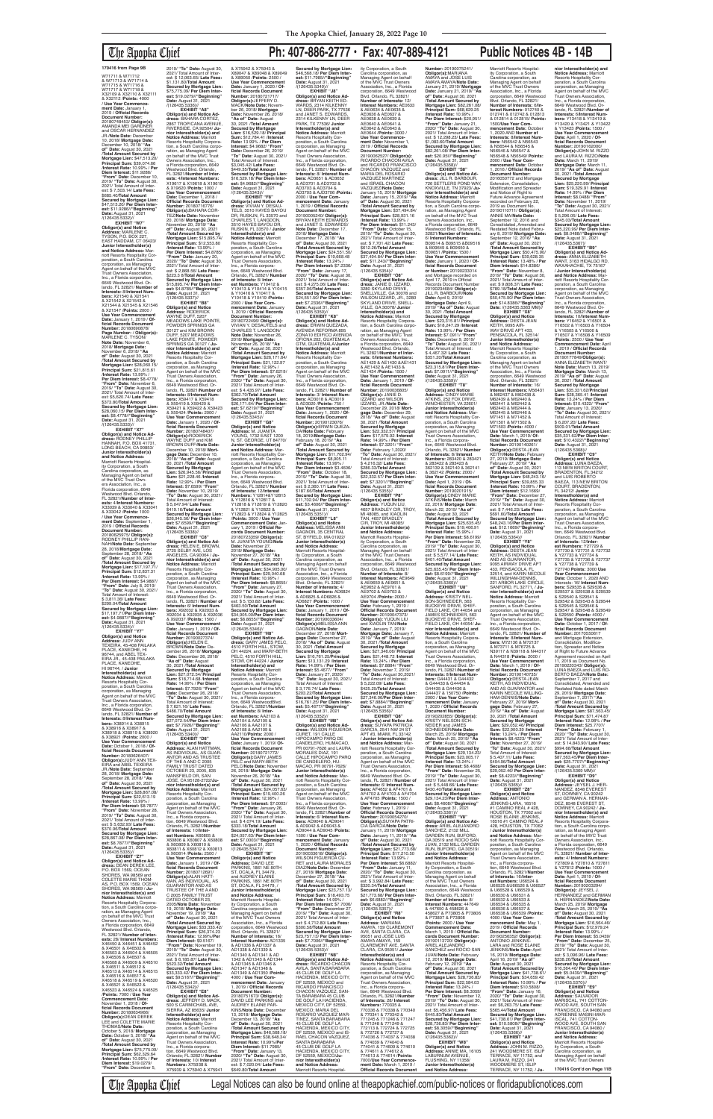# The Apopka Chief **Ph: 407-886-2777 • Fax: 407-889-4121 Public Notices 4B - 14B**

**EXHIBIT "W7" Obligor(s) and Notice Address:** MARLENE C. TYSON, P.O. BOX 227, EAST HADDAM, CT 06423/ **Junior Interestholder(s) and Notice Address:** Marriott Resorts Hospitality Corporation, a South Carolina corporation, as Managing<br>Agent on behalf of the MVC<br>Trust Owners Association,<br>Inc., a Florida corporation, 6649 Westwood Blvd. Or-lando, FL 32821/ **Number of Interests:** 8/**Interest Numbers:** X21540 & X21541 & X21542 & X21543 & X21544 & X21545 & X21546 & X21547 /**Points:** 2000 / **Use Year Commencement Date:** January 1, 2019 / **Of-ficial Records Document Number:** 20180690878/ **Page Number:** / **Obligor(s):** MARLENE C. TYSON **Note Date:** November 6, 2018/ **Mortgage Date:** November 6, 2018/ **"As of" Date:** August 30, 2021 /**Total Amount Secured by Mortgage Lien:** \$28,060.15/ **Principal Sum:** \$21,815.61 /**Interest Rate:** 13.99% / **Per Diem Interest:** \$8.4778/ **"From" Date:** November 6, 2019/ **"To" Date:** August 30, 2021/ Total Amount of Inter-est: \$5,620.74/ **Late Fees:** \$373.80/**TotaI Amount Secured by Mortgage Lien:** \$28,060.15/ **Per Diem Inter-est:** \$8.4778//**"Beginning" EXHIBIT "X7"**

**Date:** August 31, 2021<br>/(126435.5333)// **Obligor(s) and Notice Ad-dress:** RODNEY PHILLIP HANNAH, P.O. BOX 41731, LONG BEACH, CA 90853 **Junior Interestholder(s) and Notice Address:** Marriott Resorts Hospital-ity Corporation, a South Carolina corporation, as Managing Agent on behalf of the MVC Trust Owners Association, Inc., a Florida corporation, 6649 Westwood Blvd. Orlando, FL 32821/**Number of Interests:** 4/**Interest Numbers:** X33039 & X33040 & X33041 & X33042 /**Points:** 1000 / **Use Year Commence-ment Date:** September 1, 2019 / **Official Records Document Number:** 20180625975/ **Obligor(s):** RODNEY PHILLIP HAN-NAH/**Note Date:** September 28, 2018/**Mortgage Date:** September 28, 2018/ **"As of" Date:** August 30, 2021 /**Total Amount Secured by Mortgage Lien:** \$17,197.71/ **Principal Sum:** \$12,837.31 /**Interest Rate:** 13.99% / Per Diem Interest: \$4.9887 **"From" Date:** July 8, 2019/ **"To" Date:** August 30, 2021/ Total Amount of Interest: \$ 3,811.36/ **Late Fees:** \$299.04/**Total Amount Secured by Mortgage Lien:** \$17,197.71/**Per Diem Interest:** \$4.9887//**"Beginning" Date:** August 31, 2021 /(126435.5334)// **EXHIBIT "Y7" Obligor(s) and Notice Address:** JUDY ANN<br>TEXEIRA, 45-408 PAILAKA PLACE, KANEOHE, HI 96744, and ABEL TEX-EIRA JR., 45-408 PAILAKA PLACE, KANEOHE, HI 96744, / **Junior Interestholder(s) and Notice Address:** Marriott Resorts Hospitality Cor-poration, a South Carolina corporation, as Managing Agent on behalf of the MVC Trust Owners Association, Inc., a Florida corporation,<br>6649 Westwood Blvd. Or-<br>lando, FL 32821/ **Number of Interests:** 8/**Interest Numbers:** X38914 & X38915 & X38916 & X38917 & X38918 & X38919 & X38920 & X38921 /**Points:** 2000 / **Use Year Commencement Date:** October 1, 2018 / **Official Records Document Number:** 20180626407/<br>**Obligor(s):**JUDY ANN TEX-<br>EIRA and ABEL TEXEIRA<br>JR./**Note Date:** September 28, 2018/ **Mortgage Date:** September 28, 2018/ **"As of" Date:** August 30, 2021 /**Total Amount Secured by Mortgage Lien:** \$28,867.08/ **Principal Sum:** \$22,613.19 /**Interest Rate:** 13.99% / **Per Diem Interest:** \$8.7877/ **"From" Date:** November 28, 2019/ **"To" Date:** August 30, 2021/ Total Amount of Inter-est: \$ 5,632.93/ **Late Fees:** \$370.96/**Total Amount Secured by Mortgage Lien:** \$28,867.08/ **Per Diem Interest:** \$8.7877//**"Beginning"<br><b>Date:** August 31, 2021<br>/(126435.5335)//<br>**EXHIBIT "Z7" Obligor(s) and Notice Ad-dress:** DEAN DEREK LEE, P.O. BOX 1569, OCEAN SHORES, WA 98569 and COLETTE MARIE THOM-AS, P.O. BOX 1569, OCEAN SHORES, WA 98569 / **Junior Interestholder(s) and Notice Address:** Marriott Resorts Hospitality Corpora-tion, a South Carolina corporation, as Managing Agent on behalf of the MVC Trust Owners Association, Inc., a Florida corporation, 6649 Westwood Blvd. Orlando, FL 32821/ **Number of Interests:** 28/ **Interest Numbers:** X46450 & X46451 & X46452 & X46501 & X46502 & X46503 & X46504 & X46505 & X46506 & X46507 & X46508 & X46509 & X46510 & X46511 & X46512 & X46513 & X46514 & X46515 & X46516 & X46517 & X46518 & X46519 & X46520 & X46521 & X46522 & X46523 & X46524 & X46525 /**Points:** 7000 / **Use Year Commencement Date:** November 1, 2018 / Of-<br>ficial Records Document **ficial Records Document Number:** 20180634966/ **Obligor(s):**DEAN DEREK LEE and COLETTE MARIE THOMAS/**Note Date:** October 5, 2018/ **Mortgage Date:** October 5, 2018/ **"As of" Date:** August 30, 2021 /**Total Amount Secured by Mortgage Lien:** \$75,775.09/ **Principal Sum:** \$62,329.64 /**Interest Rate:** 10.99% / **Per Diem Interest:** \$19.0279/ **"From" Date:** December 5,

**nior Interestholder(s) and<br><b>Notice Address:** Marriott<br>Resorts Hospitality Corpora-<br>tion, a South Carolina corporation, as Managing Agent<br>on behalf of the MVC Trust Owners Association, Inc., a Florida corporation, 6649 Westwood Blvd. Orlando, FL 32821/**Number of Interests:** 4/**Interest Numbers:** X19617 & X19618 & X19619 & X19620 /**Points:** 1000 / **Use Year Commencement Date:** December 1, 2018 / **Official Records Documen Number:** 20180716776/ **Obligor(s):**BAHARA COR-TEZ/**Note Date:** November 20, 2018/ **Mortgage Date:** November 20, 2018/ **"As of" Date:** August 30, 2021 /**Total Amount Secured by Mortgage Lien:** \$15,895.74/ **Principal Sum:** \$12,553.80 /**Interest Rate:** 13.99% / **Per Diem Interest:** \$4.8785/ **"From" Date:** January 20, 2020/ **"To" Date:** August 30, 2021/ Total Amount of Interest: \$ 2,868.56/ **Late Fees:** \$223.3 8/**Total Amount Secured by Mortgage Lien:** \$15,895.74/ **Per Diem Interest:** \$4.8785//**"Beginning" Date:** August 31, 2021 /(126435.5337)// **EXHIBIT "B8" Obligor(s) and Notice Address:** RODERICK WAYNE DUFF, 5207 MEADOWS LAKE POINTE, POWDER SPRINGS GA 30127 and KIM BROWN DUFF, 5207 MEADOWS LAKE POINTE, POWDER SPRINGS GA 30127 / **Junior Interestholder(s) and Notice Address:** Marriott<br>Resorts Hospitality Cor-<br>poration, a South Carolina corporation, as Managing Agent on behalf of the MVC Trust Owners Association, Inc., a Florida corporation 6649 Westwood Blvd. Or-lando, FL 32821/**Number of Interests:** 8/**Interest Numbers:** X59417 & X59418 & X59419 & X59420 & X59421 & X59422 & X59423 & X59424 /**Points:** 2000 / **Use Year Commencement Date:** January 1, 2020 / **Official Records Document Number:** 20180748407/ **Obligor(s):**RODERICK WAYNE DUFF and KIM BROWN DUFF/**Note Date:** December 10, 2018/ **Mortgage Date:** December 10, 2018/ **"As of" Date:** August 30, 2021 /**Total Amount Secured by Mortgage Lien:** \$26,945.56/ **Principal Sum:** \$21,228.46 /**Interest Rate:** 12.99% / **Per Diem Interest:** \$7.6599/ **"From" Date:** November 10, 2019/ **"To" Date:** August 30, 2021/ Total Amount of Interest: \$ 5,047.94/ **Late Fees:** \$419.16/**Total Amount Secured by Mortgage Lien:** \$26,945.56/ **Per Diem Interest:** \$7.6599//**"Beginning" Date:** August 31, 2021 /(126435.5338)// **EXHIBIT "C8" Obligor(s) and Notice Address:** HELEN E. BROWN, 2725 SELBY AVE, LOS ANGELES, CA 90064 / **Ju-nior Interestholder(s) and Notice Address:** Marriott Resorts Hospitality Corporation, a South Carolina corporation, as Managing Agent on behalf of the MVC Trust Owners Association, Inc., a Florida corporation, 6649 Westwood Blvd. Orlando, FL 32821/ **Number of Interests:** 6/ **Interest Num-bers:** X92032 & X92033 & X92034 & X92035 & X92036 & X92037 /**Points:** 1500 / **Use Year Commencement Date:** January 1, 2019 / **Of-ficial Records Document Number:** 20190027374/ **Obligor(s):**HELEN E. BROWN/**Note Date:** December 26, 2018/ **Mortgage Date:** December 26, 2018/ **"As of" Date:** August 30, 2021 /**Total Amount Secured by Mortgage Lien:** \$27,072.54/ **Principal Sum:** \$18,714.68 /**Interest Rate:** 14.99% / **Per Diem Interest:** \$7.7926/ **"From" Date:** December 26, 2018/ **"To" Date:** August 30, 2021/ Total Amount of Interest: \$ 7,621.16/ **Late Fees:** \$486.70/**Total Amount Secured by Mortgage Lien:** \$27,072.54/**Per Diem Interest:** \$7.7926//**"Beginning" Date:** August 31, 2021<br>/(126435.5340)// **EXHIBIT "D8" Obligor(s) and Notice Address:** ALAN HATTMAN, AS INDIVIDUAL, AS GUAR-ANTOR AND AS TRUSTEE OF THE A AND C 2005 FAMILY TRUST DATED OCTOBER 23, 2005, 835 MANSFIELD DR, SAN JOSE, CA 95128-2722/**Junior Interestholder(s) and Notice Address:** Marriott Resorts Hospitality Cor-poration, a South Carolina corporation, as Managing Agent on behalf of the MVC Trust Owners Association, Inc., a Florida corporation, 6649 Westwood Blvd. Orlando, FL 32821/**Number of Interests:** 10/**Interest Numbers:** X60805 & X60806 & X60807 & X60808 & X60809 & X60810 & X60811 & X60812 & X60813 & X60814 /**Points:** 2500 / **Use Year Commencement Date:** January 1, 2019 / **Official Records Document Number:** 20180712691/ **Obligor(s):**ALAN HATT-<br>MAN, AS INDIVIDUAL, AS<br>GUARANTOR AND AS<br>TRUSTEE OF THE A AND C 2005 FAMILY TRUST<br>DATED OCTOBER 23, 2005/**Note Date:** November 19, 2018/ **Mortgage Date:** November 19, 2018/ **"As of" Date:** August 30, 2021 /**Total Amount Secured by Mortgage Lien:** \$33,333.42/ **Principal Sum:** \$26,374.23 /**Interest Rate:** 12.99%/**Per Diem Interest:** \$9.5167/ **"From" Date:** November 19, 2019/ **"To" Date:** August 30, 2021/ Total Amount of Interest: \$ 6,185.87/ **Late Fees:** \$523.32/**TotaI Amount Secured by Mortgage Lien:** \$33,333.42/ **Per Diem Interest:** \$9.5167//**"Beginning" Date:** August 31, 2021 /(126435.5342)// **EXHIBIT "E8" Obligor(s) and Notice Ad-dress:** JEFFERY D. MACK, 500 S CARMICHAEL AVE, SIERRA, AZ 85635/ **Junior Interestholder(s) and Notice Address:** Marriott Resorts Hospitality Corporation, a South Carolina corporation, as Managing Agent on behalf of the MVC Trust Owners Association, Inc., a Florida corpora-tion, 6649 Westwood Blvd. Orlando; FL 32821/ **Number of Interests:** 10/ **Interest Numbers:** X75938 & X75939 & X75940 & X75941

W71711 & W71712 & W71713 & W71714 & W71715 & W71716 & W71717 & W71718 & X32109 & X32110 & X32111 & X32112 /**Points:** 4000 / **Use Year Commence-ment Date:** January 1, 2019 / **Official Records Document Number:** 20180748453/ **Obligor(s):** AMANDA MEI GARDNER and OSCAR HERNANDEZ JR./**Note Date:** December 10, 2018/ **Mortgage Date:** December 10, 2018/ **"As of" Date:** August 30, 2021 /**Total Amount Secured by Mortgage Lien:** \$47,513.20/ **Principal Sum:** \$39,074.66 /**Interest Rate:** 10.99% / **Per Diem Interest:** \$11.9286/ **"From" Date:** December 10, 2019/ **"To" Date:** August 30, 2021/ Total Amount of Inter-est: \$ 7,503.14/ **Late Fees:** \$685.40/**TotaI Amount Secured by Mortgage Lien:** \$47,513.20/ **Per Diem Interest:** \$11.9286//**"Beginning" Date:** August 31, 2021<br>/(126435.5332)// /(126435.5336)//

& X75942 & X75943 & X89047 & X89048 & X89049 & X89050 /**Points:** 2500 / **Use Year Commencement Date:** January 1, 2020 / **Official Records Document Number:** 20180721717/ **Obligor(s):**JEFFERY D. MACK/**Note Date:** Novem-ber 26, 2018/ **Mortgage Date:** November 26, 2018/ **"As of" Date:** August **Secured by Mortgage Lien:** \$46,568.18/ **Per Diem Interest:** \$11.7985//"**Beginning"**<br>**Date:** August 31, 2021<br>/(126435.5349)//

2019/ **"To" Date:** August 30, 2021/ Total Amount of Interest: \$ 12,063.65/ **Late Fees:** \$1,131.80/**Total Amount Secured by Mortgage Lien:** \$75,775.09/ **Per Diem Interest:** \$19.0279//**"Beginning" Date:** August 31, 2021

**EXHIBIT "A8" Obligor(s) and Notice Ad-dress:** BAHARA CORTEZ, 2867 TROPICANA AVENUE, RIVERSIDE, CA 92504/ **Ju-**

> **Date:** November 27,<br>2018/ **Mortgage Date:<br>November 27, 2018/ "As<br><b>of" Date:** August 30, 2021 /**Total Amount Secured by Mortgage Lien:** \$34,905.00/ **Principal Sum:** \$29,040.68 /**Interest Rate:** 10.99% / **Per Diem Interest:** \$8.8655/ **"From" Date:** January 27, 2020/ **"To" Date:** August 30, 2021/ Total Amount of Interest: \$ 5,150.82/ **Late Fees:** \$463.50/**Total Amount Secured by Mortgage Lien:** \$34,905.00/**Per Diem Interest:** \$8.8655//**"Beginning" Date:** August 31, 2021 /(126435.5346)// **EXHIBIT "H8" Obligor(s) and Notice Address:** GARY JAMES PELC, 4510 FORTH HILL, STOW, OH 44224, and MARY-BETH PELC, 4510 FORTH HILL STOW, OH 44224 / **Junior Interestholder(s) and Notice Address:** Marriott Resorts Hospitality Cor-poration, a South Carolina corporation, as Managing Agent on behalf of the MVC Trust Owners Association, Inc., a Florida corporation, 6649 WestwoodBlvd. Orlando, FL 32821/**Number of Interests:** 8/ **Inter-est Numbers:** AA2103 & AA2104 & AA2105 & AA2106 & AA2107 & AA2108 & AA2109 & AA2110/**Points:** 2000 / **Use Year Commencement Date:** January 1. 2019/ **Of-ficial Records Document Number:** 20180721772/ **Obligor(s):**GARY JAMES PELC and MARY-BETH PELC/**Note Date:** November 26, 2018/ **Mortgage Date:** November 26, 2018/ **"As of" Date:** August 30, 2021 /**Total Amount Secured by Mortgage Lien:** \$24,057.63/ **Principal Sum:** \$19,400.26 /**Interest Rate:** 12.99% / **Per Diem Interest:** \$7.0003/ **"From" Date:** January 26, 2020/ **"To" Date:** August 30, 2021/ Total Amount of Interest: \$ 4,074.19/ **Late Fees:** \$333.18/**Total Amount Secured by Mortgage Lien:** \$24,057.63/ **Per Diem Interest:** \$7.0003//"**Beginning"**<br>**Date:** August 31, 2021<br>/(126435.5347)// **EXHIBIT "I8" Obligor(s) and Notice Address:** DAVID LEE PARKINS, 1861 NE 80TH ST, OCALA, FL 34479, and AUDREY ELAINE<br>PARKINS, 1861 NE 80TH<br>ST, OCALA, FL 34479, / **Junior Interestholder(s) and Notice Address:** Marriott Resorts Hospitality Corporation, a South Carolina corporation, as Managing Agent on behalf of the MVC Trust Owners Association, Inc., a Florida corporation, 6649 Westwood Blvd. Orlando, FL 32821/ **Number of Interests:** 16/ **Interest Numbers:** AD1335 & AD1336 & AD1337 & AD1338 & AD1339 & AD1340 & AD1341 & AD 1342 & AD1343 & AD1344 & AD1345 & AD1346 & AD1347 & AD1348 & AD1349 & AD1350 /**Points:** 4000 / **Use Year Commencement Date:** January 1, 2019 / **Official Records Document Number:** 20180751673/ **Obligor(s):** DAVID LEE PARKINS and AUDREY ELAINE PAR-KINS/Note Date: December 13, 2018/ **Mortgage Date:** December 13, 2018/ **"As of" Date:** August 30, 2021 /**Total Amount Secured by Mortgage Lien:** \$46,568.18/ **Principal Sum:** \$38,648.34/ **Interest Rate:** 10.99%/**Per Diem Interest:** \$11.7985/ **"From" Date:** January 13, 2020/ **"To" Date:** August 30, 2021/ Total Amount of Inter-est: \$ 7,020.04/ **Late Fees:** \$649.80/**Total Amount**  /(126435.5353)//

30, 2021 /**Total Amount Secured by Mortgage Lien:** \$16,529.18/ **Principal Sum:** \$12,784.41 /**Interest Rate:** 13.99% / **Per Diem Interest:** \$4.9682/ **"From" Date:** December 26, 2019/ **"To" Date:** August 30, 2021/ Total Amount of Interest: \$3,045.42/ **Late Fees:** \$449.35/**Total Amount Secured by Mortgage Lien:** \$16,529.18/ **Per Diem Interest:** \$4.9682//**"Beginning" Date:** August 31, 2021 /(126435.5343)// **EXHIBIT "F8"**

**Obligor(s) and Notice Address:** VIVIAN Y. DESAU-TELS, 3510 HAYES BAYOU DR, RUSKJN, FL 33570 and CHARLES T. LANGDON,<br>3510 HAYES BAYOU DR,<br>RUSKIN, FL 33570 / **Junior InteresthoIder(s) and Notice Address:** Marriott Resorts Hospitality Cor-poration, a South Carolina corporation, as Managing Agent on behalf of the MVC Trust Owners Association, Inc., a Florida corporation, 6649 Westwood Blvd. Orlando, FL 32821/ **Number of Interests:** 8/ **Inter-est Numbers:** Y10412 & Y10413 & Y10414 & Y10415 & Y10416 & Y10417 & Y10418 & Y10419 /**Points:** 2000 / **Use Year Com-mencement Date:** January 1, 2019 / **Official Records** 

**Document Number:** 20180722496/ **Obligor(s):** VIVIAN Y. DESAUTELS CHARLES T. LANGDON/ **Note Date:** November 26, 2018/ **Mortgage Date:** November 26, 2018/ **"As of" Date:** August 30, 2021 /**Total Amount Secured by Mortgage Lien:** \$26,171.64/ **Principal Sum:** \$21,122.97 /**Interest Rate:** 12.99% / **Per Diem Interest:** \$7.6219/ **"From" Date:** January 26, 2020/ **"To" Date:** August 30, 2021/ Total Amount of Inter-est: \$ 4,435.97/ **Late Fees:** \$362.70/**Total Amount Secured by Mortgage Lien:** \$26,171.64/ **Per Diem Interest:** \$7.6219//"**Beginning"**<br>**Date:** August 31, 2021<br>/(126435.5345)// **EXHIBIT "G8"**

**Obligor(s) and Notice Address:** M. JUANITA YOUNG, 1732 EAST 1200 N, ST. GEORGE, UT 84770/ **Junior Interestholder(s) and Notice Address:** Marriott Resorts Hospitality Cor-poration, a South Carolina corporation, as Managing Agent on behalf of the MVC Trust Owners Association, Inc., a Florida corporation, 6649 Westwood Blvd. Orlando, FL 32821/ **Number of Interests:** 12/**Interest Numbers:** Y12814&Y12815<br>& Y12816 & Y12817 &<br>Y12818 & Y12819 & Y12820 & Y12821 & Y12822 & Y12823 & Y12824 & Y12825 /**Points:** 3000 / **Use Year Commencement Date:** Jan-uary 1, 2019 / **Official Records Document Number:** 20180723359/ **Obligor(s):** M. JUANITA YOUNG/**Note** 

**EXHIBIT "T8" Obligor(s) and Notice Address:** CINDY MARIE ATKINS, 252 FOX DRIVE, WINCHESTER, VA 22601/ **Junior Interestholder(s) and Notice Address:** Mar-riott Resorts Hospitality Corporation, a South Carolina corporation, as Managing Agent on behalf of the MVC Trust Owners Association,<br>Inc., a Florida corpora-<br>tion, 6649 Westwood Blvd.<br>Orlando, FL 32821/ **Number of Interests:** 8/ **Interest Numbers:** 283420 & 283421 & 283422 & 283423 & 362139 & 362140 & 362141 & 362142 /**Points:** 2000 / **Use Year Commencement Date:** April 1, 2019 / **Of-ficial Records Document**  Number: 20190201915/<br>Obligor(s):CINDY MARIE<br>ATKINS/Note Date: March<br>22, 2019/ Mortgage Date:<br>March 22, 2019/ "As of"<br>Date: August 30, 2021<br>Note: August 30, 2021<br>Mortgage Lien: \$25,635.45/<br>Principal Sum: \$19,406.91

**EXHIBIT "J8" Obligor(s) and Notice Ad-dress:** BRYAN KEITH ED-WARDS, 2314 KILKENNY<br>LN, DEER PARK, TX 77536<br>and JANET S. EDWARDS, 2314 KILKENNY LN, DEER PARK, TX 77536/ **Junior Interestholder(s) and Notice Address:** Marriott<br>Resorts Hospitality Cor-<br>poration, a South Carolina corporation, as Managing Agent on behalf of the MVC Trust Owners Association, Inc., a Florida corporation,<br>6649 Westwood Blvd. Or-<br>lando, FL 32821/ **Number of Interests:** 8/ **Interest Numbers:** AD3651 & AD3652 & AD3701 & AD3702 & AD3703 & AD3704 & AD3705 & AJD3706 /**Points:** 2000 / **Use Year Commencement Date:** January 1, 2019 / **Official Records Document Number:** 20190005240/ **Obligor(s):** BRYAN KEITH EDWARDS<br>and JANET S. EDWARDS/ **Note Date:** December 17, 2018/ **Mortgage Date:** December 17, 2018/ **"As of" Date:** August 30, 2021 /**Total Amount Secured by Mortgage Lien:** \$24,551.50/ **Principal Sum:** \$19,668.48 /**Interest Rate:** 13.24% / **Per Diem Interest:** \$7.2336/ **"From" Date:** January 17, 2020/ **"To" Date:** August 30, 2021/ Total Amount of Inter-est: \$ 4,275.06/ **Late Fees:** \$357.96/**Total Amount Secured by Mortgage Lien:** \$24,551.50/ **Per Diem Interest:** \$7.2336//"**Beginning"**<br>**Date:** August 31, 2021<br>/(126435.5350)// **Cobligor(s) and Notice Ad-<br><b>dress:** ERWIN QUEZADA,<br>AVENIDA REFORMA 895<br>ZONA10 EDIFICO AVENIDA<br>OFICNA 202, GUATEMALA GTM, GUATEMALA/**Junior Interestholder(s) and Notice Address:** Marriott<br>Resorts Hospitality Cor-<br>poration, a South Carolina corporation, as Managing Agent on behalf of the MVC Trust Owners Association, Inc., a Florida corporation,<br>6649 Westwood Blvd. Or-<br>lando, FL 32821/ **Number of Interests:** 3/ **Interest Numbers:** AD3018 & AD3019 & AD3020 /**Points:** 750 / **Use Year Commencement Date:** January 1, 2020 / **Of-ficial Records Document Number:** 20190123076/ **ObIigor(s):**ERWIN QUEZA-DA/**Note Date:** February 18, 2019/**Mortgage Date:** February 18, 2019/ **"As of" Date:** August 30, 2021 /**Total Amount Secured by Mortgage Lien:** \$11,702.94/ **Principal Sum:** \$8,905.11 /**Interest Rate:** 13.99% / **Per Diem Interest:** \$3.4606/ **"From" Date:** October 18, 2019/ **"To" Date:** August 30, 2021/ Total Amount of Inter-est: \$ 2,360.17/ **Late Fees:** \$187.66/**Total Amount Secured by Mortgage Lien:** \$11,702.94/ **Per Diem Inter-est:** \$3.4606//**"Beginning" Date:** August 31, 2021<br>/(126435.5351)// AE0640 & AE0641 & AE0642 & AE0643 & VAZQUEZ MARTINEZ /(126435.5354)//

**Obligor(s) and Notice Address:** LUNA BAEZA,<br>113 NEW BRITON COURT,<br>BRADENTON, FL 34212 and LUIS ROBERTO BAEZA, 113 NEW BRITON COURT, BRADENTON, FL 34212/ **Junior Interestholder(s) and Notice Address:** Marriott Resorts Flospitality Corporation, a South Carolina corporation, as Managing Agent on behalf of the MVC Trust Owners Association, Inc., a Florida corpora-tion, 6649 Westwood Blvd. Orlando, FL 32821/ Number **of Interests:** 12/**Interest Numbers:** Y27729 &<br>Y27730 & Y27731 & Y27732<br>& Y27733 & Y27734 &<br>Y27735 & Y27736 & Y27737 & Y27738 & Y27739 & Y27740 **Points:** 3000 **Use Year Commencement Date:** October 1, 2020 AND Interests: 16/ **Interest Num-bers:** S29535 & S29536 & S29537 & S29538 & S29539 & S29540 & S29541 & S29542 & S29543 & S29544 & S29545 & S29546 & S29547 & S29548 & S29549 & S29550 /**Points:** 4000 / **Use Year Commencement Date:** October 1, 2017 / **Official Records Document Number:** 20170550617 and Mortgage Extension, Consolidation, Modification, Spreader and Notice of Right to Future Advance<br>Agreement recorded on April Agreement recorded on April<br>11, 2019 as Document No.<br>20190220343/ **Obligor(s):**<br>LUNA BAEZA and LUIS RO-BERTO BAEZA/**Note Date:** September 7, 2017 and<br>Consolidated Amended and Consolidated, Amended and Restated Note dated March 29, 2019/ **Mortgage Date:** September 7, 2017/ **"As of" Date:** August 30, 2021 /**Total Amount Secured by Mortgage Lien:** \$87,563.45/ **Principal Sum:** \$71,474.87 /**Interest Rate:** 12.98% / **Per Diem Interest:** \$25.7707/ **"From" Date:** February 1, 2020/ **"To" Date:** August 30, 2021/ Total Amount of Interest: \$ 14,843.90/ **Late Fees:** \$994.68/**Total Amount Secured by Mortgage Lien:** \$87,563.45/**Per Diem Interest:** \$25.7707//**"Beginning" Date:** August 31, 2021 /(126435.5369 MM)// **EXHIBIT "D9" Obligor(s) and Notice Address:** JEYSEL J. HER-NANDEZ, 8548 EVEREST ST, DOWNEY, CA 90242 and GERMAN A. HERNAN-DEZ, 8548 EVEREST ST, DOWNEY, CA 90242 / **Junior Interestholder(s) and Notice Address:** Marriott Resorts Hospitality Corporation, a South Carolina corpo-ration, as Managing Agent on behalf of the MVC Trust Owners Association, Inc., a Florida corporation, 6649 Westwood Blvd. Orlando, FL 32821/ **Number of Inter-ests:** 4/ **Interest Numbers:** Y27809 & Y27810 & Y2781<sup>-</sup> & Y27812 /**Points:** 1000 / **Use Year Commencement Date:** April 1, 2019 / **Of-ficial Records Document Number:** 20190203294/ **Obligor(s):** JEYSEL J. HERNANDEZ and GERMAN A. HERNANDEZ/**Note Date:** March 25, 2019/ **Mortgage Date:** March 25, 2019/ **"As of" Date:** August 30, 2021 /**Total Amount Secured by Mortgage Lien:** \$16,564.46/ **Principal Sum:** \$12,979.24 /**Interest Rate:** 13.99% / **Per Diem Interest:** \$5.0439/ **"From" Date:** December 25, 2019/ **"To" Date:** August 30, 2021/ Total Amount of Inter-est: \$ 3,096.96/ **Late Fees:** \$238.26/**Total Amount Secured by Mortgage Lien:** \$16,564.46/ **Per Diem Interest:** \$5.0439//**"Beginning" Date:** August 31, 2021<br>/(126435.5370)// **EXHIBIT "E9" Obligor(s) and Notice Address:** SALVADOR MARISCAL, 741 COTTON-WOOD AVE, SOUTH SAN FRANCISCO, CA 94080 and ADRIENNE MASINI-MAR-ISCAL, 741 COTTON-WOOD AVE, SOUTH SAN FRANCISCO, CA 94080 / **Junior Interestholder(s) and Notice Address:** Marriott Resorts Hospitality Corporation, a South rolina corporation, as

ity Corporation, a South Carolina corporation, as Managing Agent on behalf of the MVC Trust Owners Association, Inc., a Florida corporation, 6649 Westwood Blvd. Orlando, FL 32821/ **Number of Interests:** 12/ **Interest Numbers:** AE0633 & AE0634 & AE0635 & AE0636 & AE0637 & AE0638 & AE0639 & AE0644 /**Points:** 3000 / **Use Year Commence-ment Date:** November 1, 2019 / **Official Records Document Number:** 20190062527/ **Obligor(s):** RICARDO CHACON AVILA and RICARDO FRANCISCO CHACON VAZQUEZ and MARIA DEL ROSARIO and ISRAEL CHACON<br>VAZQUEZ/Note Date: VAZQUEZ/**Note Date:** January 15, 2019/ **Mortgage Date:** January 15, 2019/ **"As of" Date:** August 30, 2021 /**Total Amount Secured by Mortgage Lien:** \$37,494.84/ **Principal Sum:** \$28,931.16 /**Interest Rate:** 13.99% / **Per Diem Interest:** \$11.243/ **"From" Date:** October 15, 2019/ **"To" Date:** August 30, 2021/ Total Amount of Interest: \$ 7,701.42/ **Late Fees:** \$612.26/**Total Amount Secured by Mortgage Lien:** \$37,494.84/ **Per Diem Interest:** \$11.243//**"Beginning" Date:** August 31, 2021 **EXHIBIT "O8" Obligor(s) and Notice Ad-dress:** JANIE D. IZZARD, 3280 SKYLAND DRIVE,<br>SNELLVILLE, GA 30078 and **Number:** 20190075241/<br>**Obligor(s):**MARIANA<br>AMAYA and JOSE LUIS AMAYA AMAYA/**Note Date:** January 21, 2019/ **Mortgage Date:** January 21, 2019/ **"As of" Date:** August 30, 2021 /**Total Amount Secured by Mortgage Lien:** \$82,261.08/ **Principal Sum:** \$68,629.25 /**Interest Rate:** 10.99% / **Per Diem Interest:** \$20,951/ **"From" Date:** January 21, 2020/ **"To" Date:** August 30, 2021/ Total Amount of Inter-est: \$ 12,298.23/ **Late Fees:** \$1,083.60/**Total Amount Secured by Mortgage Lien:** \$82,261.08/ **Per Diem Interest:** \$20.95l//**"Beginning" Date:** August 31, 2021 /(126435.5358)// **EXHIBIT "S8" Obligor(s) and Notice Address:** JILL R. BARBOUR,<br>726 SETTLERS POND WAY, KNOXVILLE, TN 37923/ **Junior Interestholder(s) and Notice Address:** Marriott Resorts Hospitality Corporation, a South Carolina corporation, as Managing Agent on behalf of the MVC Trust Owners Association, Inc., a Florida corporation, 6649 Westwood Blvd. Orlando, FL 32821/**Number of Interests:** 6/ **Interest Numbers:** B09514 & B09515 &B09516 & B09649 & B09650 & B09651 /**Points:** 1500 / **Use Year Commencen Date:** January 1, 2020 / **Of-ficial Records Document or Number:** 20190233014<br>and Mortgage recorded on<br>April 17, 2019 in Official Records Document Numbe 20190234684/ **Obligor(s):** JILL R. BARBOUR/**Note Date:** April 9, 2019/

**EXHIBIT "L8" Obligor(s) and Notice Address:** MELISSA ANN GAGNON, 35 CENTRAL ST, BYFIELD, MA 01922.<br>Junior Interestholder(s) **Junior Interestholder(s)<br><b>and Notice Address:**<br>Marriott Resorts Hospital-<br>ity Corporation, a South Carolina corporation, as Managing Agent on behalf of the MVC Trust Owners Association, Inc., a Florida corporation, 6649 Westwood Blvd. Orlando, FL 32821/ **Number of Interests:** 4/ **Interest Numbers:** AD6824 & AD6825 & AD6826 & AD6827 /**Points:** 1000 / **Use Year Commencement Date:** January 1, 2019 / **Of-ficial Records Document Number:** 20190033604/ **ObIigor(s):**MELISSA ANN GAGNON/**Note Date:** December 27, 2018/ **Mort-gage Date:** December 27, 2018/ **"As of" Date:** August 30, 2021 /**Total Amount Secured by Mortgage Lien:** \$16,761.25/**Principal Sum:** \$13,131.29 /**Interest Rate:** 14.99% / **Per Diem Interest:** \$5.4677/ **"From" Date:** January 27, 2020/<br>"**To" Date:** August 30, 2021/ Total Amount of Interest: \$ 3,176.74/ **Late Fees:** \$203.22/**Total Amount Secured by Mortgage Lien:** \$16,761.25/ **Per Diem Interest:** \$5.4677//**"Beginning"<br><b>Date:** August 31, 2021<br>/(126435.5352)//<br>**EXHIBIT "M8"**<br>**Obligor(s) and Notice Address:** WILSON FIGUEROA CURET, 191 CALLE HIPOCAMPO PARQ DE CANDELERO, HUMACAO, PR 00791-7626 and LAURA MORALES DIAZ, 191 CALLE HIPOCAMPO PARQ OREELTING ORIGINAL OF MACAO, PR 00791-7626/ **Junior Interestholder(s) and Notice Address:** Marriott Resorts Hospitality Corporation, a South Carolina<br>corporation, as Managing corporation, as Managing Agent on behalf of the MVC Trust Owners Association, Inc., a Florida corporation, 6649 Westwood Blvd. Orlando, FL 32821/**Number of Interests:** 6/ **Interest Numbers:** AD9040 & AD9041 & AD9042 & AD9043 & AD9044 & AD9045 /**Points:** 1500 / **Use Year Commencement Date:** January 1, 2020 / **Official Records Document Number:<br>20190033618/ <b>Obligor(s):**<br>WILSON FIGUEROA CU-<br>RET and LAURA MORALES DIAZ/**Note Date:** December 27, 2018/ **Mortgage Date:** December 27, 2018/ **"As of" Date:** August 30, 2021 /**Total Amount Secured by Mortgage Lien:** \$23,757.13/ **Principal Sum:** \$18,493.75 /**Interest Rate:** 14.99% / **Per Diem Interest:** \$7.7006/ **"From" Date:** December 27, 2019/ **"To" Date:** August 30, 2021/ Total Amount of Interest: \$ 4,712.80/ **Late Fees:** \$300.58/**Total Amount Secured by Mortgage Lien:** \$23,757.13/ **Per Diem Inter-est:** \$7.7006//**"Beginning" Date:** August 31, 2021 **EXHIBIT "N8" Obligor(s) and Notice Ad-dress:** RICARDO CHACON AVILA, SANTA BARABARA 45 CLUB DE GOLF LA HACIENDA, MEXICO CITY, DF 52559, MEXICO and RICARDO FRANCISCO CHACON VAZQUEZ, SAN-TA BARABARA 45 CLUB DE GOLF LA HACIENDA, MEXICO CITY, DF 52559, MEXICO; MARIA DEL ROSARIO VAZQUEZ MAR-TINEZ, SANTA BARABARA 45 CLUB DE GOLF LA HACIENDA, MEXICO CITY DF 52559, MEXICO and IS RAEL CHACON VAZQUEZ, SANTA BARABARA 45 CLUB DE GOLF LA HACIENDA, MEXICO CITY, DF 52559, MEXICO/**Junior Interestholder(s) and Notice Address:** Marriott Resorts Hospital-**Use Year Commencement Date:** January 1, 2019 / **Of-ficial Records Document Number:** 20190036805/ **Obligor(s):** JANIE D. IZZARD and WILSON IZZARD, JR./**Note Date:** December 29, 2018/ **Mortgage Date:** December 29,<br>2018/ "**As of" Date:** August<br>30, 2021 /**Total Amount Secured by Mortgage Lien:** \$22,332.57/ **Principal Sum:** \$17,579.92 /**Interest Rate:** 14.99% / **Per Diem Interest:** \$7.3201/ **"From"**  Date: February 1,2020. **"To" Date:** August 30, 2021/ Total Amount of Interest: \$ 4,216.32/ **Late Fees:** \$286.33/**Total Amount Secured by Mortgage Lien:** \$22,332.57/ **Per Diem Interest:** \$7.3201//**"Beginning" Date:** August 31, 2021 /(126435.5355)// **EXHIBIT "P8" Obligor(s) and Notice Address:** YUQUN LIU, 4657 BRADLEY CIR, TROY, MI 48085, and XIAOLIN TAN, 4657 BRADLEY  $CIR$ , TROY, MI  $4808$  $Interestholder(s)$ **and Notice Address:** Marriott Resorts Hospitality Corporation, a South arolina corporation, as Managing Agent on behalf of the MVC Trust Owners Association, Inc., a Florida corporation, 6649 Westwood Blvd. Orlando, FL 32821/ **Number of Interests:** 8/ **Interest Numbers:** AE9649 & AE9650 & AE9651 & AE9652 & AE9701 & AE9702 & AE9703 & AE9704 /**Points:** 2000 / **Use Year Commencement Date:** February 1, 2019 / **Official Records Document Number:** 20190047373/ **Obligor(s):** YUQUN LIU and XIAOLIN TAN/**Note Date:** January 7, 2019/<br>**Mortgage Date:** January 7,<br>2019/ **"As of" Date:** August 30, 2021 /**Total Amount Secured by Mortgage Lien:** \$27,346.06/ **Principal Sum:** \$21,448.72 /**Interest Rate:** 13.24% / **Per Diem Interest:** \$7.8884/ **"From" Date:** November 7, 2019/ **"To" Date:** August 30,2021/ Total Amount of Interest: \$ 5,222.09/ **Late Fees:** \$425.25/**Total Amount Secured by Mortgage Lien:** \$27,346.06/**Per Diem Interest:** \$7.8884//**"Beginning" Date:** August 31, 2021 /(126435.5356)// **EXHIBIT "Q8" Obligor(s) and Notice Ad-dress:** SUYAPA PATRICIA GARCIA, 2541 NW 24 ST APT #3, MIAMI, FL 33142 / **Junior Interestholder(s) and Notice Address:** Mar-riott Resorts Hospitality Corporation, a South Carolina corporation, as Managing Agent on behalf of the MVC Trust Owners Association, Inc., a Florida corporation,<br>6649 Westwood Blvd. Or-<br>lando, FL 32821/ **Number of Interests:** 6/ **Interest Num-bers:** AF4652 & AF4701 & AF4702 & AF4703 & AF4704 & AF4705 /**Points:** 1500 / **Use Year Commencement Date:** Febmary 1, 2019 / **Official Records Document Number:** 20190054270/ **Obligor(s):**SUYAPA PATRI-CIA GARCIA/**Note Date:** January 11, 2019/ **Mortgage Date:** January 11, 2019/ **"As of" Date:** August 30, 2021 /**Total Amount Secured by Mortgage Lien:** \$21,773.68/ **Principal Sum:** \$17,210.50 /**Interest Rate:** 13.99% / **Per Diem Interest:** \$6.6882/ **"From" Date:** January 11, 2020/ **"To" Date:** August 30, 2021/ Total Amount of Interest: \$ 3,992.84/ **Late Fees:** \$320.34/**Total Amount Secured by Mortgage Lien:** \$21,773.68/ **Per Diem Interest:** \$6.6882//**"Beginning" Date:** August 31, 2021<br>/(126435.5357)// **EXHIBIT "R8" Obligor(s) and Notice Address:** MARIANA AMAYA, 159 CLAREMONT AVE, SANTA CLARA, CA 95051 and JOSE LUIS AMAYA AMAYA, 159 CLAREMONT AVE, SANTA CLARA, CA 95051/ **Junior Interestholder(s) and Notice Address:** Marriott Resorts Hospitality Cor-poration, a South Carolina corporation, as Managing Agent on behalf of the MVC Trust Owners Association, Inc., a Florida corporation, 6649 Westwood Blvd. Orlando, FL 32821/**Number of Interests:** 28/ **Interest Numbers:** 770335 & 770336 & 770338 & 770340 & 770341 & 770342 & 771245 & 771246 & 771247 & 771248 & 771249 & 772113 & 772724 & 772725 & 772726 & 772727 & 774036 & 774037 & 774038 & 774039 & 774040 & 774041 & 774609 & 774610 & 774611 & 774612 & 774613 & 774614 /**Points:** 7000/**Use Year Commence-ment Date:** March 1, 2019 / **Official Records Document and Notice Address:**

SNELLVILLE, GA 30078 and WILSON IZZARD, JR., 3280 SKYLAND DRIVE, SNELL-VILLE, GA 30078/ **Junior Interestholder(s) and Notice Address:** Marriott Resorts Hospitality Corpora-tion, a South Carolina corporation, as Managing Agent<br>on behalf of the MVC Trust Owners Association, Inc., a Florida corporation, 6649 Westwood Blvd. Orlando, FL 32821/**Number of Interests:** 6/**Interest Numbers:** AE1429 & AE1430 &AE1431 & AE1432 & AE1433 & AE1434 /**Points:** 1500 / **Mortgage Date:** April 9, 2019/ **"As of" Date:** August 30, 2021 /**Total Amount Secured by Mortgage Lien:** \$23,315.81/ **Principal Sum:** \$18,247.29 /**Interest Rate:** 13.99% / **Per Diem Interest:** \$7.0911/ **"From" Date:** December 9, 2019/ **"To" Date:** August 30, 2021/ Total Amount of Interest: \$ 4,467.32/ **Late Fees:** \$351.20/**Total Amount Secured by Mortgage Lien:** \$23,315.81/**Per Diem Interest:** \$7.0911//**"Beginning" Date:** August 31, 2021 /(126435.5359)//

> /**Interest Rate:** 15.99% / **Per Diem Interest:** \$8.6199/ **"From" Date:** November 22, 2019/ **"To" Date:** August 30, 2021/ Total Amount of Inter-est: \$ 5,577.14/ **Late Fees:** \$401.40/**Total Amount Secured by Mortgage Lien:** \$25,635.45/ **Per Diem Interest:** \$8.6199//"**Beginning"**<br>**Date:** August 31, 2021<br>/(126435.5360)// **EXHIBIT "U8"**

**Obligor(s) and Notice Address:** KRISTY NEL-SON-SCHNEIDER, 563 BUCKEYE DRIVE, SHEF-FIELD LAKE, OH 44054 and JAMES SCHNEIDER, 563 BUCKEYE DRIVE, SHEF-FIELD LAKE, OH 44054/ **Junior Interestholder(s) and Notice Address:** Marriott<br>Resorts Hospitality Coiporation, a South Carolina corporation, as Managing Agent on behalf of the MVC Trust Owners Association, Inc., a Florida corporation, 6649 Westwood Blvd. Or-lando, FL 32821/**Number of Interests:** 8/**Interest Num-bers:** G44431 & G44432 & G44433 & G44434 & G44435 & G44436 & G44437 & 150750 /**Points:** 2000 / **Use Year Commencement Date: Januar** 1, 2020 / **Official Records Document Number:** 20190202855/ **Obligor(s):** KRISTY NELSON-SCH-NEIDER and JAMES SCHNEIDER/**Note Date:** March 25, 2019/ **Mortgage Date:** March 25, 2019/ **"As of" Date:** August 30, 2021 /**Total Amount Secured by Mortgage Lien:** \$29,134.23/ **Principal Sum:** \$23,005.17 /**Interest Rate:** 13.24% / **Per Diem Interest:** \$8.4608/<br>**"From" Date:** November 25,<br>2019/ **"To" Date:** August 30,<br>2021/ Total Amount of Interest: \$ 5,448.66/ **Late Fees:** \$430.40/**Total Amount Secured by Mortgage Lien:** \$29,134.23/**Per Diem Inter-est:** \$8.4608//**"Beginning" Date:** August 31, 2021 /(126435.5361)// **EXHIBIT "V8" Obligor(s) and Notice Ad-dress:** ARIEL ALEJANDRO SANCHEZ, 2132 MILL GARDEN RUN, BUFORD GA 30519 and ROCIO SAN JUAN, 2132 MILL GARDEN RUN, BUFORD, GA 30519/ **Junior Interestholder(s) and Notice Address:** Marriott Resorts Hospitality Corporation, a South Carolina corporation, as Managing Agent on behalf<br>of the MVC Trust Owners<br>Association, Inc., a Florida<br>corporation, 6649 Westwood Blvd. Orlando, FL 32821/ **Number of Interests:** 8/ **Interest Numbers:** 447649 & 447650 & 458626 & 458627 & P73805 & P73806 & P73807 & P73808 /**Points:** 2000 / **Use Year Commencement Date:** March 1, 2019 / **Official Records Document Number:** 20190113720/ **Obligor(s):** ARIEL ALEJANDRO SANCHEZ and ROCIO SAN JUAN/**Note Date:** February 12, 2019/ **Mortgage Date:** February 12, 2019/ **"As of" Date:** August 30, 2021 /**Total Amount Secured by Mortgage Lien:** \$28,736.83/ **Principal Sum:** \$22,584.03 /**Interest Rate:** 13.24% / **Per Diem Interest:** \$8.3059/ **"From" Date:** November 12, 2019/ **"To" Date:** August 30, 2021/ Total Amount of Inter-est: \$5,456.97/ **Late Fees:** \$445.83/**Total Amount Secured by Mortgage Lien:** \$28,736.83/ **Per Diem Interest:** \$8.3059//**"Beginning" Date:** August 31, 2021<br>/(126435.5362)// **EXHIBIT "W8" Obligor(s) and Notice Address:** ANNIE MA, 16105 LABURNUM AVENUE FLUSHING, NY 11358/ **Junior Interestholder(s)** 

Marriott Resorts Hospital-ity Corporation, a South arolina corporation, as Managing Agent on behalf of the MVC Trust Owners Association, Inc., a Florida corporation, 6649 Westwood Blvd. Orlando, FL 32821/ **Number of Interests:** 6/**Interest Numbers:** 012740 & 012741 & 012742 & 012813 & 012814 & 012815/ **Points:** 1500/**Use Year Com-mencement Date:** October 1, 2020 AND **Number of Interests:** 8/**Interest Num-bers:** N56542 & N56543 & N56544 & N56545 & N56546 & N56547 & N56548 & N56549/ **Points:** 2000 / **Use Year Commencement Date:** October 1, 2016 / **Official Records Document Number:** 2016050772 and Mortgage Extension, Consolidation, Modification and Spreader and Notice of Right to Future Advance Agreement recorded on February 22, 2019 as Document No. 20190110711/ **Obligor(s):** ANNIE MA/**Note Date:** September 12, 2016 and Consolidated, Amended and Restated Note dated February 8, 2019/ **Mortgage Date:** September 12, 2016/ **"As of" Date:** August 30, 2021 /**Total Amount Secured by Mortgage Lien:** \$50,475.90/ **Principal Sum:** \$39,628.35 /**Interest Rate:** 13.48% / **Per Diem Interest:** \$14.8386/ **"From" Date:** November 8, 2019/ **"To" Date:** August 30, 2021/ Total Amount of Inter-est: \$ 9,808.37/ **Late Fees:** \$789.18/**Total Amount Secured by Mortgage Lien:** \$50,475.90/ **Per Diem Inter-est:** \$14.8386//**"Beginning" Date:** /(126435.5363 MM)// **EXHIBIT "X8" Obligor(s) and Notice Address:** DESTA JEAN KEITH, 9095 AIR-WAY DRIVE APT 433, PENSACOLA, FL 32514/ **Junior Interestholder(s) and Notice Address:** Marriott Resorts Hospitality Corporation, a South Carolina corporation, as Managing Agent on behalf of the MVC Trust Owners Association, Inc., a Florida corporation, 6649 Westwood Blvd. Orlando, FL 32821/<br>**Number of Interests:** 16/<br>**Interest Numbers:** M56431<br>& M62437 & M62438 & M62439 & M62440 & M62441 & M62442 & M62443 & M62444 & M62445 & M62446 & M71451 & M71452 & M71501 & M71502 & M71503 /**Points:** 4000 / **Use Year Commencement Date:** March 1, 2019/ **Official Records Document Number:** 20190140261/ **ObIigor(s):**DESTA JEAN KEITH/**Note Date:** February 27, 2019/ **Mortgage Date:** February 27, 2019/ **"As of" Date:** August 30, 2021 /**Total Amount Secured by Mortgage Lien:** \$48,243.16/ **Principal Sum:** \$39,855.33 /**Interest Rate:** 10.99% / **Per Diem Interest:** \$12.1669/ **"From" Date:** December 27, 2019/ **"To" Date:** August 30, 2021/ Total Amount of Interest: \$ 7,446.23/ **Late Fees:** \$691.60/**Total Amount Secured by Mortgage Lien:** \$48,243.16/**Per Diem Inter-est:** \$12.1669//**"Beginning" Date:** August 31, 2021 /(126435.5364)//

**EXHIBIT "Y8" Obligor(s) and Notice<br><b>Address:** DESTA JEAN<br>KEITH, AS INDIVIDUAL<br>AND AS GUARANTOR, 9095 AIRWAY DRIVE APT<br>433. PENSACOLA. FL 433, PENSACOLA, FL<br>32514, and KARIN NECOLE<br>WILLINGHAM-DENNIS,<br>221 ARBOR LAKE CIRCLE,<br>SANFORD, FL 32771, / **Junior Interestholder(s) and Notice Address:** Marriott<br>Resorts Hospitality Cor-<br>poration, a South Carolina<br>corporation, as Managing Agent on behalf of the MVC Trust Owners Association, Inc., a Florida corporation, 6649 Westwood Blvd. Or-

**Notice Address:** Marriott<br>Resorts Hospitality Cor-<br>poration, a South Carolina<br>corporation, as Managing<br>Agent on behalf of the MVC<br>Trust Owners Association, Inc., a Florida corporation, 6649 Westwood Blvd. Orlando, FL 32821/**Number of Interests:** 6/**Interest Num-bers:** Y13418 & Y13419 & Y13420 & Y13421 & Y13422 & Y13423 /**Points:** 1500 / **Use Year Commencement Date:** April 1, 2020 / **Of-ficial Records Document Number:** 20190162000/ **Obligor(s):**JOHN M. RIZZO and LAURA M. RIZZO/**Note Date:** March 11, 2019/ **Mortgage Date:** March 11, 2019/ **"As of" Date:** August 30, 2021 /**Total Amount Secured by Mortgage Lien:** \$25,220.99/ **Principal Sum:** \$19,329.91 /**Interest Rate:** 14.99% / **Per Diem Interest:** \$8.0488/ **"From" Date:** November 11, 2019/ **"To" Date:** August 30, 2021/ Total Amount of Interest<br>\$ 5.296.05/ Late Fees: \$ 5,296.05/ **Late Fees:** \$345.03/**TotaI Amount Secured by Mortgage Lien:** \$25,220.99/ **Per Diem Interest:** \$8.0488//"**Beginning"**<br>**Date:** August 31, 2021<br>/(126435.5367)/

lando, FL 32821/ **Number of Interests:** 8/**Interest Numbers:** M72136 & M72137 & M73711 & M76725 & N39117 & N39118 & N44317 & N44318 /**Points:** 2000 / **Use Year Commencement Date:** March 1, 2019 / **Official Records Document Number:** 20190140735/ **Obligor(s):**DESTA JEAN KEITH, AS INDIVIDUAL AND AS GUARANTOR and KARIN NECOLE WILLING-HAM-DENNIS/**Note Date:** February 27, 2019/ **Mort**gage Date: February 27,<br>2019/ "As of" Date: Augus 2019/ **"As of" Date:** August 30, 2021 /**Total Amount Secured by Mortgage Lien:** \$29,052.46/ **Principal Sum:** \$22,900.39 /**Interest Rate:** 13.24% / **Per Diem Interest:** \$8.4223/ **"From" Date:** November 27, 2019/ **"To" Date:** August 30, 2021/ Total Amount of Interest: \$ 5,407.11/ **Late Fees:** \$494.96/**Total Amoun Secured by Mortgage Lien:** \$29,052.46/ **Per Diem Inter-est:** \$8.4223//**"Beginning" Date:** August 31, 2021 /(126435.5365)//<br>**FXHIBIT** "78" **EXHIBIT "Z8" Obligor(s) and Notice Address:** ANTONIO JENKINS-LARA, 16516 #1 CAMINO REAL # 428, HOUSTON, TX 77062 and ROSE ELAINE JENKINS, 16516 #1 CAMINO REAL # 428, HOUSTON, TX 77062 / **Junior Interestholder(s) and Notice Address:** Marriott Resorts Hospitality Corporation, a South Carolina corporation, as Managing Agent on behalf of the MVC Trust Owners Association, Inc., a Florida corporation, 6649 Westwood Blvd. Orlando, FL 32821/**Number of Interests:** 16/**Inter-**<br>**est Numbers:** U66524 &<br>U66525 &U66526 & U66527<br>& U66528 & U66529 & U66530 & U66531 & U66532 & U66533 & U66534 & U66535 & U66536 & U66537 & U66538 & U66539 /**Points:** 4000 / **Use Year Commencement Date:** May 1, 2019 / **Official Records Document Number:** 20190256352/ **Obligor(s):** ANTONIO JENKINS-LARA and ROSE ELAINE JENKINS/**Note Date:** April 16, 2019/ **Mortgage Date:** April 16, 2019/ **"As of" Date:** August 30, 2021 /**Total Amount Secured by Mortgage Lien:** \$41,738.61/ **Principal Sum:** \$34,659.42 /**Interest Rate:** 10.99% / **Per Diem Interest:** \$10.5808/ **"From" Date:** January 16, 2020/ **"To" Date:** August 30, 2021/ Total Amount of Interest: \$6,263.75/ **Late Fees:** \$565.44/**Total Amount Secured by Mortgage Lien:** \$41,738.61/ **Per Diem Inter-est:** \$10.5808//**"Beginning" Date:** August 31, 2021 /(126435.5366)// **EXHIBIT "A9" Obligor(s) and Notice**<br>**Address:** JOHN M. RIZZO,<br>241 WOODMERE ST, ISLIP TERRACE, NY 11752, and LAURA M. RIZZO, 241 WOODMERE ST, ISLIP

TERRACE, NY 11752, / **Ju-**

**nior Interestholder(s) and** 

**EXHIBIT "B9" Obligor(s) and Notice Ad-dress:** ANNA ELIZABETH WANT, 3163 HIDALGO RD,<br>WAXAHACHIE, TX 75167 / **Junior Interestholder(s) and Notice Address:** Mar-riott Resorts Hospitality Corporation, a South Carolina corporation, as Managing Agent on behalf of the MVC Trust Owners Association,<br>Inc., a Florida corporation,<br>6649 Westwood Blvd. Or-<br>lando, FL 32821/**Number of Interests:** 10/**Interest Num-bers:** Y16452 & Y16501 & Y16502 & Y16503 & Y16504 & Y16505 & Y16506 & Y16507 & Y16508 & Y16509 /**Points:** 2500 / **Use Year Commencement Date:** April 1, 2019 / **Official Records Document Number:** 20190177849/**Obligor(s):** ANNA ELIZABETH WANT/ **Note Date:** March 13, 2019/ **Mortgage Date:** March 13, 2019/ **"As of" Date:** August 30, 2021 /**Total Amount Secured by Mortgage Lien:** \$35,331.62/**Principal Sum:** \$28,365.41 /**Interest Rate:** 13.24% / **Per Diem Interest:** \$10.4322/ **"From" Date:** January 13, 2020/ **"To" Date:** August 30, 2021/ Total Amount of Interest: \$ 6,207.20/ **Late Fees:** \$509.01/**Total Amount Secured by Mortgage Lien:** \$35,331.62/**Per Diem Interest:** \$10.4322//**"Beginning" Date:** August 31, 2021 /(126435.5368)// **EXHIBIT "C9"**

Managing Agent on behalf of the MVC Trust Owners **170416 Cont'd on Page 11B**

### **170416 from Page 9B**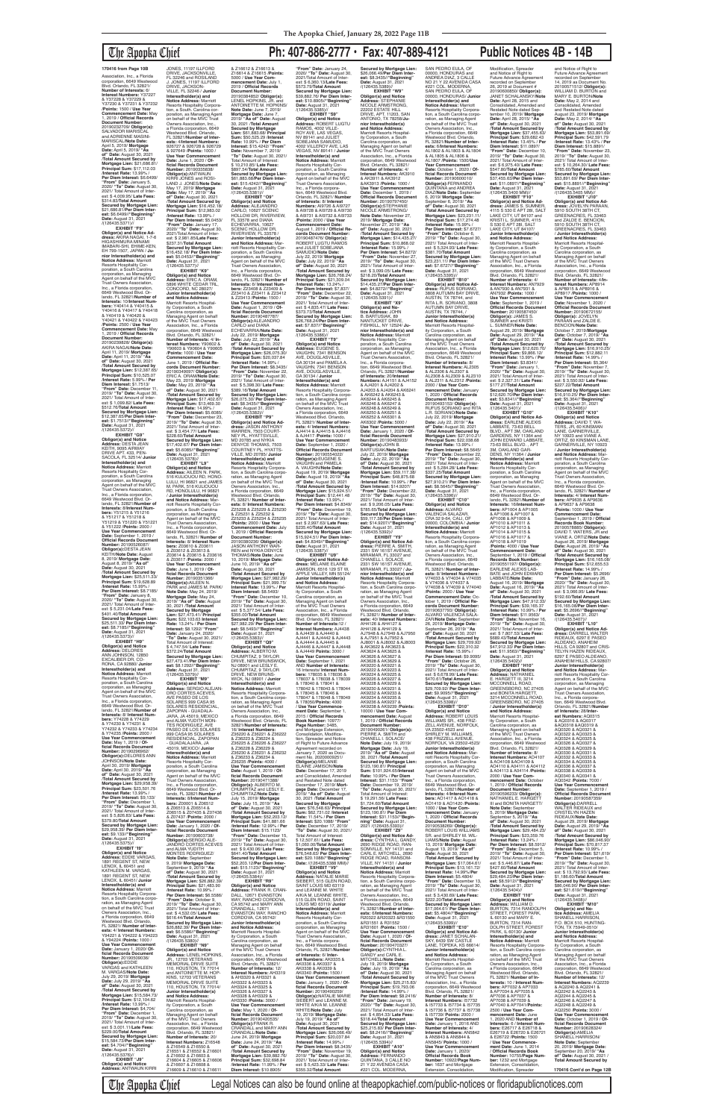The Apopka Chief **Ph: 407-886-2777 • Fax: 407-889-4121 Public Notices 4B - 14B Secured by Mortgage Lien:** \$26,066.49/**Per Diem Interest:** \$8.3435//"**Beginning"**<br>**Date:** August 31, 2021<br>/(126435.5389)// **EXHIBIT "W9" Obligor(s) and Notice Address:** STEPHANIE NICOLE ARMSTRONG 22202 ESTATE HILL DRIVE, APT. 11203, SAN ANTONIO, TX 78258/**Junior Interestholder(s) and Notice Address:** Marriott Resorts Hospital-ity Corporation, a South Carolina corporation, as Managing Agent on behalf of the MVC Trust Owners Association, Inc., a Florida corporation, 6649 Westwood Blvd. Orlando, FL 32821/ **Number of Interests:** 4/ **Interest Numbers:** AK3910 & AK3911 & AK3912 &AK3913 /**Points:** 1000 / **Use Year Commencement Date:** December 1, 2019 / **Official Records Document Number:** 20190797450/ **Obligor(s):**STEPHANIE<br>NICOLE ARMSTRONG/ **Note Date:** November 27, 2019/ **Mortgage Date:** November 27, 2019/ **"As of" Date:** August 30, 2021 /**Total Amount Secured by Mortgage Lien:** \$14,435.27/ **Principal Sum:** \$10,868.02 /**Interest Rate:** 15.99% / **Per Diem Interest:** \$4.8272/ **"From" Date:** November 27, 2019/ **"To" Date:** August 30, 2021/ Total Amount of Interest: \$ 3,099.05/ **Late Fees:** \$218.20/**Total Amount Secured by Mortgage Lien:** \$14,435.27/**Per Diem Interest:** \$4.8272//"**Beginning"**<br>**Date:** August 31, 2021<br>/(126435.5391)// **EXHIBIT "X9" Obligor(s) and No-tice Address:** JOHN B. BARTUSIAK, 89 NANTUCKET DRIVE, FISHKILL, NY 12524/ **Ju-nior Interestholder(s) and Notice Address:** Marriott Resorts Hospitality Corporation, a South Carolina corporation, as Managing Agent on behalf of the MVC Trust Owners Association, Inc., a Florida corporation, 6649 Westwood Blvd. Orlando, FL 32821/**Number of Interests:** 20/**Interest Numbers:** AJ4151 & AJ4152<br>& AJ4201 & AJ4202 &<br>AJ4203 & AJ4204 & AK6241<br>& AK6242 & AK6243 & AK6244 & AK6245 & AK6246 & AK6247 & AK6248 & AK6249 & AK6250 & AK6251 & AK6252 & AK6301 & AK6302 /**Points:** 5000 / **Use Year Commencement Date:** January 1, 2020 / **Official Records Docum Number:** 20190483933/ **Obligor(s):**JOHN B. BARTUSIAK/**Note Date:** July 22, 2019/ **Mortgage Date:** July 22, 2019/ **"As of" Date:** August 30, 2021 /**Total Amount Secured by Mortgage Lien:** \$59,117.38/ **Principal Sum:** \$48,875.68 /**Interest Rate:** 10.99% / **Per Diem Interest:** \$14.9207/ **"From" Date:** December 22, 2019/ **"To" Date:** August 30, 2021/ Total Amount of Inter-est: \$ 9,206.05/ **Late Fees:** \$785.65/**Total Amount Secured by Mortgage Lien:** \$59,117.38/**Per Diem Inter-est:** \$14.9207//**"Beginning" Date:** August 31, 2021 /(126435.5392)//<br>"EXHIBIT "Y9 **EXHIBIT "Y9"<br><b>Obligor(s) and Notice Ad-<br>dress: PIERRE A. SMITH,<br>2331 SW 161ST AVENUE,<br>MIRAMAR, FL 33027 and<br>CHANELL I. SOLACE,** 2331 SW 161ST AVENUE, MIRAMAR, FL 33027 / **Junior Interestholder(s) and<br><b>Notice Address:** Marriott<br>Resorts Hospitality Corpora-

Association, Inc., a Florida corporation, 6649 Westwood Blvd. Orlando, FL 32821/ **Number of Interests:** 6/ **Interest Numbers:** Y37227 & Y37228 & Y37229 & Y37230 & Y37231 & Y37232 /**Points:** 1500 / **Use Year Commencement Date:** May 1, 2019 / **Official Records Document Number:<br>20190232709/ <b>Obligor(s):**<br>SALVADOR MARISCAL<br>and ADRIENNE MASINI-MARISCAL/**Note Date:** April 5, 2019/ **Mortgage Date:** April 5, 2019/ **"As of" Date:** August 30, 2021 /**Total Amount Secured by Mortgage Lien:** \$21,686.81/ **Principal Sum:** \$17,112.03 /**Interest Rate:** 13.99% / **Per Diem Interest:** \$6.6499/ **"From" Date:** January 5, 2020/ **"To" Date:** August 30, 2021/ Total Amount of Inter-est: \$ 4,009.95/ **Late Fees:** \$314.83/**Total Amount Secured by Mortgage Lien:** \$21,686.81/**Per Diem Interest:** \$6.6499//"**Beginning"**<br>**Date:** August 31, 2021<br>/(126435.5371)//

**EXHIBIT "F9" Obligor(s) and Notice Ad-dress:** AKIRA NAGAI, 1-7-6 HIGASHIMURA MINAMI IMABARI-SHI, EHIME-KEN, EH 799-1507, JAPAN / **Junior Interestholder(s) and Notice Address:** Marriott Resorts Hospitality Corporation, a South Carolina corporation, as Managing Agent on behalf of the MVC Trust Owners Association, Inc., a Florida corporation, 6649 Westwood Blvd. Orlando, FL 32821/**Number of Interests:** 10/**Interest Numbers:** Y40414 & Y40415 & Y40416 & Y40417 & Y40418<br>& Y40419 & Y40420 & & Y40419 & Y40420 & Y40421 & Y40422 & Y40423 /**Points:** 2500 / **Use Year Commencement Date:** May 1, 2019 / **Official Records Document Number:** 20190239828/ **Obligor(s):** AKIRA NAGAI/**Note Date:** April 11, 2019/ **Mortgage Date:** April 11, 2019/ **"As of" Date:** August 30, 2021 /**Total Amount Secured by Mortgage Lien:** \$12,387.65/ **Principal Sum:** \$10,525.07 /**Interest Rate:** 5.99% / **Per Diem Interest:** \$1.7513/ **"From" Date:** December 11, 2019/ **"To" Date:** August 30, 2021/ Total Amount of Interest: \$ 1,099.82/ **Late Fees:** \$512.76/**Total Amount Secured by Mortgage Lien:** \$12,387.65/**Per Diem Interest:** \$1.7513//"**Beginning"**<br>**Date:** August 31, 2021<br>/(126435.5372)//

**EXHIBIT "G9" Obligor(s) and Notice Address:** DESTA JEAN KEITH, 9095 AIRWAY<br>DRIVE APT. 433, PEN-SACOLA, FL 32514/ **Junior Interestholder(s) and Notice Address:** Marriott Resorts Hospitality Corporation, a South Carolina corporation, as Managing Agent on behalf of the MVC Trust Owners Association, Inc., a Florida corporation, 6649 Westwood Blvd. Orlando, FL 32821/**Number of Interests:** 8/**Interest Numbers:** Y51215 & Y51216 & Y51217 & Y51218 & Y51219 & Y51220 & Y51221 & Y51222 /**Points:** 2000 / **Use Year Commencement Date:** September 1, 2019 / **Official Records Docume Number:** 20190526087/ **Obligor(s):**DESTA JEAN KEITH/**Note Date:** August 8, 2019/ **Mortgage Date:** August 8, 2019/ **"As of" Date:** August 30, 2021 /**Total Amount Secured by Mortgage Lien:** \$25,511.33/ **Principal Sum:** \$19,628.89 /**Interest Rate:** 15.99% / **Per Diem Interest:** \$8.7185/ **"From" Date:** January 8, 2020/ **"To" Date:** August 30, 2021/ Total Amount of Interest: \$ 5,231.04/**Late Fees:** \$401.40/**TotaI Amount Secured by Mortgage Lien:** \$25,511.33/ **Per Diem Interest:** \$8.7185//**"Beginning" Date:** August 31, 2021 /(126435.5373)//<br>"**EXHIBIT "H9 EXHIBIT "H9" Obligor(s) and Notice Address:** DELORES ANN JOHNSON, 12850 EXCALIBER DR, CO-RONA, CA 92880/ **Junior Interestholder(s) and Notice Address:** Marriott Resorts Hospitality Corporation, a South Carolina corporation, as Managing Agent on behalf of the MVC Trust Owners Association, Inc., a Florida corporation, 6649 Westwood Blvd. Orlando, FL 32821/Number of **Interests:** 8/ **Interest Numbers:** Y74228 & Y74229 & Y74230 & Y74231 & Y74232 & Y74233 & Y74234 & Y74235 /**Points:** 2000 / **Use Year Commencement Date:** May 1, 2019 / **Official Records Document Number:** 20190296962/ **Obligor(s):**DELORES ANN JOHNSON/**Note Date:** April 30, 2019/ **Mortgage Date:** April 30, 2019/ **"As of" Date:** August 30, 2021 /**Total Amount Secured by Mortgage Lien:** \$29,958.39/ **Principal Sum:** \$23,501.76 /**Interest Rate:** 13.99% / **Per Diem Interest:** \$9,133/ **"From" Date:** December 1, 2019/ **"To" Date:** August 30, 2021/ Total Amount of Interest: \$ 5,826.83/ **Late Fees:** \$379.80/**Total Amount Secured by Mortgage Lien:** \$29,958.39/ **Per Diem Interest:** \$9.133//"**Beginning"<br>Date:** August 31, 2021<br>/(126435.5375)//<br>**EXHIBIT "I9" Obligor(s) and Notice Address:** EDDIE VARGAS, 1891 REGENT ST, NEW LENOX, IL 60451 and KATHLEEN M. VARGAS, 1891 REGENT ST, NEW LENOX, IL 60451/ **Junior Interestholder(s) and Notice Address:** Marriott<br>Resorts Hospitality Corpora-<br>tion, a South Carolina corporation, as Managing Agent<br>on behalf of the MVC Trust Owners Association, Inc., a Florida corporation, 6649 Westwood Blvd. Orlando, FL 32821/ **Number of Interests:** 4/ **Interest Numbers:** Y94221 & Y94222 & Y94223 & Y94224 /**Points:** 1000 / **Use Year Commencement**<br>Date: January 1, 2020/ Of-**Date:** January 1, 2020/ **Of-ficial Records Document Number:** 20190509036/ **Obligor(s):**EDDIE VARGAS and KATHLEEN M. VARGAS/**Note Date:** July 29, 2019/ **Mortgage Date:** July 29, 2019/ **"As of" Date:** August 30, 2021 /**Total Amount Secured by Mortgage Lien:** \$15,584.73/ **Principal Sum:** \$12,104.62 /**Interest Rate:** 13.99% / **Per Diem Interest:** \$4,704/ **"From" Date:** December 1, 2019/ **"To" Date:** August 30, 2021/ Total Amount of Interest: \$ 3,001.11/**Late Fees:** \$229.00/**Total Amount Secured by Mortgage Lien:** \$15,584.73/**Per Diem Inter-est:** \$4.704//**"Beginning" Date:** August 31, 2021 /(126435.5376)// **EXHIBIT "J9" Obligor(s) and Notice Address:** ANTWAUN KIRRI

JONES, 11197 ILLFORD<br>DRIVE, JACKSONVILLE, FL 32246 and ROSILAND J. JONES, 11197 ILLFORD DRIVE, JACKSON-VILLE, FL 32246 / **Junior Interestholder(s) and Notice Address:** Marriott Resorts Hospitality Corpora-tion, a South. Carolina cor-poration, as Managing Agent on behalf of the MVC Trust Owners Association, Inc., a Florida corporation, 6649 Westwood Blvd. Orlando, FL 32821/**Number of Inter-ests:** 4/**Interest Numbers:** 926727 & 926728 & 926729 & 927649 /**Points:** 1000 / **Use Year Commencement Date:** June 1, 2020 / **Of-ficial Records Document Number:** 20190335838/ **Obligor(s):**ANTWAUN KIRRI JONES and ROSI-LAND J. JONES/**Note Date:** May 17, 2019/ **Mortgage Date:** May 17, 2019/ **"As of" Date:** August 30, 2021 /**Total Amount Secured by Mortgage Lien:** \$16,452.18/ **Principal Sum:** \$12,983.02 /**Interest Rate:** 13.99% / **Per Diem Interest:** \$5.0453/ **"From" Date:** January 17, 2020/ **"To" Date:** August 30, 2021/Total Amount of Inter-est: \$ 2,981.85/**Late Fees:** \$237.31/**Total Amount Secured by Mortgage Lien:** \$16,452.18/ **Per Diem Interest:** \$5.0453//**"Beginning" Date:** August 31, 2021<br>/(126435.5377)// **EXHIBIT "K9" Obligor(s) and Notice<br><b>Address:** ERIC A. ORAM,<br>5896 WHITE CEDAR TRL, CONCORD, NC 28027/<br>Junior Interestholder(s) **Junior Interestholder(s) and Notice Address:** Marriott Resorts Hospital-ity Corporation, a South Carolina corporation, as Managing Agent on behalf of the MVC Trust Owners Association, Inc., a Florida corporation, 6649 Westwood Blvd. Orlando, FL 32821/ **Number of Interests:** 4/ **Interest Numbers:** Y90602 & Y90603 & Y90604 & Y90605 /**Points:** 1000 / **Use Year Commencement Date:** June 1, 2019 / **Official Records Document Number:** 20190349097/ **ObIigor(s):** ERIC A. ORAM/**Note Date:** May 23, 2019/ **Mortgage Date:** May 23, 2019/ **"As of" Date:** August 30, 2021 /**Total Amount Secured by Mortgage Lien:** \$17,402.67/ **Principal Sum:** \$13,469.30 /**Interest Rate:** 14.99% / **Per Diem Interest:** \$5.6085/ **"From" Date:** December 23, 2019/ **"To" Date:** August 30, 2021/ Total Amount of Inter-est: \$ 3,454.77/ **Late Fees:** \$228.60/**Total Amount Secured by Mortgage Lien:** \$17,402.67/ **Per Diem Interest:** \$5.6085//**"Beginning" Date:** August 31, 2021<br>/(126435.5378)// **EXHIBIT "L9" Obligor(s) and Notice Address:** AILEEN N. PARK, 516 KULIOUOU RD, HONO-LULU, HI 96821 and JAMES M. PARK, 516 KULIOUOU RD, HONOLULU, HI 96821 / **Junior Interestholder(s) and Notice Address:** Marriott Resorts Hospitality Corporation, a South Carolina corporation, as Managing Agent on behalf of the MVC Trust Owners Association, Inc., a Florida corporation, 6649 Westwood Blvd. Orlando, FL 32821/ **Number of Interests:** 8/ **Interest Num-<br>bers: Z03610 & Z03611<br>& Z03612 & Z03613 &<br>Z03614 & Z03615 & Z03616<br>& Z03617 /<b>Points:** 2000 / **Use Year Commencement Date:** June 1, 2019 / **Official Records Document Number:** 20190351366/<br>**Obligor(s):**AILEEN N.<br>PARK and JAMES M. PARK/ **Note Date:** May 24, 2019/ **Mortgage Date:** May 24, 2019/ **"As of" Date:** August 30, 2021 /**Total Amount Secured by Mortgage Lien:** \$27,473.41/ **Principal** 

**Interestholder(s) and**<br>**Notice Address:** Marriott<br>Resorts Hospitality Corporation, a South Carolina corporation, as Managing Agent<br>on behalf of the MVC Trust Owners Association, Inc.,<br>a Florida corporation, 6649<br>Westwood Blvd. Orlando,<br>FL 32821/ **Number of Interests:** 4/ **Interest Numbers:** AJ4414 & AJ4415 & AJ4416 & AJ4417 /**Points:** 1000 / **Use Year Commencement Date:** September 1, 2020 / **Official Records Document Number:** 20190554022/ **Obligor(s):**EUGENE S. VAUGHN and PAMELA<br>A. VAUGHN/**Note Date:**<br>August 19, 2019/ **Mortgage**<br>**Date:** August 19, 2019/ "**As of" Date:** August 30, 2021 /**Total Amount Secured by Mortgage Lien:** \$15,924.51/ **Principal Sum:** \$12,441.48 /**Interest Rate:** 13.99% / **Per Diem Interest:** \$4.8349/ **"From" Date:** December 19, 2019/ **"To" Date:** August 30, 2021/ Total Amount of Inter-est: \$ 2,997.63/ **Late Fees:** \$235.40/**TotaI Amount Secured by Mortgage Lien:** \$15,924.51/ **Per Diem Inter-est:** \$4.8349//**"Beginning" Date:** August 31, 2021 /(126435.5387)// **EXHIBIT "U9" Obligor(s) and Notice Ad-**

**dress:** MELANIE ELAINE<br>JAMISON, 6516 129 ST W, APPLE VALLEY, MN 55124/ **Junior Interestholder(s) and Notice Address:** Marriott Resorts Hospitality Corporation, a South arolina corporation, as Managing Agent on behalf<br>of the MVC Trust Owners<br>Association, Inc., a Florida<br>corporation, 6649 Westwood Blvd. Orlando, FL 32821/ **Number of Interests:**12 / **Interest Numbers:** AJ4438

**Rate:** 13.24% / **Per Diem Interest:** \$8.1292/ **"From" Date:** January 24, 2020/ **"To" Date:** August 30, 2021/ Total Amount of Interest: \$ 4,747.54/ **Late Fees:** \$372.24/**Total Amount Secured by Mortgage Lien:** \$27,473.41/**Per Diem Inter-est:** \$8.1292//**"Beginning" Date:** August 31, 2021 /(126435.5379)// **EXHIBIT "M9" Obligor(s) and Notice Address:** SERGIO ALEJAN-DRO CORTES ACEVES, AVE PASEO DE LOS SOLARES 999 CASA 95 SOLARES RESIDENCIAL, ZAPOPAN - GUADALA-JARA, JA 45019, MEXICO and ALMA YUDITH MON-TES RODRIGUEZ, AVE PASEO DE LOS SOLARES 999 CASA 95 SOLARES RESIDENCIAL, ZAPOPAN - GUADALAJARA, JA 45019, MEXICO/ **Junior Interestholder(s) and Notice Address:** Marriott Resorts Hospitality Corporation, a South Carolina corporation, as Managing Agent on behalf of the MVC Trust Owners Association, Inc., a Florida corporation, 6649 Westwood Blvd. Orlando, FL 32821/**Number of Interests:** 8/**Interest Num-bers:** Z00001 & Z06512 & Z06513 & Z06514 & Z06515 & Z07435 & Z07436 & Z07437 /**Points:** 2000 / **Use Year Commencement Date:** January 1, 2020 / **Of-ficial Records Document Number:** 20190603738/ **Obligor(s):**SERGIO ALE-JANDRO CORTES ACEVES and ALMA YUDITH MONTES RODRIGUEZ/ **Note Date:** September 9, 2019/ **Mortgage Date:** September 9, 2019/ **"As of" Date:** August 30, 2021 /**Total Amount Secured by Mortgage Lien:** \$26,882.39/ **Principal Sum:** \$21,483.90 /**Interest Rate:** 10.99% / **Per Diem Interest:** \$6.5586/ **"From" Date:** October 9, 2019/ **"To" Date:** August 30, 2021/ Total Amount of Inter-est: \$ 4,532.05/ **Late Fees:** \$616.44/**Total Amount Secured by Mortgage Lien:** \$26,882.39/ **Per Diem Interest:** \$6.5586//"**Beginning"**<br>**Date:** August 31, 2021<br>/(126435.5380)// **EXHIBIT "N9" Obligor(s) and Notice Address:** LENEL HOPKINS, JR., 12703 VETERANS<br>MEMORIAL DRIVE SUITE<br>110, HOUSTON, TX 77014 and ANTOINETTE M. HOP-KINS, 12703 VETERANS MEMORIAL DRIVE SUITE 110, HOUSTON, TX 77014/ **Junior Interestholder(s) and Notice Address:** Marriott Resorts Hospitality Corporation, a South Carolina corporation, as Managing Agent on behalf of the MVC Trust Owners Association, Inc., a Florida corporation, 6649 Westwood Blvd. Orlando, FL 32821/ **Number of Interests:** 20/ **Interest Numbers:** Z16548<br>& Z16549 & Z16550 &<br>Z16551 & Z16552 & Z16601 & Z16602 & Z16603 & Z16604 & Z16605 & Z16606 & Z16607 & Z16608 & Z16609 & Z16610 & Z16611

tion, a South Carolina corporation, as Managing Agent<br>on behalf of the MVC Trust Owners Association, Inc.,<br>a Florida corporation, 6649<br>Westwood Blvd. Orlando,<br>FL 32821/ **Number of Interests:** 40/ **Interest Numbers:** AH4126 & AH4127 & AJ7948 & AJ7949 & AJ7950 & AJ7951 & AJ7952 & AJ8001 & AJ8002 & AJ8003 AK9238 & AK9239 /**Points:** 10000 / **Use Year Com-mencement Date:** August 1, 2019 / **Official Records**  20190490261/ **ObIigor(s):** PIERRE A. SMITH and **Note Date:** July 19, 2019/ **Mortgage Date:** July 19, 2019/ **"As of" Date:** August **Secured by Mortgage Lien:** \$123,190.81/ **Principal Sum:** \$101,924.65/**Interest Rate:** 10.99% / **Per Diem Interest:** \$31.1153/ **"From" Date:** December 19, 2019/ **"To" Date:** August 30, 2021/ Total Amount of Interest: \$ 19,291.56/ **Late Fees:** \$1,724.60/**Total Amount Secured by Mortgage Lien:** \$123,190.81/ **Per Diem Interest:** \$31.1153//**"Begin-Obligor(s) and Notice Address:** CYNTHIA L. GANDY,<br>2690 RIDGE ROAD, RAN-SOMVILLE, NY 14131 and CARL E. MITCHELL, 2690 RIDGE ROAD, RANSOM-VILLE, NY 14131 / **Junior Notice Address:** Marriott Resorts Hospitality Corpora-tion, a South Carolina corpo-ration, as Managing Agent on behalf of the MVC Trust Owners Association, Inc., a Florida corporation, 6649 Westwood Blvd. Orlando, FL 32821/**Number of Inter-ests:** 6/**Interest Numbers:** R20322 &R20323 &R31550 **Use Year Commencement Date:** August 1, 2020 / **Of-ficial Records Document**  July 19, 2019/ **Mortgage Date:** July 19, 2019/ **"As of" Date:** August 30, 2021 /**Total Amount Secured by Mortgage Lien:** \$25,215.83/ **Principal Sum:** \$19,793.06 /**Interest Rate:** 14.99% / **Per Diem Interest:** \$8.2416/ **"From" Date:** January 19, 2020/ **"To" Date:** August 30, 2021/ Total Amount of Interest: \$ 4,854.33/ **Late Fees:** \$318.44/**Total Amount Secured by Mortgage Lien:** \$25,215.83/ **Per Diem Interest:** \$8.2416//**"Beginning" Date:** August 31, 2021 SAN PEDRO EULA, OF 00000, HONDURAS and ANDREA DIAZ, 3 CALLE NO 21 Y 22 AVENIDA CASA #221 COL. MODERNA, SAN PEDRO EULA, OF 00000, HONDURAS/ **Junio**<br>Interestholder(s) and **Indrice Address:** Marriott<br>**Resorts Hospitality Corpora-<br>tion, a South Carolina corpo-<br>ration, as Managing Agent<br>cration, as Managing Agent<br>on behalf of the MVC Trust<br>Owners Association, Inc.,** a Florida corporation, 6649 Westwood Blvd. Orlando, FL 32821/**Number of Interests:** 6/**Interest Numbers:** AL1802 & AL1803 & AL1804 & AL1805 & AL1806 & AL1807 /**Points:** 1500/**Use Year Commencement Date:** October 1, 2020 / **Of-ficial Records Document Number:** 20190600010/ **ObIigor(s):**FERNANDO QUINTANA and ANDREA DIAZ/**Note Date:** September 6, 2019/ **Mortgage Date:** September 6, 2019/ **"As of" Date:** August 30, 2021 /**Total Amount Secured by Mortgage Lien:** \$23,231.11/ **Principal Sum:** \$17,274.48 /**Interest Rate:** 15.99% / **Per Diem Interest:** \$7.6727/ **"From" Date:** October 6, 2019/ **"To" Date:** August 30, 2021/ Total Amount of Inter-est: \$ 5,324.93/ **Late Fees:** \$381.70/**Total Amount Secured by Mortgage Lien:** \$23,231.11/ **Per Diem Inter-est:** \$7.6727//**"Beginning" Date:** August 31, 2021 /(126435.5395)// **EXHIBIT "B10" Obligor(s) and Notice Address:** RUFUS SORIANO,<br>3808 AUTUMN BAY DRIVE, AUSTIN, TX 78744, and RITA L.R. SORIANO, 3808 AUTUMN BAY DRIVE, AUSTIN, TX 78744, / **Junior Interestholder(s) and Notice Address:** Marriott Resorts Hospital-ity Corporation, a South Carolina corporation, as Managing Agent on behalf of the MVC Trust Owners Association, Inc., a Florida corporation, 6649 Westwood Blvd. Orlando, FL 32821/ **Number of Interests:** 8/ **Interest Numbers:** AL2305 & AL2306 & AL2307 & AL2308 & AL2309 & AL2310 & AL2311 & AL2312 /**Points:** 2000 / **Use Year Com-mencement Date:** January 1, 2020 / **Official Records Document Number:** 20190493153/ **ObIigor(s):** RUFUS SORIANO and RITA L.R. SORIANO/**Note Date:** July 22, 2019/ **Mortgage Date:** July 22, 2019/ **"As of" Date:** August 30, 2021 /**Total Amount Secured by Mortgage Lien:** \$27,910.21/ **Principal Sum:** \$22,038.68 /**Interest Rate:** 13.99% / **Per Diem Interest:** \$8.5645/ **"From" Date:** December 22, 2019/ **"To" Date:** August 30, 2021/ Total Amount of Interest: \$ 5,284.28/ **Late Fees:** \$337.25/**Total Amount Secured by Mortgage Lien:** \$27,910.21/ **Per Diem Interest:** \$8.5645//**"Beginning" Date:** August 31, 2021 /(126435.5396)// **EXHIBIT "C10" Obligor(s) and Notice Address:** ALVARO<br>VALENCIA SALAZAR, CRA 32 9-64, CALI, OF 00000, COLOMBIA / **Junior Interestholder(s) and Notice Address:** Marriott Resorts Hospitality Corpora-tion, a South Carolina corporation, as Managing Agent<br>on behalf of the MVC Trust<br>Owners Association, Inc.,<br>a Florida corporation, 6649 Westwood Blvd. Orlando, FL 32821/ **Number of Interests:** 8/ **Interest Numbers:**<br>V74033 & V74034 & V74035<br>& V74036 & V74037 & V74038 & V74039 & V74040 /**Points:** 2000 / **Use Year Commencement Date:** October 1, 2019 / **Official Records Document Number:** 20190637793/ **ObIigor(s):** ALVARO VALENCIA SALA-ZAR/**Note Date:** September 26, 2019/ **Mortgage Date:** September 26, 2019/ **"As of" Date:** August 30, 2021 /**Total Amount Secured by Mortgage Lien:** \$29,709.92/ **Principal Sum:** \$22,310.32 /**Interest Rate:** 15.99% / **Per Diem Interest:** \$9.9095/ **"From" Date:** October 26, 2019/ **"To" Date:** August 30, 2021/ Total Amount of Interest: \$ 6,678.99/ **Late Fees:** \$470.61/**Total Amount Secured by Mortgage Lien:** \$29,709.92/ **Per Diem Inter-est:** \$9.9095//**"Beginning" Date:** August 31, 2021 /(126435.5398)// **EXHIBIT "D10" Obligor(s) and Notice<br><b>Address:** ROBERT LOUIS<br>WILLIAMS SR., 438 FRIZ-<br>ZELL AVENUE, NORFOLK, VA 23502-4523 and SHIRLEY M. WILLIAMS, 438 FRIZZELL AVENUE, NORFOLK, VA 23502-4523/ **Junior Interestholder(s) and Notice Address:** Marriott Resorts Hospitality Cor-poration, a South Carolina corporation, as Managing<br>Agent on behalf of the MVC<br>Trust Owners Association,<br>Inc., a Florida corporation, 6649 Westwood Blvd. Or-lando, FL 32821/**Number of Interests:** 4/**Interest Num-bers:** AO1417 & AO1418 & AO1419 & AO1420 /**Points:** 1000 / **Use Year Commencement Date:** January 1, 2020 / **Official Records Document Number:<br>20190538269/ <b>Obligor(s):**<br>ROBERT LOUIS WILLIAMS<br>SR. and SHIRLEY M. WIL-LIAMS/**Note Date:** August<br>13, 2019/ **Mortgage Date:**<br>August 13, 2019/ "**As of"**<br>Date: August 30, 2021<br>/**Total Amount Secured by Mortgage Lien:** \$17,064.61/ **Principal Sum:** \$13,161.72/ **Interest Rate:** 14.99%/**Per Diem Interest:** \$5.4804/ **"From" Date:** December 13, 2019/ **"To" Date:** August 30, 2021/ Total Amount of Interest: \$ 3,430.69/ **Late Fees:** \$222.20/**Total Amount Secured by Mortgage Lien:** \$17,064.61/ **Per Diem Inter-est:** \$5.4804//**"Beginning" Date:** August 31, 2021 /(126435 **EXHIBIT "E10" Obligor(s) and Notice Ad-<br><b>dress:** JANET SCHALAN-<br>SKY, 6439 SW CASTLE<br>LANE, TOPEKA, KS 66614/ **Junior Interestholder(s) and Notice Address:** Marriott Resorts Hospitality Corporation, a South Carolina corporation, as Managing Agent on behalf of the MVC Trust Owners Association, Inc., a Florida corporation, 6649 Westwood Blvd. Orlando, FL 32821/ **Number of Interests:** 8/ **Interest Numbers:** I57732 & I57733 & I57734 & I57735 & I57736 & I57737 & I57738 & I57739/ **Points:** 2000 / **Use Year Commencement Date:** January 1, 2016 AND **Number of Interests:** 4/ **Interest Numbers:** AN5842 & AN5843 & AN5844 & AN5845/ **Points:** 1000 / **Use Year Commencement Date:** January 1, 2020/ **Official Records Book Number:** 10922/**Page Num-ber:** 1637 and Mortgage Extension, Consolidation

**Sum:** \$22,103.63 **Interest Interestholder(s) and Notice Address:** Marriott<br>Resorts Hospitality Corpora-<br>tion, a South Carolina corporation, as Managing Agent<br>on behalf of the MVC Trust Owners Association, Inc. a Florida corporation, 6649 Westwood Blvd. Orlando, FL 32821/ **Number of Interests:** 8/ **Interest Numbers:** Z25228 & Z25229 & Z25230 & Z25231 & Z25232 & Z25233 & Z25234 & Z25235 /**Points:** 2000 / **Use Year Commencement Date:** July 1, 2019 / **Official Records Document Number:** 20190380236/ **Obligor(s):** JASON ANTHONY WAR-REN and NYKIA DENYCE THOMAS/**Note Date:** June 10, 2019/ **Mortgage Date:** June 10, 2019/ **"As of" Date:** August 30, 2021 /**Total Amount Secured by Mortgage Lien:** \$27,982.29/ **Principal Sum:** \$21,999.75/ **Interest Rate:** 13.99% / **Per Diem Interest:** \$8.5493/ **"From" Date:** December 10, 2019/ **"To" Date:** August 30, 2021/ Total Amount of Inter-est: \$ 5,377.54/ **Late Fees:** \$355.00/**Total Amount Secured by Mortgage Lien:** \$27,982.29/ **Per Diem Interest:** \$8.5493//"**Beginning"**<br>**Date:** August 31, 2021<br>/(126435.5383)// **EXHIBIT "Q9" Obligor(s) and Notice Address:** ALBERTO M. CHUMPITAZ, 9 TAYLOR DRIVE, NEW BRUNSWICK, NJ 08901 and LESLY E. CHUMPITAZ, 9 TAYLOR DRIVE, NEW BRUNS-WICK, NJ 08901 / **Junior Interestholder(s) and Notice Address:** Marriott Resorts Hospitality Corporation, a South Carolina corporation, as Managing Agent<br>on behalf of the MVC Trust Owners Association, Inc., a Florida corporation, 6649 Westwood Blvd. Orlando, FL 32821/**Number of Interests:** 16/ **Interest Numbers:** Z36220 & Z36221 & Z36222 & Z36223 & Z36224 & Z36225 & Z36226 & Z36227 & Z36228 & Z36229 & & Z36228 & Z36229 &<br>Z36230 & Z36231 & Z36232 & Z36233 & Z36234 & Z36235 /**Points:** 4000 / **Use Year Commencement Date:** August 1, 2019 / **Of-ficial Records Document Number:** 20190471388/ **Obligor(s):** ALBERTO M. CHUMPITAZ and LESLY E. CHUMPITAZ/**Note Date:** July 15, 2019/ **Mortgage Date:** July 15, 2019/ **"As of" Date:** August 30, 2021 /**Total Amount Secured by Mortgage Lien:** \$52,203.12/ **Principal Sum:** \$41,881.66 /**Interest Rate:** 12.99% / **Per Diem Interest:** \$15.1123/ **"From" Date:** December 15, 2019/ **"To" Date:** August 30, 2021/ Total Amount of Inter-est: \$ 9,430.06/ **Late Fees:** \$641.40/**Total Amount Secured by Mortgage Lien:** \$52,203.12/**Per Diem Interest:** \$15.1123//**"Beginning" Date:** August 31, 2021 /(126435.5384)// **EXHIBIT "R9" Obligor(s) and Notice Address:** FRANK R. CRAN-DALL, 12671 EVANSTON WAY, RANCHO CORDOVA CA 95742 and MARY ANN CRANDALL, 12671 EVANSTON WAY, RANCHO CORDOVA, CA 95742/ **Junior Interestholder(s) and Notice Address:** Marriott Resorts Hospital-ity Corporation, a South trolina corporation, as Managing Agent on behalf of the MVC Trust Owners Association, Inc., a Florida corporation, 6649 Westwood Blvd. Orlando, FL 32821/ **Number of Interests:** 12/ **Interest Numbers:** AH3319 & AH3320 & AH3321 & AH3322 & AH3323 &<br>AH3324 & AH3325 & AH3324 & AH3325 & AH3326 & AH3327 & AH3328 & AH3329 & AH3330 /**Points:** 3000 / **Use Year Commencement Date:** May 1, 2020 / **Official Records Document Number:** 20190420535/<br>**Obligor(s):**FRANK R.<br>CRANDALL and MARY ANN CRANDALL/**Note Date:** June 24, 2019/ **Mortgage Date:** June 24, 2019/ **"As of" Date:** August 30, 2021 /**Total Amount Secured by Mortgage Lien:** \$39,882.76/ **Principal Sum:** \$32,698.84 /**Interest Rate:** 11.99% / **Per Diem Interest:** \$10.8905/

& Z16612 & Z16613 & Z16614 & Z16615 /**Points:** 5000 / **Use Year Commencement Date:** July 1, 2019 / **Official Records Document Number:** 20190384852/ **Obligor(s):** LENEL HOPKINS, JR. and ANTOINETTE M. HOPKINS/ **Note Date:** June 7, 2019/<br>**Mortgage Date:** June 7,<br>2019/ **"As of" Date:** August 30, 2021 /**Total Amount Secured by Mortgage Lien:** \$61,883.68/ **Principal Sum:** \$50,525.29 /**Interest Rate:** 10.99% / **Per Diem Interest:** \$15.4242/ **"From" Date:** November 7, 2019/ **"To" Date:** August 30, 2021/ Total Amount of Interest: \$ 10,210.85/ **Late Fees:** \$897.54/**Total Amount Secured by Mortgage Lien:** \$61,883.68/**Per Diem Interest:** \$15.4242//**"Beginning" Date:** August 31, 2021 /(126435.5381)// **EXHIBIT "O9" Obligor(s) and Notice Address:** ALEJANDRO<br>CARLO, 10627 SCENIC HOLLOW DR, RIVERVIEW,<br>FL 33578 and DIANA<br>ECHEVARRIA, 10627<br>SCENIC HOLLOW DR, RIVERVIEW, FL 33578 / **Junior Interestholder(s) and Notice Address:** Ma riott Resorts Hospitality Cor-poration, a South Carolina corporation, as Managing Agent on behalf of the MVC Trust Owners Association, Inc., a Florida corporation,<br>6649 Westwood Blvd. Or-<br>lando, FL 32821/ **Number of**<br>**Interests:** 6/ **Interest Numbers:** Z23408 & Z23409 & Z23410 & Z23411 & Z23412 & Z23413 /**Points:** 1500 / **Use Year Commencement Date:** August 1, 2019 / **Official Records Document Number:** 20190487787/ **Obligor(s):**ALEJANDRO CARLO and DIANA ECHEVARRIA/**Note Date:** July 22, 2019/ **Mortgage Date:** July 22, 2019/ **"As of" Date:** August 30, 2021 /**Total Amount Secured by Mortgage Lien:** \$26,075.30/ **Principal Sum:** \$20,037.84 /**Interest Rate:** 14.99% / **Per Diem Interest:** \$8.3435/ **"From" Date:** November 22, 2019/ **"To" Date:** August 30, 2021/ Total Amount of Inter-est: \$ 5,398.30/ **Late Fees:** \$389.16/**Total Amount Secured by Mortgage Lien:** \$26,075.30/ **Per Diem Interest:** \$8.3435//**"Beginning" Date:** August 31, 2021 /(126435.5382)// **EXHIBIT "P9" Obligor(s) and Notice Address:** JASON ANTHONY WARREN, 7503 COURT-NEY PL, HYATTSVILLE, MD 20785 and NYKIA<br>DENYCE THOMAS, 7503<br>COURTNEY PL, HYATTS-VILLE, MD 20785/ **Junior "From" Date:** January 24, 2020/ **"To" Date:** August 30, 2021/Total Amount of Inter-est: \$ 6,360.13/**Late Fees:** \$573.79/**Total Amount** 

**Secured by Mortgage Lien:** \$39,882.76/ **Per Diem Interest:** \$10.8905//**"Beginning"<br><b>Date:** August 31, 2021<br>/(126435.5385)//<br>**EXHIBIT "S9" Obligor(s) and Notice Address:** ROBERT LUGTU RAMOS, 4002 VILLE-ROY AVE, LAS VEGAS,<br>NV 89141 and JULIET<br>SOBEJANA SAMUDIO, 4002 VILLEROY AVE, LAS VEGAS, NV 89141 / **Junio**<br>Interestholder(s) and **Interestholder(s) and<br><b>Notice Address:** Marriott<br>Resorts Hospitality Cor-<br>poration, a South Carolina corporation, as Managing Agent on behalf of the MVC Trust Owners Association, Inc., a Florida corpora-tion, 6649 Westwood Blvd. Orlando, FL 32821/ **Number of Interests:** 8/ **Interest Numbers:** AI9726 & AI9727 & AI9728 & AI9729 & AI9730 & AI9731 & AI9732 & AI9733 /**Points:** 2000 / **Use Year Commencement Date:** August 1, 2019 / **Official Records Document Number:** 20190487476/ **Obligor(s):** ROBERT LUGTU RAMOS and JULIET SOBEJANA SAMUDIO/**Note Date:** July 22, 2019/ **Mortgage Date:** July 22, 2019/ **"As of" Date:** August 30, 2021 /**Total Amount Secured by Mortgage Lien:** \$26,768.24/ **Principal Sum:** \$21,309.04 /**Interest Rate:** 13.24% / **Per Diem Interest:** \$7,837/ **"From" Date:** December 22, 2019/ **"To" Date:** August 30, 2021/ Total Amount of Inter-est: \$ 4,835.47/ **Late Fees:** \$373.73/**Total Amount Secured by Mortgage Lien:** \$26,768.24/**Per Diem Interest:** \$7.837//"**Beginning"**<br>**Date:** August 31, 2021<br>/(126435.5386)// **EXHIBIT "T9" Obligor(s) and Notice Address:** EUGENE S. VAUGHN, 7341 BENSON AVE, DOUGLASVILLE, GA 30134 and PAMELA A. VAUGHN, 7341 BENSON AVE, DOUGLASVILLE, GA 30134 / **Junior** 

and Notice of Right to Future Advance Agreement recorded on September<br>14, 2019 as Document No.<br>20190571512/ **Obligor(s):**<br>WILLIAM D. BURTON and MARY E. BURTON/**Note Date:** May 2, 2014 and Consolidated, Amended and Restated Note dated August 23, 2019/ **Mortgage Date:** May 2, 2014/ **"As of" Date:** August 30, 2021 /**Total Amount Secured by Mortgage Lien:** \$53,891.69/ **Principal Sum:** \$42,591.79 /**Interest Rate:** 13.43% / **Per Diem Interest:** \$15.8891/ **"From" Date:** November 23, 2019/ **"To" Date:** August 30, 2021/ Total Amount of Interest: \$ 10,264.30/ **Late Fees:** \$785.60/**Total Amount Secured by Mortgage Lien:** \$53,891.69/ **Per Diem Inter-est:** \$15.8891//**"Beginning" Date:** August 31, 2021 /(126435.5405 MM)// **EXHIBIT "J10" Obligor(s) and Notice Address:** JOVELYN PARAAN,<br>5910 SOUTH 38TH CT, GREENACRES, FL 33463 and ZALDE E. BENCION, 5910 SOUTH 38TH CT, GREENACRES, FL 33463 / **Junior Interestholder(s) and Notice Address:** Marriott Resorts Hospital-ity Corporation, a South Carolina corporation, as Managing Agent on behalf of the MVC Trust Owners Association, Inc., a Florida corporation, 6649 Westwood Blvd. Orlando, FL 32821/ **Number of Interests:** 4/**Interest Numbers:** AP8914 & AP8915 & AP8916 &<br>AP8917 / **Points:** 1000 / AP8917 /**Points:** 1000 / **Use Year Commencement Date:** November 1, 2020 / **Official Records Document Number:** 20190672155/ **Obligor(s):** JOVELYN<br>PARAAN and ZALDE E. BENCION/**Note Date:** October 7, 2019/**Mortgage Date:** October 7, 2019/ **"As of" Date:** August 30, 2021 /**Total Amount Secured by Mortgage Lien:** \$16,910.25/ **Principal Sum:** \$12,882.11 /**Interest Rate:** 14.99% / **Per Diem Interest:** \$5,364/ **"From" Date:** November 7, 2019/ **"To" Date:** August 30, 2021/ Total Amount of Interest: \$ 3,550.92/ **Late Fees:** \$227.22/**Total Amount Secured by Mortgage Lien:** \$16,910.25/ **Per Diem Interest:** \$5.364//"**Beginning"**<br>**Date:** August 31, 2021<br>/(126435.5406)//

**EXHIBIT "K10" Obligor(s) and Notice Address:** DAVID T. WA-TERS, JR, 60 KINSMAN LANE, GARNERVILLE, NY 10923 and VIANE A. ORTIZ, 60 KINSMAN LANE, GARNERVILLE, NY 10923 / **Junior Interestholder(s) and Notice Address:** Mar-riott Resorts Hospitality Corporation, a South Carolina corporation, as Managing Agent on behalf of the MVC Trust Owners Association, Inc., a Florida corporation, 6649 Westwood Blvd. Orlando, FL 32821/ **Number of Interests:** 4/ **Interest Num-bers:** AP9635 & AP9636 & AP9637 & AP9638 /**Points:** 1000 / **Use Year Commencement Date:** September 1, 2019 / **Official Records Book Number:**<br>20190578885/ **Obligor(s):**<br>DAVID T. WATERS, JR and VIANE A. ORTIZ/**Note Date:** August 26, 2019/ **Mortgage Date:** August 26, 2019/ **"As of" Date:** August 30, 2021 /**Total Amount Secured by Mortgage Lien:** \$16,165.08/ **Principal Sum:** \$12,655.53 /**Interest Rate:** 14.99% / **Per Diem Interest:** \$5.2696/<br>**"From" Date:** January 26,<br>2020/ **"To" Date:** August 30,<br>2021/ Total Amount of Interest: \$ 3,066.95/ **Late Fees:** \$192.60/**TotaI Amount Secured by Mortgage Lien:** \$16,165.08/**Per Diem Inter-est:** \$5.2696//**"Beginning" Date:** August 31, 2021 /(126435.5407)//<br>**EXHIBIT** "L10"

& AJ4439 & AJ4440 & AJ4441 & AJ4442 & AJ4443 & AJ4444 & AJ4445 & AJ4446 & AJ4447 & AJ4448 & AJ4449 **Points:** 3000 / **Use Year Commencement Date:** September 1, 2021 AND **Number of Interests:** 16 Interests/ **Interest Numbers:** 178035 & 178036 & 178037 & 178038 & 178039 & 178040 & 178041 & 178042 & 178043 & 178044 & 178045 & 178046 & 178047 & 178048 & 178049 & 178050/**Points:** 4000 / **Use Year Commencement Date:** September 1, 2015 / **Official Records Book Number:** 10977/ **Page Number:** 3485, and Mortgage Extension, Consolidation, Modification, Spreader and Notice of Right to Future Advance Agreement recorded on January 7, 2020 as Document No. 20200009251/ **Obligor(s):**MELANIE ELAINE JAMISON/**Note Date:** December 17, 2019 and Consolidated, Amended and Restated Note dated December 17, 2019/ **Mort-gage Date:** December 17, 2019/ **"As of" Date:** August 30, 2021 /**Total Amount Secured by Mortgage Lien:** \$76,548.63/ **Principal Sum:** \$62,731.02 /**Interest Rate:** 11.54% / **Per Diem Interest:** \$20.1088/ **"From" Date:** December 17, 2019/ **"To" Date:** August 30, 2021/ Total Amount of Interest: \$ 12,507.61/ **Late Fees:** \$1,060.00/**Total Amount Secured by Mortgage Lien:** \$76,548.63/ **Per Diem Inter-est:** \$20.1088//**"Beginning" Date:** /(126435.5388 MM)// **EXHIBIT "V9" Obligor(s) and Notice Address:** NATALIE MARIE<br>SIEBERT, 515 GLEN ROAD,<br>SAINT LOUIS MD 63119<br>and LEANNE M. WHITE A/K/A M. LEANNE WHITE,<br>515 GLEN ROAD, SAINT LOUIS MD 63119/ **Junior Interestholder(s) and Notice Address:** Marriott Resorts Hospitality Corporation, a South Carolina corporation, as Managing Agent on behalf of the MVC Trust Owners Association, Inc., a Florida corporation, 6649 Westwood Blvd. Orlando, FL 32821/Numbe **of Interests:** 6/ **Interest Numbers:** AK0335 & AK0336 & AK0337 & AK0338 & AK0339 & AK0340 /**Points:** 1500 / **Use Year Commencement Date:** January 1, 2020 / **Official Records Document Number:** 20190490259/ **ObIigor(s):**NATALIE MARIE SIEBERT and LEANNE M. WHITE A/K/A M. LEANNE WHITE/**Note Date:** July 19, 2019/ **Mortgage Date:** July 19, 2019/ **"As of" Date:** August 30, 2021 /**Total Amount Secured by Mortgage Lien:** \$26,066.49/ **Principal Sum:** \$20,037.84 /**Interest Rate:** 14.99% / **Per Diem Interest:** \$8.3435/ **"From" Date:** November 19, 2019/ **"To" Date:** August 30, 2021/ Total Amount of Inter-est: \$ 5,423.33/ **Late Fees:** \$355.32/**Total Amount**  AH4128 & AH4129 & & AK3622 & AK3623 & AK3624 & AK3625 & AK3626 & AK3627 & AK3628 & AK3629 & AK9220 & AK9221 & AK9222 & AK9223 & AK9224 & AK9225 & AK9226 & AK9227 & AK9228 & AK9229 & AK9230 & AK9231 & AK9232 & AK9233 & AK9234 & AK9235 & AK9236 & AK9237 & **Document Number:** CHANELL I. SOLACE/ 30, 2021 /**Total Amount ning" Date:** August 31, 2021 /(126435.5393)// **EXHIBIT "Z9" Interestholder(s) and**  &R31551 & R31552 &R31601 /**Points:** 1500 / **Number:** 20190470327/ **Obligor(s):**CYNTHIA L.<br>GANDY and CARL E. MITCHELL/**Note Date:** /(126435.5394)// **EXHIBIT "A10" Obligor(s) and Notice Address:** FERNANDO QUINTANA, 3 CALLE NO<br>21 Y 22 AVENIDA CASA #221 COL. MODERNA,

Modification, Spreader and Notice of Right to Future Advance Agreement recorded on September 26, 2019 at Document # 20190600850/ **Obligor(s):** JANET SCHALANSKY/**Note Date:** April 28, 2015 and Consolidated, Amended and Restated Note dated Sep-tember 10, 2019/ **Mortgage Date:** April 28, 2015/ **"As of" Date:** August 30, 2021 /**Total Amount Secured by** 

**Mortgage Lien:** \$37,455.63/ **Principal Sum:** \$29,682.43 /**Interest Rate:** 13.45% / **Per Diem Interest:** \$11.0897/ **"From" Date:** December 10, 2019/ **"To" Date:** August 30, 2021/ Total Amount of Interest: \$ 6,975.40/ **Late Fees:** \$547.80/**Total Amount Secured by Mortgage Lien:** \$37,455.63/**Per Diem Inter-est:** \$11.0897//**"Beginning" Date:** August 31, 2021 /(126435.5400 MM)// **EXHIBIT "F10" Obligor(s) and Notice Address:** JAMES S. SUMNER, 4115 S 530 E APT 28I, SALT LAKE CITY, UT 84107 and KRISTI L. SUMNER, 4115 S 530 E APT 28I, SALT LAKE CITY, UT 84107/ **Junior Interestholder(s) and Notice Address:** Marriott Resorts Hospital-ity Corporation, a South Carolina corporation, as Managing Agent on behalf of the MVC Trust Owners Association, Inc., a Florida corporation, 6649 Westwood Blvd. Orlando, FL 32821/ **Number of Interests:** 4/ **Interest Numbers:** AN7929 & AN7930 & AN7931 & AN7932 /**Points:** 1000 / **Use Year Commencement Date:** September 1, 2019 / **Official Records Document Number:** 20190587450/ **Obligor(s):** JAMES S. SUMNER and KRISTI L. SUMNER/**Note Date:** August 29, 2019/ **Mortgage Date:** August 29, 2019/ **"As of" Date:** August 30, 2021 /**Total Amount Secured by Mortgage Lien:** \$12,620.70/ **Principal Sum:** \$9,866.12/ **Interest Rate:** 13.99% / **Per Diem Interest:** \$3.8341/ **"From" Date:** January 1, 2020/ **"To" Date:** August 30, 2021/ Total Amount of Interest: \$ 2,327.31/ **Late Fees:** \$177.27/**Total Amount Secured by Mortgage Lien:** \$12,620.70/**Per Diem Interest:** \$3.8341//"**Beginning"**<br>**Date:** August 31, 2021<br>/(126435.5401)/ **EXHIBIT "G10" Obligor(s) and Notice Ad-dress:** EARLENE ALEXIS LABBATE, 73-63 BELL<br>BLVD., APT 3M, OAKLAND GARDENS, NY 11364 and JOHN EDWARD LABBATE, 73-63 BELL BLVD. , APT 3M, OAKLAND GAR-DENS, NY 11364 / **Junior Interestholder(s) and Notice Address:** Marriott<br>Resorts Hospitality Cor-<br>poration, a South Carolina corporation, as Managing Agent on behalf of the MVC Trust Owners Association, Inc., a Florida corporation, 6649 Westwood Blvd. Or-lando, FL 32821/**Number of Interests:** 16/**Interest Numbers:** AP1004 & AP1005 & AP1006 & AP1007 & AP1008 & AP1009 & AP1010 & AP1011 & AP1012 & AP1013 & AP1014 & AP1015 & AP1016 & AP1017 & AP1018 & AP1019 /**Points:** 4000 / **Use Year Commencement Date:** September 1, 2019 / **Official Records Book Number:** 20190551197/ **Obligor(s):** EARLENE ALEXIS LAB-BATE and JOHN EDWARD LABBATE/**Note Date:** August 16, 2019/ **Mortgage Date:** August 16, 2019/ **"As of" Date:** August 30, 2021 /**Total Amount Secured by Mortgage Lien:** \$47,912.33/ **Principal Sum:** \$39,165.37 /**Interest Rate:** 10.99% / **Per Diem Interest:** \$11.9563/ **"From" Date:** November 16, 2019/ **"To" Date:** August 30, 2021/ Total Amount of Inter-est: \$ 7,807.53/ **Late Fees:** \$689.43/**Total Amount Secured by Mortgage Lien:** \$47,912.33/ **Per Diem Inter-est:** \$11.9563//**"Beginning" Date:** August 31, 2021 /(126435.5402)// **EXHIBIT "H10" Obligor(s) and Notice Address:** NATHANIEL E. HARGETT III, 3214 MCCONNELL ROAD,<br>GREENSBORO, NC 27405<br>and BONITA HARGETT,<br>3214 MCCONNELL ROAD, GREENSBORO, NC 27405 / **Junior Interestholder(s) and Notice Address:** Marriott Resorts Hospital-ity Corporation, a South Carolina corporation, as Managing Agent on behalf of the MVC Trust Owners Association, Inc., a Florida corporation, 6649 Westwood Blvd. Orlando, FL 32821/ **Number of Interests:** 8/ **Interest Numbers:** AO4107 & AO4108 &AO4109 & AO4110 & A04111 & A04112 & A04113 & A04114 /**Points:** 2000 / **Use Year Commencement Date:** October 1, 2019 / **Official Records Document Number:** 20190596233/ **Obligor(s):**<br>NATHANIEL E. HARGETT<br>III and BONITA HARGETT/ **Note Date:** September 5, 2019/ **Mortgage Date:** September 5, 2019/ **"As of" Date:** August 30, 2021 /**Total Amount Secured by Mortgage Lien:** \$29,484.23/ **Principal Sum:** \$23,359.76 /**Interest Rate:** 13.24% / **Per Diem Interest:** \$8.5912/ **"From" Date:** December 5, 2019/ **"To" Date:** August 30, 2021/ Total Amount of Inter-est: \$ 5,446.87/ **Late Fees:** \$427.60/**Total Amount Secured by Mortgage Lien:** \$29,484.23/**Per Diem Inter-est:** \$8.5912//**"Beginning" Date:** August 31, 2021 /(126435.5404)// **EXHIBIT "I10" Obligor(s) and Notice Address:** WILLIAM D. BURTON, 7314 RANDOLPH STREET, FOREST PARK, IL 60130 and MARY E. BURTON, 7314 RAN-DOLPH STREET, FOREST PARK, IL 60130/ **Junior Interestholder(s) and Notice Address:** Marriott Resorts Hospitality Corporation, a South Carolina corporation, as Managing Agent<br>on behalf of the MVC Trust Owners Association, Inc., a Florida corporation, 6649 Westwood Blvd. Orlando, FL 32821/ **Number of Interests: 10 / Interest Num**<br>**bers: AP7032 & AP7033 bers:** AP7032 & AP7033 & AP7034 & AP7035 & AP7036 & AP7037 & AP7038 & AP7039 & AP7040 & AP7041/**Points:** 2500 / **Use Year Commencement Date:** June 1, 2020 AND **Number of Interests:** 6 / **Interest Numbers:** E26717 & E26718 & E26719 & E26720 & E26721 & E26722 /**Points:** 1500 / **Use Year Commence-ment Date:** June 1, 2014 / **Official Records Book Number:** 10755/**Page Number:** 1232 and Mortgage<br>Extension, Consolidation, Modification, Spreader **170416 Cont'd on Page 12B**

**EXHIBIT "L10" Obligor(s) and Notice Ad-dress:** DARRELL WALTER RIDEAUX, 6297 E PASEO ALDEANO, ANAHEIM HILLS, CA 92807 and CRIS-TELYN HAZEN RIDEAUX, 6297 E PASEO ALDEANO,<br>ANAHEIM HILLS, CA 92807/<br>**Junior Interestholder(s) and Notice Address:** Marriott Resorts Hospitality Cor-poration, a South Carolina corporation, as Managing Agent on behalf of the MVC Trust Owners Association, Inc., a Florida corporation, 6649 Westwood Blvd. Orlando, FL 32821/**Numbe of Interests:** 28/**Interest Numbers:** AQ0315 & AQ0316 & AQ0317 &AQ0318 &AQ0319 & AQ0320 & AQ0321 & AQ0322 & AQ0323 & AQ0324 & AQ0325 & AQ0326 & AQ0327 & AQ0328 & AQ0329 & AQ0330 & AQ0331 & AQ0332 & AQ0333 & AQ0334 & AQ0335 & AQ0336 & AQ0337 & AQ0338 & AQ0339 & AQ0340 & AQ0341 & AQ0342 /**Points:** 7000 / **Use Year Commencemen Date:** September 1, 2019 / **Official Records Docum Number:** 20190587359/<br>**Obligor(s):**DARRELL<br>WALTER RIDEAUX and CRISTELYN HAZEN RIDEAUX/**Note Date:** August 29, 2019/ **Mortgage Date:** August 29, 2019/ **"As of" Date:** August 30, 2021 /**Total Amount Secured by Mortgage Lien:** \$86,046.90/ **Principal Sum:** \$70,817.37 /**Interest Rate:** 10.99% / **Per Diem Interest:** \$21,619/ **"From" Date:** December 1, 2019/ **"To" Date:** August 30, 2021/ Total Amount of Inter-est: \$ 13,792.93/ **Late Fees:** \$1,186.60/**Total Amount Secured by Mortgage Lien:** \$86,046.90/ **Per Diem Interest:** \$21.619//**"Beginning" Date:** August 31, 2021<br>/(126435.5408)// **EXHIBIT "M10" Obligor(s) and No-tice Address:** AMELIA SHANELL HARRISON, P.O. BOX 510, HUNTING-TON, TX 75949-0510/ **Junior Interestholder(s) and Notice Address:** Marriott Resorts Hospitality Corporation, a South Carolina corporation, as Managing Agent on behalf of the MVC Trust Owners Association, Inc., a Florida corporation, 6649 Westwood Blvd. Orlando, FL 32821/ **Number of Interests:** 12/ **Interest Numbers:** AQ2239 & AQ2240 & AQ2241 & AQ2242 & AQ2243 & AQ2244 & AQ2245 & AQ2246 & AQ2247 & AQ2248 & AQ2249 & AQ2250 /**Points:** 3000 / **Use Year Commencement Date:** October 1, 2019 / **Of-ficial Records Document Number:** 20190628324/ **Obligor(s):**AMELIA<br>SHANELL HARRISON/ **Note Date:** September 20, 2019/ **Mortgage Date:** ember 20, 2 **of" Date:** August 30, 2021 / **Total Amount Secured by** 

### **170416 from Page 10B**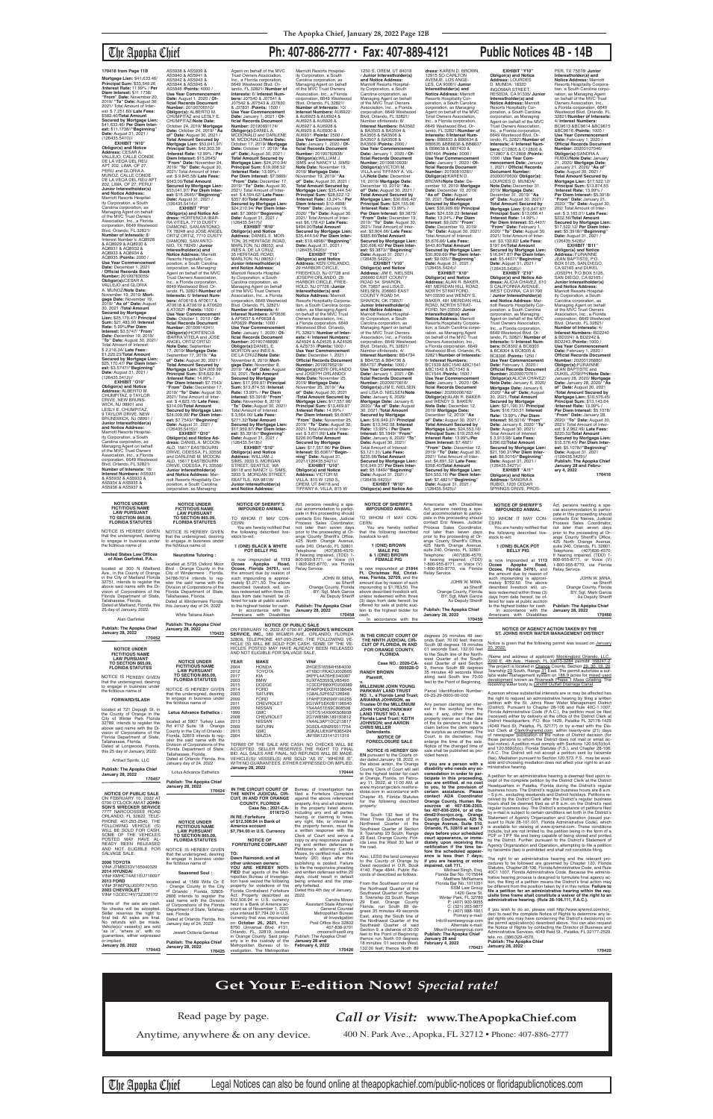# The Apopka Chief **Ph: 407-886-2777 • Fax: 407-889-4121 Public Notices 4B - 14B**

9 TAYLOR DRIVE, NEW BRUNSWICK, NJ 08901 / **Junior Interestholder(s) and Notice Address:**<br>Marriott Resorts Hospital-<br>ity Corporation, a South Carolina corporation, as Managing Agent on behalf of the MVC Trust Owners Association, Inc., a Florida corporation, 6649 Westwood Blvd. Orlando, FL 32821/ **Number of Interests:** 16/ **Interest Numbers:** AS5931 & AS5932 & AS5933 & AS5934 & AS5935 & AS5936 & AS5937 &

# AS5938 & AS5939 & AS5940 & AS5941 & AS5942 & AS5943 &

AS5944 & AS5945 &

AS5946 /**Points:** 4000 / **Use Year Commencement Date:** August 1, 2020 / **Of-ficial Records Document Number:** 20190706510/ **Obligor(s):** ALBERTO M. CHUMPITAZ and LESLY E. CHUMPITAZ/**Note Date:** October 24, 2019/ **Mortgage Date:** October 24, 2019/ **"As of" Date:** August 30, 2021 / **Total Amount Secured by Mortgage Lien:** \$53,041.97/ **Principal Sum:** \$42,303.39 /**Interest Rate:** 12.99% / **Per Diem Interest:** \$15.2645/ **"From" Date:** November 24, 2019/ **"To" Date:** August 30, 2021/ Total Amount of Inter-est: \$ 9,845.58/ **Late Fees:** \$643.00/**Total Amount Secured by Mortgage Lien:** \$53,041.97/ **Per Diem Inter-est:** \$15.2645//**"Beginning" Date:** August 31, 2021 / (126435.5414)// **EXHIBIT "P10" Obligor(s) and Notice Ad-dress:** HORTENCIA IBAR-RA VITELA, 7710 DUSTY DIAMOND, SAN ANTONIO, TX 78249 and JOSE ANGEL ORTIZ ORTIZ, 7710 DUSTY DIAMOND, SAN ANTO-<br>NIO, TX 78249 / **Junior<br>Interestholder(s) and<br><b>Notice Address:** Marriott<br>Resorts Hospitality Corporation, a South Carolina corporation, as Managing Agent on behalf of the MVC Trust Owners Association, Inc., a Florida corporation, 6649 Westwood Blvd. Or-lando, FL 32821/**Number of Interests:** 6/ **Interest Num-bers:** AT0616 & AT0617 & AT0618 & AT0619 & AT0620 & AT0621 /**Points:** 1500 / **Use Year Commencement Date:** October 1, 2019 / **Official Records Document Number:** 20190614241/ **Obligor(s):**HORTENCIA IBARRA VITELA and JOSE ANGEL ORTIZ ORTIZ/ Note Date: September<br>17, 2019/ Mortgage Date:<br>September 17, 2019/ "As<br>of" Date: August 30, 2021 /<br>Total Amount Secured by<br>Mortgage Lien: \$24,009.99/<br>Principal Sum: \$18,622.84 /**Interest Rate:** 14.99% / **Per Diem Interest:** \$7.7543/ **"From" Date:** December 17, 2019/ **"To" Date:** August 30, 2021/ Total Amount of Interest: \$ 4,823.15/ **Late Fees:** \$314.00/**Total Amount Secured by Mortgage Lien:** \$24,009.99/ **Per Diem Interest:** \$7.7543//"**Beginning"**<br>**Date:** August 31, 2021 /<br>(126435.5415)// **EXHIBIT "Q10" Obligor(s) and Notice Ad-dress:** DANIEL A. MCDON-ALD, 15617 EASTBOURN DRIVE, ODESSA, FL 33556 and DARLENE M. MCDON-ALD, 15617 EASTBOURN<br>DRIVE, ODESSA, FL 33556/ **Junior Interestholder(s) and Notice Address:** Marriott Resorts Hospitality Cor-

Blvd. Orlando, FL 32821/<br>**Number of Interests:** 10/<br>**Interest Numbers:** AU6922<br>& AU6923 & AU6924 & AU6925 & AU6926 & AU6927 & AU6928 & AU6929 & AU6930 & AU6931 /**Points:** 2500 / **Use Year Commencement Date:** January 1, 2020 / **Of-ficial Records Document Number:** 20190782838/ **Obligor(s):**WILLIAM J.<br>SIMS and NANCY U. SIMS/<br>**Note Date:** November 19, 2019/ **Mortgage Date:** November 19, 2019/ **"As of" Date:** August 30, 2021 / **Total Amount Secured by Mortgage Lien:** \$35,444.54/ **Principal Sum:** \$28,522.12 /**Interest Rate:** 13.24% / **Per Diem Interest:** \$10.4898/

poration, a South Carolina corporation, as Managing

Agent on behalf of the MVC Trust Owners Association, Inc., a Florida corporation, 6649 Westwood Blvd. Orlando, FL 32821/ **Number of Interests:** 6/ **Interest Numbers:** J07540 & J07541 & J07542 & J07543 & J37830 & J37831 /**Points:** 1500 / **Use Year Commencement Date:** January 1, 2021 / **Of-ficial Records Document Number:** 20190691174/ **Obligor(s):**DANIEL A. MCDONALD and DARLENE M. MCDONALD/**Note Date:** October 17, 2019/ **Mortgage Date:** October 17, 2019/ **"As of" Date:** August 30, 2021 / **Total Amount Secured by Mortgage Lien:** \$24,210.94/ **Principal Sum:** \$19,008.52 /**Interest Rate:** 13.99% / **Per Diem Interest:** \$7.3869/ **"From" Date:** December 17, 2019/ **"To" Date:** August 30, 2021/ Total Amount of Inter-est: \$ 4,594.62/ **Late Fees:** \$357.80/**Total Amount Secured by Mortgage Lien:** \$24,210.94/ **Per Diem Interest:** \$7.3869//**"Beginning" Date:** August 31, 2021 / (126435.5417)// **EXHIBIT "R10" Obligor(s) and Notice Address:** DANIEL E. MOR-TON, 35 HERITAGE ROAD,<br>MARLTON, NJ 08053, and<br>INES A. DE LA CRUZ,<br>35 HERITAGE ROAD,<br>MARLTON, NJ 08053 / **Junior Interestholder(s) and Notice Address:**<br>Marriott Resorts Hospital-<br>ity Corporation, a South Carolina corporation, as Managing Agent on behalf of the MVC Trust Owners Association, Inc., a Florida<br>corporation, 6649 Westwood<br>Blvd. Orlando, FL 32821/<br>**Number of Interests:** 4/<br>**Interest Numbers:** AP0636 & AP0637 & AP0638 & AP0639 /**Points:** 1000 / **Use Year Commencement Date:** January 1, 2020 / **Official Records Document Number:** 20190748898/ **Obligor(s):**DANIEL E. MORTON and INES A. DE LA CRUZ/**Note Date:** November 8, 2019/ **Mortgage Date:** November 8, 2019/ **"As of" Date:** August 30, 2021 /**Total Amount Secured by Mortgage Lien:** \$17,959.87/ **Principal Sum:** \$13,874.55 /**Interest Rate:** 13.99% / **Per Diem Interest:** \$5.3918/ **"From" Date:** November 8, 2019/ **"To" Date:** August 30, 2021/ Total Amount of Interest: \$ 3,564.00/ **Late Fees:** \$271.32/**Total Amount Secured by Mortgage Lien:** \$17,959.87/ **Per Diem Inter-**

# **est:** \$5.3918//**"Beginning" Date:** August 31, 2021 / (126435.5418)// **EXHIBIT "S10" Obligor(s) and Notice Address:** WILLIAM J.<br>SIMS, 3933 S. MORGAN<br>STREET, SEATTLE, WA<br>98118 and NANCY U. SIMS,<br>3933 S. MORGAN STREET,<br>SEATTLE, WA 98118/ **Junior Interestholder(s) and Notice Address:**

**EXHIBIT "Y10"<br><b>Obligor(s) and Notice<br><b>Address**: LOURDES<br>D. MUNDA, 18320<br>INGOMAR STREET,<br>RESEDA, CA 91335/ Junior **Interestholder(s) and Notice Address:** Marriott<br>Resorts Hospitality Cor-<br>poration, a South Carolina corporation, as Managing Agent on behalf of the MVC Trust Owners Association, Inc., a Florida corporation, 6649 Westwood Blvd. Orlando, FL 32821/**Number of Interests:** 4/ **Interest Num-bers:** C12805 & C12806 & C12807 & C12808 /**Points:** 1000 / **Use Year Commencement Date:** January 1, 2021 / **Official Records Document Number:** 20200070630/ **Obligor(s):** LOURDES D. MUNDA/ **Note Date:** December 31, 2019/ **Mortgage Date:** December 31, 2019/ **"As of" Date:** August 30, 2021 / **Total Amount Secured by Mortgage Lien:** \$16,647.87/ **Principal Sum:** \$13,066.41 /**Interest Rate:** 14.99% / **Per Diem Interest:** \$5.4407/ **"From" Date:** February 1, 2020/ **"To" Date:** August 30, 2021/ Total Amount of Interest: \$3,133.82/ **Late Fees:** \$197.64/**Total Amount Secured by Mortgage Lien:** \$16,647.87/ **Per Diem Inter-est:** \$5.4407//**"Beginning" Date:** August 31, 2021 /<br>(126435.5426)// **EXHIBIT "Z10" Obligor(s) and Notice Ad-dress:** ALICIA CHAVEZ, 610 S CALIFORNIA AVENUE, WEST COVINA, CA 91790 / **Junior Interestholder(s) and Notice Address:** Mar-riott Resorts Hospitality Corporation, a South Carolina corporation, as Managing Agent on behalf of the MVC Trust Owners Association,<br>Inc., a Florida corporation,<br>6649 Westwood Blvd. Or-<br>lando, FL 32821/ **Number of Interests:** 5/ **Interest Numbers:** BC8302 & BC8303 & BC8304 & BC8305 & BC8306 /**Points:** 1250 / **Use Year Commencement Date:** February 1, 2020 / **Official Records Document Number:** 20200070761/ **Obligor(s):**ALICIA CHAVEZ/ **Note Date:** January 6, 2020/ **Mortgage Date:** January 6, 2020/ **"As of" Date:** August 30, 2021 /**Total Amount Secured by Mortgage Lien:** \$21,190.31/ **Principal Sum:** \$16,730.31 /**Interest Rate:** 13.99% / **Per Diem Interest:** \$6.5016/ **"From" Date:** January 6, 2020/ **"To" Date:** August 30, 2021/ Total Amount of Interest: \$ 3,913.98/ **Late Fees:** \$296.02/**Total Amount Secured by Mortgage Lien:** \$21,190.31/**Per Diem Interest:** \$6.5016//"**Beginning"**<br>**Date:** August 31, 2021 /<br>(126435.5427)// EXHIBIT "A11" **Obligor(s) and Notice Address:** SANDRA A. PER, TX 75078/ **Junior** 

# **Mortgage Lien:** \$41,633.46/ **Principal Sum:** \$33,549.26 /**Interest Rate:** 11.99% / **Per Diem Interest:** \$11.1738/<br>"**From" Date:** November 20,<br>2019/ "**To" Date:** August 30,<br>2021/ Total Amount of Interest: \$ 7,251.80/ **Late Fees:** \$582.40/**Total Amount Secured by Mortgage Lien:** \$41,633.46/ **Per Diem Inter-est:** \$11.1738//**"Beginning" Date:** August 31, 2021 / (126435.5410)// **EXHIBIT "N10" 170416 from Page 11B**

**Obligor(s) and Notice<br><b>Address:** CESAR A.<br>VALLEJO, CALLE CONDE<br>DE LA VEQA DEL REU APT 202, LIMA, OF 27, PERU and GLORIA A. MUNOZ, CALLE CONDE<br>DE LA VEQA DEL REU APT<br>202, LIMA, OF 27, PERU/ **Junior Interestholder(s) and Notice Address:** Marriott Resorts Hospital-<br>ity Corporation, a South<br>Carolina corporation, as<br>Managing Agent on behalf<br>of the MVC Trust Owners Association, Inc., a Florida corporation, 6649 Westwood Blvd. Orlando, FL 32821/<br>**Number of Interests:** 8/<br>Interest Number's: AQ8928<br>& AQ8929 & AQ8930 & AQ8931 & AQ8932 & AQ8933 & AQ8934 & AQ8935 /**Points:** 2000 / **Use Year Commencement Date:** December 1, 2021 / **Official Records Book Number:** 20190783055/ **Obligor(s):**CESAR A. VALLEJO and GLORIA A. MUNOZ/**Note Date:** November 19, 2019/ **Mortgage Date:** November 19,<br>2019/ "**As of" Date:** August<br>30, 2021 /**Total Amount Secured by Mortgage Lien:** \$25,170.47/ **Principal Sum:** \$21,483.90 /**Interest Rate:** 5.99%/**Per Diem Interest:** \$3.5747/ **"From" Date:** December 19, 2019/ **"To" Date:** August 30, 2021/ Total Amount of Interest: \$ 2,216.34/ **Late Fees:** \$1,220.23/**Total Amount Secured by Mortgage Lien:** \$25,170.47/ **Per Diem Interest:** \$3.5747//**"Beginning"<br><b>Date:** August 31, 2021 /<br>(126435.5412)//<br>**EXHIBIT "O10" Obligor(s) and Notice Address:** ALBERTO M. CHUMPITAZ, 9 TAYLOR<br>DRIVE, NEW BRUNS-<br>WICK, NJ 08901 and<br>LESLY E. CHUMPITAZ,

1250 S, OREM, UT 84018 / **Junior Interestholder(s) and Notice Address:** Marriott Resorts Hospitality Corporation, a South Carolina corporation, as Managing Agent on behalf<br>of the MVC Trust Owners<br>Association, Inc., a Florida<br>corporation, 6649 Westwood<br>Blvd. Orlando, FL 32821/ Number oflnterests: 8/ **Interest Numbers:** BA3502 & BA3503 & BA3504 & BA3505 & BA3506 & BA3507 & BA3508 & BA3509 /**Points:** 2000 / **Use Year Commencement Date:** January 1, 2020 / **Official Records Docume**<br>**Number:** 20190810939/ **Number:** 20190810939/<br>**Obligor(s):**VICTOR M.<br>VILLA and TIFFANY A. VIL-<br>LA/**Note Date:** December 10, 2019/ **Mortgage Date:** December 10, 2019/ **"As of" Date:** August 30, 2021 / **Total Amount Secured by Mortgage Lien:** \$30,696.42/ **Principal Sum:** \$24,155.96 /**Interest Rate:** 13.99% / **Per Diem Interest:** \$9.3873/ **"From" Date:** December 19, 2019/ **"To" Date:** August 30, 2021/ Total Amount of Inter-est: \$5,904.66/ **Late Fees:** \$385.80/**Total Amount Secured by Mortgage Lien:** \$30,696.42/ **Per Diem Interest:** \$9.3873//"**Beginning"**<br>**Date:** August 31, 2021 /<br>(126435.5422)// **EXHIBIT "V10" Obligor(s) and Notice Address:** JIM E. NIELSEN, 206660 EAST COUNTY ROAD 54, SHARON,<br>OK 73857 and LISA D. NIELSEN, 206660 EAST COUNTY ROAD 54, SHARON, OK 73857/ **Junior Interestholder(s) and Notice Address:** Marriott Resorts Hospitality Corporation, a South Carolina corporation, as Managing Agent on behalf of the MVC Trust Owners Association, Inc., a Florida corporation, 6649 Westwood Blvd. Orlando, FL 32821/ Number oflnterests: 4/ **Interest Numbers:** BB4734 & BB4735 & BB4736 & BB4737 /**Points:** 1000 / **Use Year Commencement Date:** January 1, 2021 / **Official Records Document**<br>**Number:** 20200070816/ **Number:** 20200070816/ **Obligor(s):**JIM E. NIELSEN and LISA D. NIELSEN/**Note Date:** January 6, 2020/ **Mortgage Date:** January 6, 2020/ **"As of" Date:** August 30, 2021 /**Total Amount Secured by Mortgage Lien:** \$16,949.37/ **Principal Sum:** \$13,342.08 /**Interest Rate:** 13.99% / **Per Diem Interest:** \$5.1849/ **"From" Date:** January 6, 2020/ **"To" Date:** August 30, 2021/ Total Amount of Interest: \$3,121.31/ **Late Fees:** \$235.98/**TotaI Amount Secured by Mortgage Lien:** \$16,949.37/ **Per Diem Interest:** \$5.1849//**"Beginning" Date:** August 31, 2021 /<br>(126435.5423)// **EXHIBIT "W10" Obligor(s) and Notice Ad-**

**dress:** KAREN D. BROWN, 12915 SO CARLTON AVENUE, LOS ANGE-LES, CA 90061/ **Junior Interestholder(s) and Notice Address:** Marriott Resorts Hospitality Corporation, a South Carolina corporation, as Managing Agent on behalf of the MVC Tmst Owners Association, Inc., a Florida corporation, 6649 Westwood Blvd. Or-& BB6638 & BB7403 & BB7404 /**Points:** 2000 / BROWN/**Note Date:** De-**Interest:** \$9,025/ **"From"**  Total Amount of Interest: \$5,676.66/ **Late Fees:** BC1544 /**Points:** 1500 /

lando, FL 32821/**Number of lnterests:** 8/**Interest Num-bers:** BB6633 & BB6634 & BB6635 &BB6636 & BB6637 **Use Year Commencement Date:** January 1, 2020 / **Of-ficial Records Document Number:** 20190810281/ **ObIigor(s):**KAREN D. cember 10, 2019/ **Mortgage Date:** December 10, 2019/ **"As of" Date:** August 30, 2021 /**Total Amount Secured by Mortgage Lien:** \$30,909.69/ **Principal Sum:** \$24,539.23 /**Interest Rate:** 13.24% / **Per Diem Date:** December 10, 2019/ **"To" Date:** August 30, 2021/ \$443.80/**Total Amount Secured by Mortgage Lien:** \$30,909.69/ **Per Diem Interest:** \$9.025//"**Beginning"**<br>**Date:** August 31, 2021 /<br>(126435.5424)// **EXHIBIT "X10" Obligor(s) and Notice Address:** ALAN R. BAKER, 481 MERIDAN HILL ROAD, NORTH STRATFORD,<br>NH 03590 and WENDY S.<br>BAKER, 481 MERIDAN HILL ROAD, NORTH STRAT-FORD, NH 03590/ **Junior Interestholder(s) and Notice Address:** Marriott<br>Resorts Hospitality Corpora-<br>tion, a South Carolina corpo-<br>ration, as Managing Agent<br>on behalf of the MVC Trust<br>Owners Association, Inc., a Florida corporation, 6649<br>Westwood Blvd. Orlando, FL<br>32821/**Number of Interests:**<br>6/ **Interest Numbers:**<br>BC1539 &BC1540 &BC1541<br>&BC1542 & BC1543 & **Use Year Commencement Date:** January 1, 2020 / **Of-ficial Records Document Number:** 20200006762/<br>**Obligor(s):**ALAN R. BAKER<br>and WENDY S. BAKER/ **Note Date:** December 12, 2019/ **Mortgage Date:** December 12, 2019/ **"As of" Date:** August 30, 2021 / **Total Amount Secured by Mortgage Lien:** \$24,553.16/ **Principal Sum:** \$19,253.44/ **Interest Rate:** 13.99%/**Per Diem Interest:** \$7.4821/ **"From" Date:** December 12, 2019/ **"To" Date:** August 30, 2021/ Total Amount of Interest: \$4,691.32/ **Late Fees:** \$358.40/**Total Amount Secured by Mortgage Lien:** \$24,553.16/ **Per Diem Inter-est:** \$7.4821//**"Beginning" Date:** August 31, 2021 /<br>(126435.5425)// RUBIO, 1200 CEDAR

You are hereby notified<br>that the following described livestock to-wit: **1 (ONE) BROWN MALE PIG & 1 (ONE) BROWN FEMALE PIG** is now impounded at **21844 Ft. Christmas Rd, Christ-mas, Florida, 32709,** and the amount due by reason of such impounding is \$1,783.50. The above described livestock will, unless redeemed within three (3) days from date hereof, be JOHN W. MINA, as Sheriff Orange County, Florida BY: Sgt. Mark Garcia As Deputy Sheriff **Publish: The Apopka Chief**

**Interestholder(s) and Notice Address:** Marriott Resorts Hospitality Corporation, a South Carolina corpo-ration, as Managing Agent on behalf of the MVC Trust Owners Association, Inc., a Florida corporation, 6649 Westwood Blvd. Orlando, FL 32821/**Number of Interests:** 4/ **Interest Numbers:** BC9613 &BC9614 &BC9615 &BC9616 /**Points:** 1000 / **Use Year Commencement Date:** February 1, 2020 / **Official Records Document Number:** 20200107046/ **Obligor(s):**SANDRA A.<br>RUBIO/**Note Date:** January<br>21, 2020/ **Mortgage Date:**<br>January 21, 2020/ "**As of**" **Date:** August 30, 2021 / **Total Amount Secured by Mortgage Lien:** \$17,522.12/ **Principal Sum:** \$13,874.55 /**Interest Rate:** 13.99% / **Per Diem Interest:** \$5.3918/ **"From" Date:** January 21, 2020/ **"To" Date:** August 30, 202/ Total Amount of Interest: \$ 3,165.01/ **Late Fees:** \$232.56/**Total Amount Secured by Mortgage Lien:** \$17,522.12/ **Per Diem Inter-est:** \$5.3918//**"Beginning" Date:** August 31, 2021 / (126435.5428)// **EXHIBIT "B11" Obligor(s) and Notice Address:** FURAINNE JEAN BAPTISTE, P.O. BOX 5125, SAN DIEGO, CA 92165 and DUKEL<br>JOSEPH, P.O.BOX 5125, SOOL: 11, 110.15010126 **Junior Interestholder(s) and Notice Address:** Marriott Resorts Hospitality Corporation, a South Carolina corporation, as Managing Agent on behalf of the MVC Trust Owners Association, Inc., a Florida corporation, 6649 Westwood Blvd. Orlando, FL 32821/ **Number of Interests:** 4/ **Interest Numbers:** BD2240 & BD2241 & BD2242 & BD2243 /**Points:** 1000 / **Use Year Commencement Date:** February 1, 2020 / **Official Records Document Number:** 20200126680/<br>**Obligor(s):**FURAINNE<br>JEAN BAPTISTE and DUKEL JOSEPH/**Note Date:** January 28, 2020/ **Mortgage Date:** January 28, 2020/ **"As of" Date:** August 30, 2021 /**Total Amount Secured by Mortgage Lien:** \$16,576.45/ **Principal Sum:** \$13,143.64 /**Interest Rate:** 13.99% / **Per Diem Interest:** \$5.1078/ **"From" Date:** January 28, 2020/ **"To" Date:** August 30, 2021/ Total Amount of Inter-est: \$ 2,962.49/ **Late Fees:** \$220.32/**TotaI Amount Secured by Mortgage Lien:** \$16,576.45/ **Per Diem Interest:** \$5.1078//**"Beginning" Date:** August 31, 2021 /(126435.5429)// **Publish: The Apopka Chief January 28 and February 4, 2022 170416**

Marriott Resorts Hospital-<br>Carolina corporation, as<br>Managing Agent on behalf<br>of the MVC Trust Owners<br>Association, Inc., a Florida<br>corporation, 6649 Westwood

# **"From" Date:** January 19, 2020/ **"To" Date:** August 30, 2021/ Total Amount of Interest: \$6,178.42/ **Late Fees:** \$494.00/**TotaI Amount Secured by Mortgage Lien:** \$35,444.54/ **Per Diem Interest:** \$10.4898//**"Beginning" Date:** August 31, 2021 / (126435.5420)// **EXHIBIT "T10" Obligor(s) and Notice Address:** KERI ORLANDO, 29 HARBOR CIRCLE, FREEHOLD, NJ 07728 and JOSEPH ORLANDO, 29 HARBOR CIRCLE, FREE-HOLD, NJ 07728 /**Junior Interestholder(s) and Notice Address:** Marriott<br>Resorts Hospitality Corpora-<br>tion, a South Carolina corporation, as Managing Agent<br>on behalf of the MVC Trust Owners Association, Inc., a Florida corporation, 6649 Westwood Blvd. Orlando, FL 32821/ **Number of Inter ests:** 4/ **Interest Numbers:** AZ4524 & AZ4525 & AZ4526 & AZ5731 /**Points:** 1000 / **Use Year Commencement Date:** December 1, 2021 / **Official Records Document Number:** 20190795219/ **Obligor(s):**KERI ORLANDO and JOSEPH ORLANDO/ **Note Date:** November 25, 2019/ **Mortgage Date:** November 25, 2019/ **"As of" Date:** August 30, 2021 /**Total Amount Secured by Mortgage Lien:** \$17,557.96/ **Principal Sum:** \$13,469.97 /**Interest Rate:** 14.99% / **Per Diem Interest:** \$5.6087/ **"From" Date:** November 25, 2019/ **"To" Date:** August 30, 2021/ Total Amount of Interest: \$ 3,611.99/ **Late Fees:** \$226.00/**Total Amount Secured by Mortgage Lien:** \$17,557.96/ **Per Diem Interest:** \$5.6087//**"Beginning" Date:** August 31, 2021/(126435.5421)// **EXHIBIT "U10" Obligor(s) and Notice Address:** VICTOR M. VILLA, 815 W 1250 S, OREM, UT 84018 and TIFFANY A. VILLA, 815 W **NOTICE OF SHERIFF'S IMPOUNDED ANIMAL**

SPRINGS DRIVE, PROS-Americans with Disabilities Act, persons needing a spe-cial accommodation to participate in this proceeding should contact Eric Nieves, Judicial Process Sales Coordinator, not later than seven days prior to the proceeding at Or-<br>ange County Sheriff's Office,<br>425 North Orange Avenue, suite 240, Orlando, FL 32801. Telephone: (407)836-4570; If hearing impaired, (TDD) 1-800-955-8771, or Voice (V) 1-800-955-8770, via Florida JOHN W. MINA, as Sheriff **170459 NOTICE OF SHERIFF'S IMPOUNDED ANIMAL** TO WHOM IT MAY CON-CERN: You are hereby notified that<br>-the following described live stock to-wit: **1 (ONE) BLACK POT BELLY PIG** is now impounded at **1113 Ocoee, Florida 34761, and the amount due by reason of such impounding is approximately \$792.50. The above described livestock will, un**less redeemed within three (3) days from date hereof, be of-fered for sale at public auction to the highest bidder for cash. In accordance with the Americans with Disabilities **January 28, 2022** Act, persons needing a special accommodation to participate in this proceeding should contacts Eric Nieves, Judicial Process Sales Coordinator, not later than seven days prior to the proceeding at Orange County Sheriff's Office,<br>425 North Orange Avenue,<br>suite 240, Orlando, FL 32801.<br>Telephone: (407)836-4570;<br>If hearing impaired, (TDD) 1-<br>800-955-8771, or Voice (V) 1-800-955-8770, via Florida Relay Service. **JOHN W. MINA** As Deputy Sheriff **Publish: The Apopka Chief 170460**

**NOTICE UNDER FICTITIOUS NAME LAW PURSUANT TO SECTION 865.09, FLORIDA STATUTES** NOTICE IS HEREBY GIVEN that the undersigned, desiring to engage in business under the fictitious name of **Neurotime Tutoring :** located at 5735 Oxford Moor

White Tatiana Aleah

**Publish: The Apopka Chief January 28, 2022**

| Publish: The Apopka Chief<br><b>January 28, 2022</b><br>170452                                                                                                    | PUDIISII: THE ADODKA UNIEI<br><b>January 28, 2022</b><br>170423                                                                                           | ON FEBRUARY 10, 2022 AT 0700 AT JOHNSON'S WRECKER<br>SERVICE, INC., 580 WILMER AVE., ORLANDO, FLORIDA                                                                                                                                    | <b>NOTICE OF PUBLIC SALE</b>                                                                                                                                       | IN THE CIRCUIT COURT OF                                                                                                                                    | degrees 35 minutes 49 sec-                                                                                                                                                                                                  | <b>NOTICE OF AGENCY ACTION TAKEN BY THE</b><br>ST. JOHNS RIVER WATER MANAGEMENT DISTRICT                                                                                                                                                                                                                                                                                           |
|-------------------------------------------------------------------------------------------------------------------------------------------------------------------|-----------------------------------------------------------------------------------------------------------------------------------------------------------|------------------------------------------------------------------------------------------------------------------------------------------------------------------------------------------------------------------------------------------|--------------------------------------------------------------------------------------------------------------------------------------------------------------------|------------------------------------------------------------------------------------------------------------------------------------------------------------|-----------------------------------------------------------------------------------------------------------------------------------------------------------------------------------------------------------------------------|------------------------------------------------------------------------------------------------------------------------------------------------------------------------------------------------------------------------------------------------------------------------------------------------------------------------------------------------------------------------------------|
| <b>NOTICE UNDER</b>                                                                                                                                               |                                                                                                                                                           | 32808, TELEPHONE 407-293-2540, THE FOLLOWING VE-<br>HICLE (S) WILL BE SOLD FOR CASH. SOME OF THE VE-<br>HICLES POSTED MAY HAVE ALREADY BEEN RELEASED<br>AND NOT ELIGIBLE FOR SALVAGE SALE.                                               |                                                                                                                                                                    | THE NINTH JUDICIAL CIR-<br><b>CUIT OF FLORIDA. IN AND</b><br><b>FOR ORANGE COUNTY.</b>                                                                     | onds East, 70.00 feet; thence<br>South 00 degrees 18 minutes<br>01 seconds East, 132.00 feet                                                                                                                                | Notice is given that the following permit was issued on January<br>20, 2022:                                                                                                                                                                                                                                                                                                       |
| <b>FICTITIOUS NAME</b><br><b>LAW PURSUANT</b><br><b>TO SECTION 865.09.</b><br><b>FLORIDA STATUTES</b><br>NOTICE IS HEREBY GIVEN<br>that the undersigned, desiring | <b>NOTICE UNDER</b><br><b>FICTITIOUS NAME</b><br><b>LAW PURSUANT</b><br><b>TO SECTION 865.09.</b><br><b>FLORIDA STATUTES</b>                              | <b>YEAR</b><br><b>MAKE</b><br>2004<br><b>HONDA</b><br>2012<br><b>TOYOTA</b><br>2017<br><b>KIA</b><br>2003<br><b>BMW</b>                                                                                                                  | VIN#<br>2HGES16584H584000<br>4T1BD1FKXCU002665<br>3KPFL4A76HE040087<br>5UXFA53593LV85495                                                                           | <b>FLORIDA</b><br>Case NO.: 2020-CA-<br>005028-O<br><b>RANDY BROWN</b><br>Plaintiff.                                                                       | to the South line of the North-<br>west Quarter of the South-<br>east Quarter of said Section<br>9. thence South 89 degrees<br>35 minutes 49 seconds West<br>along said South line 70.00<br>feet to the Point of Beginning. | Name and address of applicant) Mockingbird Orlando, LLC.<br>2200 E. 4th Ave., Hialeah, FL 33013-3284 permit# 168247-2<br>The project is located in Orange County, Section 29, 30, 19, 20<br>Township 23 South, Range 31 East. The permit autorizes a sur<br>face water management system on 186.9 acres for mixed used<br>development known as Riverwalk Phase 1 Mass Grading. The |
| to engage in business under<br>the fictitious name of<br><b>FORWARD/SLASH</b>                                                                                     | NOTICE IS HEREBY GIVEN<br>that the undersigned, desiring<br>to engage in business under<br>the fictitious name of                                         | <b>DODGE</b><br>2015<br><b>FORD</b><br>2014<br>2003<br><b>SATURN</b><br>2009<br><b>FORD</b><br>2011<br><b>CHEVROLET</b>                                                                                                                  | 1C3CDFBBXFD200389<br>3FA6P0HDXER338645<br>1G8AL52F63Z126948<br>1FAHP33N59W190255<br>2G1WF5EK0B1196540                                                              | <b>MILLENIUM JOHN YOUNG</b><br><b>PARKWAY LAND TRUST</b><br>NO. 1., a Florida Land Trust;<br><b>ARIANNA JOHNSON, as</b><br><b>Trustee Of the MILLENIUM</b> | Parcel Identification Number:<br>09-23-29-0000-00-002<br>Any person claiming an inter-                                                                                                                                      | receiving water body is Landfill Outfall Drainage Canal.<br>A person whose substantial interests are or may be affected has<br>the right to request an administrative hearing by filing a written<br>petition with the St. Johns River Water Management District                                                                                                                   |
| located at 721 Depugh St, in<br>the County of Orange in the<br>City of Winter Park Florida<br>32789, intends to register the                                      | <b>Lotus Advance Esthetics:</b><br>located at 5907 Turkey Lake<br>Rd #112 Suite 18 : Orange                                                               | 2009<br><b>NISSAN</b><br>1999<br><b>GMC</b><br>2008<br><b>CHEVROLET</b><br>2013<br><b>NISSAN</b><br>2009<br><b>SATURN</b>                                                                                                                | 1N4AA51E69C808508<br>1GTCS14X9XK508938<br>2G1WB58K189193812<br>1N4AL3AP1DC213817<br>3GSDL43N29S517754                                                              | JOHN YOUNG PARKWAY<br><b>LAND TRUST NO.1, a</b><br><b>Florida Land Trust; KEITH</b><br><b>JOHNSON: and AARON</b>                                           | est in the surplus from the<br>sale, if any, other than the<br>property owner as of the date<br>of the lis pendens must file a                                                                                              | District). Pursuant to Chapter 28-106 and Rule 40C-1.1007<br>Florida Administrative Code (F.A.C.), the petition must be filed<br>received) either by delivery at the office of the District Clerk at<br>District Headquarters, P.O. Box 1429, Palatka FL 32178-1429<br>4049 Reid St, Palatka, FL 32177) or by e-mail with the Dis-                                                 |
| above said name with the Di-<br>vision of Corporations of the<br>Florida Department of State,<br>Tallahassee, Florida.<br>Dated at Longwood, Florida,             | County in the City of Orlando:<br>Florida, 32819 intends to req-<br>ister the said name with the<br>Division of Corporations of the                       | <b>GMC</b><br>2015<br>2004<br><b>MAZDA</b><br>TERMS OF THE SALE ARE CASH. NO CHECKS WILL BE                                                                                                                                              | 2GKALUEK9F6365424<br>JM1BK123141211319                                                                                                                             | <b>CHRIS MILLER</b><br>Defendants.<br><b>NOTICE OF</b><br><b>FORECLOSURE SALE</b>                                                                          | claim before the clerk reports<br>the surplus as unclaimed. The<br>Court, in its discretion, may<br>enlarge the time of the sale.<br>Notice of the changed time of                                                          | trict Clerk at Clerk@sjrwmd.com, within twenty-one (21) days<br>of newspaper publication of the notice of District decision (for<br>those persons to whom the District does not mail or email ac-<br>tual notice). A petition must comply with Sections 120.54(5)(b)4                                                                                                              |
| this 25 day of January, 2022.<br>Artifact Spirits, LLC                                                                                                            | Florida Department of State,<br>Tallahassee, Florida.<br>Dated at Orlando Florida, this<br>January day of 24, 2022                                        | ACCEPTED. SELLER RESERVES THE RIGHT TO FINAL<br>BID. ALL SALES ARE FINAL. NO REFUNDS WILL BE MADE.<br>VEHICLE(S)/ VESSEL(S) ARE SOLD "AS IS", "WHERE IS",<br>WITH NO GUARANTEES, EITHER EXPRESSED OR IMPLIED.<br><b>January 28, 2022</b> |                                                                                                                                                                    | <b>NOTICE IS HEREBY GIV-</b><br>EN pursuant to the Courts or-<br>der dated January 18, 2022, in<br>the above action, the Orange                            | sale shall be published as pro-<br>vided herein.<br>If you are a person with a                                                                                                                                              | and 120.569(2)(c), Florida Statutes (F.S.), and Chapter 28-106<br>F.A.C. The District will not accept a petition sent by facsimile<br>(fax). Mediation pursuant to Section 120.573, F.S., may be avail-<br>able and choosing mediation does not affect your right to an ad-<br>ministrative hearing.                                                                               |
| <b>Publish: The Apopka Chief</b><br><b>January 28, 2022</b><br>170457                                                                                             | <b>Lotus Advance Esthetics</b><br><b>Publish: The Apopka Chief</b>                                                                                        |                                                                                                                                                                                                                                          | 170444                                                                                                                                                             | County Clerk of Court will sell<br>to the highest bidder for cash<br>at Orange, Florida, on Febru-<br>ary 11, 2022, at 11:00 AM, at                        | disability who needs any ac-<br>comodation in order to par-<br>ticipate in this proceeding,<br>you are entitled, at no cost                                                                                                 | A petition for an administrative hearing is deemed filed upon re-<br>ceipt of the complete petition by the District Clerk at the District<br>Headquarters in Palatka, Florida during the District's regular                                                                                                                                                                        |
| <b>NOTICE OF PUBLIC SALE</b><br>ON FEBRUARY 10, 2022 AT<br>0700 O'CLOCK AM AT JOHN-                                                                               | <b>January 28, 2022</b><br>170424                                                                                                                         | IN THE CIRCUIT COURT OF<br>THE NINTH JUDICIAL CIR-<br><b>CUIT, IN AND FOR ORANGE</b><br><b>COUNTY, FLORIDA</b>                                                                                                                           | Bureau of Investigation has<br>filed a Forfeiture Complaint<br>against the above referenced<br>property. Any and all claimants                                     | www.myorangeclerk.realfore-<br>close.com in accordance with<br>Chapter 45, Florida Statutes<br>for the following described                                 | to you, to the provision of<br>certain assistance. Please<br>contact ADA Coordinator<br>Orange County, Human Re-                                                                                                            | business hours. The District's regular business hours are 8 a.m.<br>- 5 p.m., excluding weekends and District holidays. Petitions re-<br>ceived by the District Clerk after the District's reqular business<br>hours shall be deemed filed as of 8 a.m. on the District's next                                                                                                     |
| <b>SON'S WRECKER SERVICE</b><br>7777 NARCOOSSEE ROAD<br>ORLANDO, FL 32822, TELE-<br>PHONE 407-293-2540, THE                                                       | <b>NOTICE UNDER</b>                                                                                                                                       | Case No.: 2021-CA-<br>011672-0<br><b>IN RE: Forfeiture</b><br>of \$12,506.94 in Bank of                                                                                                                                                  | to the property listed above,<br>including any and all parties<br>having, or claiming to have,<br>any right, title, or interest in                                 | property:<br>The South 132 feet of the<br>West Three Quarters of the                                                                                       | sources at 407-836-2303,<br>fax 407-836-2204, or at cta-<br>dmd2@ocnjcc.org, Orange<br>County Courthouse, 425 N.                                                                                                            | reqular business day. The District's acceptance of petitions filed<br>by e-mail is subject to certain conditions set forth in the District's<br>Statement of Agency Organization and Operation (issued pur-                                                                                                                                                                        |
| FOLLOWING VEHICLE (S)<br>WILL BE SOLD FOR CASH.<br>SOME OF THE VEHICLES<br>POSTED MAY HAVE AL-                                                                    | <b>FICTITIOUS NAME</b><br><b>LAW PURSUANT</b><br><b>TO SECTION 865.09.</b><br><b>FLORIDA STATUTES</b>                                                     | America account<br>\$7,794.00 in U.S. Currency<br><b>NOTICE OF</b>                                                                                                                                                                       | the property herein, must file<br>a written response with the<br>Clerk of Court and serve a<br>copy oy any responsive plead-                                       | Northwest Quarter of the<br>Southeast Quarter of Section<br>9, Township 23 South, Range<br>29 East, Orange County, Flor-<br>ida Less the West 30 feet of   | Orange Avenue, Suite 510,<br>Orlando, FL 32810 at least 7<br>days before your scheduled<br>court appearance, or imme-<br>diately upon receiving this                                                                        | suant to Rule 28-101.001, Florida Administrative Code), which<br>is available for viewing at www.sjrwmd.com. These conditions<br>include, but are not limited to, the petition being in the form of a<br>PDF or TIFF file and being capable of being stored and printed<br>by the District. Further, pursuant to the District's Statement of                                       |
| READY BEEN RELEASED<br>AND NOT ELIGIBLE FOR<br>SALVAGE SALE.                                                                                                      | NOTICE IS HEREBY GIVEN<br>that the undersigned, desiring<br>to engage in business under                                                                   | <b>FORFEITURE COMPLAINT</b><br>TO:<br>Dawn Raimondi, and all                                                                                                                                                                             | ing and written defenses to<br>Petitioner's attorney Candra<br>Moore, by certified mail, within<br>twenty (20) days after this                                     | the road.<br>Also, LESS the land conveyed<br>to the County of Orange by                                                                                    | notification if the time be-<br>fore the scheduled appear-<br>ance is less than 7 days;<br>if you are hearing or voice                                                                                                      | Agency Organization and Operation, attempting to file a petition<br>by facsimile (fax) is prohibited and shall not constitute filing.<br>The right to an administrative hearing and the relevant pro-                                                                                                                                                                              |
| <b>2006 TOYOTA</b><br>VIN# JTMBD33V165040329<br>2014 HYUNDAI<br>VIN# KMHCT4AE1EU716097<br>2013 FORD                                                               | the fictitious name of<br><b>Seasoned Soul:</b>                                                                                                           | other unknown owners:<br>YOU ARE HEREBY NOTI-<br><b>FIED</b> that agents of the Met-<br>ropolitan Bureau of Investiga-<br>tion have seized the following                                                                                 | publishing is posted. Failure<br>to file the responsive pleading<br>and written defenses within 20<br>days, could result in default<br>being entered and the prop- | Deed recorded in O.R. Book<br>4140, Page 4844, Public Re-<br>cords of described as follows:                                                                | impaired, call 711.<br>Michael Singh, Esg.<br>Florida Bar No.: 1015644<br><b>Matthew McNamara</b>                                                                                                                           | cedures to be followed are governed by Chapter 120, Florida<br>Statutes, Chapter 28-106, Florida Administrative Code, and Rule<br>40C1.1007, Florida Administrative Code. Because the adminis-<br>trative hearing process is designed to formulate final agency ac-                                                                                                                |
| VIN# 3FA6P0LU0DR174795<br><b>2003 CHEVROLET</b><br>VIN# 1GCEC14V73Z336172                                                                                         | located at 1569 Wilts Cir E<br>: Orange County in the City<br>of Orlando : Florida, 32805-<br>2806 intends to register the<br>said name with the Division | property for violations of the<br>Florida Contraband Forfeiture<br>Act: Property described as<br>\$12,506.94 in U.S. currency                                                                                                            | erty forfeited.<br>Dated this 4th day of January,<br>2022.<br>Candra Moore                                                                                         | From the Southeast corner of<br>the Northeast Quarter of the<br>Southwest Quarter of Section<br>9, Township 23 South, Range<br>29 East, Orange County      | Florida Bar No.:1011051<br><b>SSM Law Group</b><br>1420 Gene St.<br>Winter Park, FL 32789<br>P: (407) 900-9055                                                                                                              | tion, the filing of a petition means the District's final action may<br>be different from the position taken by it in this notice. Failure to<br>file a petition for an administrative hearing within the req-<br>uisite time frame shall constitute a waiver of the right to an<br>administrative hearing. (Rule 28-106.111, F.A.C.).                                             |
| Terms of the sale are cash.<br>No checks will be accepted.<br>Seller reserves the right to<br>final bid. All sales are final.<br>No refunds will be made.         | of Corporations of the Florida<br>Department of State, Tallahas-<br>see, Florida.<br>Dated at Orlando Florida, this                                       | held in a Bank of America ac-<br>count as of November 1, 2021<br>plus interest \$7.794.00 in U.S.<br>currency that was impounded<br>on October 26, 2021, from                                                                            | Assistant State Attorney/<br>General Counsel<br>Metropolitan Bureau<br>of Investigation<br>Post Office Box 32802                                                   | Florida; run South 89 de-<br>grees 35 minutes 49 seconds<br>East, along the South line of<br>the Northwest Quarter of the                                  | C: (321) 263-9877<br>F: (407) 988-1661<br>Primary e-mail:<br>Info@ssmlawgroup.com                                                                                                                                           | If you wish to do so, please visit http://www.sjrwmd.com/nor_<br>dec/ to read the complete Notice of Rights to determine any le-<br>gal rights you may have concerning the District's decision(s) on                                                                                                                                                                               |
| Vehicle(s)/ vessel(s) are sold<br>"as is", "where is", with no<br>guarantees, either expressed<br>or implied.                                                     | January day of 24, 2022<br>Jewett Octavia Genteal<br><b>Publish: The Apopka Chief</b>                                                                     | 8750 Universal Blvd. #131,<br>Orlando, FL, 32819, located<br>in Orange County. Said prop-<br>erty is in the custody of the                                                                                                               | 407-836-9701<br>cmoore@sao9.org<br>Publish: The Apopka Chief<br>January 28 and                                                                                     | Southeast Quarter of said<br>Section 9, a distance of 30.00<br>feet to the Point of Beginning;<br>thence run North 00 degrees                              | Alternate e-mail:<br>Mike@ssmlawgroup.com<br><b>Publish: The Apopka Chief</b><br>January 28 and                                                                                                                             | the permit application(s) described above. You can also request<br>the Notice of Rights by contacting the Director of Business and<br>Administrative Services, 4049 Reid St., Palatka, FL 32177-2529,<br>tele. no. (386)329-4570.<br>Publish: The Apopka Chief                                                                                                                     |
| <b>January 28, 2022</b><br>170443                                                                                                                                 | <b>January 28, 2022</b><br>170425                                                                                                                         | Metropolitan Bureau of In-<br>vestigation. The Metropolitan                                                                                                                                                                              | February 4, 2022<br>170426                                                                                                                                         | 18 minutes 01 seconds West,<br>132.00 feet; thence North 89                                                                                                | February 4, 2022<br>170421                                                                                                                                                                                                  | <b>January 28, 2022</b><br>170420                                                                                                                                                                                                                                                                                                                                                  |
|                                                                                                                                                                   |                                                                                                                                                           |                                                                                                                                                                                                                                          |                                                                                                                                                                    |                                                                                                                                                            |                                                                                                                                                                                                                             |                                                                                                                                                                                                                                                                                                                                                                                    |

TO WHOM IT MAY CON-

CERN:

cash.

offered for sale at public auc-tion to the highest bidder for In accordance with the Orange County, Florida BY: Sgt. Mark Garcia As Deputy Sheriff **Publish: The Apopka Chief January 28, 2022**

Relay Service.

# as Sheriff<br>Orange County, Florida<br>BY: Sgt. Mark Garcia

Alan Garfinkel

Blvd : Orange County in the City of Windermere : Florida, 34786-7014 intends to reg-ister the said name with the Division of Corporations of the Florida Department of State, Tallahassee, Florida. Dated at Windermere Florida, this January day of 24, 2022 located at 300 N Maitland Ave., in the County of Orange in the City of Maitland Florida 32751, intends to register the above said name with the Division of Corporations of the Florida Department of State, Dated at Maitland, Florida, this 25 day of January, 2022.

**NOTICE OF SHERIFF'S IMPOUNDED ANIMAL**

 TO WHOM IT MAY CON-CERN: You are hereby notified that the following described live-stock to-wit:

**1 (ONE) BLACK & WHITE POT BELLY PIG**

described livestock will, un-less redeemed within three (3) days from date hereof, be of-

fered for sale at public auction to the highest bidder for cash. Ingrest black for easil. Americans with Disabilities

Act, persons needing a spe-cial accommodation to partici-

is now impounded at **1113 Ocoee Apopka Road, Ocoee, Florida 34761,** and the amount due by reason of such impounding is approxi-mately \$1,271.50. The above pate in this proceeding should<br>Process Sales Coordinator,<br>Process Sales Coordinator,<br>not later than seven days<br>prior to the proceeding at Or-<br>ange County Sheriff's Office, 425 North Orange Avenue, suite 240, Orlando, FL 32801. Telephone: (407)836-4570; If hearing impaired, (TDD) 1- 800-955-8771, or Voice (V) 1-800-955-8770, via Florida Relay Service.

**January 28, 2022**

**170458**

**NOTICE UNDER FICTITIOUS NAME LAW PURSUANT TO SECTION 865.09, FLORIDA STATUTES** NOTICE IS HEREBY GIVEN that the undersigned, desiring to engage in business under<br>the fictitious name of **United States Law Offices of Alan Garfi nkel, P.A.**

Tallahassee, Florida.

# **Get Your E-edition Now!** *Special rate!*

400 N. Park Ave., Apopka, FL 32712 • Phone: 407-886-2777

# Read page by page. *Call or Visit:* **www.TheApopkaChief.com**

Anytime, anywhere & on any device.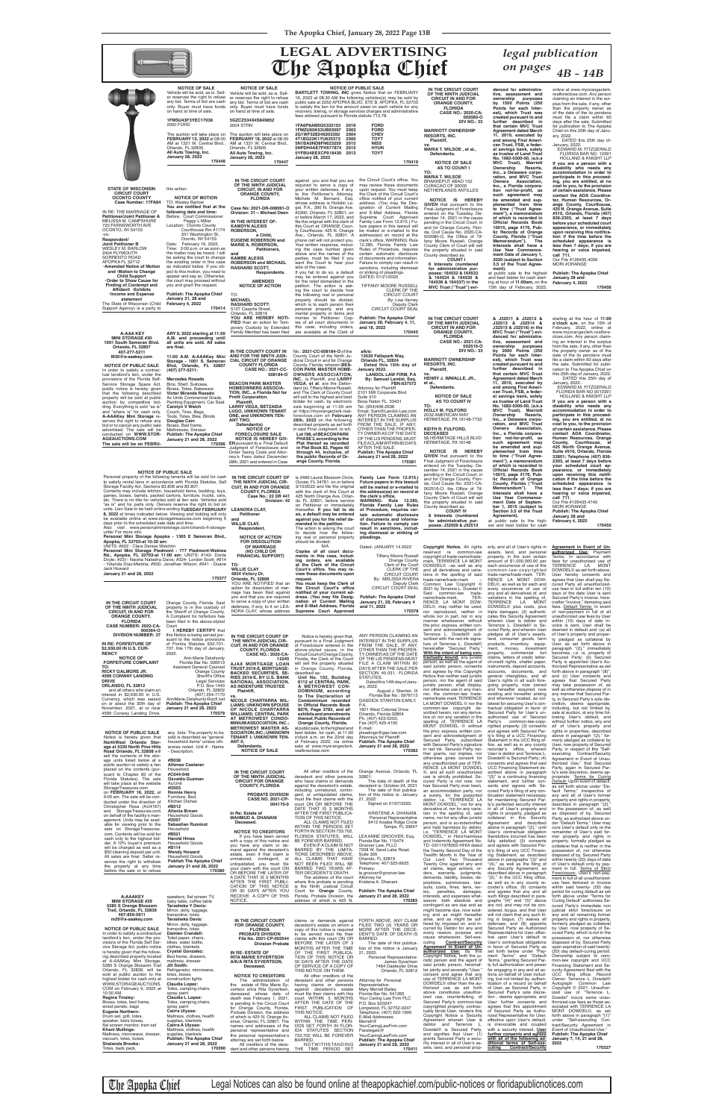**NOTICE OF PUBLIC SALE**

Personal property of the following tenants will be sold for cash to satisfy rental liens in accordance with Florida Statutes, Self Storage Facility Act, Sections 83.806 and 83.807. Contents may include kitchen, household items, bedding, toys, games, boxes, barrels, packed cartons, furniture, trucks, cars, etc. There is no title for vehicles sold at lien sale. Vehicles sold "as is" and for parts only. Owners reserve the right to bid on units. Lien Sale to be held online ending **TUESDAY FEBRUARY 8, 2022** at times indicated below. Viewing and bidding will only<br>be available online at www.storagetreasures.com beginning 5<br>days prior to the scheduled sale date and time.<br>Also visit www.personalministorage.com/orlando-f units/ For more info. **Personal Mini Storage Apopka - 1365 E Semoran Blvd., Apopka, FL 32703-at 10:30 am:**

UNITS: #622 - Clara Denise Welchlin<br>**Personal Mini Storage Piedmont - 777 Piedmont-Wekiwa<br><b>Rd., Apopka, FL 32703-at 11:00 am:** UNITS: #143- Donte<br>Doyle; #231- Naisha Natasha Davis; #324- Lordon Scott; #914<br>- Yolanda Diaz-M Jack Howard **January 21 and 28, 2022**

N/A **Copies of all court documents in this case, including orders, are available at the Clerk of the Circuit**  Dated: JANUARY 14 2022 Tiffany Moore Russell Orange County Clerk of the Court CLERK OF THE CIRCUIT COURT By: MELISSA RIVERA

the clerk's office.<br>WARNING: Rule 12.285,<br>Florida Family Law Rules<br>of Procedure, requires cer-<br>tain automatic disclosure **of documents and information. Failure to comply can result in sanctions, including dismissal or striking of pleadings.**

**NOTICE OF ACTION FOR DISSOLUTION OF MARRIAGE (NO CHILD OR FINANCIAL SUPPORT) TO:**  ing real or personal property should be divided:

**WILLIE CLAY 4834 Victory Dr, Orlando, FL 32808** YOU ARE NOTIFIED that an action for dissolution of mar-<br>riage has been filed against<br>you and that you are required<br>to serve a copy of your written<br>defenses, if any, to it on LEA-<br>NORA CLAY, whose address Court's office. You may re-<br>view these documents upon **request. You must keep the Clerk of**  the Circuit Court's office<br> **notified of your current ad-**<br> **dress. (You may file Desig-**<br> **and E-Mail Address, Florida**<br> **and E-Mail Address, Florida Supreme Court Approved** 

 **170377 IN THE CIRCUIT COURT OF THE NINTH JUDICIAL CIRCUIT, IN AND FOR ORANGE COUNTY, FLORIDA CASE NUMBER: 2022-CA-**

**Publish: The Apopka Chief January 21, 28, February 4 and 11, 2022**

Orange County, Florida. Said property is in the custody of the Sheriff of Orange County. A Complaint for forfeiture has been filed in the above-styled<br>Court. **I HEREBY CERTIFY** that

**IN THE CIRCUIT COURT OF THE NINTH JUDICIAL CIR-CUIT, IN AND FOR ORANGE COUNTY, FLORIDA Case No.: 22 DR 441 Division: 42 LEANORA CLAY, Petitioner and WILLIE CLAY, Respondent.** is 2466 Laurel Blossom Circle, Ocoee, FL 34761 on or before<br>3/10/2022 and file the original<br>with the clerk of this Court at 425 North Orange Ave, Orlan-do FL 32801, before service on Petitioner or immediately thereafter. **If you fail to do so, a default may be entered against you for the relief de-manded in the petition.** The action is asking the court to decide how the follow-**NOTICE OF FORECLOSURE SALE NOTICE IS HEREBY GIV-EN** pursuant to a Final Default Judgment of Foreclosure and Order Taxing Costs and Attor-ney's Fees dated December 28th, 2021 and entered in Case in said Final Judgment, to wit: **Lot 198, of BEACON PARK PHASE 3, according to the Plat thereof as recorded in Plat Book 82, Pages 40 through 44, inclusive, of the public Records of Or-ange County, Florida.**

OTHER THAN THE PROPER-TY OWNER AS OF THE DATE OF THE LIS PENDENS, MUST FILEACLAIM WITHIN 60 DAYS<br>AFTER THE SALE. **Publish: The Apopka Chief**

> Deputy Clerk CIRCUIT COURT SEAL **170378** reserved re common-law copyright of trade-name/trade-mark, TERRENCE LA MONT DOWDEL© –as well as any and all derivatives and varia-tions in the spelling of said trade-name/trade-mark –<br>Common Law Copyright ©<br>2021 by Terrence L. Dowdel ©<br>Said common-law trade-<br>name/trade-mark, TER-<br>RENCE LA MONT DOW-DEL©, may neither be used, nor reproduced, neither in whole nor in part, nor in any manner whatsoever, without the prior, express, written con-

**AGEAUCTIONS.COM The sale will be on FEBRU-**

**January 21 and 28, 2022** 

**170396**

tion not-for-profit, as<br>such agreement may<br>be amended and sup**plemented from time to time ("Trust Agree**ment"), a memorandum<br>of which is recorded in<br>Official Records Book<br>10015, page 4176, Pub**lic Records of Orange County, Florida ("Trust Memorandum"). The Interests shall have a Use Year Commence-ment Date of September 1, 2015 (subject to Section 3.5 of the Trust** 

| <b>UASE NUMBER, ZUZZ"UA"</b><br>000364-0                            | <b>COUL</b><br>I HEREBY CERTIFY that                        |                                                               |                                                                               |                                                                    | <u>uig bitur. Gabigoo, wiitteli cuit</u><br>sent and acknowledgment of | TUITUITUU L. DUWUUTU IJ UU<br>cured Party, and wherein User        | טע וואוופ וסכיטו. טספו סטוטו<br>deemed in default and: (a) all   |
|---------------------------------------------------------------------|-------------------------------------------------------------|---------------------------------------------------------------|-------------------------------------------------------------------------------|--------------------------------------------------------------------|------------------------------------------------------------------------|--------------------------------------------------------------------|------------------------------------------------------------------|
| <b>DIVISION NUMBER: 37</b>                                          | this Notice is being served pur-                            | IN THE CIRCUIT COURT OF                                       | Notice is hereby given that,                                                  | ANY PERSON CLAIMING AN                                             | Terrence L. Dowdel <sup>©</sup> sub-                                   | pledges all of User's assets,                                      | of User's property and proper-                                   |
|                                                                     | suant to the notice provisions                              | THE NINTH JUDICIAL CIR-                                       | pursuant to a Final Judgment                                                  | INTEREST IN THE SURPLUS                                            | scribed with the red-ink signa-                                        | land, consumer goods, farm                                         | ty pledged as collateral by                                      |
| IN RE: FORFEITURE OF                                                | of Florida Statutes 932.701-                                | <b>CUIT. IN AND FOR ORANGE</b>                                | of Foreclosure entered in the                                                 | FROM THE SALE, IF ANY,                                             | ture of Terrence L. Dowdel©                                            | products, inventory, equip-                                        | User, as set forth above in                                      |
| \$2,930.00 IN U.S. CUR-                                             | 707, this 17th day of January,                              | <b>COUNTY, FLORIDA</b>                                        | above-styled cause, in the                                                    | OTHER THAN THE PROPER-                                             | hereinafter "Secured Party."                                           | ment, money, investment                                            | paragraph "(2)," immediately                                     |
| <b>RENCY</b><br><b>NOTICE OF</b>                                    | 2022.<br>Ann-Marie Delahunty                                | <b>CASE NO.: 2020-CA-</b>                                     | Circuit Court of Orange County,                                               | TY OWNER AS OF THE DATE                                            | With the intent of being con-<br>tractually bound, any juristic        | property, commercial tort<br>claims, letters of credit, letter-    | becomes, i.e. is, property of<br>Secured Party; (b) Secured      |
| <b>FORFEITURE COMPLAINT</b>                                         | Florida Bar No. 006513                                      | 12245                                                         | Florida, the Clerk of the Court                                               | OF THE LIS PENDENS MUST                                            | person, as well as the agent of                                        | of-credit rights, chattel paper,                                   | Party is appointed User's Au-                                    |
| TO:                                                                 | <b>Assistant General Counsel</b>                            | <b>AJAX MORTGAGE LOAN</b><br>TRUST 2019-E, MORTGAGE-          | will sell the property situated<br>in Orange County, Florida,                 | FILE A CLAIM WITHIN 60<br>DAYS AFTER THE SALE PER                  | said juristic person, consents                                         | instruments, deposit accounts.                                     | thorized Representative as set                                   |
| RICKY GALMORE JR.                                                   | <b>Orange County</b>                                        | <b>BACKED SECURITIES, SE-</b>                                 | described as:                                                                 | SECTION 45.031, FLORIDA                                            | and agrees by this Copyright                                           | accounts, documents, and                                           | forth above in paragraph "(8)"                                   |
| 4599 CONWAY LANDING                                                 | Sheriff's Office                                            | <b>RIES 2019-E, BY U.S. BANK</b>                              | Unit No. 102. Building                                                        | STATUTES.                                                          | Notice that neither said juristic                                      | general intangibles, and all                                       | and (c) User consents and                                        |
| <b>DRIVE</b>                                                        | <b>Legal Services</b>                                       | NATIONAL ASSOCIATION,                                         | 6112 of CENTRAL PARK,                                                         | Dated this 14th day of Janu-                                       | person, nor the agent of said                                          | User's rights in all such fore-                                    | agrees that Secured Party                                        |
| ORLANDO, FL 32812                                                   | P.O. Box 1440                                               | AS INDENTURE TRUSTEE                                          | A METROWEST CON-                                                              | ary, 2022.                                                         | juristic person, shall display,                                        | going property, now owned                                          | may take possession of, as                                       |
| and all others who claim an<br>interest in \$2,930.00 in U.S.       | Orlando, FL 32802<br>(407) 254-7170                         | Plaintiff,                                                    | DOMINIUM, according                                                           | August J. Stanton, III                                             | nor otherwise use in any man-<br>ner, the common-law trade-            | and hereafter acquired, now<br>existing and hereafter arising      | well as otherwise dispose of in<br>any manner that Secured Par-  |
| Currency, which was seized                                          | AnnMarie.Delahunty@ocfl.net                                 | VS.                                                           | to The Declaration of                                                         | Florida Bar No.: 0976113                                           | name/trade-mark TERRENCE                                               | and wherever located, as col-                                      | ty, in Secured Party's sole dis-                                 |
| on or about the 30th day of                                         | <b>Publish: The Apopka Chief</b>                            | <b>NICOLE CHARTARRA WIL-</b><br><b>LIAMS: UNKNOWN SPOUSE</b>  | Condominium recorded<br>in Official Records Book                              | <b>GASDICK STANTON EARLY,</b><br>P.A.                              | LA MONT DOWDEL © nor the                                               | lateral for securing User's con-                                   | cretion, deems appropriate,                                      |
| November, 2021, at or near                                          | January 21 and 28, 2022                                     | OF NICOLE CHARTARRA                                           | 8076, Page 3783, and all                                                      | 1601 West Colonial Drive                                           | common-law copyright de-                                               | tractual obligation in favor of                                    | including, but not limited by                                    |
| 4599 Conway Landing Drive,                                          | 170379                                                      | <b>WILLIAMS; CENTRAL PARK</b>                                 | exhibits and amendments                                                       | Orlando, Florida 32804                                             | scribed herein, nor any deriva-                                        | Secured Party for User's un-                                       | sale at auction, at any time fol-                                |
|                                                                     |                                                             | AT METROWEST CONDO-                                           | thereof, Public Records of                                                    | Ph. (407) 423-5203;                                                | tive of, nor any variation in the                                      | authorized use of Secured                                          | lowing User's default, and                                       |
|                                                                     |                                                             | MINIUM ASSOCIATION, INC.                                      | Orange County, Florida.                                                       | Fax (407) 425-4105                                                 | spelling of, TERRENCE LA<br>MONT DOWDEL © without                      | Party's common-law-copy-                                           | without further notice, any and                                  |
|                                                                     |                                                             | <b>METROWEST MASTER AS-</b>                                   | at public sale, to the highest and                                            | E-mail:                                                            | the prior, express, written con-                                       | righted property; (3) consents<br>and agrees with Secured Par-     | all of User's property and<br>rights in properties, described    |
| <b>NOTICE OF PUBLIC SALE</b>                                        | any bids. The property to be                                | <b>SOCIATION, INC.; UNKNOWN</b>                               | best bidder, for cash, at 11:00                                               | pleadings@gse-law.com                                              | sent and acknowledgment of                                             | ty's filing of a UCC Financing                                     | above in paragraph "(2)," for                                    |
| Notice is hereby given that                                         | sold is described as "general                               | <b>TENANT I: UNKNOWN TEN-</b><br>ANT II.                      | o'clock a.m. on the 22nd day<br>of February 2022, via online                  | <b>Attorneys for Plaintiff</b><br><b>Publish: The Apopka Chief</b> | Secured Party, subscribed                                              | Statement in the UCC filing of-                                    | merly pledged as collateral by                                   |
| NorthWest Orlando Stor-<br>age at 5330 North Pine Hills             | household items" unless oth-<br>erwise noted. Unit # - Name | Defendants.                                                   | sale at www.myorangeclerk.                                                    | January 21 and 28, 2022                                            | with Secured Party's signature                                         | fice, as well as in any county                                     | User, now property of Secured                                    |
| Road Orlando, FL 32808 will                                         | - Description:                                              | <b>NOTICE OF SALE</b>                                         | realforeclose.com                                                             | 170382                                                             | in red ink. Secured Party nei-                                         | recorder's office, wherein                                         | Party, in respect of this "Self-                                 |
| sell the contents of the stor-                                      |                                                             |                                                               |                                                                               |                                                                    | ther grants, nor implies, nor                                          | User is debtor and Terrence L.                                     | executing Contract/Security                                      |
| age units listed below at a                                         | #B038                                                       |                                                               |                                                                               |                                                                    | otherwise gives consent for                                            | Dowdel <sup>©</sup> is Secured Party; (4)                          | Agreement in Event of Unau-                                      |
| public auction to satisfy a lien                                    | <b>Alfonso Castaner</b>                                     |                                                               |                                                                               |                                                                    | any unauthorized use of TER-<br>RENCE LA MONT DOWDEL                   | consents and agrees that said<br>UCC Financing Statement de-       | thorized Use," that Secured<br>Party, again in Secured Par       |
| placed on the contents (pur-                                        | Household                                                   | IN THE CIRCUIT COURT                                          | All other creditors of the                                                    | Orange Avenue, Orlando, FL                                         | ©, and all such unauthorized                                           | scribed above in paragraph                                         | ty's sole discretion, deems ap-                                  |
| suant to Chapter 83 of the<br>Florida Statutes). The sale           | #C044-046<br>Osvaldo Guzman                                 | OF THE NINTH JUDICIAL                                         | decedent and other persons                                                    | 32801.                                                             | use is strictly prohibited. Se-                                        | "(3)" is a continuing financing                                    | propriate. Terms for Curing                                      |
| will take place at the website                                      | Ac/Unit                                                     | <b>CIRCUIT FOR ORANGE</b>                                     | who have claims or demands                                                    | The date of death of the                                           | cured Party is not now, nor                                            | statement, and further con-                                        | Default: Upon event of default                                   |
| StorageTreasures.com                                                | #D003                                                       | <b>COUNTY, FLORIDA</b>                                        | against the decedent's estate,                                                | decedent is: October 24, 2021                                      | has Secured Party ever been,                                           | sents and agrees with Se-                                          | as set forth above under "De-                                    |
| on FEBRUARY 16, 2022, at                                            | <b>Ronnie Henry</b>                                         |                                                               | including unmatured, contin-                                                  | The date of first publica-                                         | an accommodation party, nor                                            | cured Party's filing of any con-                                   | fault Terms," irrespective of                                    |
| 9:00 am. The sale will be con-                                      | Furniture, Bed                                              | <b>PROBATE DIVISION</b><br><b>CASE NO. 2021-CP-</b>           | gent, or unliquidated claims,<br>must file their claims with the              | tion of this notice is: January<br>21, 2022                        | a surety, for the purported                                            | tinuation statement necessary                                      | any and all of User's former                                     |
| ducted under the direction of                                       | <b>Kitchen Dishes</b>                                       | 004170-0                                                      | court ON OR BEFORE THE                                                        | Signed on 01/07/2022.                                              | debtor, i.e. "TERRENCE LA<br>MONT DOWDEL," nor for any                 | for maintaining Secured Par-<br>ty's perfected security interest   | property and rights in property,<br>described in paragraph "(2), |
| Christopher Rosa (AU4167)                                           | #B012                                                       |                                                               | DATE THAT IS 3 MONTHS                                                         |                                                                    | derivative of, nor for any varia-                                      | in all of User's property and                                      | in the possession of, as well                                    |
| and StorageTreasures.com                                            | Altonia Brown                                               | In Re: Estate of                                              | AFTER THE FIRST PUBLICA-                                                      | KRISTENE A. DHANANI,                                               | tion in the spelling of, said                                          | rights in property, pledged as                                     | as disposed of by, Secured                                       |
| on behalf of the facility's man-<br>agement. Units may be avail-    | Household Goods<br>#D007                                    | <b>MAHMUD A. DHANANI</b>                                      | TION OF THIS NOTICE.                                                          | Personal Representative                                            | name, nor for any other juristic                                       | collateral in this Security                                        | Party, as authorized above un-                                   |
| able for viewing prior to the                                       | <b>Sebastian Ruminot</b>                                    | Deceased.                                                     | ALL CLAIMS NOT FILED                                                          | 9412 Azalea Ridge Circle                                           | person, and is so-indemnified                                          | Agreement and described                                            | der "Default Terms," User may                                    |
| sale on StorageTreasures.                                           | Household                                                   |                                                               | WITHIN THE PERIODS SET                                                        | Tampa, FL 33647                                                    | and held harmless by debtor,                                           | above in paragraph "(2)," until                                    | cure User's default only re the                                  |
| com. Contents will be sold for                                      | #B021                                                       | <b>NOTICE TO CREDITORS</b>                                    | FORTH IN SECTION 733.702,<br>FLORIDA STATUTES, WILL                           | LEA ANNE GROOVER, Esq.                                             | i.e. "TERRENCE LA MONT                                                 | User's contractual obligation                                      | remainder of User's said for                                     |
| cash only to the highest bid-                                       | <b>Harold Hines</b>                                         | If you have been served<br>with a copy of this notice and     | BE FOREVER BARRED                                                             | Florida Bar No. 115474                                             | DOWDEL," in Hold-harmless<br>and Indemnity Agreement No.               | theretofore incurred has been<br>fully satisfied; (5) consents     | mer property and rights in<br>property, formally pledged as      |
| der. A 10% buyer's premium                                          | <b>Household Goods</b>                                      | you have any claim or de-                                     | EVEN IF A CLAIM IS NOT                                                        | Groover Law, PLLC                                                  | TD -03111976002-HHIA dated                                             | and agrees with Secured Par-                                       | collateral that is neither in the                                |
| will be charged as well as a                                        | #B114                                                       | mand against the decedent's                                   | BARRED BY THE LIMITA-                                                         | 7208 W. Sand Lake Road,                                            | the Twenty Second Day of the                                           | ty's filing of any UCC Financ-                                     | possession of, nor otherwise                                     |
| \$50 cleaning deposit per unit.<br>All sales are final. Seller re-  | <b>Wendy Howard</b><br><b>Household Goods</b>               | estate, even if that claim is                                 | TIONS DESCRIBED ABOVE,                                                        | Suite 305                                                          | Twelfth Month in the Year of                                           | ing Statement, as described                                        | disposed of by, Secured Party                                    |
| serves the right to withdraw                                        | <b>Publish The Apopka Chief</b>                             | unmatured, contingent, or                                     | ALL CLAIMS THAT HAVE                                                          | Orlando, FL 32819                                                  | Our Lord Two Thousand                                                  | above in paragraphs "(3)" and                                      | within twenty (20) days of date                                  |
| the property at any time                                            | January 21 and 28, 2022                                     | unliquidated, you must file                                   | NOT BEEN FILED WILL BE                                                        | Telephone: 407-325-9925                                            | Twenty One against any and                                             | " $(4)$ ," as well as the filing of                                | of User's default only by pay-                                   |
| before the sale or to refuse                                        | 170380                                                      | your claim with the court ON<br>OR BEFORE THE LATER OF        | BARRED TWO YEARS AF-<br>TER DECEDENT'S DEATH.                                 | Primary:<br>la.groover@groover.law                                 | all claims, legal actions, or-                                         | any Security Agreement, as                                         | ment in full. Terms of Strict                                    |
|                                                                     |                                                             | A DATE THAT IS 3 MONTHS                                       | The address of the court                                                      | Attorney for                                                       | ders, warrants, judgments,<br>demands, liability, losses, de-          | described above in paragraph<br>"(2)," in the UCC filing office,   | Foreclosure: User's non-pay<br>ment in full of all unauthorized- |
|                                                                     |                                                             | AFTER THE FIRST PUBLI-                                        | where this probate is pending                                                 | Kristene A. Dhanani                                                | positions, summonses, law-                                             | as well as in any county re-                                       | use fees itemized in Invoice                                     |
|                                                                     |                                                             | CATION OF THIS NOTICE                                         | is the Ninth Judicial Circuit                                                 |                                                                    | suits, costs, fines, liens, lev-                                       | corder's office; (6) consents                                      | within said twenty- (20) day                                     |
|                                                                     |                                                             | OR 30 DAYS AFTER YOU                                          | Court for <b>Orange</b> County,                                               | <b>Publish: The Apopka Chief</b>                                   | penalties,<br>damages,<br>ies,                                         | and agrees that any and all                                        | period for curing default as set                                 |
| <b>A-AAAKEY</b>                                                     | speakers, flat screen TV                                    | RECEIVE A COPY OF THIS                                        | Florida, Probate Division, the<br>address of which is 425 N.                  | January 21 and 28, 2022                                            | interests, and expenses what-                                          | such filings described in para-                                    | forth above under "Terms for                                     |
| <b>MINI STORAGE #29</b>                                             | baby table, coffee table                                    | NOTICE.                                                       |                                                                               | 170383                                                             | soever, both absolute and                                              | graphs "(4)" and "(5)" above                                       | Curing Default" authorizes Se-                                   |
| 5285 S Orange Blossom<br>Trail, Orlando, FL 32839                   | <b>Tarasheka Y Davis:</b>                                   |                                                               |                                                                               |                                                                    | contingent as are due and as<br>might become due, now exist-           | are not, and may not be con-<br>sidered, bogus, and that User      | cured Party's immediate non<br>judicial strict foreclosure on    |
| 407-859-5911                                                        | Mirror, dolly, luggage,<br>trampoline, totes                |                                                               |                                                                               |                                                                    | ing and as might hereafter                                             | will not claim that any such fil-                                  | any and all remaining former                                     |
| m29@a-aaakey.com                                                    | <b>Tarasheka Davis:</b>                                     | IN THE CIRCUIT COURT                                          | claims or demands against                                                     | FORTH ABOVE, ANY CLAIM                                             | arise, and as might be suf-                                            | ing is bogus; (7) waives all                                       | property and rights in property,                                 |
|                                                                     | Mirror, dolly, luggage,                                     | <b>FOR ORANGE COUNTY,</b>                                     | decedent's estate on whom a                                                   | FILED TWO (2) YEARS OR                                             | fered by, imposed on, and in-                                          | defenses; and (8) appoints                                         | formerly pledged as collateral                                   |
| <b>NOTICE OF PUBLIC SALE</b>                                        | trampoline, totes                                           | <b>FLORIDA</b>                                                | copy of this notice is required                                               | MORE AFTER THE DECE-                                               | curred by Debtor for any and                                           | Secured Party as Authorized                                        | by User, now property of Se-                                     |
| In order to satisfy a contractual                                   | Damien Crandell:                                            | <b>PROBATE DIVISION</b>                                       | to be served must file their                                                  | DENT'S DATE OF DEATH IS                                            | every reason, purpose and<br>cause whatsoever. Self-exe-               | Representative for User, effec-<br>tive upon User's default re     | cured Party, which is not in the                                 |
| landlord's lien, under the pro-<br>visions of the Florida Self Ser- | Toilet paper, chairs,<br>bikes, water bottle.               | File No. 2021-CP-003544                                       | claims with this court ON OR                                                  | BARRED.                                                            | cuting                                                                 | <b>Contract/Security</b> User's contractual obligations            | possession of, nor otherwise<br>disposed of by. Secured Party    |
| vice Storage Act, public notice                                     | clothes, blankets                                           | <b>Division Probate</b>                                       | BEFORE THE LATER OF 3<br>MONTHS AFTER THE TIME tion of this notice is January | The date of first publica-                                         | Agreement in Event of Un-                                              | in favor of Secured Party as                                       | upon expiration of said twenty-                                  |
| is hereby given that the follow-                                    | <b>Crystal Gonzalez:</b>                                    | IN RE: ESTATE OF                                              | OF THE FIRST PUBLICA-                                                         | 21, 2022.                                                          | <b>authorized Use:</b> By this                                         | set forth below under "Pay-                                        | (20) day default-curing period.                                  |
| ing described property located                                      | Bed frame, drawers,                                         | <b>RITA MARIE SYVERTSON</b>                                   | TION OF THIS NOTICE OR                                                        | Personal Representative:                                           | Copyright Notice, both the ju-                                         | ment Terms" and "Default                                           | Ownership subject to com-                                        |
| at A-AAAKey Mini Storage,                                           | mattress, dresser                                           | A/K/A RITA SYVERTSON.                                         | 30 DAYS AFTER THE DATE                                                        | James Syvertson                                                    | ristic person and the agent of                                         | Terms," granting Secured Par-                                      | mon-law copyright and UCC                                        |
| 5285 S Orange Blossom Trail                                         | Jill Smith:                                                 | Deceased.                                                     | OF SERVICE OF A COPY OF                                                       | 7464 Daetwyler Drive                                               | said juristic person, hereinaf-                                        | ty full authorization and power                                    | Financing Statement and Se-                                      |
| Orlando, FL 32839, will be                                          | Refrigerator, microwave,                                    |                                                               | THIS NOTICE ON THEM.                                                          | Orlando, FL 32812                                                  | ter jointly and severally "User,"                                      | for engaging in any and all ac-<br>tions on behalf of User includ- | curity Agreement filed with the<br>UCC filing office. Record     |
| sold at public auction to the<br>highest bidder for cash only at    | totes, boxes,<br>construction lights                        | <b>NOTICE TO CREDITORS</b>                                    | All other creditors of the                                                    |                                                                    | consent and agree that any<br>use of TERRENCE LA MONT                  | ing, but not limited by, authen-                                   | Owner: Terrence L. Dowdel©                                       |
| WWW.STORAGEAUCTIONS.                                                | Claudia Lopez:                                              | The administration of                                         | decedent and other persons                                                    | Attorney for Personal                                              | DOWDEL <sup>®</sup> other than the au-                                 | tication of a record on behalf                                     | Autograph Common Law                                             |
| COM on February 9, 2022 at                                          | Totes, camping chairs,                                      | the estate of Rita Marie Sy-<br>vertson a/k/a Rita Syvertson, | having claims or demands<br>against decedent's estate                         | Representative:<br><b>Mary Merrell Bailey</b>                      | thorized use as set forth                                              | of User, as Secured Party, in                                      | Copyright © 2021. Unauthor-                                      |
| 10:30 AM.                                                           | spray paint                                                 | deceased, whose date of                                       | must file their claims with this                                              | Florida Bar No. 541265                                             | above constitutes unauthor-                                            | Secured Party's sole discre-                                       | ized use of "Terrence L.                                         |
| <b>Regina Tinsley:</b>                                              | Claudia L Lopez:                                            | death was February 1, 2021,                                   | court WITHIN 3 MONTHS                                                         | Your Caring Law Firm PLC                                           | ized use, counterfeiting, of                                           | tion, deems appropriate, and                                       | Dowdel" incurs same unau-                                        |
| Boxes, totes, bed frame,                                            | Totes, camping chairs,                                      | is pending in the Circuit Court                               | AFTER THE DATE OF THE                                                         | P.O. Box 520247                                                    | Secured Party's common-law                                             | User further consents and<br>agrees that this appointment          | thorized-use fees as those as-<br>sociated with TERRENCE LA      |
| wood panels, bags                                                   | spray paint                                                 | for Orange County, Florida,                                   | FIRST PUBLICATION OF                                                          | Longwood, FL 32752-0247                                            | copyrighted property, contrac-<br>tually binds User, renders this      | of Secured Party as Autho-                                         | MONT DOWDEL <sup>®</sup> , as set                                |
| Eugene Northern:<br>Drum set, grill, totes,                         | Cairra Ulysse:<br>Mattress, clothes, health                 | Probate Division, the address                                 | THIS NOTICE.<br>ALL CLAIMS NOT FILED                                          | Telephone: (407) 622-1900                                          | Copyright Notice a Security                                            | rized Representative for User,                                     | forth above in paragraph "(1)"                                   |
| speaker, tools boxes,                                               | supplies, blankets                                          | of which is 425 N. Orange Av-<br>enue, Orlando, FL 32801. The | WITHIN THE TIME PERI-                                                         | E-Mail Addresses:<br>Merrell@                                      | Agreement wherein User is                                              | effective upon User's default,                                     | under "Self-executing Con-                                       |
| flat screen monitor, train set                                      | Cairra A Ulysse:                                            | names and addresses of the                                    | ODS SET FORTH IN FLOR-                                                        | YourCaringLawFirm.com                                              | debtor and Terrence L.                                                 | is irrevocable and coupled                                         | tract/Security Agreement in                                      |
| Khani Mullings:                                                     |                                                             | personal representative and                                   | IDA STATUTES SECTION                                                          | Paralegals@                                                        | Dowdel <sup>©</sup> is Secured Party,                                  | with a security interest. User                                     | Event of Unauthorized Use."                                      |
|                                                                     | Mattress, clothes, health                                   |                                                               |                                                                               |                                                                    |                                                                        |                                                                    |                                                                  |
| Mattress, microwave, dresser,                                       | supplies, blankets                                          | the personal representative's                                 | 733.702 WILL BE FOREVER                                                       | YourCaringLawFirm.com                                              | and signifies that User: (1)                                           | further consents and agrees                                        | <b>Publish: The Apopka Chief</b>                                 |
| vacuum, totes, boxes                                                | <b>Publish: The Apopka Chief</b>                            | attorney are set forth below.                                 | <b>BARRED</b>                                                                 | <b>Publish: The Apopka Chief</b>                                   | grants Secured Party a secu-                                           | with all of the following ad-                                      | January 7, 14, 21 and 28,                                        |
| <b>Shalanda Brooks:</b><br>Totes, back pack,                        | January 21 and 28, 2022<br>170390                           | All creditors of the dece-<br>dent and other persons having   | NOTWITHSTANDING<br>THE TIME PERIOD SET                                        | January 21 and 28, 2022<br>170411                                  | rity interest in all of User's as-<br>sets, land, and personal prop-   | ditional terms of Self-exe-<br><b>Contract/Security</b><br>cuting  | 2022<br>170327                                                   |

The Apopka Chief Legal Notices can also be found online at theapopkachief.com/public-notices or floridapublicnotices.com

**Family Law Form 12.915.) Future papers in this lawsuit will be mailed or e-mailed to the address(es) on record at January 21 and 28, 2022 170381** Final Judgment of Foreclosure<br>entered on the Tuesday, De-<br>cember 14, 2021 in the cause<br>pending in the Circuit Court, in<br>and for Orange County, Flori-<br>da, Civil Cause No. 2021-CA-002516-O, the Office of Tiffany Moore Russell, Orange County Clerk of Court will sell the property situated in said

> **Copyright Notice.** All rights erty, and all of User's rights in assets, land, and personal property, in the sum certain amount of \$1,000,000.00 per each occurrence of use of the common-law-copyrighted trade-name/trade-mark TER-RENCE LA MONT DOW-<br>DEL©, as well as for each and<br>every occurrence of use of<br>any and all derivatives of, and<br>variations in the spelling of,<br>TERRENCE LA MONT<br>DOWDEL© plus costs, plus<br>triple damages; (2) authoriticates this S **Agreement in Event of Unauthorized Use:** Payment Terms: In accordance with fees for unauthorized use of TERRENCE LA MONT DOWDEL© as set forth above, User hereby consents and agrees that User shall pay Secured Party all unauthorized-use fees in full within ten (10) days of the date User is sent Secured Party's invoice, here-inafter "Invoice," itemizing said fees. Default Terms: In event of non-payment in full of all unauthorized use fees by User within (10) days of date In-voice is sent, User shall be



**NOTICE IS HEREBY GIVEN** that pursuant to the

County described as: **COUNT IV**

**8 Interests (numbered for administrative pur-poses: J32509 & J32510** 

**Agreement).**

at public sale to the high-est and best bidder for cash

**Human Resources, Orange County, Courthouse, at 425 North Orange Avenue, Suite #510, Orlando, Florida 32801; Telephone (407) 836- 2303, at least 7 days before your scheduled court ap-pearance, or immediately upon receiving this notifi - cation if the time before the** 

**scheduled appearance is less than 7 days; if you are hearing or voice impaired, call 711.** Our File #126435.4740

MORI #ORANGE **Publish: The Apopka Chief January 28 and February 4, 2022**

**170455**